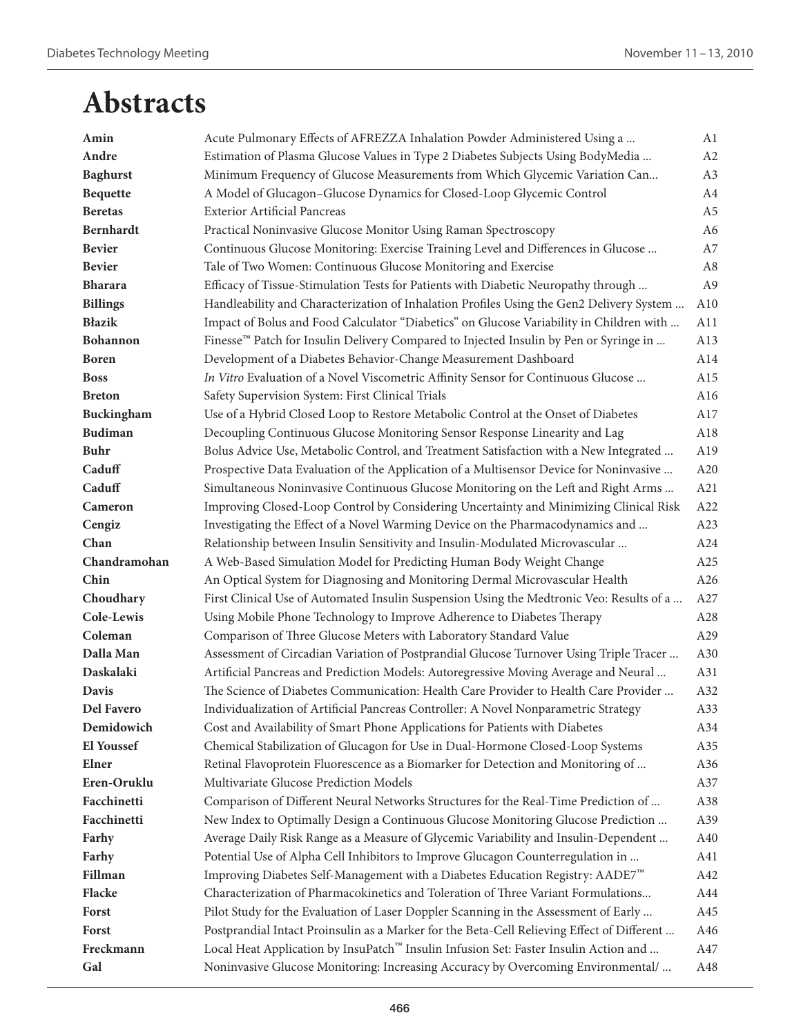| Amin              | Acute Pulmonary Effects of AFREZZA Inhalation Powder Administered Using a                  | A1             |
|-------------------|--------------------------------------------------------------------------------------------|----------------|
| Andre             | Estimation of Plasma Glucose Values in Type 2 Diabetes Subjects Using BodyMedia            | A2             |
| <b>Baghurst</b>   | Minimum Frequency of Glucose Measurements from Which Glycemic Variation Can                | A3             |
| <b>Bequette</b>   | A Model of Glucagon-Glucose Dynamics for Closed-Loop Glycemic Control                      | A4             |
| <b>Beretas</b>    | <b>Exterior Artificial Pancreas</b>                                                        | A <sub>5</sub> |
| <b>Bernhardt</b>  | Practical Noninvasive Glucose Monitor Using Raman Spectroscopy                             | A <sub>6</sub> |
| <b>Bevier</b>     | Continuous Glucose Monitoring: Exercise Training Level and Differences in Glucose          | A7             |
| <b>Bevier</b>     | Tale of Two Women: Continuous Glucose Monitoring and Exercise                              | A8             |
| <b>Bharara</b>    | Efficacy of Tissue-Stimulation Tests for Patients with Diabetic Neuropathy through         | A <sub>9</sub> |
| <b>Billings</b>   | Handleability and Characterization of Inhalation Profiles Using the Gen2 Delivery System   | A10            |
| <b>Błazik</b>     | Impact of Bolus and Food Calculator "Diabetics" on Glucose Variability in Children with    | A11            |
| <b>Bohannon</b>   | Finesse™ Patch for Insulin Delivery Compared to Injected Insulin by Pen or Syringe in      | A13            |
| <b>Boren</b>      | Development of a Diabetes Behavior-Change Measurement Dashboard                            | A14            |
| <b>Boss</b>       | In Vitro Evaluation of a Novel Viscometric Affinity Sensor for Continuous Glucose          | A15            |
| <b>Breton</b>     | Safety Supervision System: First Clinical Trials                                           | A16            |
| Buckingham        | Use of a Hybrid Closed Loop to Restore Metabolic Control at the Onset of Diabetes          | A17            |
| <b>Budiman</b>    | Decoupling Continuous Glucose Monitoring Sensor Response Linearity and Lag                 | A18            |
| <b>Buhr</b>       | Bolus Advice Use, Metabolic Control, and Treatment Satisfaction with a New Integrated      | A19            |
| Caduff            | Prospective Data Evaluation of the Application of a Multisensor Device for Noninvasive     | A20            |
| Caduff            | Simultaneous Noninvasive Continuous Glucose Monitoring on the Left and Right Arms          | A21            |
| Cameron           | Improving Closed-Loop Control by Considering Uncertainty and Minimizing Clinical Risk      | A22            |
| Cengiz            | Investigating the Effect of a Novel Warming Device on the Pharmacodynamics and             | A23            |
| Chan              | Relationship between Insulin Sensitivity and Insulin-Modulated Microvascular               | A24            |
| Chandramohan      | A Web-Based Simulation Model for Predicting Human Body Weight Change                       | A25            |
| Chin              | An Optical System for Diagnosing and Monitoring Dermal Microvascular Health                | A26            |
| Choudhary         | First Clinical Use of Automated Insulin Suspension Using the Medtronic Veo: Results of a   | A27            |
| Cole-Lewis        | Using Mobile Phone Technology to Improve Adherence to Diabetes Therapy                     | A28            |
| Coleman           | Comparison of Three Glucose Meters with Laboratory Standard Value                          | A29            |
| Dalla Man         | Assessment of Circadian Variation of Postprandial Glucose Turnover Using Triple Tracer     | A30            |
| Daskalaki         | Artificial Pancreas and Prediction Models: Autoregressive Moving Average and Neural        | A31            |
| <b>Davis</b>      | The Science of Diabetes Communication: Health Care Provider to Health Care Provider        | A32            |
| <b>Del Favero</b> | Individualization of Artificial Pancreas Controller: A Novel Nonparametric Strategy        | A33            |
| Demidowich        | Cost and Availability of Smart Phone Applications for Patients with Diabetes               | A34            |
| <b>El Youssef</b> | Chemical Stabilization of Glucagon for Use in Dual-Hormone Closed-Loop Systems             | A35            |
| Elner             | Retinal Flavoprotein Fluorescence as a Biomarker for Detection and Monitoring of           | A36            |
| Eren-Oruklu       | Multivariate Glucose Prediction Models                                                     | A37            |
| Facchinetti       | Comparison of Different Neural Networks Structures for the Real-Time Prediction of         | A38            |
| Facchinetti       | New Index to Optimally Design a Continuous Glucose Monitoring Glucose Prediction           | A39            |
| Farhy             | Average Daily Risk Range as a Measure of Glycemic Variability and Insulin-Dependent        | A40            |
| Farhy             | Potential Use of Alpha Cell Inhibitors to Improve Glucagon Counterregulation in            | A41            |
| Fillman           | Improving Diabetes Self-Management with a Diabetes Education Registry: AADE7 <sup>™</sup>  | A42            |
| Flacke            | Characterization of Pharmacokinetics and Toleration of Three Variant Formulations          | A44            |
| Forst             | Pilot Study for the Evaluation of Laser Doppler Scanning in the Assessment of Early        | A45            |
| Forst             | Postprandial Intact Proinsulin as a Marker for the Beta-Cell Relieving Effect of Different | A46            |
| Freckmann         | Local Heat Application by InsuPatch™ Insulin Infusion Set: Faster Insulin Action and       | A47            |
| Gal               | Noninvasive Glucose Monitoring: Increasing Accuracy by Overcoming Environmental/           | A48            |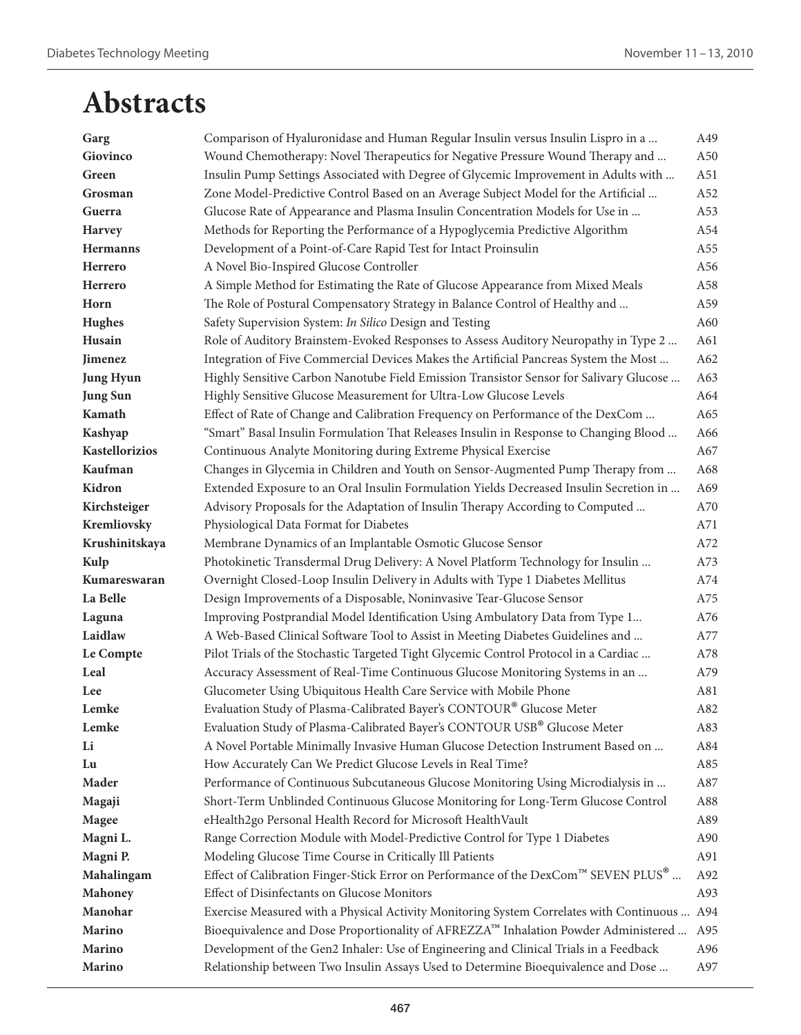| Garg             | Comparison of Hyaluronidase and Human Regular Insulin versus Insulin Lispro in a             | A49 |
|------------------|----------------------------------------------------------------------------------------------|-----|
| Giovinco         | Wound Chemotherapy: Novel Therapeutics for Negative Pressure Wound Therapy and               | A50 |
| Green            | Insulin Pump Settings Associated with Degree of Glycemic Improvement in Adults with          | A51 |
| Grosman          | Zone Model-Predictive Control Based on an Average Subject Model for the Artificial           | A52 |
| Guerra           | Glucose Rate of Appearance and Plasma Insulin Concentration Models for Use in                | A53 |
| Harvey           | Methods for Reporting the Performance of a Hypoglycemia Predictive Algorithm                 | A54 |
| <b>Hermanns</b>  | Development of a Point-of-Care Rapid Test for Intact Proinsulin                              | A55 |
| Herrero          | A Novel Bio-Inspired Glucose Controller                                                      | A56 |
| Herrero          | A Simple Method for Estimating the Rate of Glucose Appearance from Mixed Meals               | A58 |
| Horn             | The Role of Postural Compensatory Strategy in Balance Control of Healthy and                 | A59 |
| <b>Hughes</b>    | Safety Supervision System: In Silico Design and Testing                                      | A60 |
| Husain           | Role of Auditory Brainstem-Evoked Responses to Assess Auditory Neuropathy in Type 2          | A61 |
| Jimenez          | Integration of Five Commercial Devices Makes the Artificial Pancreas System the Most         | A62 |
| <b>Jung Hyun</b> | Highly Sensitive Carbon Nanotube Field Emission Transistor Sensor for Salivary Glucose       | A63 |
| <b>Jung Sun</b>  | Highly Sensitive Glucose Measurement for Ultra-Low Glucose Levels                            | A64 |
| Kamath           | Effect of Rate of Change and Calibration Frequency on Performance of the DexCom              | A65 |
| Kashyap          | "Smart" Basal Insulin Formulation That Releases Insulin in Response to Changing Blood        | A66 |
| Kastellorizios   | Continuous Analyte Monitoring during Extreme Physical Exercise                               | A67 |
| Kaufman          | Changes in Glycemia in Children and Youth on Sensor-Augmented Pump Therapy from              | A68 |
| Kidron           | Extended Exposure to an Oral Insulin Formulation Yields Decreased Insulin Secretion in       | A69 |
| Kirchsteiger     | Advisory Proposals for the Adaptation of Insulin Therapy According to Computed               | A70 |
| Kremliovsky      | Physiological Data Format for Diabetes                                                       | A71 |
| Krushinitskaya   | Membrane Dynamics of an Implantable Osmotic Glucose Sensor                                   | A72 |
| Kulp             | Photokinetic Transdermal Drug Delivery: A Novel Platform Technology for Insulin              | A73 |
| Kumareswaran     | Overnight Closed-Loop Insulin Delivery in Adults with Type 1 Diabetes Mellitus               | A74 |
| La Belle         | Design Improvements of a Disposable, Noninvasive Tear-Glucose Sensor                         | A75 |
| Laguna           | Improving Postprandial Model Identification Using Ambulatory Data from Type 1                | A76 |
| Laidlaw          | A Web-Based Clinical Software Tool to Assist in Meeting Diabetes Guidelines and              | A77 |
| Le Compte        | Pilot Trials of the Stochastic Targeted Tight Glycemic Control Protocol in a Cardiac         | A78 |
| Leal             | Accuracy Assessment of Real-Time Continuous Glucose Monitoring Systems in an                 | A79 |
| Lee              | Glucometer Using Ubiquitous Health Care Service with Mobile Phone                            | A81 |
| Lemke            | Evaluation Study of Plasma-Calibrated Bayer's CONTOUR® Glucose Meter                         | A82 |
| Lemke            | Evaluation Study of Plasma-Calibrated Bayer's CONTOUR USB® Glucose Meter                     | A83 |
| Li               | A Novel Portable Minimally Invasive Human Glucose Detection Instrument Based on              | A84 |
| Lu               | How Accurately Can We Predict Glucose Levels in Real Time?                                   | A85 |
| Mader            | Performance of Continuous Subcutaneous Glucose Monitoring Using Microdialysis in             | A87 |
| Magaji           | Short-Term Unblinded Continuous Glucose Monitoring for Long-Term Glucose Control             | A88 |
| Magee            | eHealth2go Personal Health Record for Microsoft HealthVault                                  | A89 |
| Magni L.         | Range Correction Module with Model-Predictive Control for Type 1 Diabetes                    | A90 |
| Magni P.         | Modeling Glucose Time Course in Critically Ill Patients                                      | A91 |
| Mahalingam       | Effect of Calibration Finger-Stick Error on Performance of the DexCom™ SEVEN PLUS®           | A92 |
| Mahoney          | Effect of Disinfectants on Glucose Monitors                                                  | A93 |
| Manohar          | Exercise Measured with a Physical Activity Monitoring System Correlates with Continuous  A94 |     |
| <b>Marino</b>    | Bioequivalence and Dose Proportionality of AFREZZA™ Inhalation Powder Administered           | A95 |
| <b>Marino</b>    | Development of the Gen2 Inhaler: Use of Engineering and Clinical Trials in a Feedback        | A96 |
| <b>Marino</b>    | Relationship between Two Insulin Assays Used to Determine Bioequivalence and Dose            | A97 |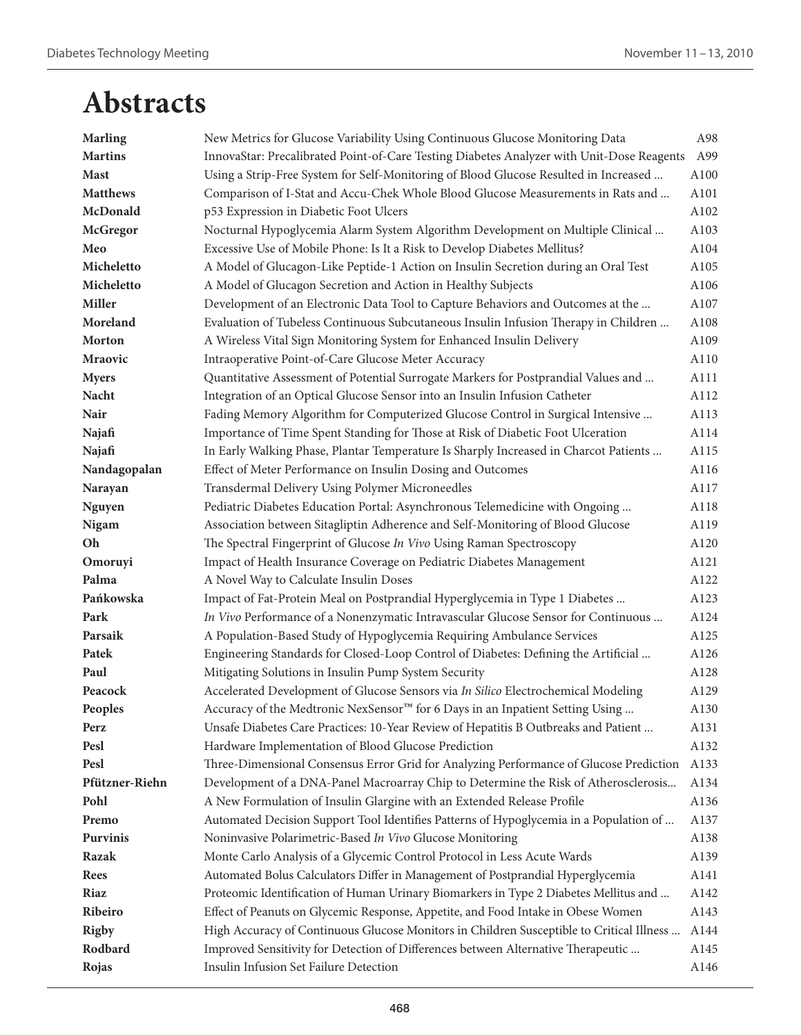| <b>Marling</b>  | New Metrics for Glucose Variability Using Continuous Glucose Monitoring Data              | A98  |
|-----------------|-------------------------------------------------------------------------------------------|------|
| <b>Martins</b>  | InnovaStar: Precalibrated Point-of-Care Testing Diabetes Analyzer with Unit-Dose Reagents | A99  |
| <b>Mast</b>     | Using a Strip-Free System for Self-Monitoring of Blood Glucose Resulted in Increased      | A100 |
| <b>Matthews</b> | Comparison of I-Stat and Accu-Chek Whole Blood Glucose Measurements in Rats and           | A101 |
| McDonald        | p53 Expression in Diabetic Foot Ulcers                                                    | A102 |
| <b>McGregor</b> | Nocturnal Hypoglycemia Alarm System Algorithm Development on Multiple Clinical            | A103 |
| Meo             | Excessive Use of Mobile Phone: Is It a Risk to Develop Diabetes Mellitus?                 | A104 |
| Micheletto      | A Model of Glucagon-Like Peptide-1 Action on Insulin Secretion during an Oral Test        | A105 |
| Micheletto      | A Model of Glucagon Secretion and Action in Healthy Subjects                              | A106 |
| <b>Miller</b>   | Development of an Electronic Data Tool to Capture Behaviors and Outcomes at the           | A107 |
| Moreland        | Evaluation of Tubeless Continuous Subcutaneous Insulin Infusion Therapy in Children       | A108 |
| <b>Morton</b>   | A Wireless Vital Sign Monitoring System for Enhanced Insulin Delivery                     | A109 |
| Mraovic         | Intraoperative Point-of-Care Glucose Meter Accuracy                                       | A110 |
| <b>Myers</b>    | Quantitative Assessment of Potential Surrogate Markers for Postprandial Values and        | A111 |
| Nacht           | Integration of an Optical Glucose Sensor into an Insulin Infusion Catheter                | A112 |
| Nair            | Fading Memory Algorithm for Computerized Glucose Control in Surgical Intensive            | A113 |
| Najafi          | Importance of Time Spent Standing for Those at Risk of Diabetic Foot Ulceration           | A114 |
| Najafi          | In Early Walking Phase, Plantar Temperature Is Sharply Increased in Charcot Patients      | A115 |
| Nandagopalan    | Effect of Meter Performance on Insulin Dosing and Outcomes                                | A116 |
| Narayan         | Transdermal Delivery Using Polymer Microneedles                                           | A117 |
| <b>Nguyen</b>   | Pediatric Diabetes Education Portal: Asynchronous Telemedicine with Ongoing               | A118 |
| Nigam           | Association between Sitagliptin Adherence and Self-Monitoring of Blood Glucose            | A119 |
| Oh              | The Spectral Fingerprint of Glucose In Vivo Using Raman Spectroscopy                      | A120 |
| Omoruyi         | Impact of Health Insurance Coverage on Pediatric Diabetes Management                      | A121 |
| Palma           | A Novel Way to Calculate Insulin Doses                                                    | A122 |
| Pańkowska       | Impact of Fat-Protein Meal on Postprandial Hyperglycemia in Type 1 Diabetes               | A123 |
| Park            | In Vivo Performance of a Nonenzymatic Intravascular Glucose Sensor for Continuous         | A124 |
| Parsaik         | A Population-Based Study of Hypoglycemia Requiring Ambulance Services                     | A125 |
| Patek           | Engineering Standards for Closed-Loop Control of Diabetes: Defining the Artificial        | A126 |
| Paul            | Mitigating Solutions in Insulin Pump System Security                                      | A128 |
| Peacock         | Accelerated Development of Glucose Sensors via In Silico Electrochemical Modeling         | A129 |
| Peoples         | Accuracy of the Medtronic NexSensor™ for 6 Days in an Inpatient Setting Using             | A130 |
| Perz            | Unsafe Diabetes Care Practices: 10-Year Review of Hepatitis B Outbreaks and Patient       | A131 |
| Pesl            | Hardware Implementation of Blood Glucose Prediction                                       | A132 |
| Pesl            | Three-Dimensional Consensus Error Grid for Analyzing Performance of Glucose Prediction    | A133 |
| Pfützner-Riehn  | Development of a DNA-Panel Macroarray Chip to Determine the Risk of Atherosclerosis       | A134 |
| Pohl            | A New Formulation of Insulin Glargine with an Extended Release Profile                    | A136 |
| Premo           | Automated Decision Support Tool Identifies Patterns of Hypoglycemia in a Population of    | A137 |
| <b>Purvinis</b> | Noninvasive Polarimetric-Based In Vivo Glucose Monitoring                                 | A138 |
| Razak           | Monte Carlo Analysis of a Glycemic Control Protocol in Less Acute Wards                   | A139 |
| <b>Rees</b>     | Automated Bolus Calculators Differ in Management of Postprandial Hyperglycemia            | A141 |
| Riaz            | Proteomic Identification of Human Urinary Biomarkers in Type 2 Diabetes Mellitus and      | A142 |
| Ribeiro         | Effect of Peanuts on Glycemic Response, Appetite, and Food Intake in Obese Women          | A143 |
| <b>Rigby</b>    | High Accuracy of Continuous Glucose Monitors in Children Susceptible to Critical Illness  | A144 |
| Rodbard         | Improved Sensitivity for Detection of Differences between Alternative Therapeutic         | A145 |
| Rojas           | Insulin Infusion Set Failure Detection                                                    | A146 |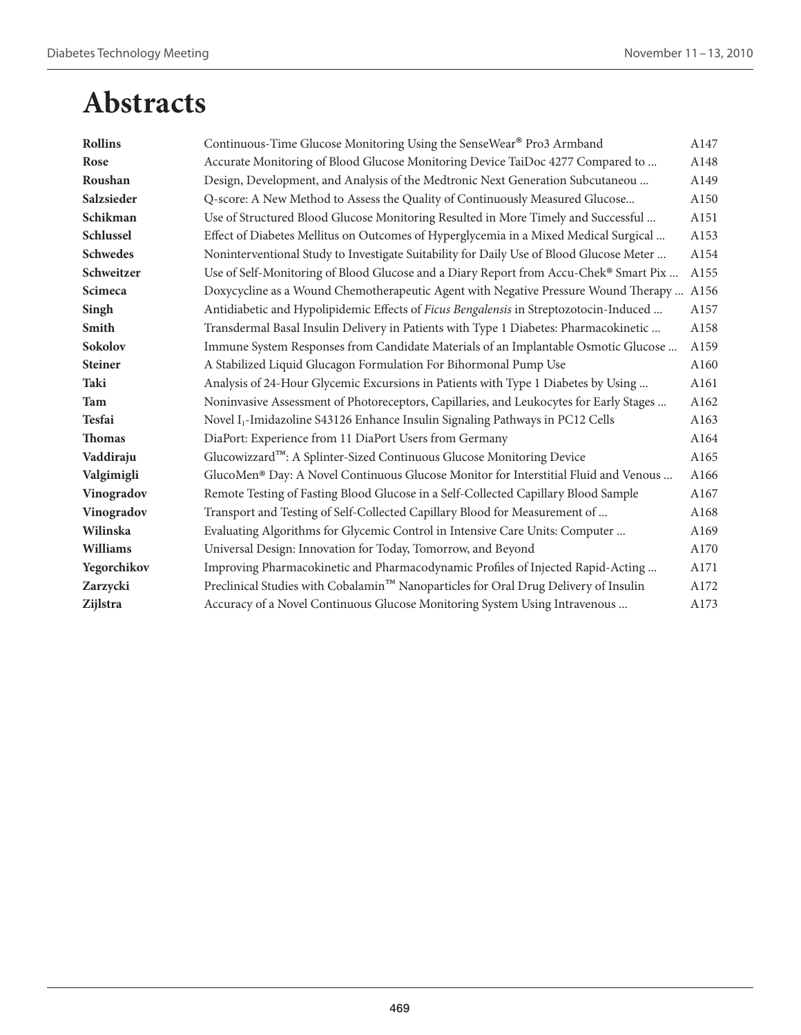| <b>Rollins</b>  | Continuous-Time Glucose Monitoring Using the SenseWear® Pro3 Armband                      | A147 |
|-----------------|-------------------------------------------------------------------------------------------|------|
| Rose            | Accurate Monitoring of Blood Glucose Monitoring Device TaiDoc 4277 Compared to            | A148 |
| Roushan         | Design, Development, and Analysis of the Medtronic Next Generation Subcutaneou            | A149 |
| Salzsieder      | Q-score: A New Method to Assess the Quality of Continuously Measured Glucose              | A150 |
| Schikman        | Use of Structured Blood Glucose Monitoring Resulted in More Timely and Successful         | A151 |
| Schlussel       | Effect of Diabetes Mellitus on Outcomes of Hyperglycemia in a Mixed Medical Surgical      | A153 |
| <b>Schwedes</b> | Noninterventional Study to Investigate Suitability for Daily Use of Blood Glucose Meter   | A154 |
| Schweitzer      | Use of Self-Monitoring of Blood Glucose and a Diary Report from Accu-Chek® Smart Pix      | A155 |
| <b>Scimeca</b>  | Doxycycline as a Wound Chemotherapeutic Agent with Negative Pressure Wound Therapy  A156  |      |
| Singh           | Antidiabetic and Hypolipidemic Effects of Ficus Bengalensis in Streptozotocin-Induced     | A157 |
| Smith           | Transdermal Basal Insulin Delivery in Patients with Type 1 Diabetes: Pharmacokinetic      | A158 |
| <b>Sokolov</b>  | Immune System Responses from Candidate Materials of an Implantable Osmotic Glucose        | A159 |
| <b>Steiner</b>  | A Stabilized Liquid Glucagon Formulation For Bihormonal Pump Use                          | A160 |
| Taki            | Analysis of 24-Hour Glycemic Excursions in Patients with Type 1 Diabetes by Using         | A161 |
| Tam             | Noninvasive Assessment of Photoreceptors, Capillaries, and Leukocytes for Early Stages    | A162 |
| <b>Tesfai</b>   | Novel I <sub>1</sub> -Imidazoline S43126 Enhance Insulin Signaling Pathways in PC12 Cells | A163 |
| <b>Thomas</b>   | DiaPort: Experience from 11 DiaPort Users from Germany                                    | A164 |
| Vaddiraju       | Glucowizzard™: A Splinter-Sized Continuous Glucose Monitoring Device                      | A165 |
| Valgimigli      | GlucoMen® Day: A Novel Continuous Glucose Monitor for Interstitial Fluid and Venous       | A166 |
| Vinogradov      | Remote Testing of Fasting Blood Glucose in a Self-Collected Capillary Blood Sample        | A167 |
| Vinogradov      | Transport and Testing of Self-Collected Capillary Blood for Measurement of                | A168 |
| Wilinska        | Evaluating Algorithms for Glycemic Control in Intensive Care Units: Computer              | A169 |
| <b>Williams</b> | Universal Design: Innovation for Today, Tomorrow, and Beyond                              | A170 |
| Yegorchikov     | Improving Pharmacokinetic and Pharmacodynamic Profiles of Injected Rapid-Acting           | A171 |
| Zarzycki        | Preclinical Studies with Cobalamin™ Nanoparticles for Oral Drug Delivery of Insulin       | A172 |
| Zijlstra        | Accuracy of a Novel Continuous Glucose Monitoring System Using Intravenous                | A173 |
|                 |                                                                                           |      |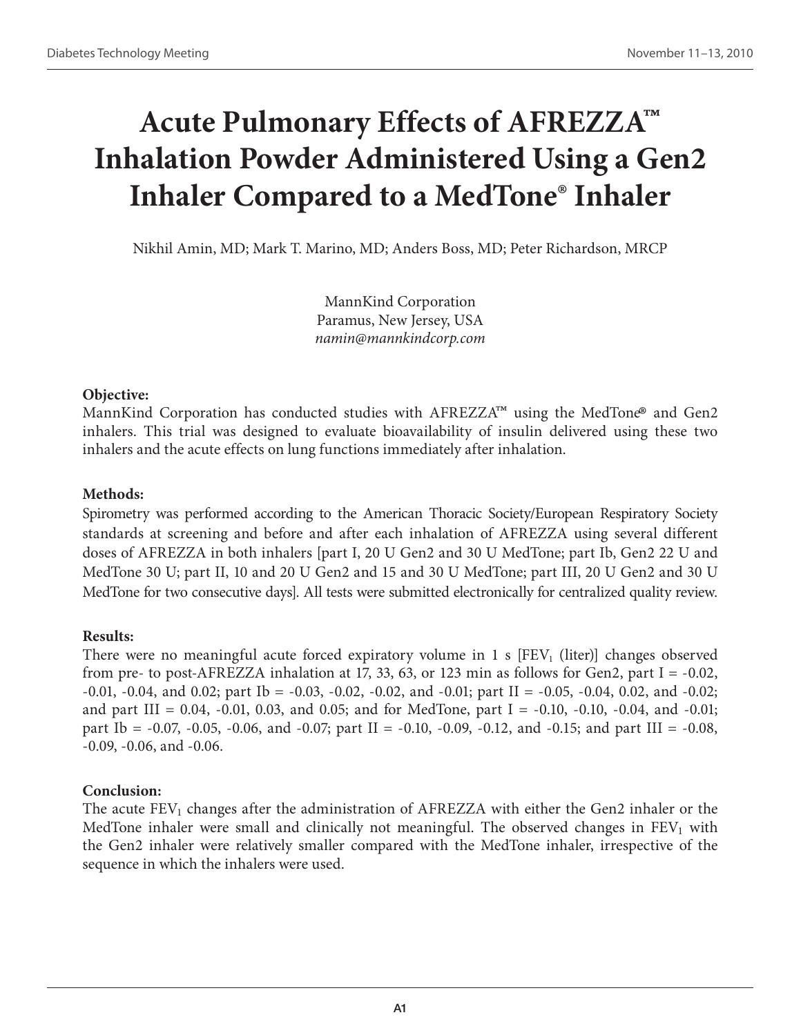# **Acute Pulmonary Effects of AFREZZA™ Inhalation Powder Administered Using a Gen2 Inhaler Compared to a MedTone® Inhaler**

Nikhil Amin, MD; Mark T. Marino, MD; Anders Boss, MD; Peter Richardson, MRCP

MannKind Corporation Paramus, New Jersey, USA *namin@mannkindcorp.com*

### **Objective:**

MannKind Corporation has conducted studies with  $A$ FREZZA<sup>™</sup> using the MedTone<sup>®</sup> and Gen2 inhalers. This trial was designed to evaluate bioavailability of insulin delivered using these two inhalers and the acute effects on lung functions immediately after inhalation.

### **Methods:**

Spirometry was performed according to the American Thoracic Society/European Respiratory Society standards at screening and before and after each inhalation of AFREZZA using several different doses of AFREZZA in both inhalers [part I, 20 U Gen2 and 30 U MedTone; part Ib, Gen2 22 U and MedTone 30 U; part II, 10 and 20 U Gen2 and 15 and 30 U MedTone; part III, 20 U Gen2 and 30 U MedTone for two consecutive days]. All tests were submitted electronically for centralized quality review.

### **Results:**

There were no meaningful acute forced expiratory volume in 1 s  $[FEV<sub>1</sub> (liter)]$  changes observed from pre- to post-AFREZZA inhalation at 17, 33, 63, or 123 min as follows for Gen2, part I =  $-0.02$ ,  $-0.01$ ,  $-0.04$ , and  $0.02$ ; part Ib =  $-0.03$ ,  $-0.02$ ,  $-0.02$ , and  $-0.01$ ; part II =  $-0.05$ ,  $-0.04$ ,  $0.02$ , and  $-0.02$ ; and part III = 0.04, -0.01, 0.03, and 0.05; and for MedTone, part I = -0.10, -0.10, -0.04, and -0.01; part Ib =  $-0.07$ ,  $-0.05$ ,  $-0.06$ , and  $-0.07$ ; part II =  $-0.10$ ,  $-0.09$ ,  $-0.12$ , and  $-0.15$ ; and part III =  $-0.08$ , -0.09, -0.06, and -0.06.

### **Conclusion:**

The acute  $FEV<sub>1</sub>$  changes after the administration of  $AFREZZA$  with either the Gen2 inhaler or the MedTone inhaler were small and clinically not meaningful. The observed changes in  $FEV<sub>1</sub>$  with the Gen2 inhaler were relatively smaller compared with the MedTone inhaler, irrespective of the sequence in which the inhalers were used.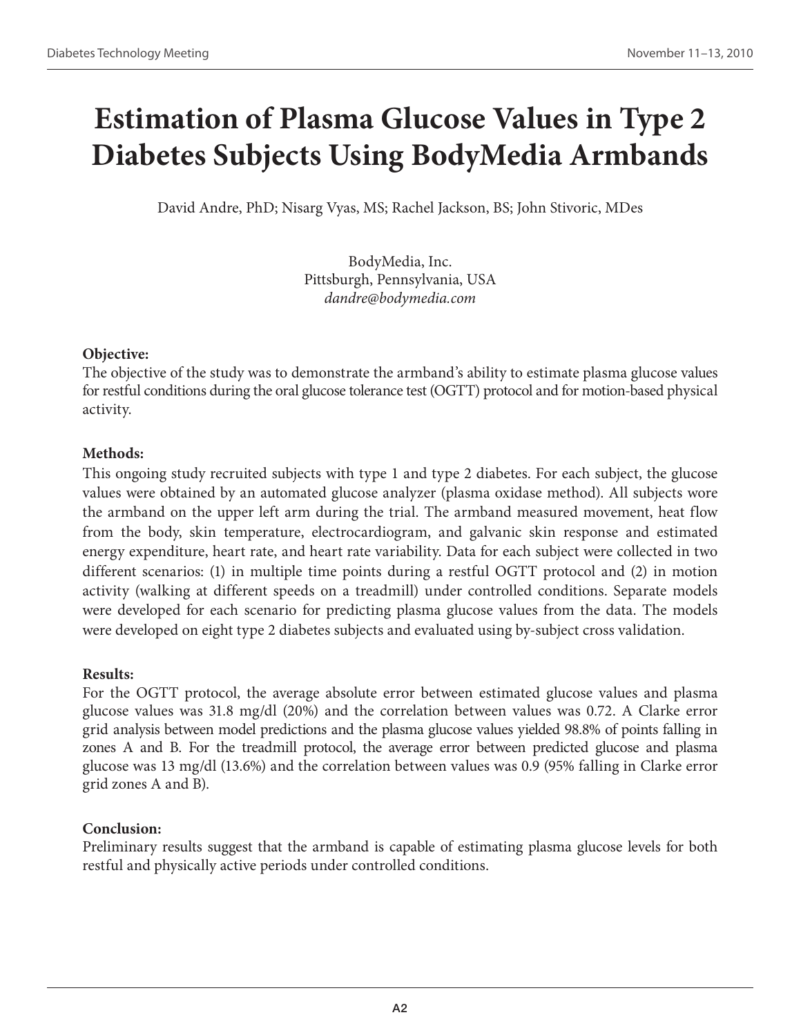# **Estimation of Plasma Glucose Values in Type 2 Diabetes Subjects Using BodyMedia Armbands**

David Andre, PhD; Nisarg Vyas, MS; Rachel Jackson, BS; John Stivoric, MDes

BodyMedia, Inc. Pittsburgh, Pennsylvania, USA *dandre@bodymedia.com*

# **Objective:**

The objective of the study was to demonstrate the armband's ability to estimate plasma glucose values for restful conditions during the oral glucose tolerance test (OGTT) protocol and for motion-based physical activity.

# **Methods:**

This ongoing study recruited subjects with type 1 and type 2 diabetes. For each subject, the glucose values were obtained by an automated glucose analyzer (plasma oxidase method). All subjects wore the armband on the upper left arm during the trial. The armband measured movement, heat flow from the body, skin temperature, electrocardiogram, and galvanic skin response and estimated energy expenditure, heart rate, and heart rate variability. Data for each subject were collected in two different scenarios: (1) in multiple time points during a restful OGTT protocol and (2) in motion activity (walking at different speeds on a treadmill) under controlled conditions. Separate models were developed for each scenario for predicting plasma glucose values from the data. The models were developed on eight type 2 diabetes subjects and evaluated using by-subject cross validation.

# **Results:**

For the OGTT protocol, the average absolute error between estimated glucose values and plasma glucose values was 31.8 mg/dl (20%) and the correlation between values was 0.72. A Clarke error grid analysis between model predictions and the plasma glucose values yielded 98.8% of points falling in zones A and B. For the treadmill protocol, the average error between predicted glucose and plasma glucose was 13 mg/dl (13.6%) and the correlation between values was 0.9 (95% falling in Clarke error grid zones A and B).

# **Conclusion:**

Preliminary results suggest that the armband is capable of estimating plasma glucose levels for both restful and physically active periods under controlled conditions.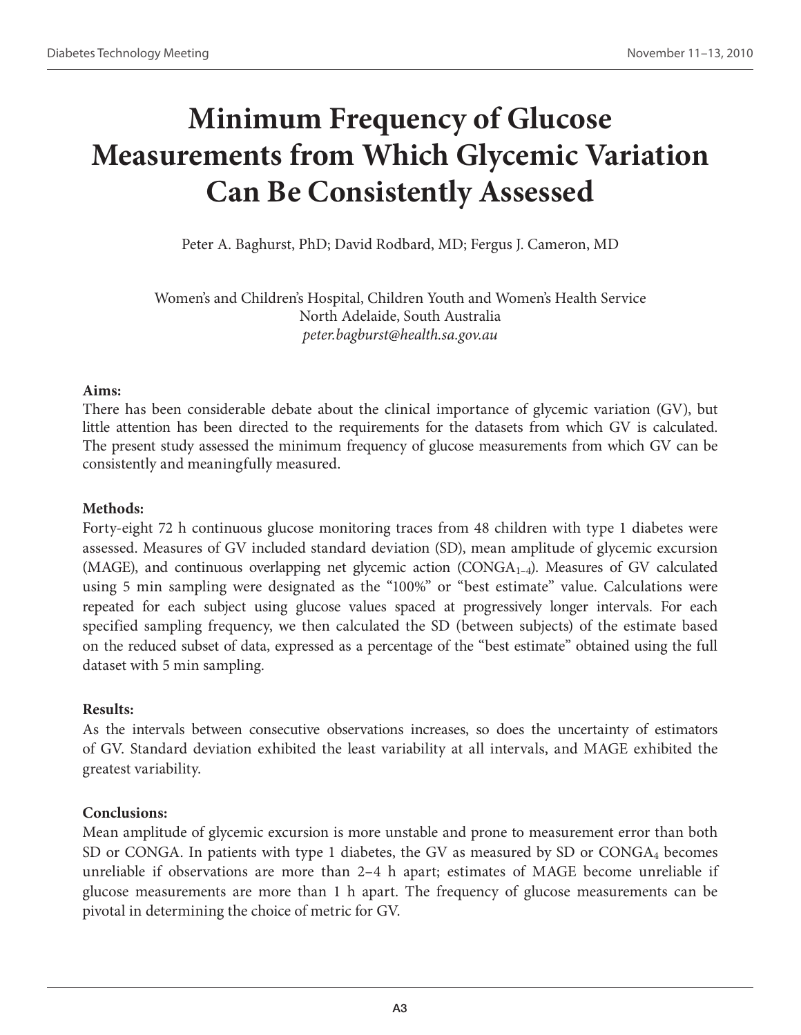# **Minimum Frequency of Glucose Measurements from Which Glycemic Variation Can Be Consistently Assessed**

Peter A. Baghurst, PhD; David Rodbard, MD; Fergus J. Cameron, MD

Women's and Children's Hospital, Children Youth and Women's Health Service North Adelaide, South Australia *peter.bagburst@health.sa.gov.au*

### **Aims:**

There has been considerable debate about the clinical importance of glycemic variation (GV), but little attention has been directed to the requirements for the datasets from which GV is calculated. The present study assessed the minimum frequency of glucose measurements from which GV can be consistently and meaningfully measured.

# **Methods:**

Forty-eight 72 h continuous glucose monitoring traces from 48 children with type 1 diabetes were assessed. Measures of GV included standard deviation (SD), mean amplitude of glycemic excursion (MAGE), and continuous overlapping net glycemic action  $(CONGA<sub>1-4</sub>)$ . Measures of GV calculated using 5 min sampling were designated as the "100%" or "best estimate" value. Calculations were repeated for each subject using glucose values spaced at progressively longer intervals. For each specified sampling frequency, we then calculated the SD (between subjects) of the estimate based on the reduced subset of data, expressed as a percentage of the "best estimate" obtained using the full dataset with 5 min sampling.

# **Results:**

As the intervals between consecutive observations increases, so does the uncertainty of estimators of GV. Standard deviation exhibited the least variability at all intervals, and MAGE exhibited the greatest variability.

# **Conclusions:**

Mean amplitude of glycemic excursion is more unstable and prone to measurement error than both SD or CONGA. In patients with type 1 diabetes, the GV as measured by SD or  $COMGA_4$  becomes unreliable if observations are more than 2–4 h apart; estimates of MAGE become unreliable if glucose measurements are more than 1 h apart. The frequency of glucose measurements can be pivotal in determining the choice of metric for GV.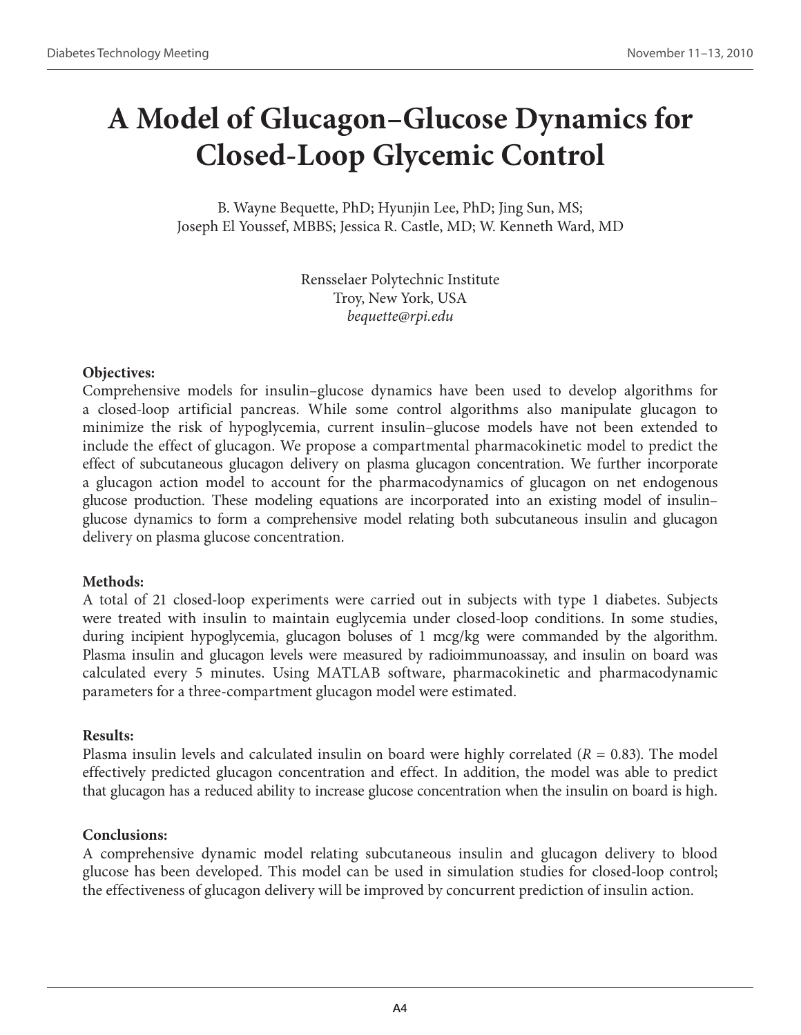# **A Model of Glucagon–Glucose Dynamics for Closed-Loop Glycemic Control**

B. Wayne Bequette, PhD; Hyunjin Lee, PhD; Jing Sun, MS; Joseph El Youssef, MBBS; Jessica R. Castle, MD; W. Kenneth Ward, MD

> Rensselaer Polytechnic Institute Troy, New York, USA *bequette@rpi.edu*

# **Objectives:**

Comprehensive models for insulin–glucose dynamics have been used to develop algorithms for a closed-loop artificial pancreas. While some control algorithms also manipulate glucagon to minimize the risk of hypoglycemia, current insulin–glucose models have not been extended to include the effect of glucagon. We propose a compartmental pharmacokinetic model to predict the effect of subcutaneous glucagon delivery on plasma glucagon concentration. We further incorporate a glucagon action model to account for the pharmacodynamics of glucagon on net endogenous glucose production. These modeling equations are incorporated into an existing model of insulin– glucose dynamics to form a comprehensive model relating both subcutaneous insulin and glucagon delivery on plasma glucose concentration.

# **Methods:**

A total of 21 closed-loop experiments were carried out in subjects with type 1 diabetes. Subjects were treated with insulin to maintain euglycemia under closed-loop conditions. In some studies, during incipient hypoglycemia, glucagon boluses of 1 mcg/kg were commanded by the algorithm. Plasma insulin and glucagon levels were measured by radioimmunoassay, and insulin on board was calculated every 5 minutes. Using MATLAB software, pharmacokinetic and pharmacodynamic parameters for a three-compartment glucagon model were estimated.

# **Results:**

Plasma insulin levels and calculated insulin on board were highly correlated ( $R = 0.83$ ). The model effectively predicted glucagon concentration and effect. In addition, the model was able to predict that glucagon has a reduced ability to increase glucose concentration when the insulin on board is high.

# **Conclusions:**

A comprehensive dynamic model relating subcutaneous insulin and glucagon delivery to blood glucose has been developed. This model can be used in simulation studies for closed-loop control; the effectiveness of glucagon delivery will be improved by concurrent prediction of insulin action.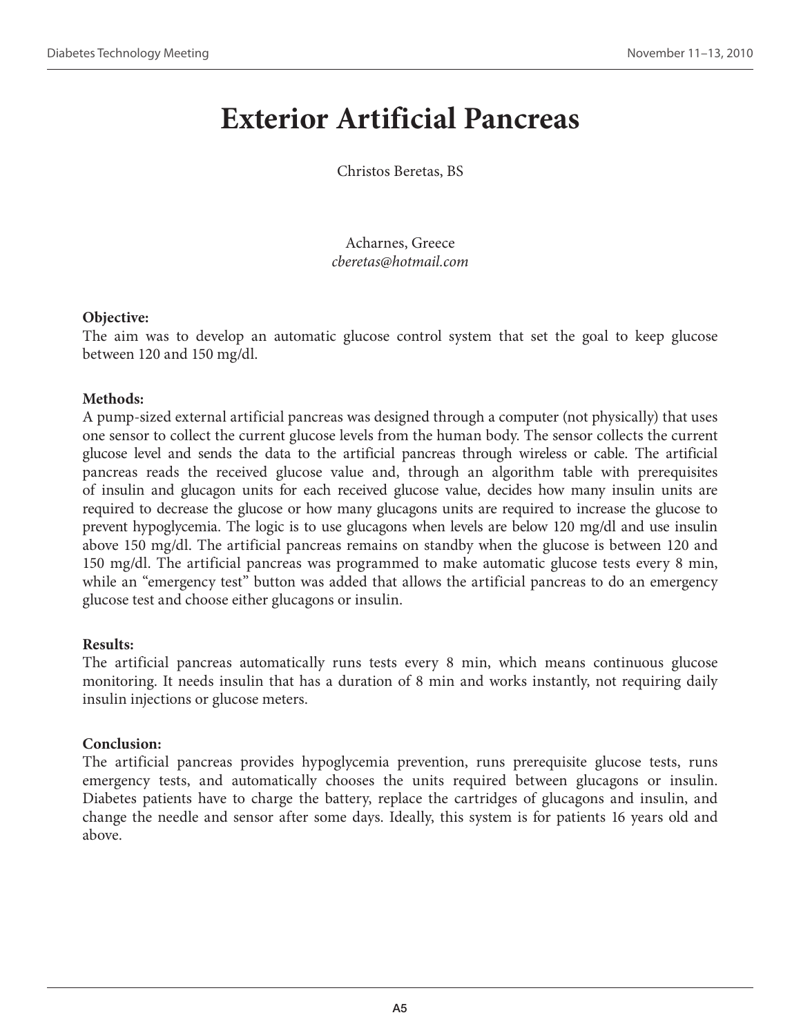# **Exterior Artificial Pancreas**

Christos Beretas, BS

Acharnes, Greece *cberetas@hotmail.com*

# **Objective:**

The aim was to develop an automatic glucose control system that set the goal to keep glucose between 120 and 150 mg/dl.

# **Methods:**

A pump-sized external artificial pancreas was designed through a computer (not physically) that uses one sensor to collect the current glucose levels from the human body. The sensor collects the current glucose level and sends the data to the artificial pancreas through wireless or cable. The artificial pancreas reads the received glucose value and, through an algorithm table with prerequisites of insulin and glucagon units for each received glucose value, decides how many insulin units are required to decrease the glucose or how many glucagons units are required to increase the glucose to prevent hypoglycemia. The logic is to use glucagons when levels are below 120 mg/dl and use insulin above 150 mg/dl. The artificial pancreas remains on standby when the glucose is between 120 and 150 mg/dl. The artificial pancreas was programmed to make automatic glucose tests every 8 min, while an "emergency test" button was added that allows the artificial pancreas to do an emergency glucose test and choose either glucagons or insulin.

# **Results:**

The artificial pancreas automatically runs tests every 8 min, which means continuous glucose monitoring. It needs insulin that has a duration of 8 min and works instantly, not requiring daily insulin injections or glucose meters.

# **Conclusion:**

The artificial pancreas provides hypoglycemia prevention, runs prerequisite glucose tests, runs emergency tests, and automatically chooses the units required between glucagons or insulin. Diabetes patients have to charge the battery, replace the cartridges of glucagons and insulin, and change the needle and sensor after some days. Ideally, this system is for patients 16 years old and above.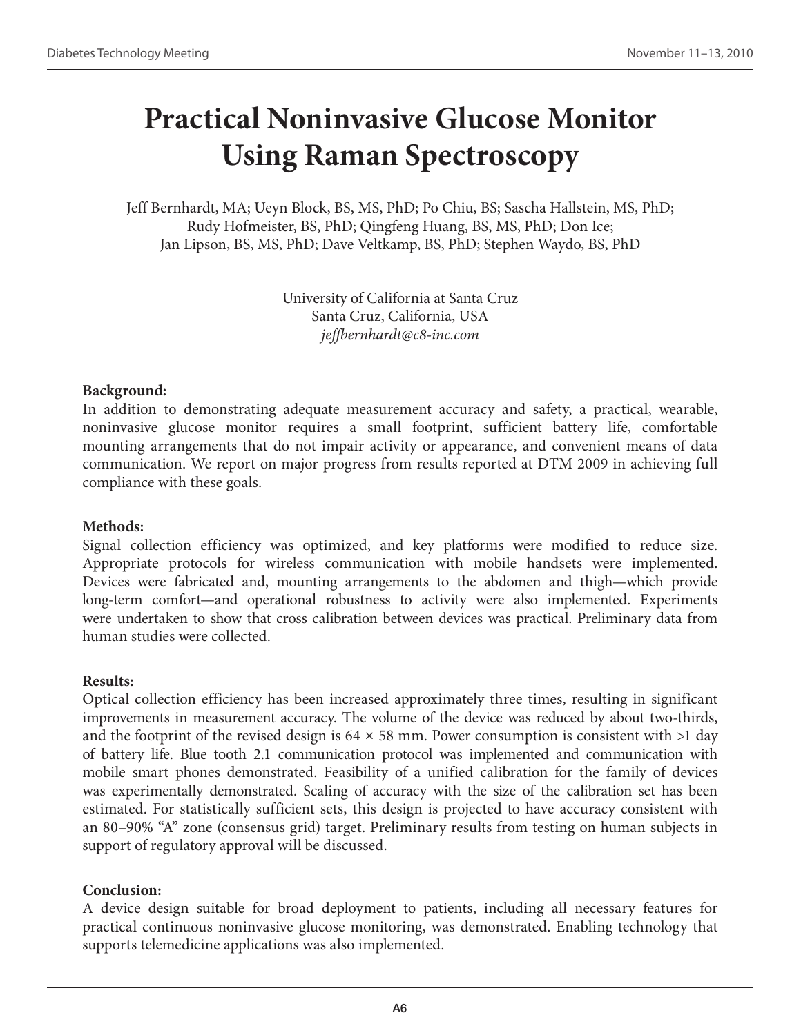# **Practical Noninvasive Glucose Monitor Using Raman Spectroscopy**

Jeff Bernhardt, MA; Ueyn Block, BS, MS, PhD; Po Chiu, BS; Sascha Hallstein, MS, PhD; Rudy Hofmeister, BS, PhD; Qingfeng Huang, BS, MS, PhD; Don Ice; Jan Lipson, BS, MS, PhD; Dave Veltkamp, BS, PhD; Stephen Waydo, BS, PhD

> University of California at Santa Cruz Santa Cruz, California, USA *jeffbernhardt@c8-inc.com*

# **Background:**

In addition to demonstrating adequate measurement accuracy and safety, a practical, wearable, noninvasive glucose monitor requires a small footprint, sufficient battery life, comfortable mounting arrangements that do not impair activity or appearance, and convenient means of data communication. We report on major progress from results reported at DTM 2009 in achieving full compliance with these goals.

# **Methods:**

Signal collection efficiency was optimized, and key platforms were modified to reduce size. Appropriate protocols for wireless communication with mobile handsets were implemented. Devices were fabricated and, mounting arrangements to the abdomen and thigh—which provide long-term comfort—and operational robustness to activity were also implemented. Experiments were undertaken to show that cross calibration between devices was practical. Preliminary data from human studies were collected.

# **Results:**

Optical collection efficiency has been increased approximately three times, resulting in significant improvements in measurement accuracy. The volume of the device was reduced by about two-thirds, and the footprint of the revised design is  $64 \times 58$  mm. Power consumption is consistent with  $>1$  day of battery life. Blue tooth 2.1 communication protocol was implemented and communication with mobile smart phones demonstrated. Feasibility of a unified calibration for the family of devices was experimentally demonstrated. Scaling of accuracy with the size of the calibration set has been estimated. For statistically sufficient sets, this design is projected to have accuracy consistent with an 80–90% "A" zone (consensus grid) target. Preliminary results from testing on human subjects in support of regulatory approval will be discussed.

# **Conclusion:**

A device design suitable for broad deployment to patients, including all necessary features for practical continuous noninvasive glucose monitoring, was demonstrated. Enabling technology that supports telemedicine applications was also implemented.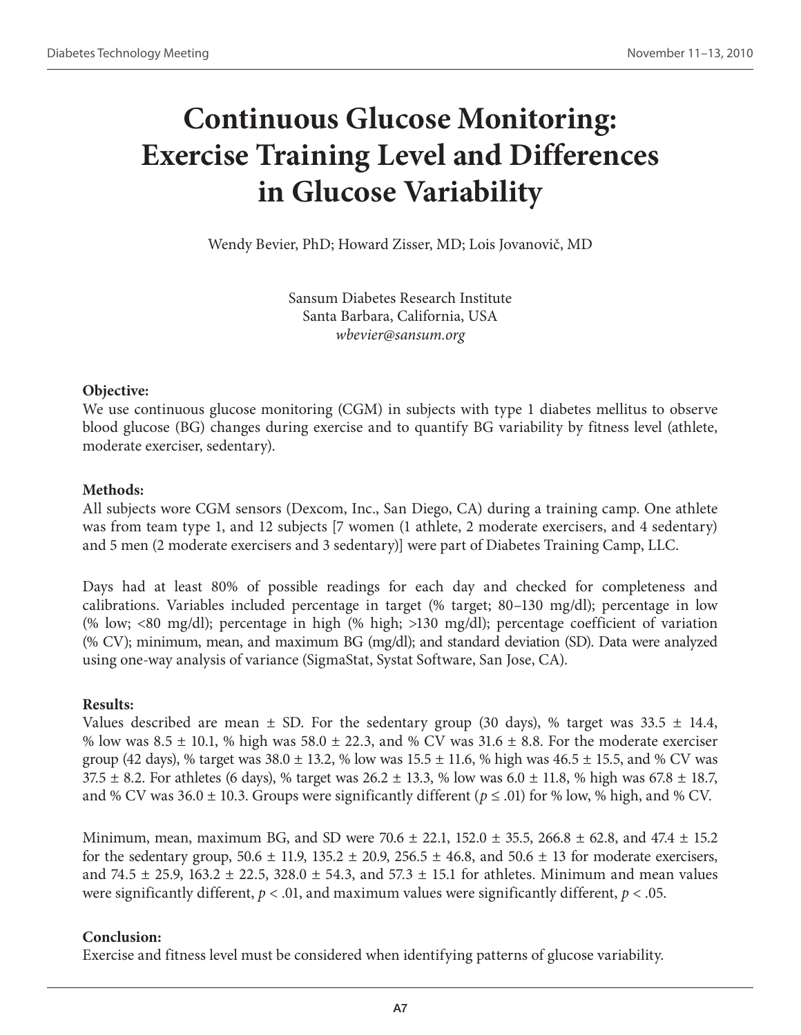# **Continuous Glucose Monitoring: Exercise Training Level and Differences in Glucose Variability**

Wendy Bevier, PhD; Howard Zisser, MD; Lois Jovanovič, MD

Sansum Diabetes Research Institute Santa Barbara, California, USA *wbevier@sansum.org*

### **Objective:**

We use continuous glucose monitoring (CGM) in subjects with type 1 diabetes mellitus to observe blood glucose (BG) changes during exercise and to quantify BG variability by fitness level (athlete, moderate exerciser, sedentary).

# **Methods:**

All subjects wore CGM sensors (Dexcom, Inc., San Diego, CA) during a training camp. One athlete was from team type 1, and 12 subjects [7 women (1 athlete, 2 moderate exercisers, and 4 sedentary) and 5 men (2 moderate exercisers and 3 sedentary)] were part of Diabetes Training Camp, LLC.

Days had at least 80% of possible readings for each day and checked for completeness and calibrations. Variables included percentage in target (% target; 80–130 mg/dl); percentage in low (% low; <80 mg/dl); percentage in high (% high; >130 mg/dl); percentage coefficient of variation (% CV); minimum, mean, and maximum BG (mg/dl); and standard deviation (SD). Data were analyzed using one-way analysis of variance (SigmaStat, Systat Software, San Jose, CA).

# **Results:**

Values described are mean  $\pm$  SD. For the sedentary group (30 days), % target was 33.5  $\pm$  14.4, % low was  $8.5 \pm 10.1$ , % high was  $58.0 \pm 22.3$ , and % CV was  $31.6 \pm 8.8$ . For the moderate exerciser group (42 days), % target was  $38.0 \pm 13.2$ , % low was  $15.5 \pm 11.6$ , % high was  $46.5 \pm 15.5$ , and % CV was 37.5  $\pm$  8.2. For athletes (6 days), % target was 26.2  $\pm$  13.3, % low was 6.0  $\pm$  11.8, % high was 67.8  $\pm$  18.7, and % CV was  $36.0 \pm 10.3$ . Groups were significantly different ( $p \le 0.01$ ) for % low, % high, and % CV.

Minimum, mean, maximum BG, and SD were 70.6  $\pm$  22.1, 152.0  $\pm$  35.5, 266.8  $\pm$  62.8, and 47.4  $\pm$  15.2 for the sedentary group,  $50.6 \pm 11.9$ ,  $135.2 \pm 20.9$ ,  $256.5 \pm 46.8$ , and  $50.6 \pm 13$  for moderate exercisers, and 74.5  $\pm$  25.9, 163.2  $\pm$  22.5, 328.0  $\pm$  54.3, and 57.3  $\pm$  15.1 for athletes. Minimum and mean values were significantly different,  $p < .01$ , and maximum values were significantly different,  $p < .05$ .

# **Conclusion:**

Exercise and fitness level must be considered when identifying patterns of glucose variability.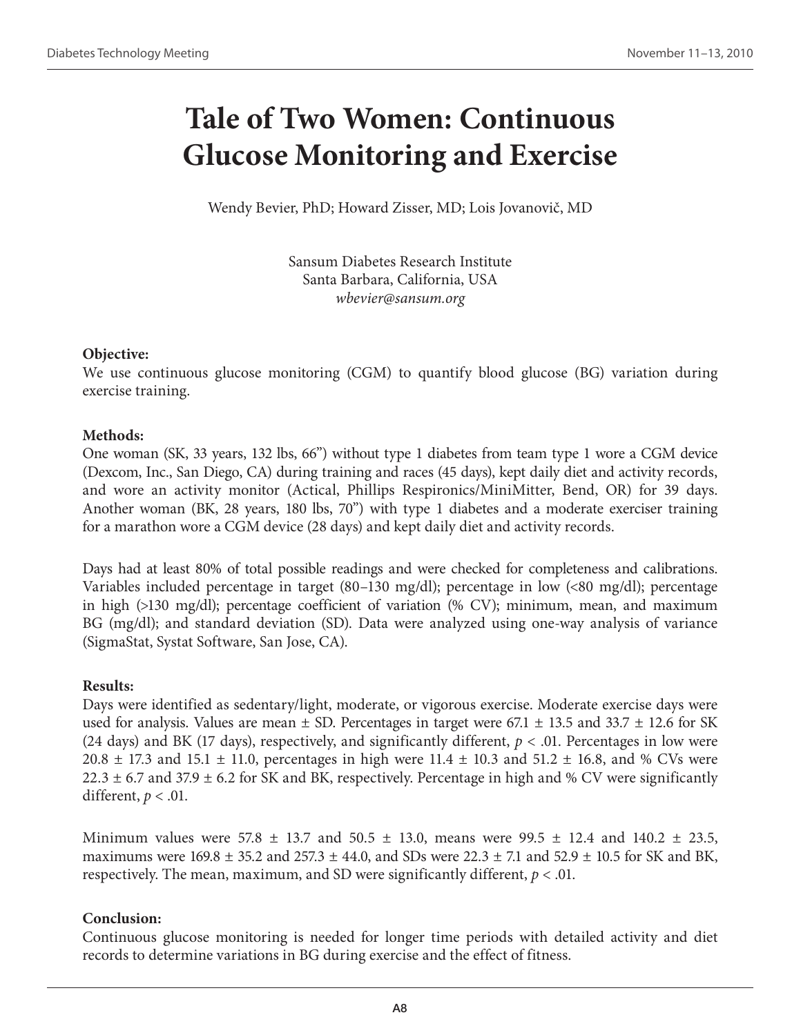# **Tale of Two Women: Continuous Glucose Monitoring and Exercise**

Wendy Bevier, PhD; Howard Zisser, MD; Lois Jovanovič, MD

Sansum Diabetes Research Institute Santa Barbara, California, USA *wbevier@sansum.org*

# **Objective:**

We use continuous glucose monitoring (CGM) to quantify blood glucose (BG) variation during exercise training.

# **Methods:**

One woman (SK, 33 years, 132 lbs, 66") without type 1 diabetes from team type 1 wore a CGM device (Dexcom, Inc., San Diego, CA) during training and races (45 days), kept daily diet and activity records, and wore an activity monitor (Actical, Phillips Respironics/MiniMitter, Bend, OR) for 39 days. Another woman (BK, 28 years, 180 lbs, 70") with type 1 diabetes and a moderate exerciser training for a marathon wore a CGM device (28 days) and kept daily diet and activity records.

Days had at least 80% of total possible readings and were checked for completeness and calibrations. Variables included percentage in target (80–130 mg/dl); percentage in low (<80 mg/dl); percentage in high (>130 mg/dl); percentage coefficient of variation (% CV); minimum, mean, and maximum BG (mg/dl); and standard deviation (SD). Data were analyzed using one-way analysis of variance (SigmaStat, Systat Software, San Jose, CA).

# **Results:**

Days were identified as sedentary/light, moderate, or vigorous exercise. Moderate exercise days were used for analysis. Values are mean  $\pm$  SD. Percentages in target were 67.1  $\pm$  13.5 and 33.7  $\pm$  12.6 for SK (24 days) and BK (17 days), respectively, and significantly different,  $p < .01$ . Percentages in low were 20.8  $\pm$  17.3 and 15.1  $\pm$  11.0, percentages in high were 11.4  $\pm$  10.3 and 51.2  $\pm$  16.8, and % CVs were 22.3  $\pm$  6.7 and 37.9  $\pm$  6.2 for SK and BK, respectively. Percentage in high and % CV were significantly different,  $p < .01$ .

Minimum values were 57.8  $\pm$  13.7 and 50.5  $\pm$  13.0, means were 99.5  $\pm$  12.4 and 140.2  $\pm$  23.5, maximums were 169.8  $\pm$  35.2 and 257.3  $\pm$  44.0, and SDs were 22.3  $\pm$  7.1 and 52.9  $\pm$  10.5 for SK and BK, respectively. The mean, maximum, and SD were significantly different,  $p < .01$ .

# **Conclusion:**

Continuous glucose monitoring is needed for longer time periods with detailed activity and diet records to determine variations in BG during exercise and the effect of fitness.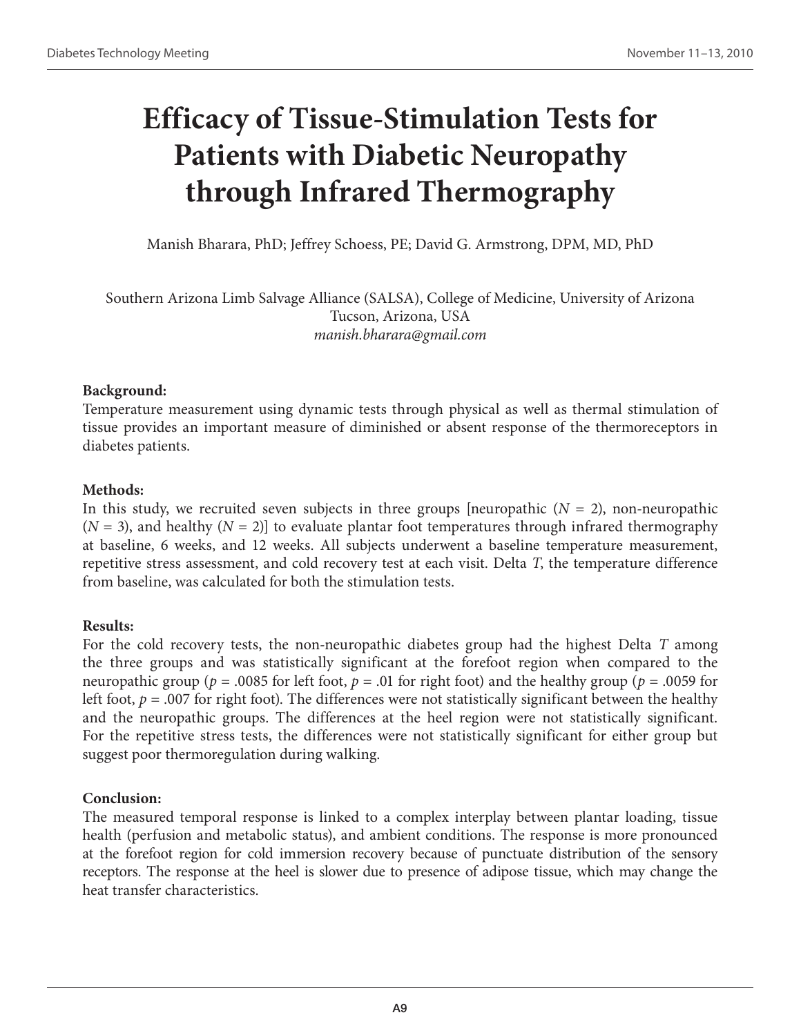# **Efficacy of Tissue-Stimulation Tests for Patients with Diabetic Neuropathy through Infrared Thermography**

Manish Bharara, PhD; Jeffrey Schoess, PE; David G. Armstrong, DPM, MD, PhD

Southern Arizona Limb Salvage Alliance (SALSA), College of Medicine, University of Arizona Tucson, Arizona, USA *manish.bharara@gmail.com* 

# **Background:**

Temperature measurement using dynamic tests through physical as well as thermal stimulation of tissue provides an important measure of diminished or absent response of the thermoreceptors in diabetes patients.

# **Methods:**

In this study, we recruited seven subjects in three groups [neuropathic  $(N = 2)$ , non-neuropathic  $(N = 3)$ , and healthy  $(N = 2)$  to evaluate plantar foot temperatures through infrared thermography at baseline, 6 weeks, and 12 weeks. All subjects underwent a baseline temperature measurement, repetitive stress assessment, and cold recovery test at each visit. Delta *T*, the temperature difference from baseline, was calculated for both the stimulation tests.

# **Results:**

For the cold recovery tests, the non-neuropathic diabetes group had the highest Delta *T* among the three groups and was statistically significant at the forefoot region when compared to the neuropathic group ( $p = .0085$  for left foot,  $p = .01$  for right foot) and the healthy group ( $p = .0059$  for left foot,  $p = .007$  for right foot). The differences were not statistically significant between the healthy and the neuropathic groups. The differences at the heel region were not statistically significant. For the repetitive stress tests, the differences were not statistically significant for either group but suggest poor thermoregulation during walking.

# **Conclusion:**

The measured temporal response is linked to a complex interplay between plantar loading, tissue health (perfusion and metabolic status), and ambient conditions. The response is more pronounced at the forefoot region for cold immersion recovery because of punctuate distribution of the sensory receptors. The response at the heel is slower due to presence of adipose tissue, which may change the heat transfer characteristics.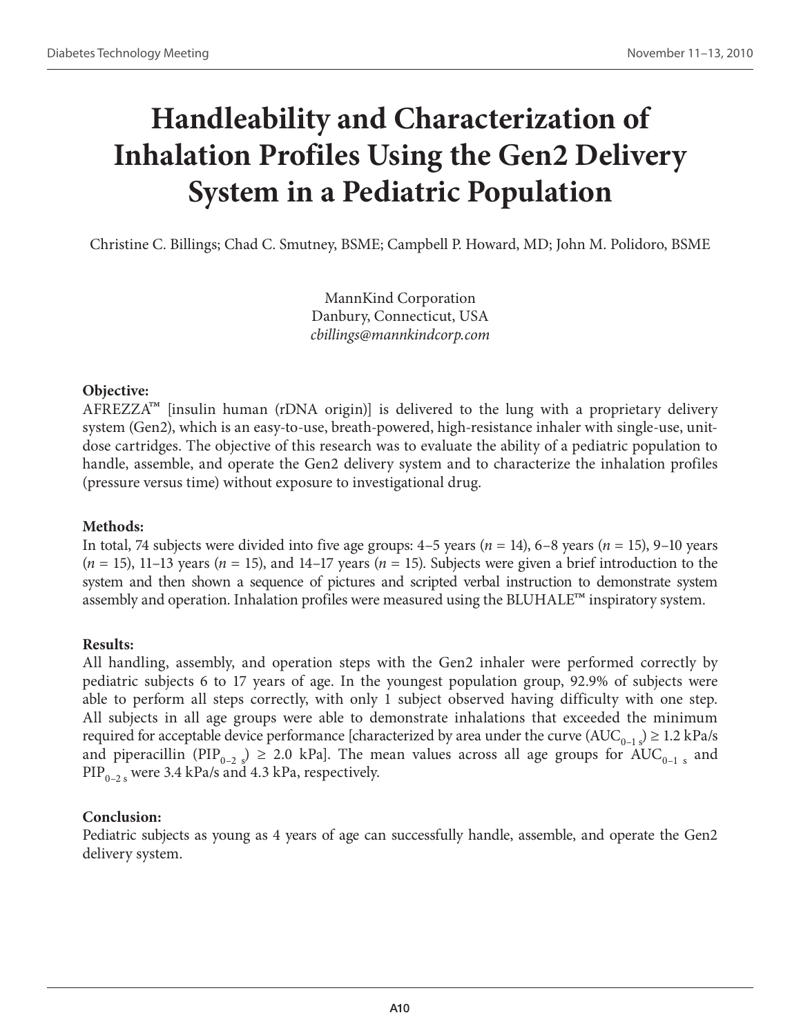# **Handleability and Characterization of Inhalation Profiles Using the Gen2 Delivery System in a Pediatric Population**

Christine C. Billings; Chad C. Smutney, BSME; Campbell P. Howard, MD; John M. Polidoro, BSME

MannKind Corporation Danbury, Connecticut, USA *cbillings@mannkindcorp.com*

### **Objective:**

 $\text{AFREZZA}^{\text{TM}}$  [insulin human (rDNA origin)] is delivered to the lung with a proprietary delivery system (Gen2), which is an easy-to-use, breath-powered, high-resistance inhaler with single-use, unitdose cartridges. The objective of this research was to evaluate the ability of a pediatric population to handle, assemble, and operate the Gen2 delivery system and to characterize the inhalation profiles (pressure versus time) without exposure to investigational drug.

# **Methods:**

In total, 74 subjects were divided into five age groups: 4–5 years (*n* = 14), 6–8 years (*n* = 15), 9–10 years  $(n = 15)$ , 11–13 years  $(n = 15)$ , and 14–17 years  $(n = 15)$ . Subjects were given a brief introduction to the system and then shown a sequence of pictures and scripted verbal instruction to demonstrate system assembly and operation. Inhalation profiles were measured using the BLUHALE™ inspiratory system.

### **Results:**

All handling, assembly, and operation steps with the Gen2 inhaler were performed correctly by pediatric subjects 6 to 17 years of age. In the youngest population group, 92.9% of subjects were able to perform all steps correctly, with only 1 subject observed having difficulty with one step. All subjects in all age groups were able to demonstrate inhalations that exceeded the minimum required for acceptable device performance [characterized by area under the curve  $(AUC_{0-1}) \geq 1.2$  kPa/s and piperacillin (PIP<sub>0–2</sub>)  $\geq$  2.0 kPa]. The mean values across all age groups for AUC<sub>0–1</sub>, and  $\text{PIP}_{0-2, s}$  were 3.4 kPa/s and 4.3 kPa, respectively.

# **Conclusion:**

Pediatric subjects as young as 4 years of age can successfully handle, assemble, and operate the Gen2 delivery system.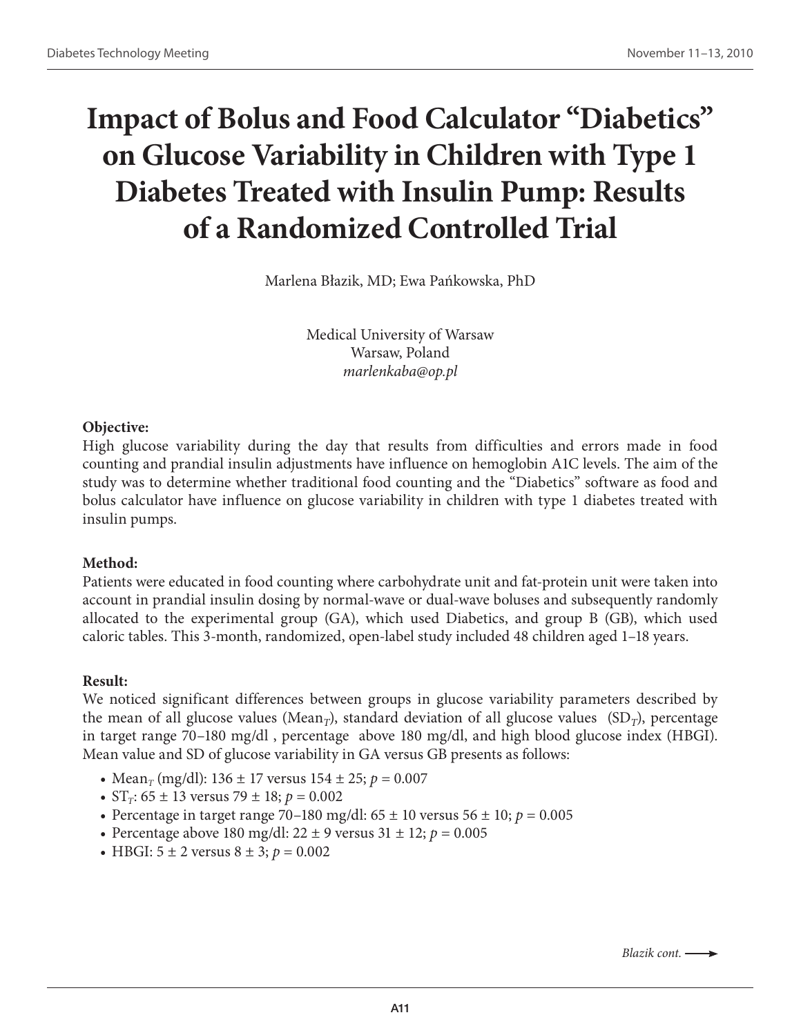# **Impact of Bolus and Food Calculator "Diabetics" on Glucose Variability in Children with Type 1 Diabetes Treated with Insulin Pump: Results of a Randomized Controlled Trial**

Marlena Błazik, MD; Ewa Pańkowska, PhD

Medical University of Warsaw Warsaw, Poland *marlenkaba@op.pl*

### **Objective:**

High glucose variability during the day that results from difficulties and errors made in food counting and prandial insulin adjustments have influence on hemoglobin A1C levels. The aim of the study was to determine whether traditional food counting and the "Diabetics" software as food and bolus calculator have influence on glucose variability in children with type 1 diabetes treated with insulin pumps.

### **Method:**

Patients were educated in food counting where carbohydrate unit and fat-protein unit were taken into account in prandial insulin dosing by normal-wave or dual-wave boluses and subsequently randomly allocated to the experimental group (GA), which used Diabetics, and group B (GB), which used caloric tables. This 3-month, randomized, open-label study included 48 children aged 1–18 years.

### **Result:**

We noticed significant differences between groups in glucose variability parameters described by the mean of all glucose values (Mean<sub>*T*</sub>), standard deviation of all glucose values (SD<sub>*T*</sub>), percentage in target range 70–180 mg/dl , percentage above 180 mg/dl, and high blood glucose index (HBGI). Mean value and SD of glucose variability in GA versus GB presents as follows:

- Mean<sub>*T*</sub> (mg/dl): 136  $\pm$  17 versus 154  $\pm$  25; *p* = 0.007
- $ST_T$ : 65 ± 13 versus 79 ± 18;  $p = 0.002$
- Percentage in target range 70–180 mg/dl:  $65 \pm 10$  versus  $56 \pm 10$ ;  $p = 0.005$
- Percentage above 180 mg/dl:  $22 \pm 9$  versus  $31 \pm 12$ ;  $p = 0.005$
- HBGI:  $5 \pm 2$  versus  $8 \pm 3$ ;  $p = 0.002$

*Blazik cont.*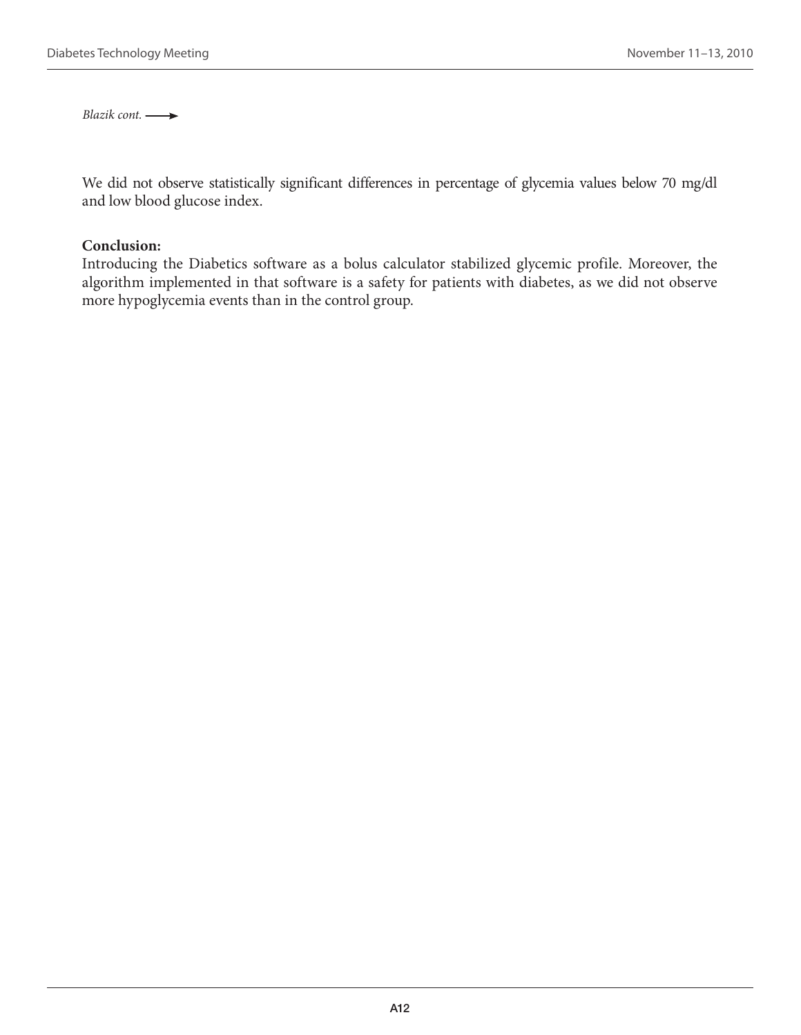*Blazik cont.* 

We did not observe statistically significant differences in percentage of glycemia values below 70 mg/dl and low blood glucose index.

#### **Conclusion:**

Introducing the Diabetics software as a bolus calculator stabilized glycemic profile. Moreover, the algorithm implemented in that software is a safety for patients with diabetes, as we did not observe more hypoglycemia events than in the control group.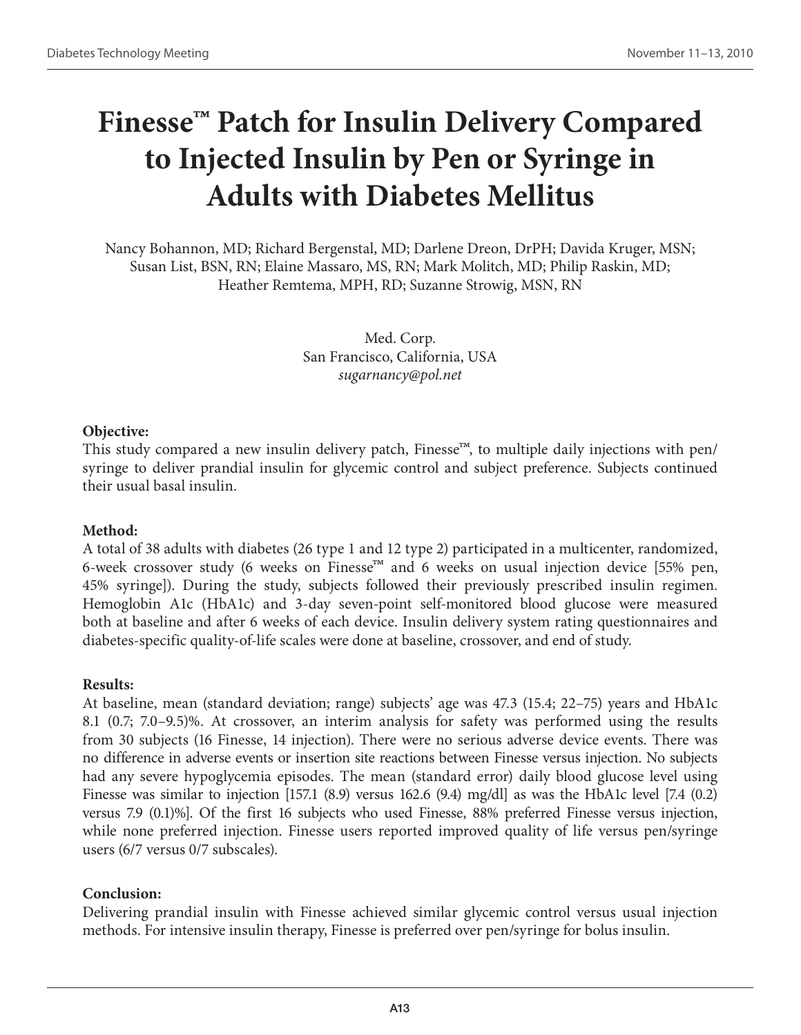# **Finesse™ Patch for Insulin Delivery Compared to Injected Insulin by Pen or Syringe in Adults with Diabetes Mellitus**

Nancy Bohannon, MD; Richard Bergenstal, MD; Darlene Dreon, DrPH; Davida Kruger, MSN; Susan List, BSN, RN; Elaine Massaro, MS, RN; Mark Molitch, MD; Philip Raskin, MD; Heather Remtema, MPH, RD; Suzanne Strowig, MSN, RN

> Med. Corp. San Francisco, California, USA *sugarnancy@pol.net*

### **Objective:**

This study compared a new insulin delivery patch, Finesse<sup>™</sup>, to multiple daily injections with pen/ syringe to deliver prandial insulin for glycemic control and subject preference. Subjects continued their usual basal insulin.

### **Method:**

A total of 38 adults with diabetes (26 type 1 and 12 type 2) participated in a multicenter, randomized, 6-week crossover study (6 weeks on Finesse<sup>™</sup> and 6 weeks on usual injection device [55% pen, 45% syringe]). During the study, subjects followed their previously prescribed insulin regimen. Hemoglobin A1c (HbA1c) and 3-day seven-point self-monitored blood glucose were measured both at baseline and after 6 weeks of each device. Insulin delivery system rating questionnaires and diabetes-specific quality-of-life scales were done at baseline, crossover, and end of study.

### **Results:**

At baseline, mean (standard deviation; range) subjects' age was 47.3 (15.4; 22–75) years and HbA1c 8.1 (0.7; 7.0–9.5)%. At crossover, an interim analysis for safety was performed using the results from 30 subjects (16 Finesse, 14 injection). There were no serious adverse device events. There was no difference in adverse events or insertion site reactions between Finesse versus injection. No subjects had any severe hypoglycemia episodes. The mean (standard error) daily blood glucose level using Finesse was similar to injection [157.1 (8.9) versus 162.6 (9.4) mg/dl as was the HbA1c level [7.4 (0.2) versus 7.9 (0.1)%]. Of the first 16 subjects who used Finesse, 88% preferred Finesse versus injection, while none preferred injection. Finesse users reported improved quality of life versus pen/syringe users (6/7 versus 0/7 subscales).

### **Conclusion:**

Delivering prandial insulin with Finesse achieved similar glycemic control versus usual injection methods. For intensive insulin therapy, Finesse is preferred over pen/syringe for bolus insulin.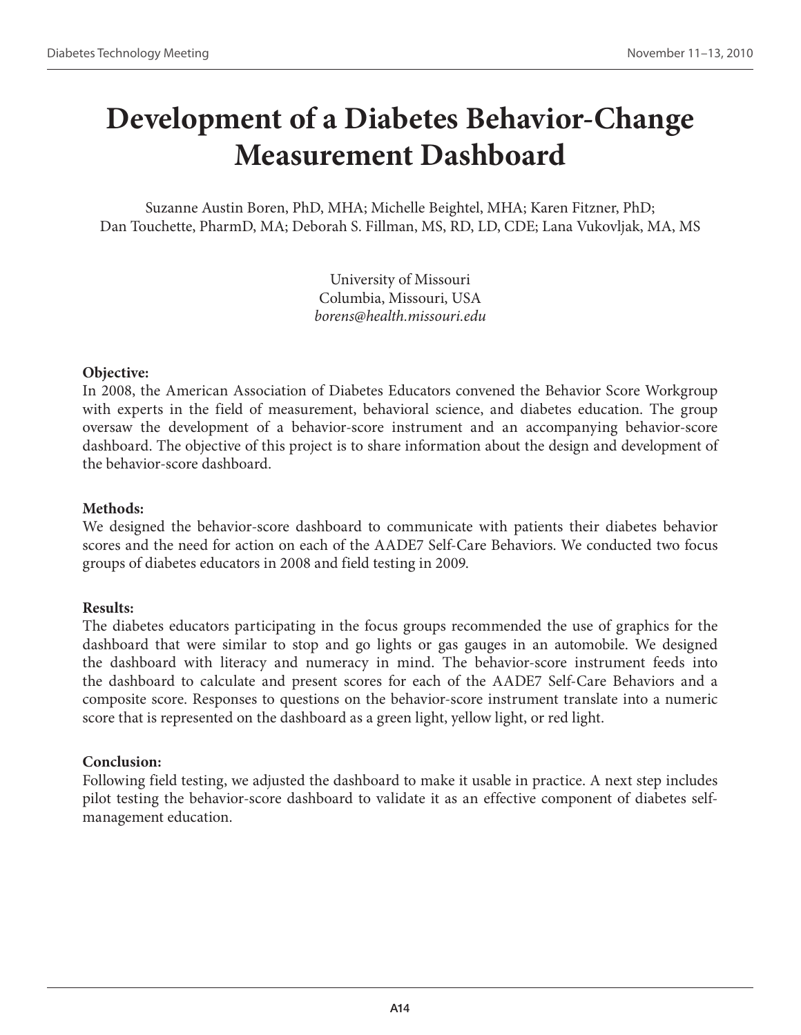# **Development of a Diabetes Behavior-Change Measurement Dashboard**

Suzanne Austin Boren, PhD, MHA; Michelle Beightel, MHA; Karen Fitzner, PhD; Dan Touchette, PharmD, MA; Deborah S. Fillman, MS, RD, LD, CDE; Lana Vukovljak, MA, MS

> University of Missouri Columbia, Missouri, USA *borens@health.missouri.edu*

# **Objective:**

In 2008, the American Association of Diabetes Educators convened the Behavior Score Workgroup with experts in the field of measurement, behavioral science, and diabetes education. The group oversaw the development of a behavior-score instrument and an accompanying behavior-score dashboard. The objective of this project is to share information about the design and development of the behavior-score dashboard.

# **Methods:**

We designed the behavior-score dashboard to communicate with patients their diabetes behavior scores and the need for action on each of the AADE7 Self-Care Behaviors. We conducted two focus groups of diabetes educators in 2008 and field testing in 2009.

# **Results:**

The diabetes educators participating in the focus groups recommended the use of graphics for the dashboard that were similar to stop and go lights or gas gauges in an automobile. We designed the dashboard with literacy and numeracy in mind. The behavior-score instrument feeds into the dashboard to calculate and present scores for each of the AADE7 Self-Care Behaviors and a composite score. Responses to questions on the behavior-score instrument translate into a numeric score that is represented on the dashboard as a green light, yellow light, or red light.

# **Conclusion:**

Following field testing, we adjusted the dashboard to make it usable in practice. A next step includes pilot testing the behavior-score dashboard to validate it as an effective component of diabetes selfmanagement education.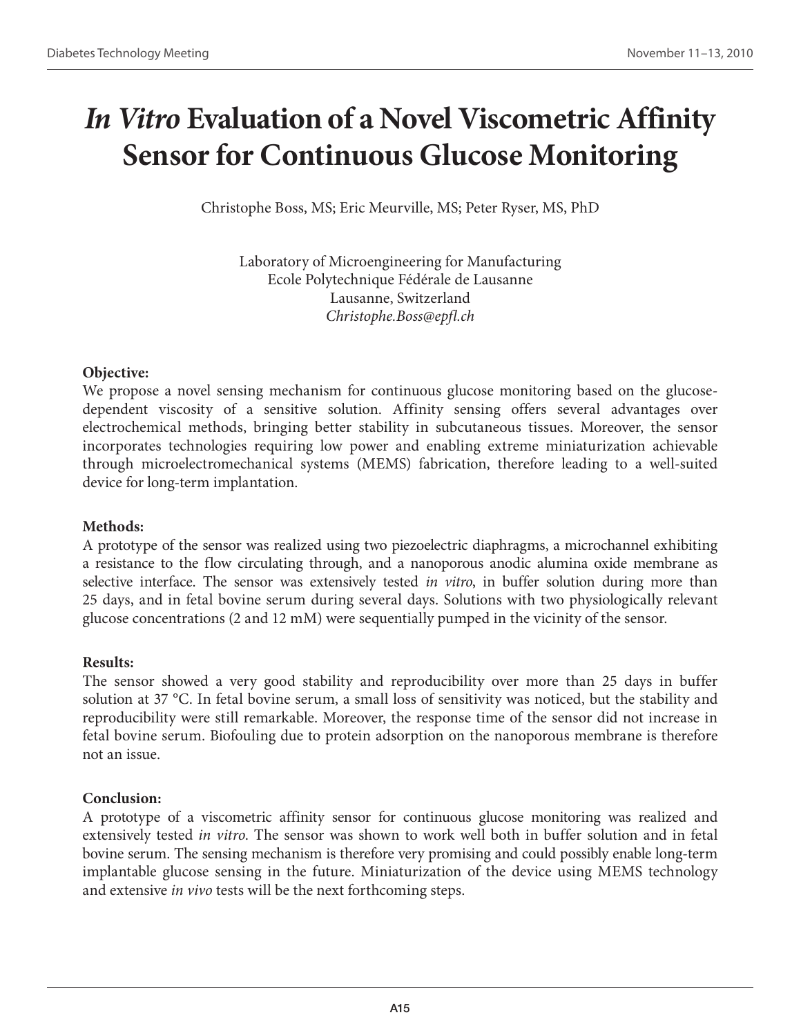# *In Vitro* **Evaluation of a Novel Viscometric Affinity Sensor for Continuous Glucose Monitoring**

Christophe Boss, MS; Eric Meurville, MS; Peter Ryser, MS, PhD

Laboratory of Microengineering for Manufacturing Ecole Polytechnique Fédérale de Lausanne Lausanne, Switzerland *Christophe.Boss@epfl.ch*

### **Objective:**

We propose a novel sensing mechanism for continuous glucose monitoring based on the glucosedependent viscosity of a sensitive solution. Affinity sensing offers several advantages over electrochemical methods, bringing better stability in subcutaneous tissues. Moreover, the sensor incorporates technologies requiring low power and enabling extreme miniaturization achievable through microelectromechanical systems (MEMS) fabrication, therefore leading to a well-suited device for long-term implantation.

# **Methods:**

A prototype of the sensor was realized using two piezoelectric diaphragms, a microchannel exhibiting a resistance to the flow circulating through, and a nanoporous anodic alumina oxide membrane as selective interface. The sensor was extensively tested *in vitro*, in buffer solution during more than 25 days, and in fetal bovine serum during several days. Solutions with two physiologically relevant glucose concentrations (2 and 12 mM) were sequentially pumped in the vicinity of the sensor.

### **Results:**

The sensor showed a very good stability and reproducibility over more than 25 days in buffer solution at 37 °C. In fetal bovine serum, a small loss of sensitivity was noticed, but the stability and reproducibility were still remarkable. Moreover, the response time of the sensor did not increase in fetal bovine serum. Biofouling due to protein adsorption on the nanoporous membrane is therefore not an issue.

# **Conclusion:**

A prototype of a viscometric affinity sensor for continuous glucose monitoring was realized and extensively tested *in vitro*. The sensor was shown to work well both in buffer solution and in fetal bovine serum. The sensing mechanism is therefore very promising and could possibly enable long-term implantable glucose sensing in the future. Miniaturization of the device using MEMS technology and extensive *in vivo* tests will be the next forthcoming steps.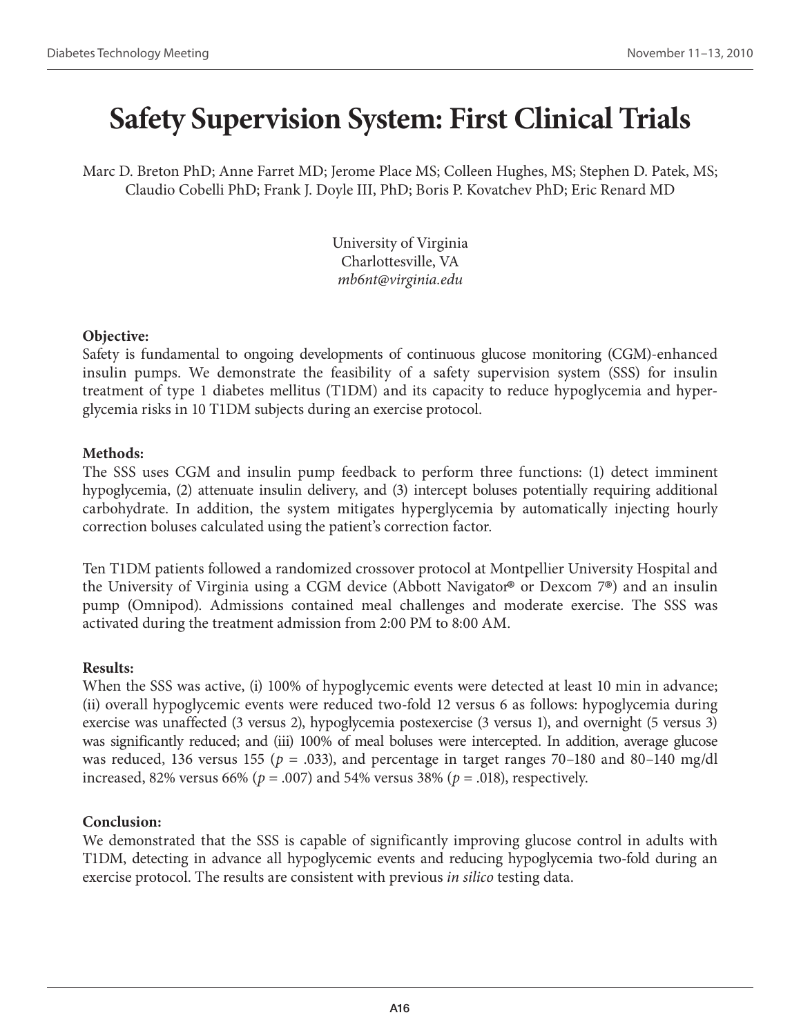# **Safety Supervision System: First Clinical Trials**

Marc D. Breton PhD; Anne Farret MD; Jerome Place MS; Colleen Hughes, MS; Stephen D. Patek, MS; Claudio Cobelli PhD; Frank J. Doyle III, PhD; Boris P. Kovatchev PhD; Eric Renard MD

> University of Virginia Charlottesville, VA *mb6nt@virginia.edu*

### **Objective:**

Safety is fundamental to ongoing developments of continuous glucose monitoring (CGM)-enhanced insulin pumps. We demonstrate the feasibility of a safety supervision system (SSS) for insulin treatment of type 1 diabetes mellitus (T1DM) and its capacity to reduce hypoglycemia and hyperglycemia risks in 10 T1DM subjects during an exercise protocol.

### **Methods:**

The SSS uses CGM and insulin pump feedback to perform three functions: (1) detect imminent hypoglycemia, (2) attenuate insulin delivery, and (3) intercept boluses potentially requiring additional carbohydrate. In addition, the system mitigates hyperglycemia by automatically injecting hourly correction boluses calculated using the patient's correction factor.

Ten T1DM patients followed a randomized crossover protocol at Montpellier University Hospital and the University of Virginia using a CGM device (Abbott Navigator® or Dexcom 7®) and an insulin pump (Omnipod). Admissions contained meal challenges and moderate exercise. The SSS was activated during the treatment admission from 2:00 PM to 8:00 AM.

# **Results:**

When the SSS was active, (i) 100% of hypoglycemic events were detected at least 10 min in advance; (ii) overall hypoglycemic events were reduced two-fold 12 versus 6 as follows: hypoglycemia during exercise was unaffected (3 versus 2), hypoglycemia postexercise (3 versus 1), and overnight (5 versus 3) was significantly reduced; and (iii) 100% of meal boluses were intercepted. In addition, average glucose was reduced, 136 versus 155 ( $p = .033$ ), and percentage in target ranges 70–180 and 80–140 mg/dl increased, 82% versus 66% ( $p = .007$ ) and 54% versus 38% ( $p = .018$ ), respectively.

### **Conclusion:**

We demonstrated that the SSS is capable of significantly improving glucose control in adults with T1DM, detecting in advance all hypoglycemic events and reducing hypoglycemia two-fold during an exercise protocol. The results are consistent with previous *in silico* testing data.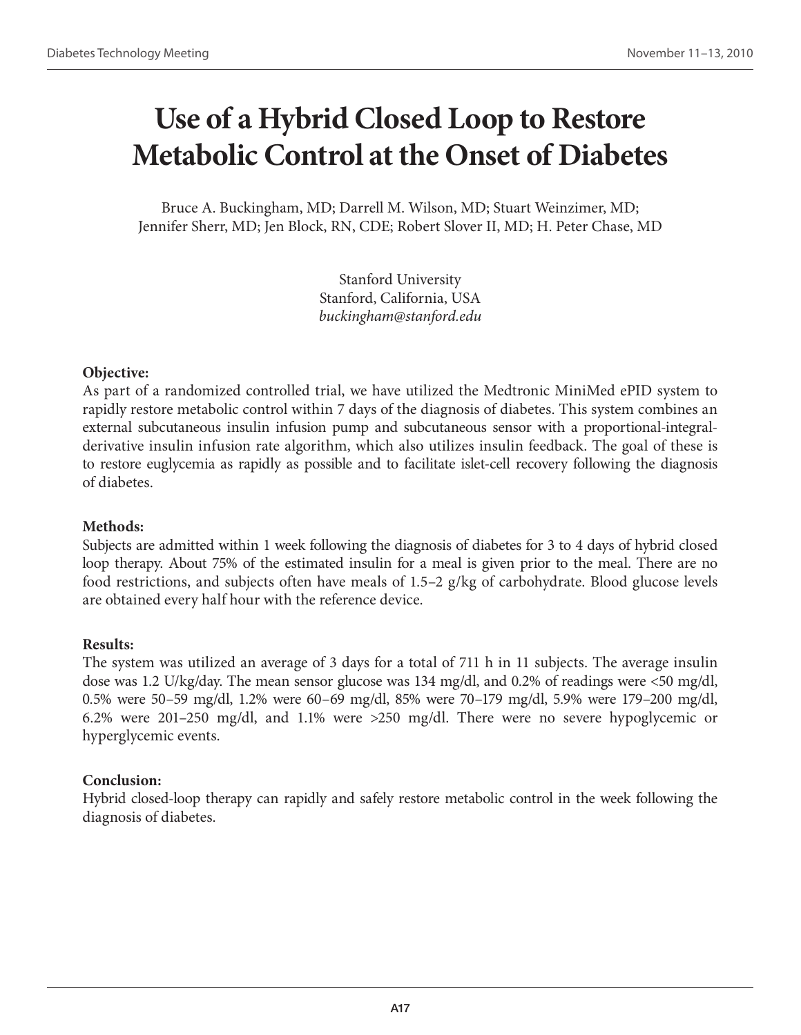# **Use of a Hybrid Closed Loop to Restore Metabolic Control at the Onset of Diabetes**

Bruce A. Buckingham, MD; Darrell M. Wilson, MD; Stuart Weinzimer, MD; Jennifer Sherr, MD; Jen Block, RN, CDE; Robert Slover II, MD; H. Peter Chase, MD

> Stanford University Stanford, California, USA *buckingham@stanford.edu*

# **Objective:**

As part of a randomized controlled trial, we have utilized the Medtronic MiniMed ePID system to rapidly restore metabolic control within 7 days of the diagnosis of diabetes. This system combines an external subcutaneous insulin infusion pump and subcutaneous sensor with a proportional-integralderivative insulin infusion rate algorithm, which also utilizes insulin feedback. The goal of these is to restore euglycemia as rapidly as possible and to facilitate islet-cell recovery following the diagnosis of diabetes.

# **Methods:**

Subjects are admitted within 1 week following the diagnosis of diabetes for 3 to 4 days of hybrid closed loop therapy. About 75% of the estimated insulin for a meal is given prior to the meal. There are no food restrictions, and subjects often have meals of 1.5–2 g/kg of carbohydrate. Blood glucose levels are obtained every half hour with the reference device.

### **Results:**

The system was utilized an average of 3 days for a total of 711 h in 11 subjects. The average insulin dose was 1.2 U/kg/day. The mean sensor glucose was 134 mg/dl, and 0.2% of readings were <50 mg/dl, 0.5% were 50–59 mg/dl, 1.2% were 60–69 mg/dl, 85% were 70–179 mg/dl, 5.9% were 179–200 mg/dl, 6.2% were 201–250 mg/dl, and 1.1% were >250 mg/dl. There were no severe hypoglycemic or hyperglycemic events.

# **Conclusion:**

Hybrid closed-loop therapy can rapidly and safely restore metabolic control in the week following the diagnosis of diabetes.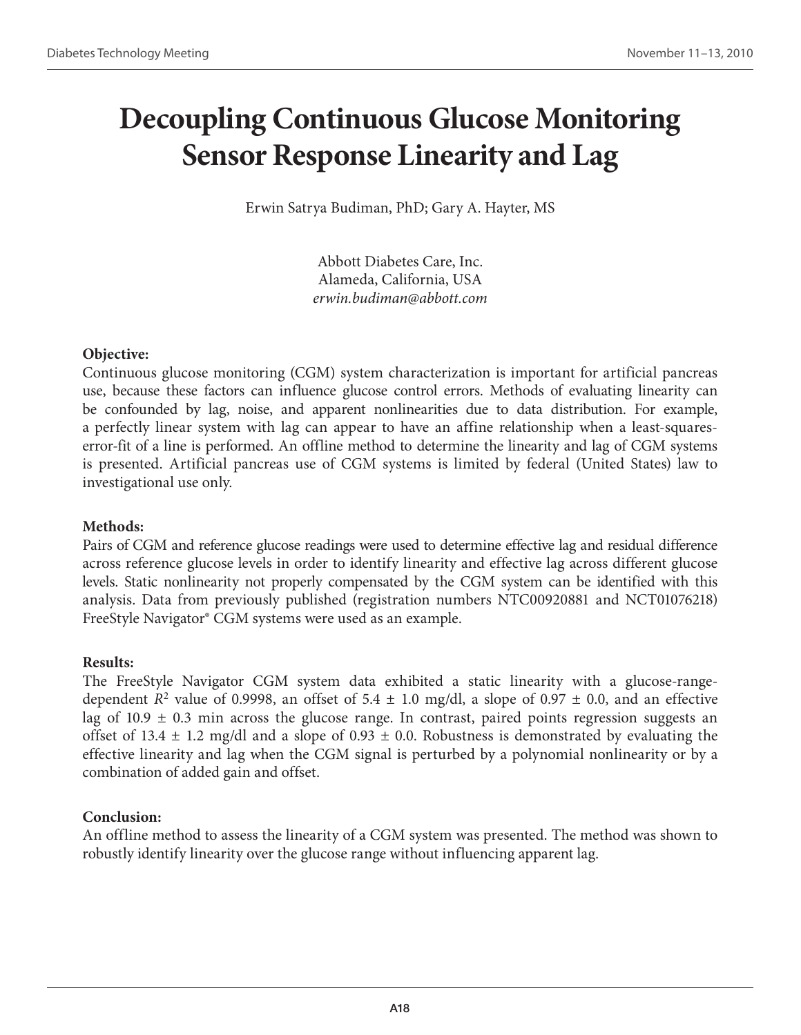# **Decoupling Continuous Glucose Monitoring Sensor Response Linearity and Lag**

Erwin Satrya Budiman, PhD; Gary A. Hayter, MS

Abbott Diabetes Care, Inc. Alameda, California, USA *erwin.budiman@abbott.com*

# **Objective:**

Continuous glucose monitoring (CGM) system characterization is important for artificial pancreas use, because these factors can influence glucose control errors. Methods of evaluating linearity can be confounded by lag, noise, and apparent nonlinearities due to data distribution. For example, a perfectly linear system with lag can appear to have an affine relationship when a least-squareserror-fit of a line is performed. An offline method to determine the linearity and lag of CGM systems is presented. Artificial pancreas use of CGM systems is limited by federal (United States) law to investigational use only.

# **Methods:**

Pairs of CGM and reference glucose readings were used to determine effective lag and residual difference across reference glucose levels in order to identify linearity and effective lag across different glucose levels. Static nonlinearity not properly compensated by the CGM system can be identified with this analysis. Data from previously published (registration numbers NTC00920881 and NCT01076218) FreeStyle Navigator® CGM systems were used as an example.

# **Results:**

The FreeStyle Navigator CGM system data exhibited a static linearity with a glucose-rangedependent *R*<sup>2</sup> value of 0.9998, an offset of 5.4  $\pm$  1.0 mg/dl, a slope of 0.97  $\pm$  0.0, and an effective lag of 10.9  $\pm$  0.3 min across the glucose range. In contrast, paired points regression suggests an offset of 13.4  $\pm$  1.2 mg/dl and a slope of 0.93  $\pm$  0.0. Robustness is demonstrated by evaluating the effective linearity and lag when the CGM signal is perturbed by a polynomial nonlinearity or by a combination of added gain and offset.

# **Conclusion:**

An offline method to assess the linearity of a CGM system was presented. The method was shown to robustly identify linearity over the glucose range without influencing apparent lag.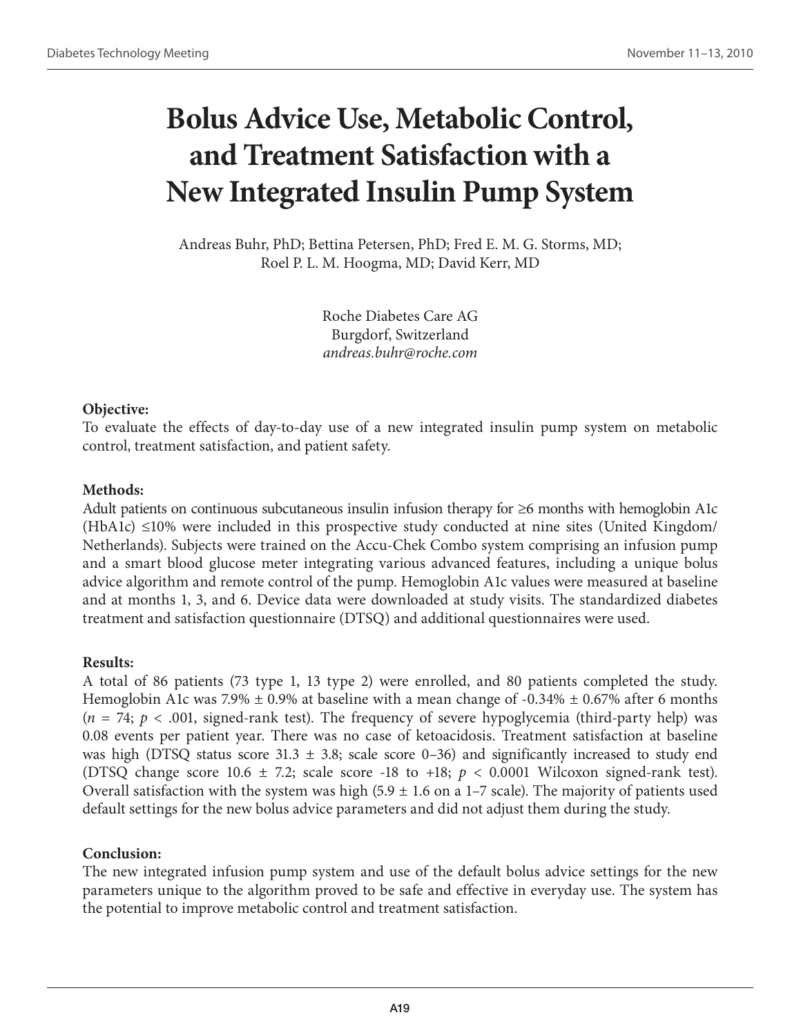# **Bolus Advice Use, Metabolic Control, and Treatment Satisfaction with a New Integrated Insulin Pump System**

Andreas Buhr, PhD; Bettina Petersen, PhD; Fred E. M. G. Storms, MD; Roel P. L. M. Hoogma, MD; David Kerr, MD

> Roche Diabetes Care AG Burgdorf, Switzerland *andreas.buhr@roche.com*

# **Objective:**

To evaluate the effects of day-to-day use of a new integrated insulin pump system on metabolic control, treatment satisfaction, and patient safety.

# **Methods:**

Adult patients on continuous subcutaneous insulin infusion therapy for ≥6 months with hemoglobin A1c  $(HbA1c) \leq 10\%$  were included in this prospective study conducted at nine sites (United Kingdom/ Netherlands). Subjects were trained on the Accu-Chek Combo system comprising an infusion pump and a smart blood glucose meter integrating various advanced features, including a unique bolus advice algorithm and remote control of the pump. Hemoglobin A1c values were measured at baseline and at months 1, 3, and 6. Device data were downloaded at study visits. The standardized diabetes treatment and satisfaction questionnaire (DTSQ) and additional questionnaires were used.

# **Results:**

A total of 86 patients (73 type 1, 13 type 2) were enrolled, and 80 patients completed the study. Hemoglobin A1c was 7.9%  $\pm$  0.9% at baseline with a mean change of -0.34%  $\pm$  0.67% after 6 months  $(n = 74; p < .001,$  signed-rank test). The frequency of severe hypoglycemia (third-party help) was 0.08 events per patient year. There was no case of ketoacidosis. Treatment satisfaction at baseline was high (DTSQ status score 31.3  $\pm$  3.8; scale score 0–36) and significantly increased to study end (DTSQ change score  $10.6 \pm 7.2$ ; scale score -18 to +18;  $p < 0.0001$  Wilcoxon signed-rank test). Overall satisfaction with the system was high (5.9  $\pm$  1.6 on a 1–7 scale). The majority of patients used default settings for the new bolus advice parameters and did not adjust them during the study.

# **Conclusion:**

The new integrated infusion pump system and use of the default bolus advice settings for the new parameters unique to the algorithm proved to be safe and effective in everyday use. The system has the potential to improve metabolic control and treatment satisfaction.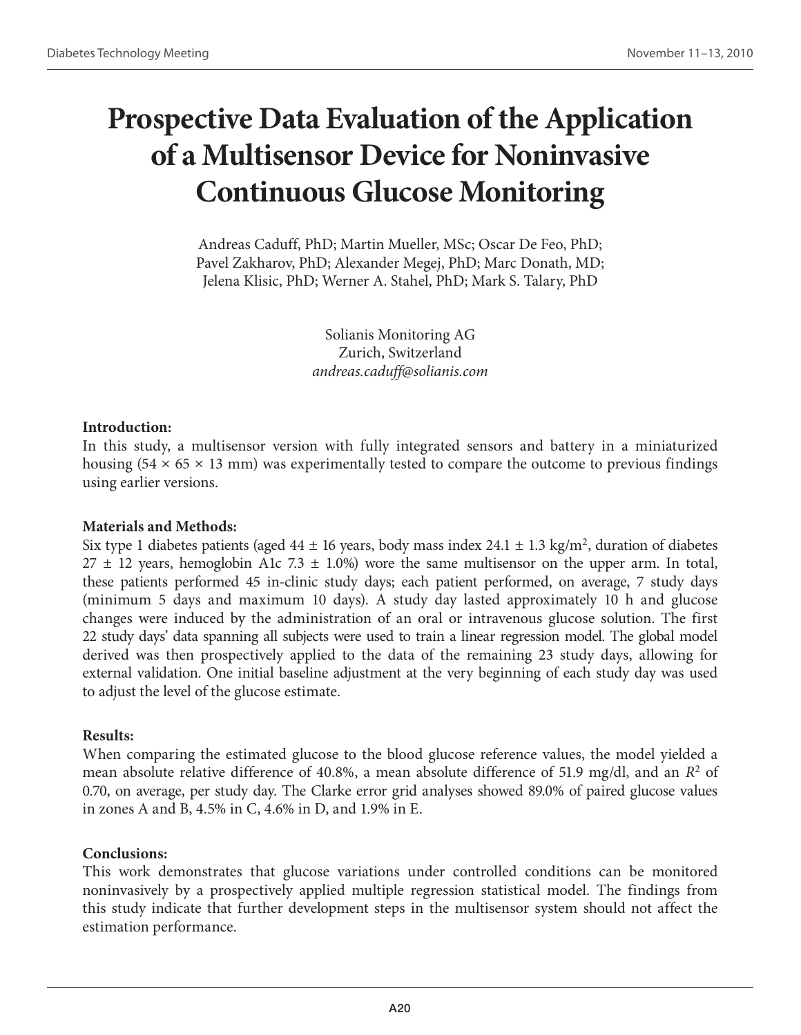# **Prospective Data Evaluation of the Application of a Multisensor Device for Noninvasive Continuous Glucose Monitoring**

Andreas Caduff, PhD; Martin Mueller, MSc; Oscar De Feo, PhD; Pavel Zakharov, PhD; Alexander Megej, PhD; Marc Donath, MD; Jelena Klisic, PhD; Werner A. Stahel, PhD; Mark S. Talary, PhD

> Solianis Monitoring AG Zurich, Switzerland *andreas.caduff@solianis.com*

# **Introduction:**

In this study, a multisensor version with fully integrated sensors and battery in a miniaturized housing  $(54 \times 65 \times 13 \text{ mm})$  was experimentally tested to compare the outcome to previous findings using earlier versions.

### **Materials and Methods:**

Six type 1 diabetes patients (aged  $44 \pm 16$  years, body mass index  $24.1 \pm 1.3$  kg/m<sup>2</sup>, duration of diabetes  $27 \pm 12$  years, hemoglobin A1c 7.3  $\pm$  1.0%) wore the same multisensor on the upper arm. In total, these patients performed 45 in-clinic study days; each patient performed, on average, 7 study days (minimum 5 days and maximum 10 days). A study day lasted approximately 10 h and glucose changes were induced by the administration of an oral or intravenous glucose solution. The first 22 study days' data spanning all subjects were used to train a linear regression model. The global model derived was then prospectively applied to the data of the remaining 23 study days, allowing for external validation. One initial baseline adjustment at the very beginning of each study day was used to adjust the level of the glucose estimate.

### **Results:**

When comparing the estimated glucose to the blood glucose reference values, the model yielded a mean absolute relative difference of 40.8%, a mean absolute difference of 51.9 mg/dl, and an  $R^2$  of 0.70, on average, per study day. The Clarke error grid analyses showed 89.0% of paired glucose values in zones A and B, 4.5% in C, 4.6% in D, and 1.9% in E.

# **Conclusions:**

This work demonstrates that glucose variations under controlled conditions can be monitored noninvasively by a prospectively applied multiple regression statistical model. The findings from this study indicate that further development steps in the multisensor system should not affect the estimation performance.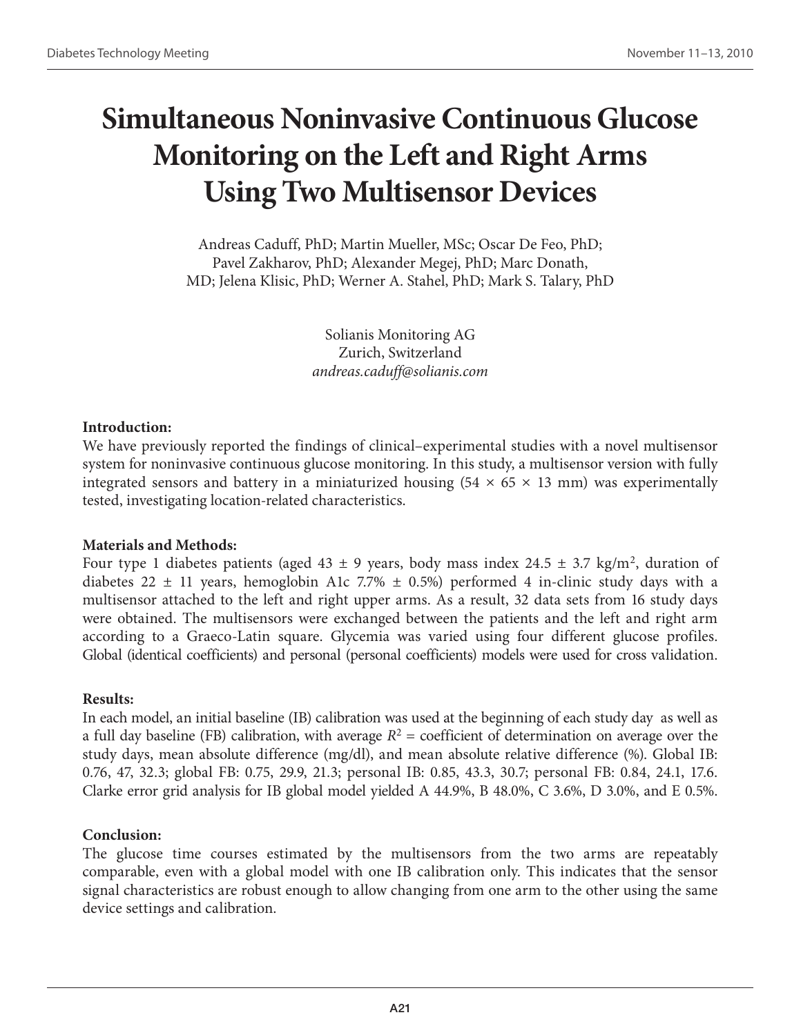# **Simultaneous Noninvasive Continuous Glucose Monitoring on the Left and Right Arms Using Two Multisensor Devices**

Andreas Caduff, PhD; Martin Mueller, MSc; Oscar De Feo, PhD; Pavel Zakharov, PhD; Alexander Megej, PhD; Marc Donath, MD; Jelena Klisic, PhD; Werner A. Stahel, PhD; Mark S. Talary, PhD

> Solianis Monitoring AG Zurich, Switzerland *andreas.caduff@solianis.com*

# **Introduction:**

We have previously reported the findings of clinical–experimental studies with a novel multisensor system for noninvasive continuous glucose monitoring. In this study, a multisensor version with fully integrated sensors and battery in a miniaturized housing  $(54 \times 65 \times 13 \text{ mm})$  was experimentally tested, investigating location-related characteristics.

# **Materials and Methods:**

Four type 1 diabetes patients (aged 43  $\pm$  9 years, body mass index 24.5  $\pm$  3.7 kg/m<sup>2</sup>, duration of diabetes 22  $\pm$  11 years, hemoglobin A1c 7.7%  $\pm$  0.5%) performed 4 in-clinic study days with a multisensor attached to the left and right upper arms. As a result, 32 data sets from 16 study days were obtained. The multisensors were exchanged between the patients and the left and right arm according to a Graeco-Latin square. Glycemia was varied using four different glucose profiles. Global (identical coefficients) and personal (personal coefficients) models were used for cross validation.

# **Results:**

In each model, an initial baseline (IB) calibration was used at the beginning of each study day as well as a full day baseline (FB) calibration, with average  $R^2$  = coefficient of determination on average over the study days, mean absolute difference (mg/dl), and mean absolute relative difference (%). Global IB: 0.76, 47, 32.3; global FB: 0.75, 29.9, 21.3; personal IB: 0.85, 43.3, 30.7; personal FB: 0.84, 24.1, 17.6. Clarke error grid analysis for IB global model yielded A 44.9%, B 48.0%, C 3.6%, D 3.0%, and E 0.5%.

# **Conclusion:**

The glucose time courses estimated by the multisensors from the two arms are repeatably comparable, even with a global model with one IB calibration only. This indicates that the sensor signal characteristics are robust enough to allow changing from one arm to the other using the same device settings and calibration.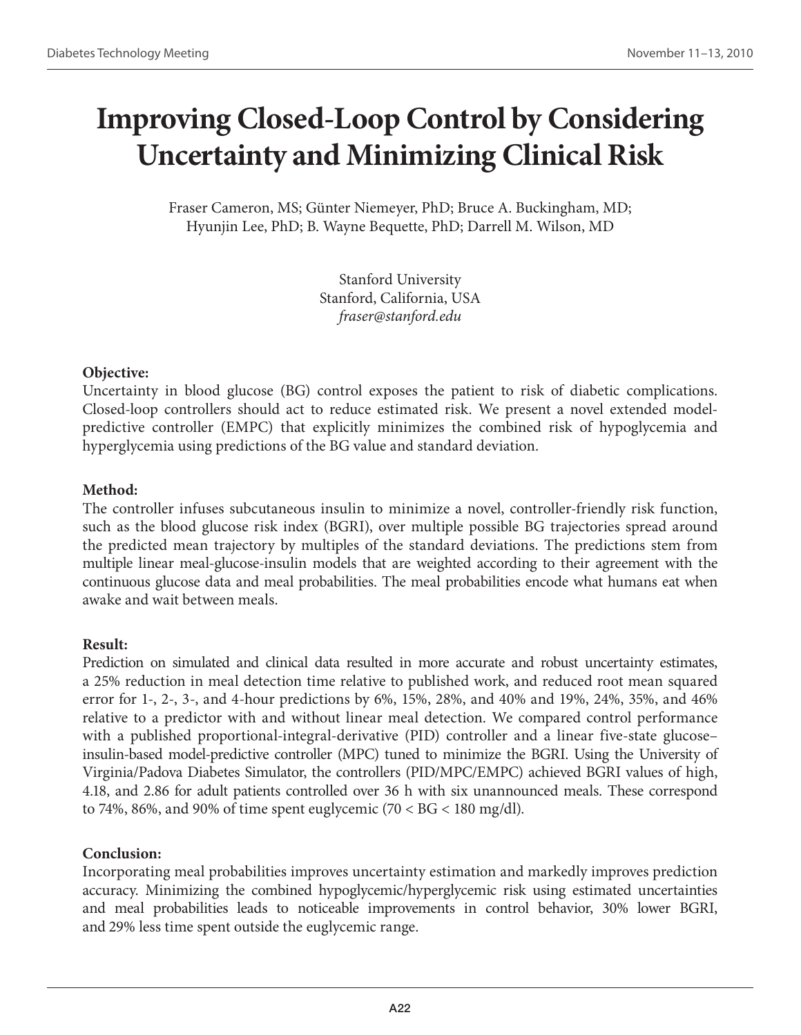# **Improving Closed-Loop Control by Considering Uncertainty and Minimizing Clinical Risk**

Fraser Cameron, MS; Günter Niemeyer, PhD; Bruce A. Buckingham, MD; Hyunjin Lee, PhD; B. Wayne Bequette, PhD; Darrell M. Wilson, MD

> Stanford University Stanford, California, USA *fraser@stanford.edu*

### **Objective:**

Uncertainty in blood glucose (BG) control exposes the patient to risk of diabetic complications. Closed-loop controllers should act to reduce estimated risk. We present a novel extended modelpredictive controller (EMPC) that explicitly minimizes the combined risk of hypoglycemia and hyperglycemia using predictions of the BG value and standard deviation.

### **Method:**

The controller infuses subcutaneous insulin to minimize a novel, controller-friendly risk function, such as the blood glucose risk index (BGRI), over multiple possible BG trajectories spread around the predicted mean trajectory by multiples of the standard deviations. The predictions stem from multiple linear meal-glucose-insulin models that are weighted according to their agreement with the continuous glucose data and meal probabilities. The meal probabilities encode what humans eat when awake and wait between meals.

# **Result:**

Prediction on simulated and clinical data resulted in more accurate and robust uncertainty estimates, a 25% reduction in meal detection time relative to published work, and reduced root mean squared error for 1-, 2-, 3-, and 4-hour predictions by 6%, 15%, 28%, and 40% and 19%, 24%, 35%, and 46% relative to a predictor with and without linear meal detection. We compared control performance with a published proportional-integral-derivative (PID) controller and a linear five-state glucose– insulin-based model-predictive controller (MPC) tuned to minimize the BGRI. Using the University of Virginia/Padova Diabetes Simulator, the controllers (PID/MPC/EMPC) achieved BGRI values of high, 4.18, and 2.86 for adult patients controlled over 36 h with six unannounced meals. These correspond to 74%, 86%, and 90% of time spent euglycemic (70  $<$  BG  $<$  180 mg/dl).

# **Conclusion:**

Incorporating meal probabilities improves uncertainty estimation and markedly improves prediction accuracy. Minimizing the combined hypoglycemic/hyperglycemic risk using estimated uncertainties and meal probabilities leads to noticeable improvements in control behavior, 30% lower BGRI, and 29% less time spent outside the euglycemic range.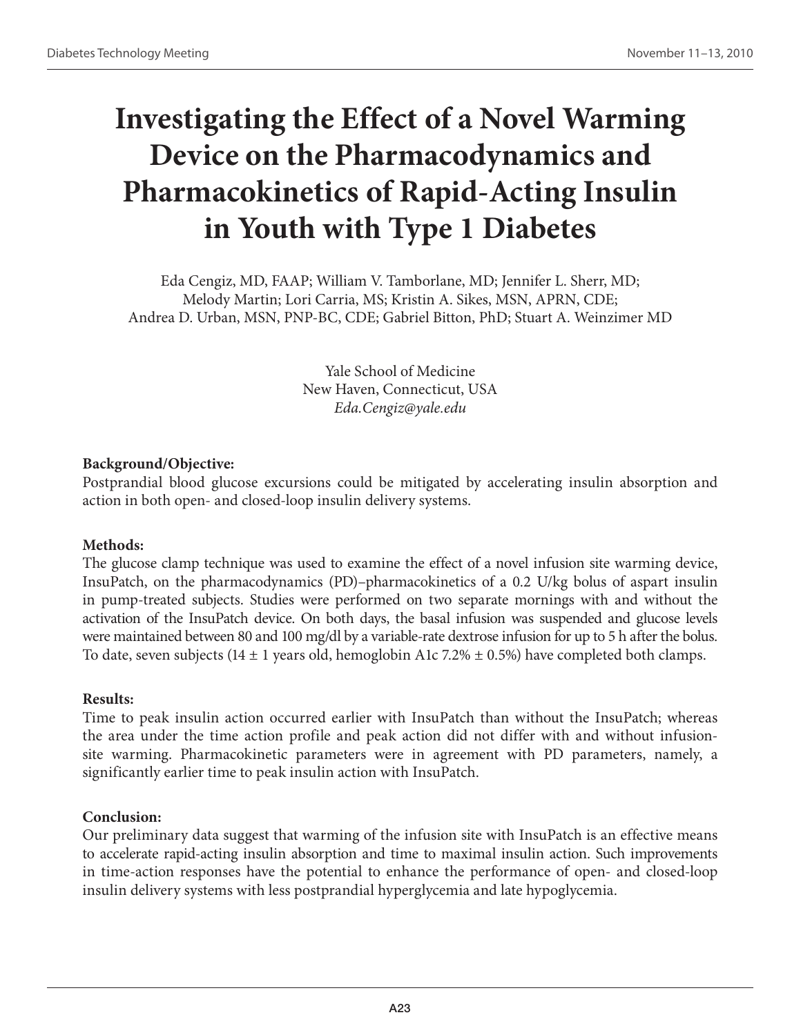# **Investigating the Effect of a Novel Warming Device on the Pharmacodynamics and Pharmacokinetics of Rapid-Acting Insulin in Youth with Type 1 Diabetes**

Eda Cengiz, MD, FAAP; William V. Tamborlane, MD; Jennifer L. Sherr, MD; Melody Martin; Lori Carria, MS; Kristin A. Sikes, MSN, APRN, CDE; Andrea D. Urban, MSN, PNP-BC, CDE; Gabriel Bitton, PhD; Stuart A. Weinzimer MD

> Yale School of Medicine New Haven, Connecticut, USA *Eda.Cengiz@yale.edu*

# **Background/Objective:**

Postprandial blood glucose excursions could be mitigated by accelerating insulin absorption and action in both open- and closed-loop insulin delivery systems.

# **Methods:**

The glucose clamp technique was used to examine the effect of a novel infusion site warming device, InsuPatch, on the pharmacodynamics (PD)–pharmacokinetics of a 0.2 U/kg bolus of aspart insulin in pump-treated subjects. Studies were performed on two separate mornings with and without the activation of the InsuPatch device. On both days, the basal infusion was suspended and glucose levels were maintained between 80 and 100 mg/dl by a variable-rate dextrose infusion for up to 5 h after the bolus. To date, seven subjects (14  $\pm$  1 years old, hemoglobin A1c 7.2%  $\pm$  0.5%) have completed both clamps.

# **Results:**

Time to peak insulin action occurred earlier with InsuPatch than without the InsuPatch; whereas the area under the time action profile and peak action did not differ with and without infusionsite warming. Pharmacokinetic parameters were in agreement with PD parameters, namely, a significantly earlier time to peak insulin action with InsuPatch.

# **Conclusion:**

Our preliminary data suggest that warming of the infusion site with InsuPatch is an effective means to accelerate rapid-acting insulin absorption and time to maximal insulin action. Such improvements in time-action responses have the potential to enhance the performance of open- and closed-loop insulin delivery systems with less postprandial hyperglycemia and late hypoglycemia.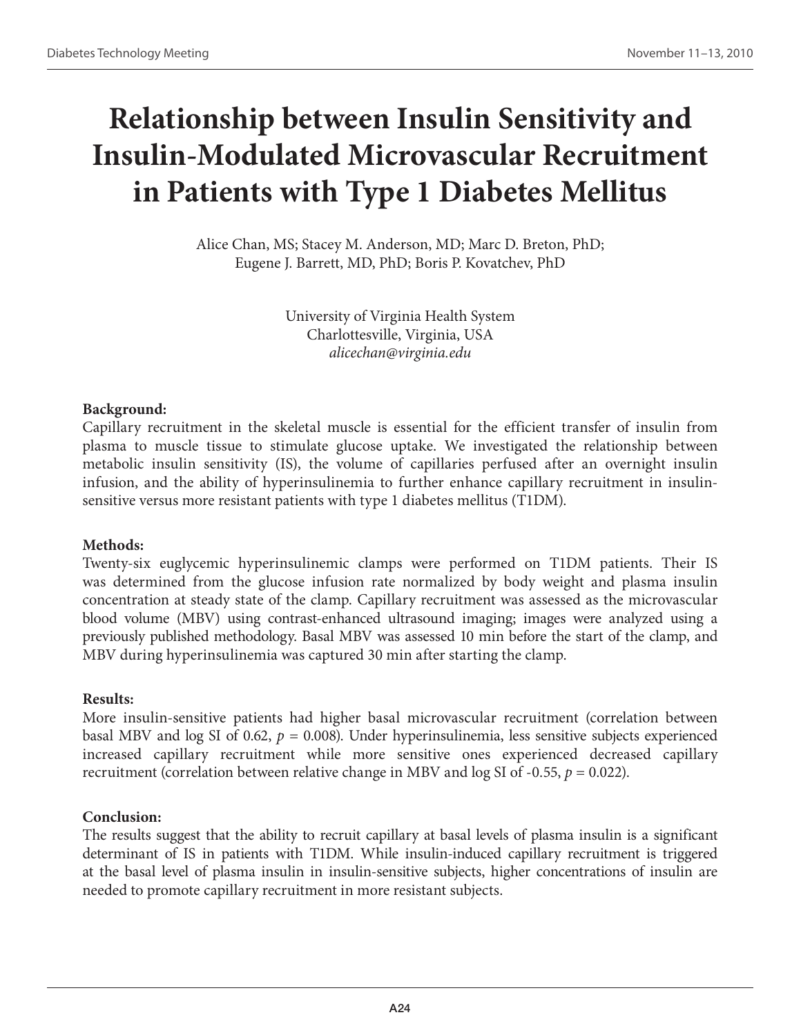# **Relationship between Insulin Sensitivity and Insulin-Modulated Microvascular Recruitment in Patients with Type 1 Diabetes Mellitus**

Alice Chan, MS; Stacey M. Anderson, MD; Marc D. Breton, PhD; Eugene J. Barrett, MD, PhD; Boris P. Kovatchev, PhD

> University of Virginia Health System Charlottesville, Virginia, USA *alicechan@virginia.edu*

### **Background:**

Capillary recruitment in the skeletal muscle is essential for the efficient transfer of insulin from plasma to muscle tissue to stimulate glucose uptake. We investigated the relationship between metabolic insulin sensitivity (IS), the volume of capillaries perfused after an overnight insulin infusion, and the ability of hyperinsulinemia to further enhance capillary recruitment in insulinsensitive versus more resistant patients with type 1 diabetes mellitus (T1DM).

### **Methods:**

Twenty-six euglycemic hyperinsulinemic clamps were performed on T1DM patients. Their IS was determined from the glucose infusion rate normalized by body weight and plasma insulin concentration at steady state of the clamp. Capillary recruitment was assessed as the microvascular blood volume (MBV) using contrast-enhanced ultrasound imaging; images were analyzed using a previously published methodology. Basal MBV was assessed 10 min before the start of the clamp, and MBV during hyperinsulinemia was captured 30 min after starting the clamp.

### **Results:**

More insulin-sensitive patients had higher basal microvascular recruitment (correlation between basal MBV and log SI of 0.62, *p* = 0.008). Under hyperinsulinemia, less sensitive subjects experienced increased capillary recruitment while more sensitive ones experienced decreased capillary recruitment (correlation between relative change in MBV and  $log SI$  of -0.55,  $p = 0.022$ ).

### **Conclusion:**

The results suggest that the ability to recruit capillary at basal levels of plasma insulin is a significant determinant of IS in patients with T1DM. While insulin-induced capillary recruitment is triggered at the basal level of plasma insulin in insulin-sensitive subjects, higher concentrations of insulin are needed to promote capillary recruitment in more resistant subjects.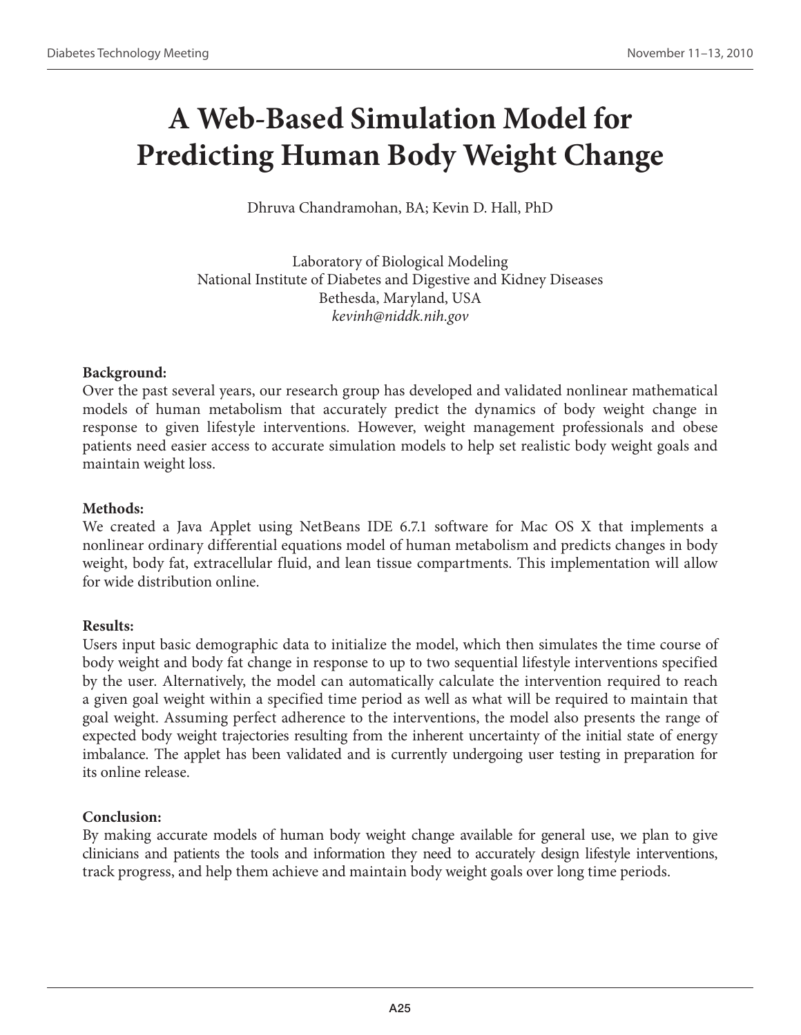# **A Web-Based Simulation Model for Predicting Human Body Weight Change**

Dhruva Chandramohan, BA; Kevin D. Hall, PhD

Laboratory of Biological Modeling National Institute of Diabetes and Digestive and Kidney Diseases Bethesda, Maryland, USA *kevinh@niddk.nih.gov*

# **Background:**

Over the past several years, our research group has developed and validated nonlinear mathematical models of human metabolism that accurately predict the dynamics of body weight change in response to given lifestyle interventions. However, weight management professionals and obese patients need easier access to accurate simulation models to help set realistic body weight goals and maintain weight loss.

### **Methods:**

We created a Java Applet using NetBeans IDE 6.7.1 software for Mac OS X that implements a nonlinear ordinary differential equations model of human metabolism and predicts changes in body weight, body fat, extracellular fluid, and lean tissue compartments. This implementation will allow for wide distribution online.

# **Results:**

Users input basic demographic data to initialize the model, which then simulates the time course of body weight and body fat change in response to up to two sequential lifestyle interventions specified by the user. Alternatively, the model can automatically calculate the intervention required to reach a given goal weight within a specified time period as well as what will be required to maintain that goal weight. Assuming perfect adherence to the interventions, the model also presents the range of expected body weight trajectories resulting from the inherent uncertainty of the initial state of energy imbalance. The applet has been validated and is currently undergoing user testing in preparation for its online release.

# **Conclusion:**

By making accurate models of human body weight change available for general use, we plan to give clinicians and patients the tools and information they need to accurately design lifestyle interventions, track progress, and help them achieve and maintain body weight goals over long time periods.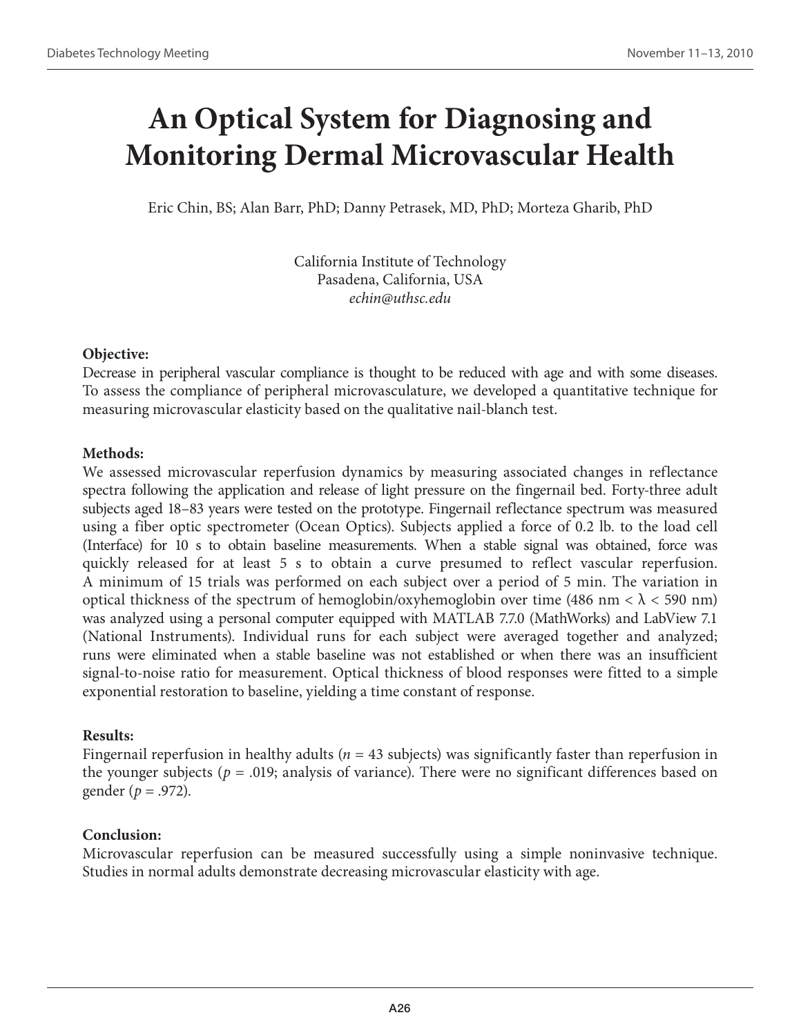# **An Optical System for Diagnosing and Monitoring Dermal Microvascular Health**

Eric Chin, BS; Alan Barr, PhD; Danny Petrasek, MD, PhD; Morteza Gharib, PhD

California Institute of Technology Pasadena, California, USA *echin@uthsc.edu*

# **Objective:**

Decrease in peripheral vascular compliance is thought to be reduced with age and with some diseases. To assess the compliance of peripheral microvasculature, we developed a quantitative technique for measuring microvascular elasticity based on the qualitative nail-blanch test.

# **Methods:**

We assessed microvascular reperfusion dynamics by measuring associated changes in reflectance spectra following the application and release of light pressure on the fingernail bed. Forty-three adult subjects aged 18–83 years were tested on the prototype. Fingernail reflectance spectrum was measured using a fiber optic spectrometer (Ocean Optics). Subjects applied a force of 0.2 lb. to the load cell (Interface) for 10 s to obtain baseline measurements. When a stable signal was obtained, force was quickly released for at least 5 s to obtain a curve presumed to reflect vascular reperfusion. A minimum of 15 trials was performed on each subject over a period of 5 min. The variation in optical thickness of the spectrum of hemoglobin/oxyhemoglobin over time (486 nm  $< \lambda < 590$  nm) was analyzed using a personal computer equipped with MATLAB 7.7.0 (MathWorks) and LabView 7.1 (National Instruments). Individual runs for each subject were averaged together and analyzed; runs were eliminated when a stable baseline was not established or when there was an insufficient signal-to-noise ratio for measurement. Optical thickness of blood responses were fitted to a simple exponential restoration to baseline, yielding a time constant of response.

# **Results:**

Fingernail reperfusion in healthy adults (*n* = 43 subjects) was significantly faster than reperfusion in the younger subjects ( $p = .019$ ; analysis of variance). There were no significant differences based on gender (*p* = .972).

# **Conclusion:**

Microvascular reperfusion can be measured successfully using a simple noninvasive technique. Studies in normal adults demonstrate decreasing microvascular elasticity with age.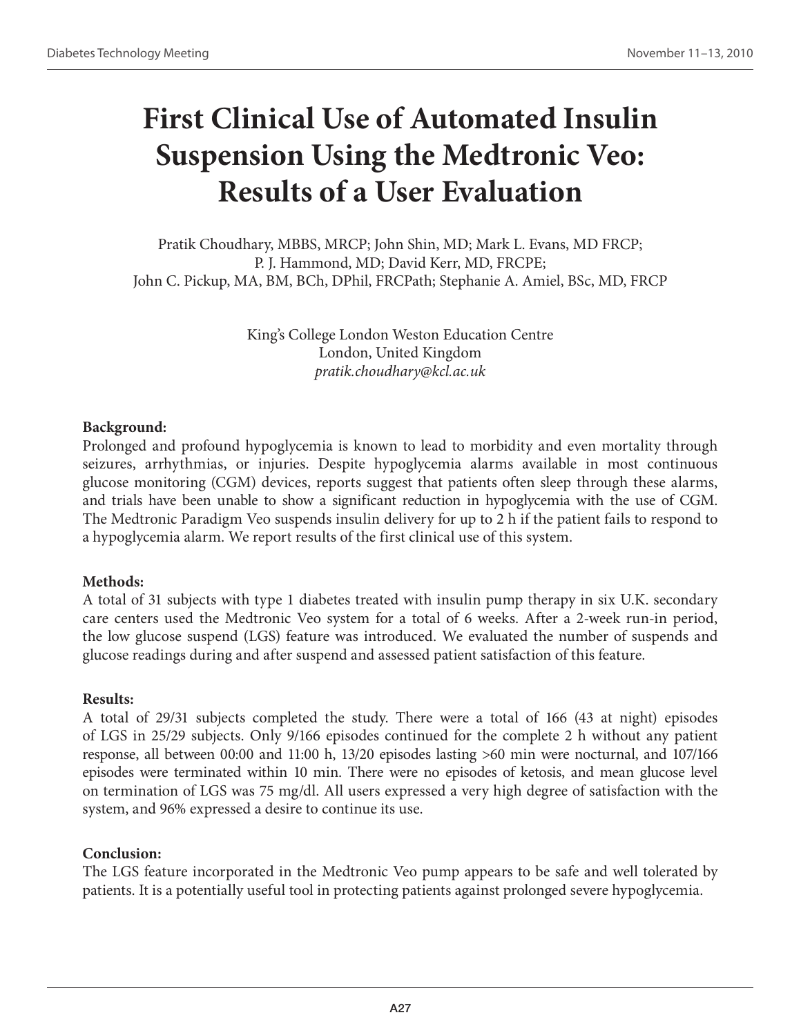# **First Clinical Use of Automated Insulin Suspension Using the Medtronic Veo: Results of a User Evaluation**

Pratik Choudhary, MBBS, MRCP; John Shin, MD; Mark L. Evans, MD FRCP; P. J. Hammond, MD; David Kerr, MD, FRCPE; John C. Pickup, MA, BM, BCh, DPhil, FRCPath; Stephanie A. Amiel, BSc, MD, FRCP

> King's College London Weston Education Centre London, United Kingdom *pratik.choudhary@kcl.ac.uk*

# **Background:**

Prolonged and profound hypoglycemia is known to lead to morbidity and even mortality through seizures, arrhythmias, or injuries. Despite hypoglycemia alarms available in most continuous glucose monitoring (CGM) devices, reports suggest that patients often sleep through these alarms, and trials have been unable to show a significant reduction in hypoglycemia with the use of CGM. The Medtronic Paradigm Veo suspends insulin delivery for up to 2 h if the patient fails to respond to a hypoglycemia alarm. We report results of the first clinical use of this system.

# **Methods:**

A total of 31 subjects with type 1 diabetes treated with insulin pump therapy in six U.K. secondary care centers used the Medtronic Veo system for a total of 6 weeks. After a 2-week run-in period, the low glucose suspend (LGS) feature was introduced. We evaluated the number of suspends and glucose readings during and after suspend and assessed patient satisfaction of this feature.

# **Results:**

A total of 29/31 subjects completed the study. There were a total of 166 (43 at night) episodes of LGS in 25/29 subjects. Only 9/166 episodes continued for the complete 2 h without any patient response, all between 00:00 and 11:00 h, 13/20 episodes lasting >60 min were nocturnal, and 107/166 episodes were terminated within 10 min. There were no episodes of ketosis, and mean glucose level on termination of LGS was 75 mg/dl. All users expressed a very high degree of satisfaction with the system, and 96% expressed a desire to continue its use.

# **Conclusion:**

The LGS feature incorporated in the Medtronic Veo pump appears to be safe and well tolerated by patients. It is a potentially useful tool in protecting patients against prolonged severe hypoglycemia.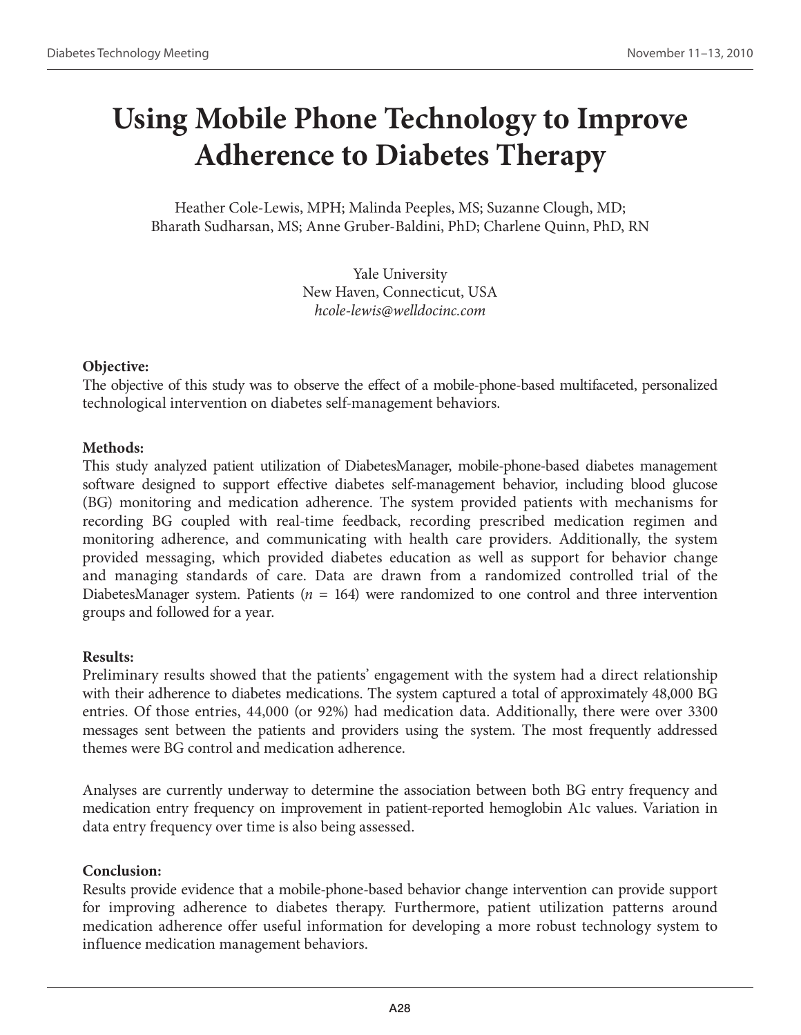# **Using Mobile Phone Technology to Improve Adherence to Diabetes Therapy**

Heather Cole-Lewis, MPH; Malinda Peeples, MS; Suzanne Clough, MD; Bharath Sudharsan, MS; Anne Gruber-Baldini, PhD; Charlene Quinn, PhD, RN

> Yale University New Haven, Connecticut, USA *hcole-lewis@welldocinc.com*

# **Objective:**

The objective of this study was to observe the effect of a mobile-phone-based multifaceted, personalized technological intervention on diabetes self-management behaviors.

### **Methods:**

This study analyzed patient utilization of DiabetesManager, mobile-phone-based diabetes management software designed to support effective diabetes self-management behavior, including blood glucose (BG) monitoring and medication adherence. The system provided patients with mechanisms for recording BG coupled with real-time feedback, recording prescribed medication regimen and monitoring adherence, and communicating with health care providers. Additionally, the system provided messaging, which provided diabetes education as well as support for behavior change and managing standards of care. Data are drawn from a randomized controlled trial of the DiabetesManager system. Patients (*n* = 164) were randomized to one control and three intervention groups and followed for a year.

# **Results:**

Preliminary results showed that the patients' engagement with the system had a direct relationship with their adherence to diabetes medications. The system captured a total of approximately 48,000 BG entries. Of those entries, 44,000 (or 92%) had medication data. Additionally, there were over 3300 messages sent between the patients and providers using the system. The most frequently addressed themes were BG control and medication adherence.

Analyses are currently underway to determine the association between both BG entry frequency and medication entry frequency on improvement in patient-reported hemoglobin A1c values. Variation in data entry frequency over time is also being assessed.

# **Conclusion:**

Results provide evidence that a mobile-phone-based behavior change intervention can provide support for improving adherence to diabetes therapy. Furthermore, patient utilization patterns around medication adherence offer useful information for developing a more robust technology system to influence medication management behaviors.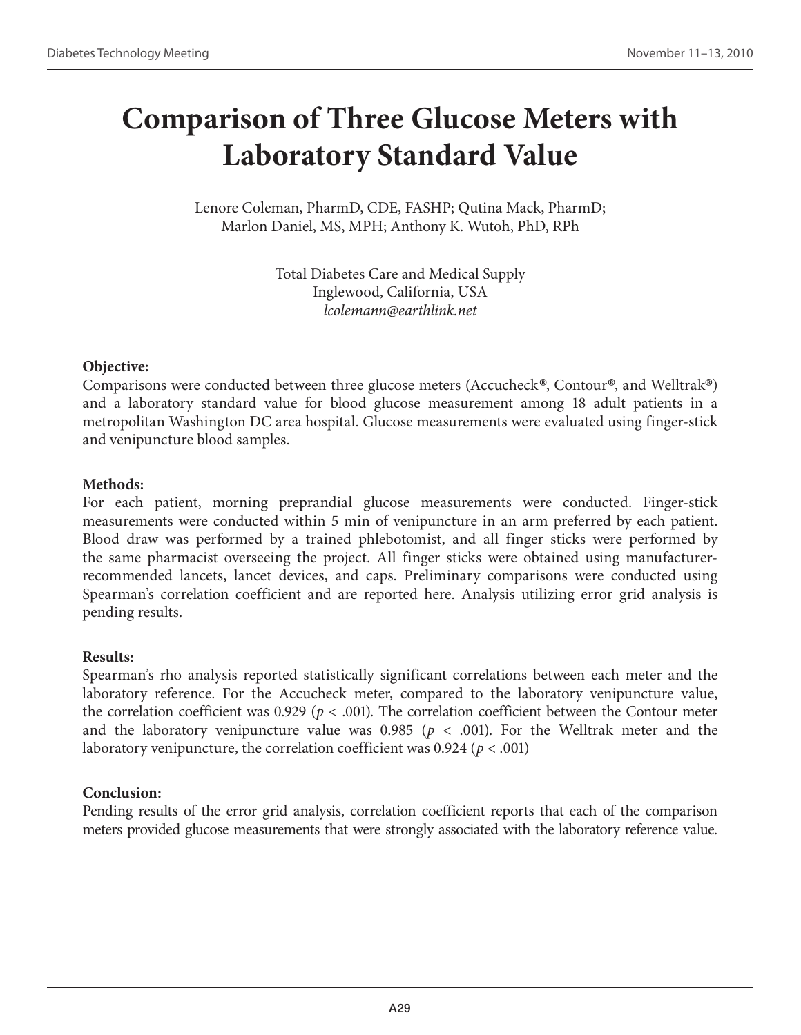# **Comparison of Three Glucose Meters with Laboratory Standard Value**

Lenore Coleman, PharmD, CDE, FASHP; Qutina Mack, PharmD; Marlon Daniel, MS, MPH; Anthony K. Wutoh, PhD, RPh

> Total Diabetes Care and Medical Supply Inglewood, California, USA *lcolemann@earthlink.net*

# **Objective:**

Comparisons were conducted between three glucose meters (Accucheck®, Contour®, and Welltrak®) and a laboratory standard value for blood glucose measurement among 18 adult patients in a metropolitan Washington DC area hospital. Glucose measurements were evaluated using finger-stick and venipuncture blood samples.

# **Methods:**

For each patient, morning preprandial glucose measurements were conducted. Finger-stick measurements were conducted within 5 min of venipuncture in an arm preferred by each patient. Blood draw was performed by a trained phlebotomist, and all finger sticks were performed by the same pharmacist overseeing the project. All finger sticks were obtained using manufacturerrecommended lancets, lancet devices, and caps. Preliminary comparisons were conducted using Spearman's correlation coefficient and are reported here. Analysis utilizing error grid analysis is pending results.

# **Results:**

Spearman's rho analysis reported statistically significant correlations between each meter and the laboratory reference. For the Accucheck meter, compared to the laboratory venipuncture value, the correlation coefficient was  $0.929$  ( $p < .001$ ). The correlation coefficient between the Contour meter and the laboratory venipuncture value was  $0.985$  ( $p < .001$ ). For the Welltrak meter and the laboratory venipuncture, the correlation coefficient was 0.924 (*p* < .001)

# **Conclusion:**

Pending results of the error grid analysis, correlation coefficient reports that each of the comparison meters provided glucose measurements that were strongly associated with the laboratory reference value.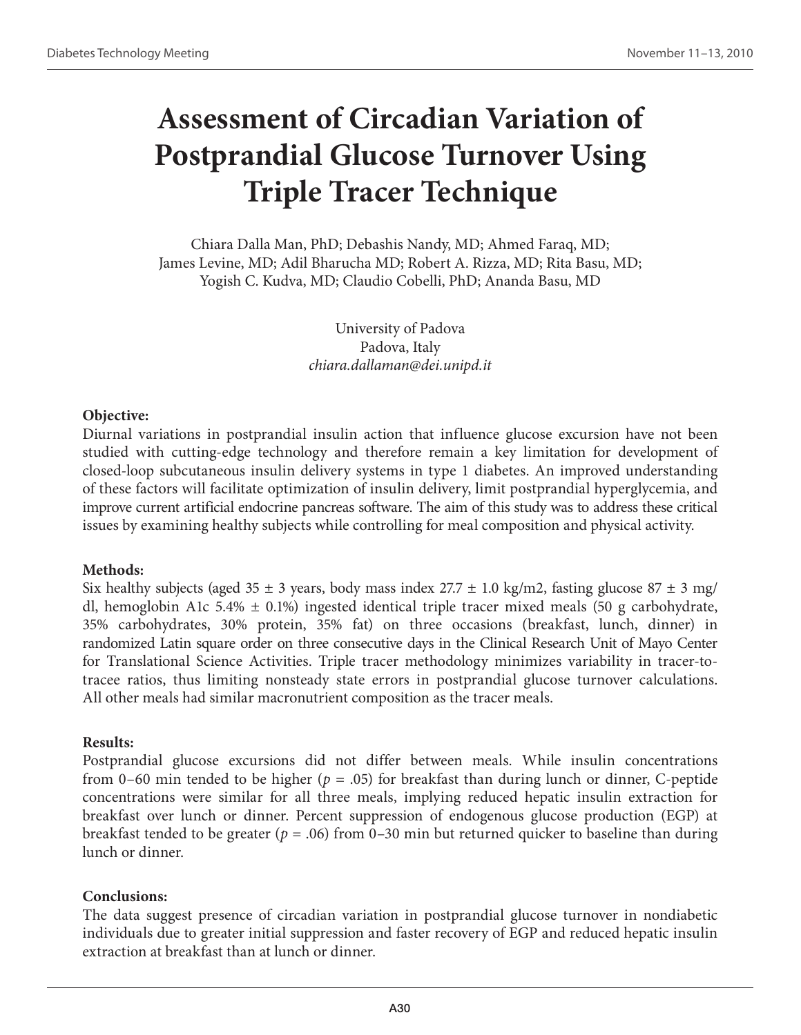# **Assessment of Circadian Variation of Postprandial Glucose Turnover Using Triple Tracer Technique**

Chiara Dalla Man, PhD; Debashis Nandy, MD; Ahmed Faraq, MD; James Levine, MD; Adil Bharucha MD; Robert A. Rizza, MD; Rita Basu, MD; Yogish C. Kudva, MD; Claudio Cobelli, PhD; Ananda Basu, MD

> University of Padova Padova, Italy *chiara.dallaman@dei.unipd.it*

# **Objective:**

Diurnal variations in postprandial insulin action that influence glucose excursion have not been studied with cutting-edge technology and therefore remain a key limitation for development of closed-loop subcutaneous insulin delivery systems in type 1 diabetes. An improved understanding of these factors will facilitate optimization of insulin delivery, limit postprandial hyperglycemia, and improve current artificial endocrine pancreas software. The aim of this study was to address these critical issues by examining healthy subjects while controlling for meal composition and physical activity.

# **Methods:**

Six healthy subjects (aged 35  $\pm$  3 years, body mass index 27.7  $\pm$  1.0 kg/m2, fasting glucose 87  $\pm$  3 mg/ dl, hemoglobin A1c 5.4%  $\pm$  0.1%) ingested identical triple tracer mixed meals (50 g carbohydrate, 35% carbohydrates, 30% protein, 35% fat) on three occasions (breakfast, lunch, dinner) in randomized Latin square order on three consecutive days in the Clinical Research Unit of Mayo Center for Translational Science Activities. Triple tracer methodology minimizes variability in tracer-totracee ratios, thus limiting nonsteady state errors in postprandial glucose turnover calculations. All other meals had similar macronutrient composition as the tracer meals.

### **Results:**

Postprandial glucose excursions did not differ between meals. While insulin concentrations from 0–60 min tended to be higher (*p* = .05) for breakfast than during lunch or dinner, C-peptide concentrations were similar for all three meals, implying reduced hepatic insulin extraction for breakfast over lunch or dinner. Percent suppression of endogenous glucose production (EGP) at breakfast tended to be greater (*p* = .06) from 0–30 min but returned quicker to baseline than during lunch or dinner.

# **Conclusions:**

The data suggest presence of circadian variation in postprandial glucose turnover in nondiabetic individuals due to greater initial suppression and faster recovery of EGP and reduced hepatic insulin extraction at breakfast than at lunch or dinner.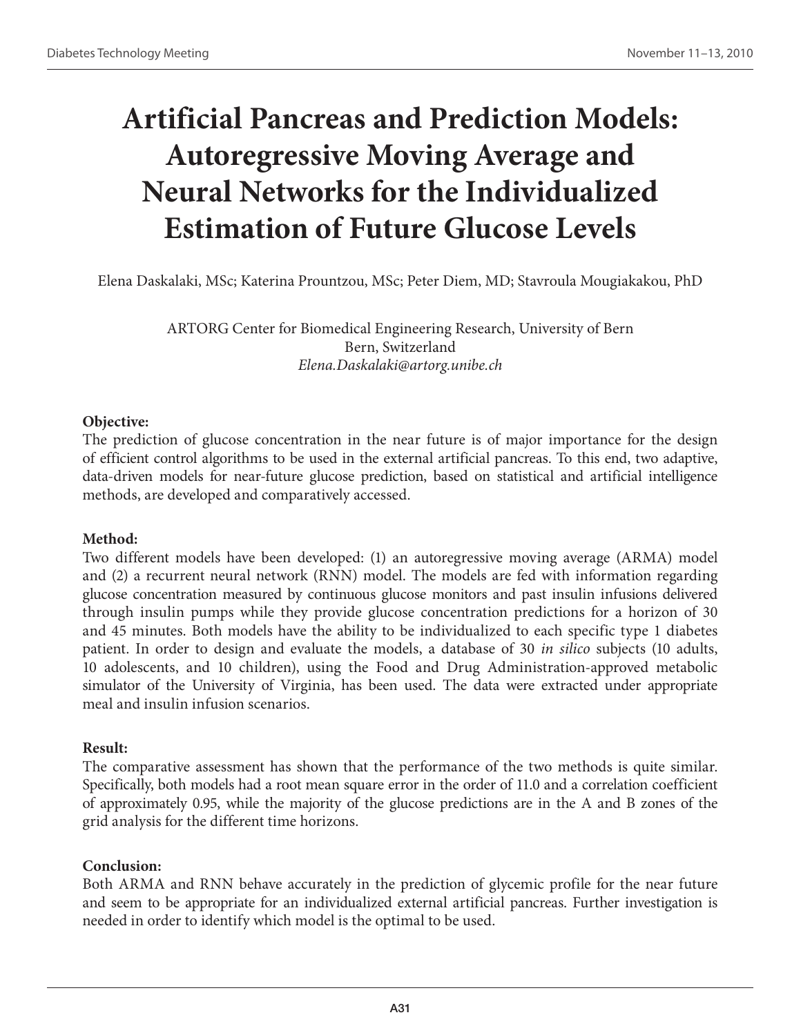# **Artificial Pancreas and Prediction Models: Autoregressive Moving Average and Neural Networks for the Individualized Estimation of Future Glucose Levels**

Elena Daskalaki, MSc; Katerina Prountzou, MSc; Peter Diem, MD; Stavroula Mougiakakou, PhD

ARTORG Center for Biomedical Engineering Research, University of Bern Bern, Switzerland *Elena.Daskalaki@artorg.unibe.ch*

# **Objective:**

The prediction of glucose concentration in the near future is of major importance for the design of efficient control algorithms to be used in the external artificial pancreas. To this end, two adaptive, data-driven models for near-future glucose prediction, based on statistical and artificial intelligence methods, are developed and comparatively accessed.

# **Method:**

Two different models have been developed: (1) an autoregressive moving average (ARMA) model and (2) a recurrent neural network (RNN) model. The models are fed with information regarding glucose concentration measured by continuous glucose monitors and past insulin infusions delivered through insulin pumps while they provide glucose concentration predictions for a horizon of 30 and 45 minutes. Both models have the ability to be individualized to each specific type 1 diabetes patient. In order to design and evaluate the models, a database of 30 *in silico* subjects (10 adults, 10 adolescents, and 10 children), using the Food and Drug Administration-approved metabolic simulator of the University of Virginia, has been used. The data were extracted under appropriate meal and insulin infusion scenarios.

# **Result:**

The comparative assessment has shown that the performance of the two methods is quite similar. Specifically, both models had a root mean square error in the order of 11.0 and a correlation coefficient of approximately 0.95, while the majority of the glucose predictions are in the A and B zones of the grid analysis for the different time horizons.

# **Conclusion:**

Both ARMA and RNN behave accurately in the prediction of glycemic profile for the near future and seem to be appropriate for an individualized external artificial pancreas. Further investigation is needed in order to identify which model is the optimal to be used.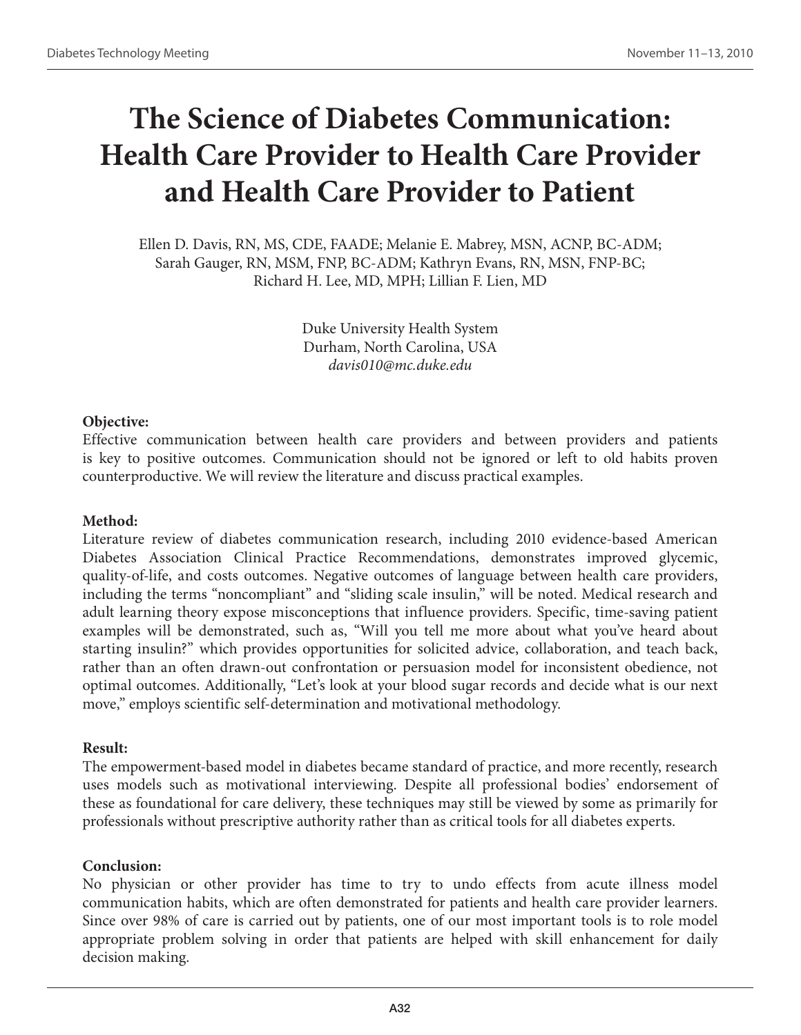# **The Science of Diabetes Communication: Health Care Provider to Health Care Provider and Health Care Provider to Patient**

Ellen D. Davis, RN, MS, CDE, FAADE; Melanie E. Mabrey, MSN, ACNP, BC-ADM; Sarah Gauger, RN, MSM, FNP, BC-ADM; Kathryn Evans, RN, MSN, FNP-BC; Richard H. Lee, MD, MPH; Lillian F. Lien, MD

> Duke University Health System Durham, North Carolina, USA *davis010@mc.duke.edu*

### **Objective:**

Effective communication between health care providers and between providers and patients is key to positive outcomes. Communication should not be ignored or left to old habits proven counterproductive. We will review the literature and discuss practical examples.

### **Method:**

Literature review of diabetes communication research, including 2010 evidence-based American Diabetes Association Clinical Practice Recommendations, demonstrates improved glycemic, quality-of-life, and costs outcomes. Negative outcomes of language between health care providers, including the terms "noncompliant" and "sliding scale insulin," will be noted. Medical research and adult learning theory expose misconceptions that influence providers. Specific, time-saving patient examples will be demonstrated, such as, "Will you tell me more about what you've heard about starting insulin?" which provides opportunities for solicited advice, collaboration, and teach back, rather than an often drawn-out confrontation or persuasion model for inconsistent obedience, not optimal outcomes. Additionally, "Let's look at your blood sugar records and decide what is our next move," employs scientific self-determination and motivational methodology.

### **Result:**

The empowerment-based model in diabetes became standard of practice, and more recently, research uses models such as motivational interviewing. Despite all professional bodies' endorsement of these as foundational for care delivery, these techniques may still be viewed by some as primarily for professionals without prescriptive authority rather than as critical tools for all diabetes experts.

### **Conclusion:**

No physician or other provider has time to try to undo effects from acute illness model communication habits, which are often demonstrated for patients and health care provider learners. Since over 98% of care is carried out by patients, one of our most important tools is to role model appropriate problem solving in order that patients are helped with skill enhancement for daily decision making.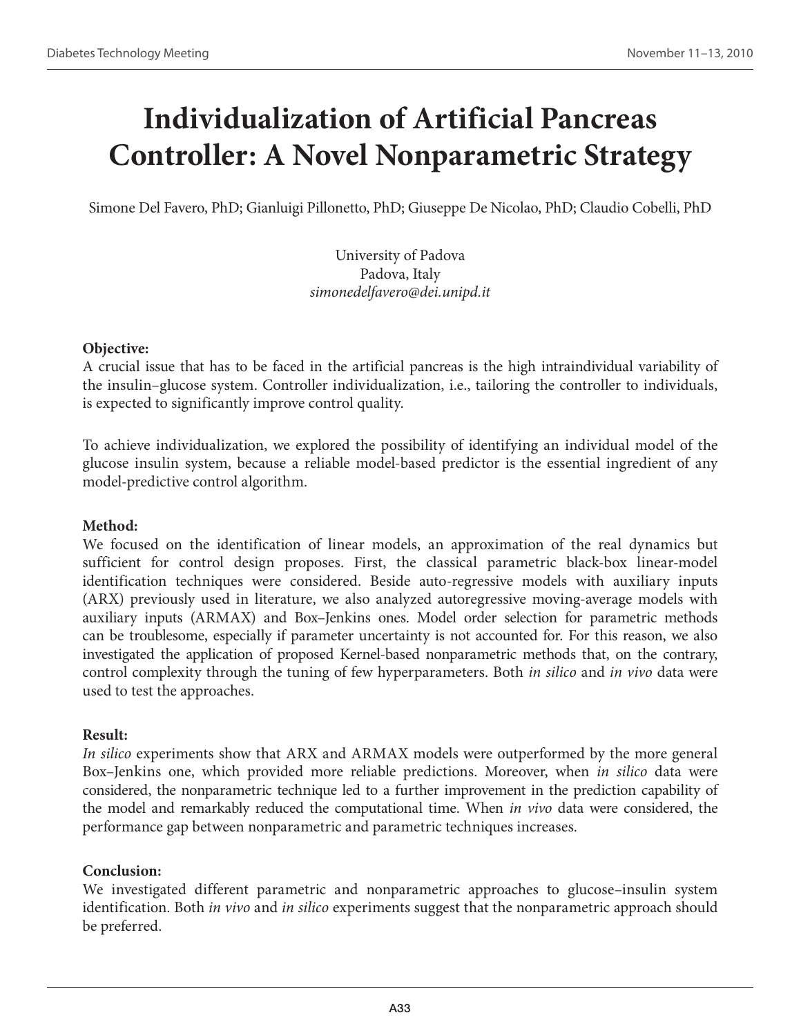# **Individualization of Artificial Pancreas Controller: A Novel Nonparametric Strategy**

Simone Del Favero, PhD; Gianluigi Pillonetto, PhD; Giuseppe De Nicolao, PhD; Claudio Cobelli, PhD

University of Padova Padova, Italy *simonedelfavero@dei.unipd.it*

#### **Objective:**

A crucial issue that has to be faced in the artificial pancreas is the high intraindividual variability of the insulin–glucose system. Controller individualization, i.e., tailoring the controller to individuals, is expected to significantly improve control quality.

To achieve individualization, we explored the possibility of identifying an individual model of the glucose insulin system, because a reliable model-based predictor is the essential ingredient of any model-predictive control algorithm.

### **Method:**

We focused on the identification of linear models, an approximation of the real dynamics but sufficient for control design proposes. First, the classical parametric black-box linear-model identification techniques were considered. Beside auto-regressive models with auxiliary inputs (ARX) previously used in literature, we also analyzed autoregressive moving-average models with auxiliary inputs (ARMAX) and Box–Jenkins ones. Model order selection for parametric methods can be troublesome, especially if parameter uncertainty is not accounted for. For this reason, we also investigated the application of proposed Kernel-based nonparametric methods that, on the contrary, control complexity through the tuning of few hyperparameters. Both *in silico* and *in vivo* data were used to test the approaches.

#### **Result:**

*In silico* experiments show that ARX and ARMAX models were outperformed by the more general Box–Jenkins one, which provided more reliable predictions. Moreover, when *in silico* data were considered, the nonparametric technique led to a further improvement in the prediction capability of the model and remarkably reduced the computational time. When *in vivo* data were considered, the performance gap between nonparametric and parametric techniques increases.

# **Conclusion:**

We investigated different parametric and nonparametric approaches to glucose–insulin system identification. Both *in vivo* and *in silico* experiments suggest that the nonparametric approach should be preferred.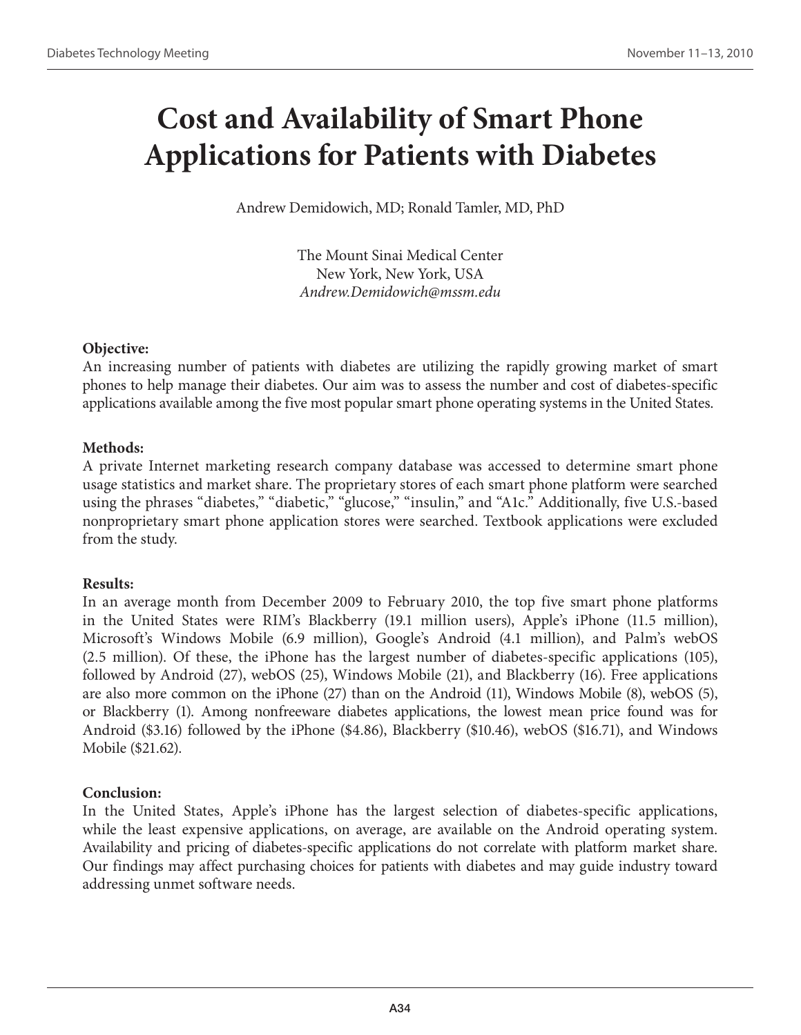# **Cost and Availability of Smart Phone Applications for Patients with Diabetes**

Andrew Demidowich, MD; Ronald Tamler, MD, PhD

The Mount Sinai Medical Center New York, New York, USA *Andrew.Demidowich@mssm.edu*

# **Objective:**

An increasing number of patients with diabetes are utilizing the rapidly growing market of smart phones to help manage their diabetes. Our aim was to assess the number and cost of diabetes-specific applications available among the five most popular smart phone operating systems in the United States.

# **Methods:**

A private Internet marketing research company database was accessed to determine smart phone usage statistics and market share. The proprietary stores of each smart phone platform were searched using the phrases "diabetes," "diabetic," "glucose," "insulin," and "A1c." Additionally, five U.S.-based nonproprietary smart phone application stores were searched. Textbook applications were excluded from the study.

# **Results:**

In an average month from December 2009 to February 2010, the top five smart phone platforms in the United States were RIM's Blackberry (19.1 million users), Apple's iPhone (11.5 million), Microsoft's Windows Mobile (6.9 million), Google's Android (4.1 million), and Palm's webOS (2.5 million). Of these, the iPhone has the largest number of diabetes-specific applications (105), followed by Android (27), webOS (25), Windows Mobile (21), and Blackberry (16). Free applications are also more common on the iPhone (27) than on the Android (11), Windows Mobile (8), webOS (5), or Blackberry (1). Among nonfreeware diabetes applications, the lowest mean price found was for Android (\$3.16) followed by the iPhone (\$4.86), Blackberry (\$10.46), webOS (\$16.71), and Windows Mobile (\$21.62).

# **Conclusion:**

In the United States, Apple's iPhone has the largest selection of diabetes-specific applications, while the least expensive applications, on average, are available on the Android operating system. Availability and pricing of diabetes-specific applications do not correlate with platform market share. Our findings may affect purchasing choices for patients with diabetes and may guide industry toward addressing unmet software needs.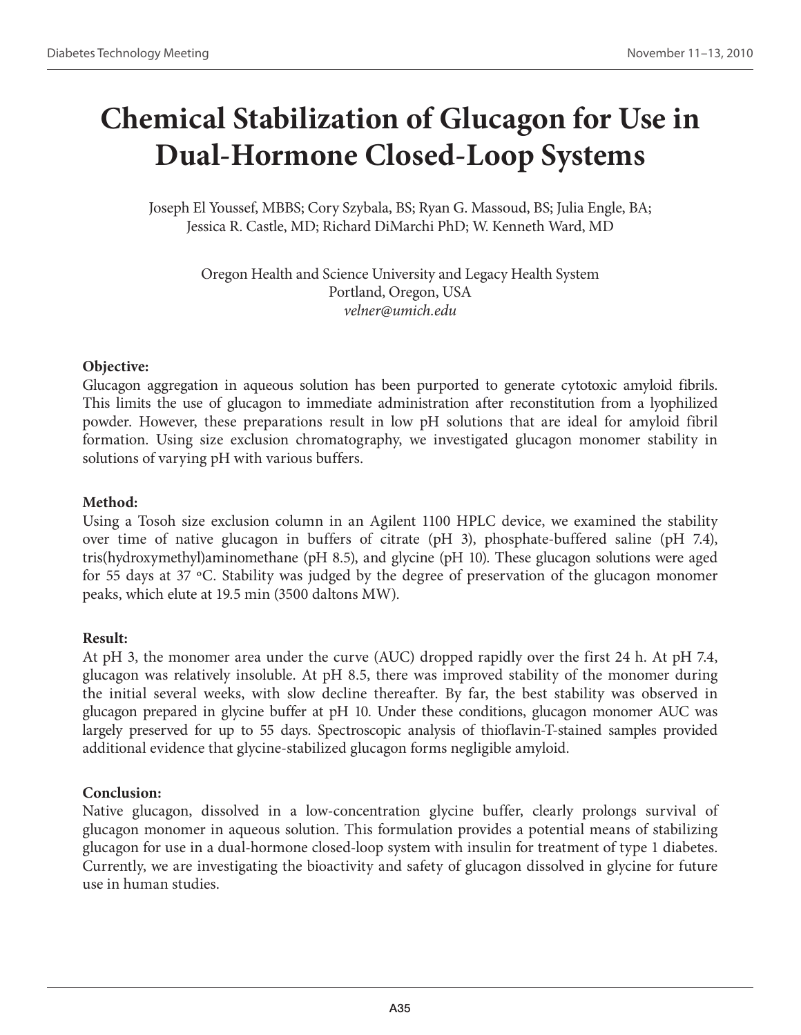# **Chemical Stabilization of Glucagon for Use in Dual-Hormone Closed-Loop Systems**

Joseph El Youssef, MBBS; Cory Szybala, BS; Ryan G. Massoud, BS; Julia Engle, BA; Jessica R. Castle, MD; Richard DiMarchi PhD; W. Kenneth Ward, MD

> Oregon Health and Science University and Legacy Health System Portland, Oregon, USA *velner@umich.edu*

# **Objective:**

Glucagon aggregation in aqueous solution has been purported to generate cytotoxic amyloid fibrils. This limits the use of glucagon to immediate administration after reconstitution from a lyophilized powder. However, these preparations result in low pH solutions that are ideal for amyloid fibril formation. Using size exclusion chromatography, we investigated glucagon monomer stability in solutions of varying pH with various buffers.

# **Method:**

Using a Tosoh size exclusion column in an Agilent 1100 HPLC device, we examined the stability over time of native glucagon in buffers of citrate (pH 3), phosphate-buffered saline (pH 7.4), tris(hydroxymethyl)aminomethane (pH 8.5), and glycine (pH 10). These glucagon solutions were aged for 55 days at 37 ºC. Stability was judged by the degree of preservation of the glucagon monomer peaks, which elute at 19.5 min (3500 daltons MW).

# **Result:**

At pH 3, the monomer area under the curve (AUC) dropped rapidly over the first 24 h. At pH 7.4, glucagon was relatively insoluble. At pH 8.5, there was improved stability of the monomer during the initial several weeks, with slow decline thereafter. By far, the best stability was observed in glucagon prepared in glycine buffer at pH 10. Under these conditions, glucagon monomer AUC was largely preserved for up to 55 days. Spectroscopic analysis of thioflavin-T-stained samples provided additional evidence that glycine-stabilized glucagon forms negligible amyloid.

# **Conclusion:**

Native glucagon, dissolved in a low-concentration glycine buffer, clearly prolongs survival of glucagon monomer in aqueous solution. This formulation provides a potential means of stabilizing glucagon for use in a dual-hormone closed-loop system with insulin for treatment of type 1 diabetes. Currently, we are investigating the bioactivity and safety of glucagon dissolved in glycine for future use in human studies.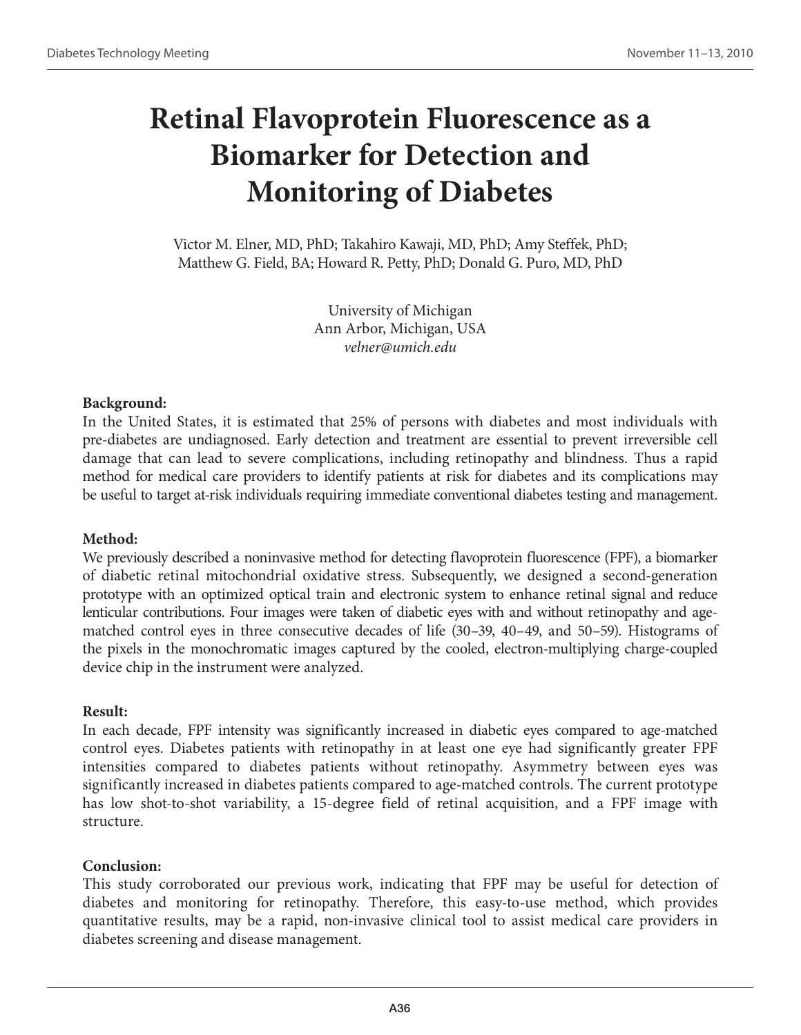# **Retinal Flavoprotein Fluorescence as a Biomarker for Detection and Monitoring of Diabetes**

Victor M. Elner, MD, PhD; Takahiro Kawaji, MD, PhD; Amy Steffek, PhD; Matthew G. Field, BA; Howard R. Petty, PhD; Donald G. Puro, MD, PhD

> University of Michigan Ann Arbor, Michigan, USA *velner@umich.edu*

# **Background:**

In the United States, it is estimated that 25% of persons with diabetes and most individuals with pre-diabetes are undiagnosed. Early detection and treatment are essential to prevent irreversible cell damage that can lead to severe complications, including retinopathy and blindness. Thus a rapid method for medical care providers to identify patients at risk for diabetes and its complications may be useful to target at-risk individuals requiring immediate conventional diabetes testing and management.

#### **Method:**

We previously described a noninvasive method for detecting flavoprotein fluorescence (FPF), a biomarker of diabetic retinal mitochondrial oxidative stress. Subsequently, we designed a second-generation prototype with an optimized optical train and electronic system to enhance retinal signal and reduce lenticular contributions. Four images were taken of diabetic eyes with and without retinopathy and agematched control eyes in three consecutive decades of life (30–39, 40–49, and 50–59). Histograms of the pixels in the monochromatic images captured by the cooled, electron-multiplying charge-coupled device chip in the instrument were analyzed.

#### **Result:**

In each decade, FPF intensity was significantly increased in diabetic eyes compared to age-matched control eyes. Diabetes patients with retinopathy in at least one eye had significantly greater FPF intensities compared to diabetes patients without retinopathy. Asymmetry between eyes was significantly increased in diabetes patients compared to age-matched controls. The current prototype has low shot-to-shot variability, a 15-degree field of retinal acquisition, and a FPF image with structure.

#### **Conclusion:**

This study corroborated our previous work, indicating that FPF may be useful for detection of diabetes and monitoring for retinopathy. Therefore, this easy-to-use method, which provides quantitative results, may be a rapid, non-invasive clinical tool to assist medical care providers in diabetes screening and disease management.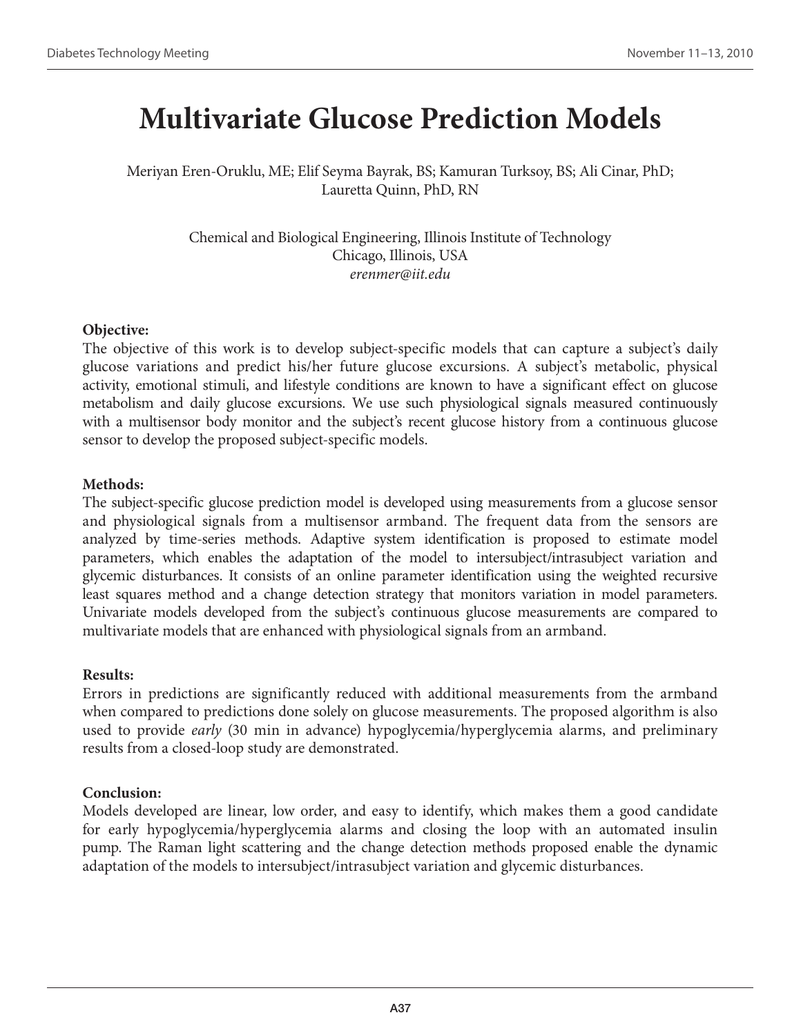# **Multivariate Glucose Prediction Models**

Meriyan Eren-Oruklu, ME; Elif Seyma Bayrak, BS; Kamuran Turksoy, BS; Ali Cinar, PhD; Lauretta Quinn, PhD, RN

> Chemical and Biological Engineering, Illinois Institute of Technology Chicago, Illinois, USA *erenmer@iit.edu*

#### **Objective:**

The objective of this work is to develop subject-specific models that can capture a subject's daily glucose variations and predict his/her future glucose excursions. A subject's metabolic, physical activity, emotional stimuli, and lifestyle conditions are known to have a significant effect on glucose metabolism and daily glucose excursions. We use such physiological signals measured continuously with a multisensor body monitor and the subject's recent glucose history from a continuous glucose sensor to develop the proposed subject-specific models.

#### **Methods:**

The subject-specific glucose prediction model is developed using measurements from a glucose sensor and physiological signals from a multisensor armband. The frequent data from the sensors are analyzed by time-series methods. Adaptive system identification is proposed to estimate model parameters, which enables the adaptation of the model to intersubject/intrasubject variation and glycemic disturbances. It consists of an online parameter identification using the weighted recursive least squares method and a change detection strategy that monitors variation in model parameters. Univariate models developed from the subject's continuous glucose measurements are compared to multivariate models that are enhanced with physiological signals from an armband.

#### **Results:**

Errors in predictions are significantly reduced with additional measurements from the armband when compared to predictions done solely on glucose measurements. The proposed algorithm is also used to provide *early* (30 min in advance) hypoglycemia/hyperglycemia alarms, and preliminary results from a closed-loop study are demonstrated.

#### **Conclusion:**

Models developed are linear, low order, and easy to identify, which makes them a good candidate for early hypoglycemia/hyperglycemia alarms and closing the loop with an automated insulin pump. The Raman light scattering and the change detection methods proposed enable the dynamic adaptation of the models to intersubject/intrasubject variation and glycemic disturbances.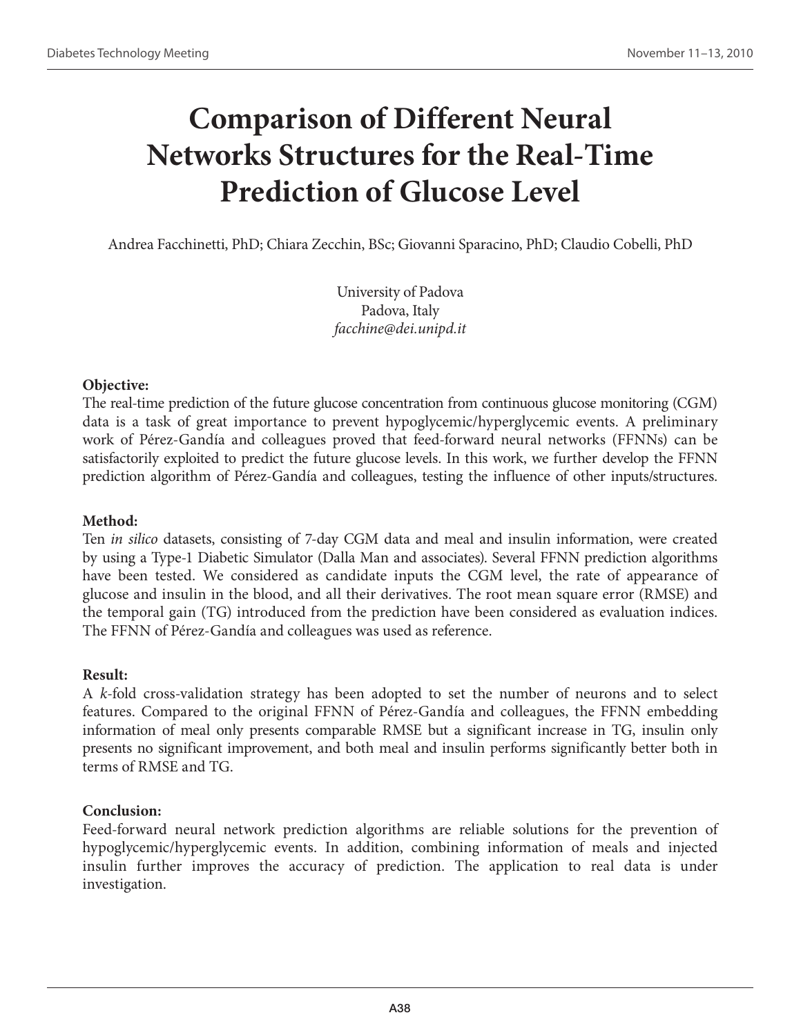# **Comparison of Different Neural Networks Structures for the Real-Time Prediction of Glucose Level**

Andrea Facchinetti, PhD; Chiara Zecchin, BSc; Giovanni Sparacino, PhD; Claudio Cobelli, PhD

University of Padova Padova, Italy *facchine@dei.unipd.it*

# **Objective:**

The real-time prediction of the future glucose concentration from continuous glucose monitoring (CGM) data is a task of great importance to prevent hypoglycemic/hyperglycemic events. A preliminary work of Pérez-Gandía and colleagues proved that feed-forward neural networks (FFNNs) can be satisfactorily exploited to predict the future glucose levels. In this work, we further develop the FFNN prediction algorithm of Pérez-Gandía and colleagues, testing the influence of other inputs/structures.

#### **Method:**

Ten *in silico* datasets, consisting of 7-day CGM data and meal and insulin information, were created by using a Type-1 Diabetic Simulator (Dalla Man and associates). Several FFNN prediction algorithms have been tested. We considered as candidate inputs the CGM level, the rate of appearance of glucose and insulin in the blood, and all their derivatives. The root mean square error (RMSE) and the temporal gain (TG) introduced from the prediction have been considered as evaluation indices. The FFNN of Pérez-Gandía and colleagues was used as reference.

#### **Result:**

A *k*-fold cross-validation strategy has been adopted to set the number of neurons and to select features. Compared to the original FFNN of Pérez-Gandía and colleagues, the FFNN embedding information of meal only presents comparable RMSE but a significant increase in TG, insulin only presents no significant improvement, and both meal and insulin performs significantly better both in terms of RMSE and TG.

# **Conclusion:**

Feed-forward neural network prediction algorithms are reliable solutions for the prevention of hypoglycemic/hyperglycemic events. In addition, combining information of meals and injected insulin further improves the accuracy of prediction. The application to real data is under investigation.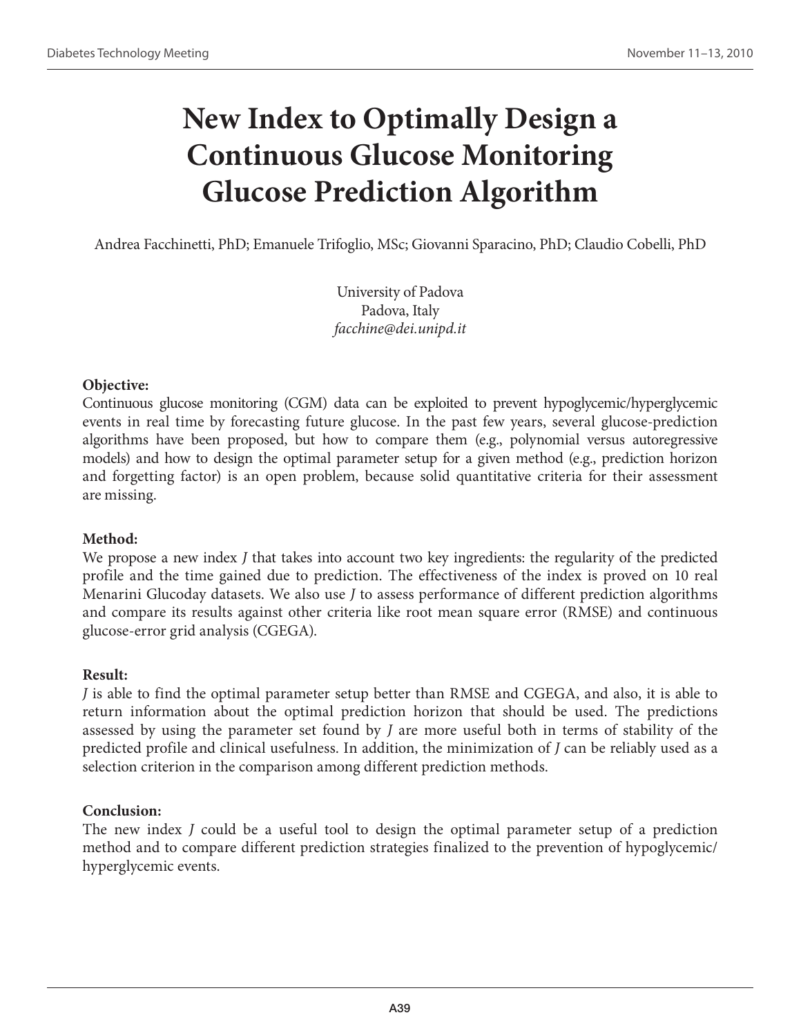# **New Index to Optimally Design a Continuous Glucose Monitoring Glucose Prediction Algorithm**

Andrea Facchinetti, PhD; Emanuele Trifoglio, MSc; Giovanni Sparacino, PhD; Claudio Cobelli, PhD

University of Padova Padova, Italy *facchine@dei.unipd.it*

# **Objective:**

Continuous glucose monitoring (CGM) data can be exploited to prevent hypoglycemic/hyperglycemic events in real time by forecasting future glucose. In the past few years, several glucose-prediction algorithms have been proposed, but how to compare them (e.g., polynomial versus autoregressive models) and how to design the optimal parameter setup for a given method (e.g., prediction horizon and forgetting factor) is an open problem, because solid quantitative criteria for their assessment are missing.

# **Method:**

We propose a new index *J* that takes into account two key ingredients: the regularity of the predicted profile and the time gained due to prediction. The effectiveness of the index is proved on 10 real Menarini Glucoday datasets. We also use *J* to assess performance of different prediction algorithms and compare its results against other criteria like root mean square error (RMSE) and continuous glucose-error grid analysis (CGEGA).

# **Result:**

*J* is able to find the optimal parameter setup better than RMSE and CGEGA, and also, it is able to return information about the optimal prediction horizon that should be used. The predictions assessed by using the parameter set found by *J* are more useful both in terms of stability of the predicted profile and clinical usefulness. In addition, the minimization of *J* can be reliably used as a selection criterion in the comparison among different prediction methods.

# **Conclusion:**

The new index *J* could be a useful tool to design the optimal parameter setup of a prediction method and to compare different prediction strategies finalized to the prevention of hypoglycemic/ hyperglycemic events.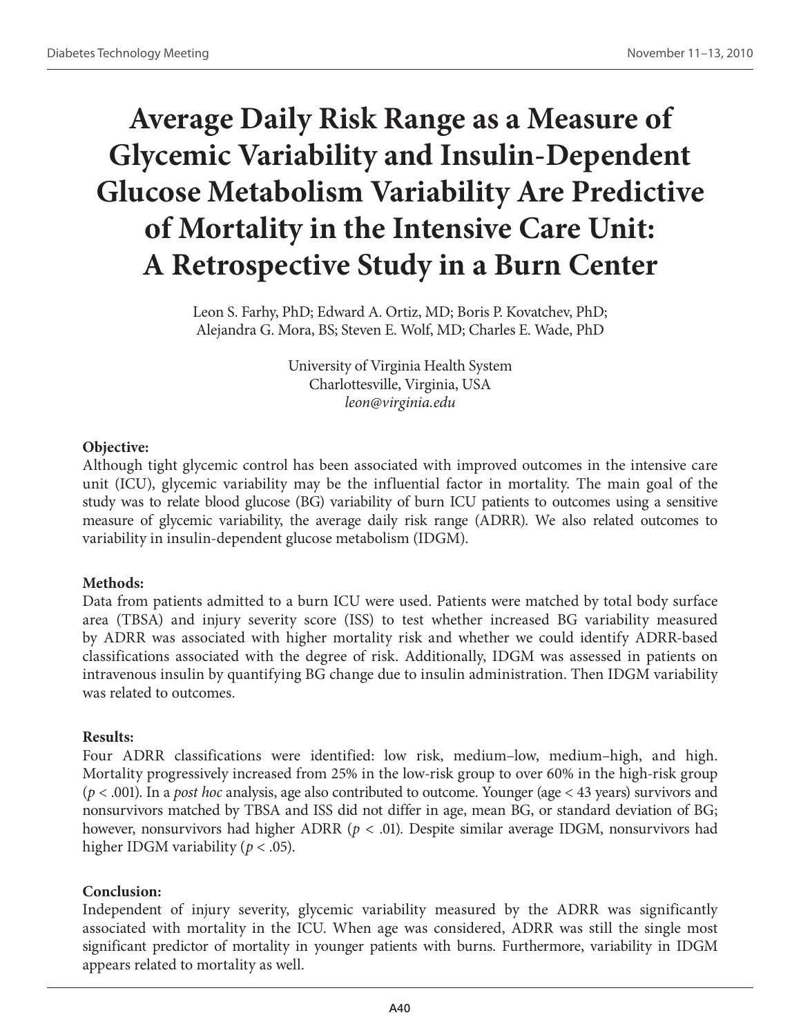# **Average Daily Risk Range as a Measure of Glycemic Variability and Insulin-Dependent Glucose Metabolism Variability Are Predictive of Mortality in the Intensive Care Unit: A Retrospective Study in a Burn Center**

Leon S. Farhy, PhD; Edward A. Ortiz, MD; Boris P. Kovatchev, PhD; Alejandra G. Mora, BS; Steven E. Wolf, MD; Charles E. Wade, PhD

> University of Virginia Health System Charlottesville, Virginia, USA *leon@virginia.edu*

# **Objective:**

Although tight glycemic control has been associated with improved outcomes in the intensive care unit (ICU), glycemic variability may be the influential factor in mortality. The main goal of the study was to relate blood glucose (BG) variability of burn ICU patients to outcomes using a sensitive measure of glycemic variability, the average daily risk range (ADRR). We also related outcomes to variability in insulin-dependent glucose metabolism (IDGM).

# **Methods:**

Data from patients admitted to a burn ICU were used. Patients were matched by total body surface area (TBSA) and injury severity score (ISS) to test whether increased BG variability measured by ADRR was associated with higher mortality risk and whether we could identify ADRR-based classifications associated with the degree of risk. Additionally, IDGM was assessed in patients on intravenous insulin by quantifying BG change due to insulin administration. Then IDGM variability was related to outcomes.

# **Results:**

Four ADRR classifications were identified: low risk, medium–low, medium–high, and high. Mortality progressively increased from 25% in the low-risk group to over 60% in the high-risk group (*p* < .001). In a *post hoc* analysis, age also contributed to outcome. Younger (age < 43 years) survivors and nonsurvivors matched by TBSA and ISS did not differ in age, mean BG, or standard deviation of BG; however, nonsurvivors had higher ADRR (*p* < .01). Despite similar average IDGM, nonsurvivors had higher IDGM variability (*p* < .05).

# **Conclusion:**

Independent of injury severity, glycemic variability measured by the ADRR was significantly associated with mortality in the ICU. When age was considered, ADRR was still the single most significant predictor of mortality in younger patients with burns. Furthermore, variability in IDGM appears related to mortality as well.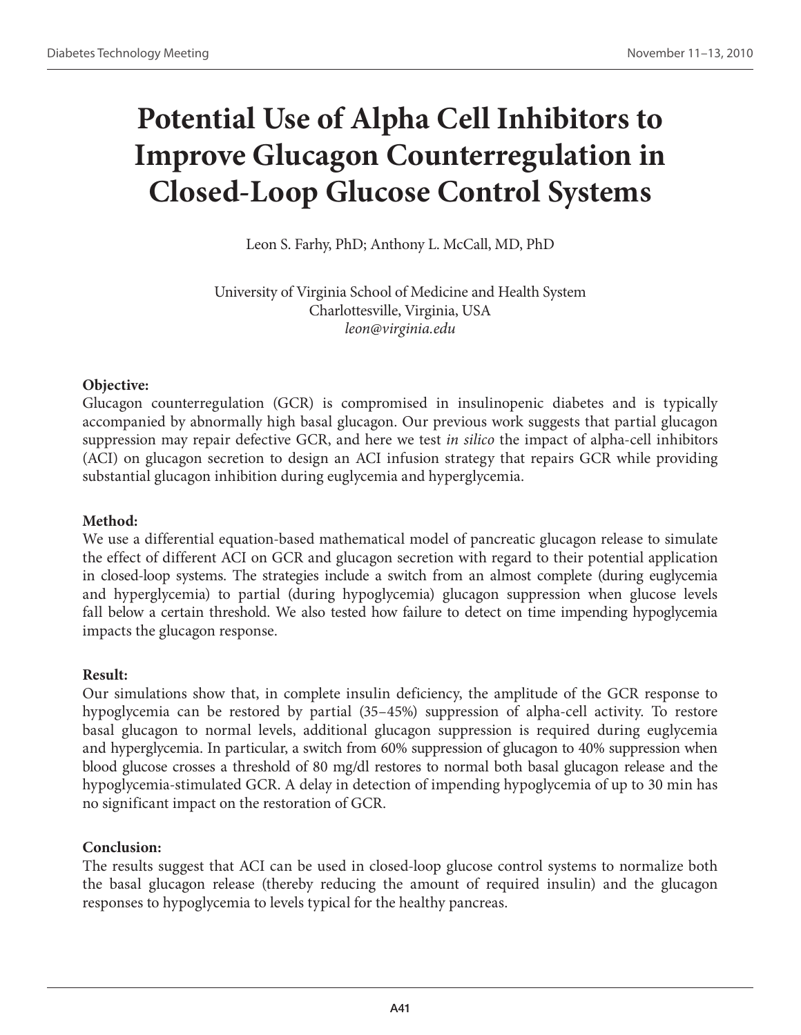# **Potential Use of Alpha Cell Inhibitors to Improve Glucagon Counterregulation in Closed-Loop Glucose Control Systems**

Leon S. Farhy, PhD; Anthony L. McCall, MD, PhD

University of Virginia School of Medicine and Health System Charlottesville, Virginia, USA *leon@virginia.edu*

# **Objective:**

Glucagon counterregulation (GCR) is compromised in insulinopenic diabetes and is typically accompanied by abnormally high basal glucagon. Our previous work suggests that partial glucagon suppression may repair defective GCR, and here we test *in silico* the impact of alpha-cell inhibitors (ACI) on glucagon secretion to design an ACI infusion strategy that repairs GCR while providing substantial glucagon inhibition during euglycemia and hyperglycemia.

# **Method:**

We use a differential equation-based mathematical model of pancreatic glucagon release to simulate the effect of different ACI on GCR and glucagon secretion with regard to their potential application in closed-loop systems. The strategies include a switch from an almost complete (during euglycemia and hyperglycemia) to partial (during hypoglycemia) glucagon suppression when glucose levels fall below a certain threshold. We also tested how failure to detect on time impending hypoglycemia impacts the glucagon response.

# **Result:**

Our simulations show that, in complete insulin deficiency, the amplitude of the GCR response to hypoglycemia can be restored by partial (35–45%) suppression of alpha-cell activity. To restore basal glucagon to normal levels, additional glucagon suppression is required during euglycemia and hyperglycemia. In particular, a switch from 60% suppression of glucagon to 40% suppression when blood glucose crosses a threshold of 80 mg/dl restores to normal both basal glucagon release and the hypoglycemia-stimulated GCR. A delay in detection of impending hypoglycemia of up to 30 min has no significant impact on the restoration of GCR.

# **Conclusion:**

The results suggest that ACI can be used in closed-loop glucose control systems to normalize both the basal glucagon release (thereby reducing the amount of required insulin) and the glucagon responses to hypoglycemia to levels typical for the healthy pancreas.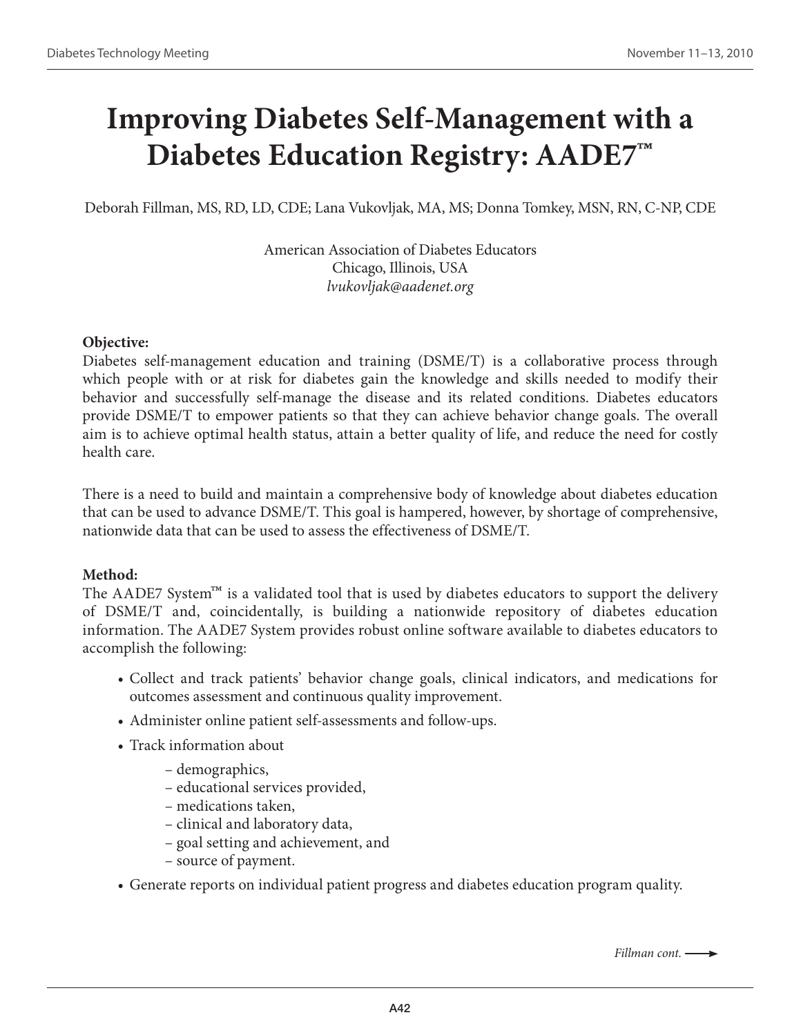# **Improving Diabetes Self-Management with a Diabetes Education Registry: AADE7™**

Deborah Fillman, MS, RD, LD, CDE; Lana Vukovljak, MA, MS; Donna Tomkey, MSN, RN, C-NP, CDE

American Association of Diabetes Educators Chicago, Illinois, USA *lvukovljak@aadenet.org*

#### **Objective:**

Diabetes self-management education and training (DSME/T) is a collaborative process through which people with or at risk for diabetes gain the knowledge and skills needed to modify their behavior and successfully self-manage the disease and its related conditions. Diabetes educators provide DSME/T to empower patients so that they can achieve behavior change goals. The overall aim is to achieve optimal health status, attain a better quality of life, and reduce the need for costly health care.

There is a need to build and maintain a comprehensive body of knowledge about diabetes education that can be used to advance DSME/T. This goal is hampered, however, by shortage of comprehensive, nationwide data that can be used to assess the effectiveness of DSME/T.

#### **Method:**

The AADE7 System<sup>™</sup> is a validated tool that is used by diabetes educators to support the delivery of DSME/T and, coincidentally, is building a nationwide repository of diabetes education information. The AADE7 System provides robust online software available to diabetes educators to accomplish the following:

- Collect and track patients' behavior change goals, clinical indicators, and medications for outcomes assessment and continuous quality improvement.
- Administer online patient self-assessments and follow-ups.
- Track information about
	- demographics,
	- educational services provided,
	- medications taken,
	- clinical and laboratory data,
	- goal setting and achievement, and
	- source of payment.
- Generate reports on individual patient progress and diabetes education program quality.

*Fillman cont.*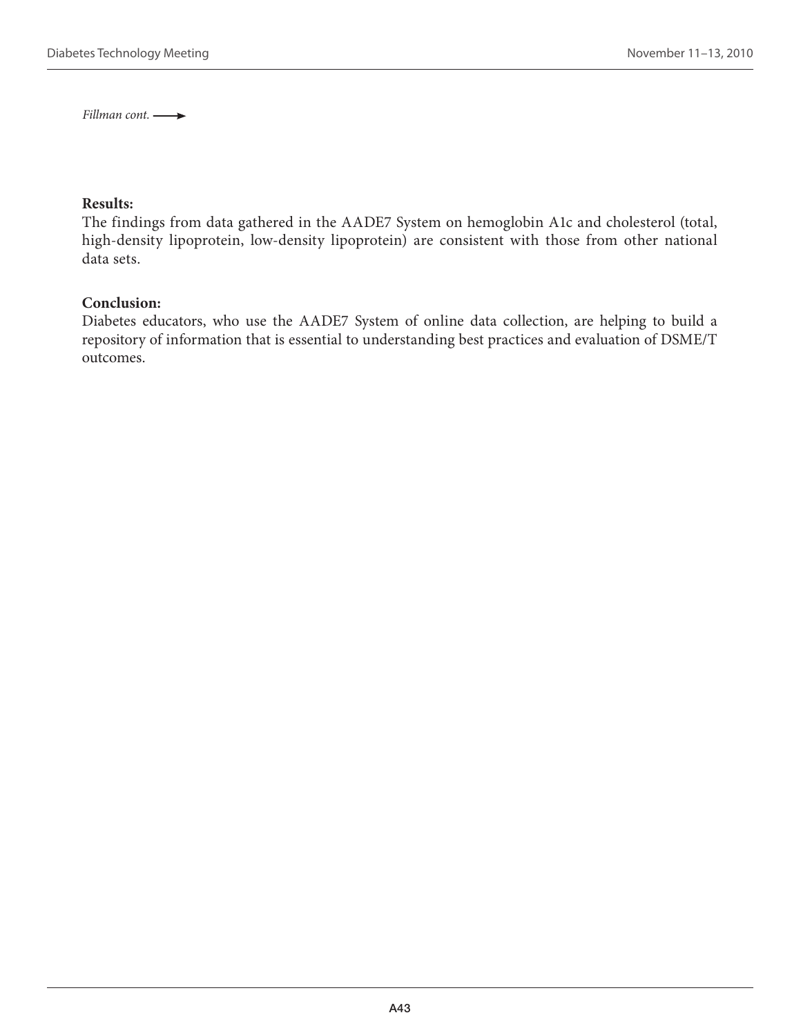*Fillman cont.* 

#### **Results:**

The findings from data gathered in the AADE7 System on hemoglobin A1c and cholesterol (total, high-density lipoprotein, low-density lipoprotein) are consistent with those from other national data sets.

#### **Conclusion:**

Diabetes educators, who use the AADE7 System of online data collection, are helping to build a repository of information that is essential to understanding best practices and evaluation of DSME/T outcomes.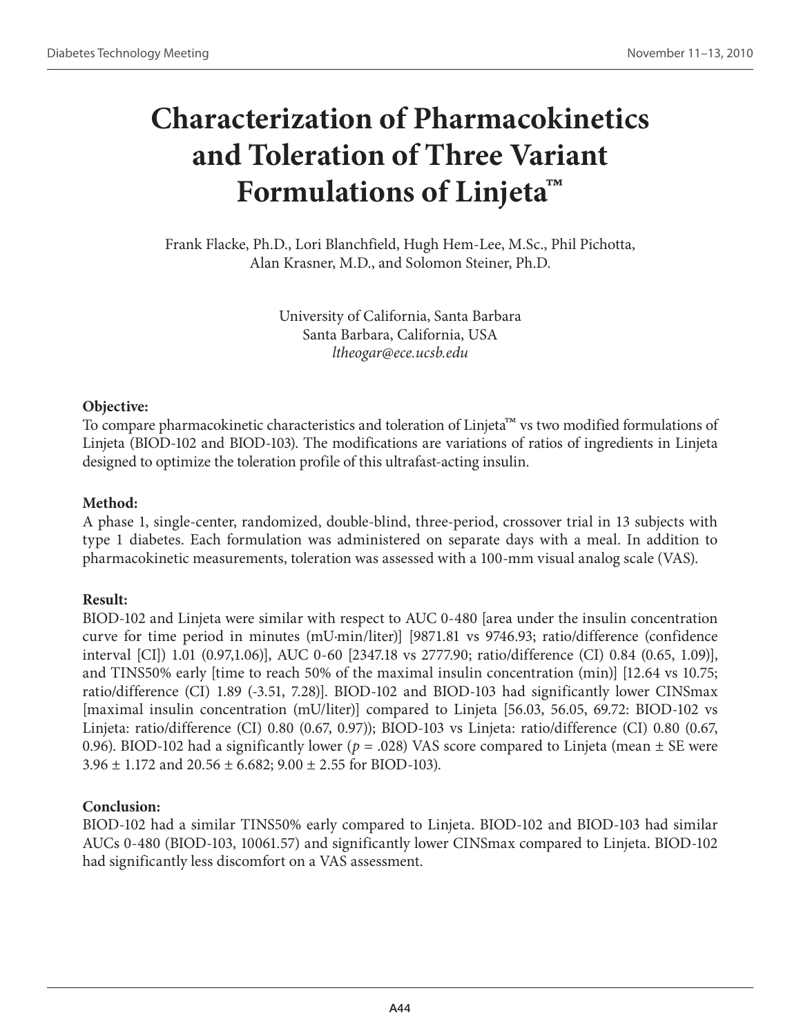# **Characterization of Pharmacokinetics and Toleration of Three Variant Formulations of Linjeta™**

Frank Flacke, Ph.D., Lori Blanchfield, Hugh Hem-Lee, M.Sc., Phil Pichotta, Alan Krasner, M.D., and Solomon Steiner, Ph.D.

> University of California, Santa Barbara Santa Barbara, California, USA *ltheogar@ece.ucsb.edu*

# **Objective:**

To compare pharmacokinetic characteristics and toleration of Linjeta™ vs two modified formulations of Linjeta (BIOD-102 and BIOD-103). The modifications are variations of ratios of ingredients in Linjeta designed to optimize the toleration profile of this ultrafast-acting insulin.

# **Method:**

A phase 1, single-center, randomized, double-blind, three-period, crossover trial in 13 subjects with type 1 diabetes. Each formulation was administered on separate days with a meal. In addition to pharmacokinetic measurements, toleration was assessed with a 100-mm visual analog scale (VAS).

# **Result:**

BIOD-102 and Linjeta were similar with respect to AUC 0-480 [area under the insulin concentration curve for time period in minutes (mU·min/liter)] [9871.81 vs 9746.93; ratio/difference (confidence interval [CI]) 1.01 (0.97,1.06)], AUC 0-60 [2347.18 vs 2777.90; ratio/difference (CI) 0.84 (0.65, 1.09)], and TINS50% early [time to reach 50% of the maximal insulin concentration (min)] [12.64 vs 10.75; ratio/difference (CI) 1.89 (-3.51, 7.28)]. BIOD-102 and BIOD-103 had significantly lower CINSmax [maximal insulin concentration (mU/liter)] compared to Linjeta [56.03, 56.05, 69.72: BIOD-102 vs Linjeta: ratio/difference (CI) 0.80 (0.67, 0.97)); BIOD-103 vs Linjeta: ratio/difference (CI) 0.80 (0.67, 0.96). BIOD-102 had a significantly lower ( $p = .028$ ) VAS score compared to Linjeta (mean  $\pm$  SE were  $3.96 \pm 1.172$  and  $20.56 \pm 6.682$ ;  $9.00 \pm 2.55$  for BIOD-103).

# **Conclusion:**

BIOD-102 had a similar TINS50% early compared to Linjeta. BIOD-102 and BIOD-103 had similar AUCs 0-480 (BIOD-103, 10061.57) and significantly lower CINSmax compared to Linjeta. BIOD-102 had significantly less discomfort on a VAS assessment.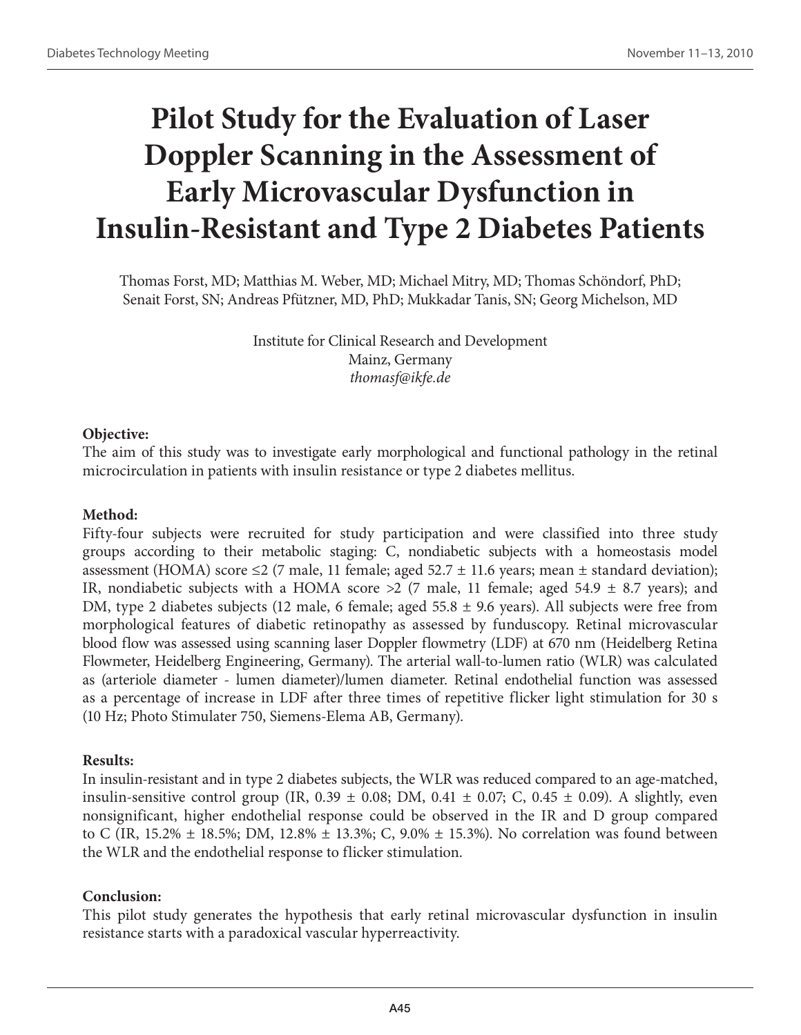# **Pilot Study for the Evaluation of Laser Doppler Scanning in the Assessment of Early Microvascular Dysfunction in Insulin-Resistant and Type 2 Diabetes Patients**

Thomas Forst, MD; Matthias M. Weber, MD; Michael Mitry, MD; Thomas Schöndorf, PhD; Senait Forst, SN; Andreas Pfützner, MD, PhD; Mukkadar Tanis, SN; Georg Michelson, MD

> Institute for Clinical Research and Development Mainz, Germany *thomasf@ikfe.de*

#### **Objective:**

The aim of this study was to investigate early morphological and functional pathology in the retinal microcirculation in patients with insulin resistance or type 2 diabetes mellitus.

### **Method:**

Fifty-four subjects were recruited for study participation and were classified into three study groups according to their metabolic staging: C, nondiabetic subjects with a homeostasis model assessment (HOMA) score  $\leq$  (7 male, 11 female; aged 52.7  $\pm$  11.6 years; mean  $\pm$  standard deviation); IR, nondiabetic subjects with a HOMA score  $>2$  (7 male, 11 female; aged 54.9  $\pm$  8.7 years); and DM, type 2 diabetes subjects (12 male, 6 female; aged 55.8 ± 9.6 years). All subjects were free from morphological features of diabetic retinopathy as assessed by funduscopy. Retinal microvascular blood flow was assessed using scanning laser Doppler flowmetry (LDF) at 670 nm (Heidelberg Retina Flowmeter, Heidelberg Engineering, Germany). The arterial wall-to-lumen ratio (WLR) was calculated as (arteriole diameter - lumen diameter)/lumen diameter. Retinal endothelial function was assessed as a percentage of increase in LDF after three times of repetitive flicker light stimulation for 30 s (10 Hz; Photo Stimulater 750, Siemens-Elema AB, Germany).

#### **Results:**

In insulin-resistant and in type 2 diabetes subjects, the WLR was reduced compared to an age-matched, insulin-sensitive control group (IR,  $0.39 \pm 0.08$ ; DM,  $0.41 \pm 0.07$ ; C,  $0.45 \pm 0.09$ ). A slightly, even nonsignificant, higher endothelial response could be observed in the IR and D group compared to C (IR, 15.2%  $\pm$  18.5%; DM, 12.8%  $\pm$  13.3%; C, 9.0%  $\pm$  15.3%). No correlation was found between the WLR and the endothelial response to flicker stimulation.

# **Conclusion:**

This pilot study generates the hypothesis that early retinal microvascular dysfunction in insulin resistance starts with a paradoxical vascular hyperreactivity.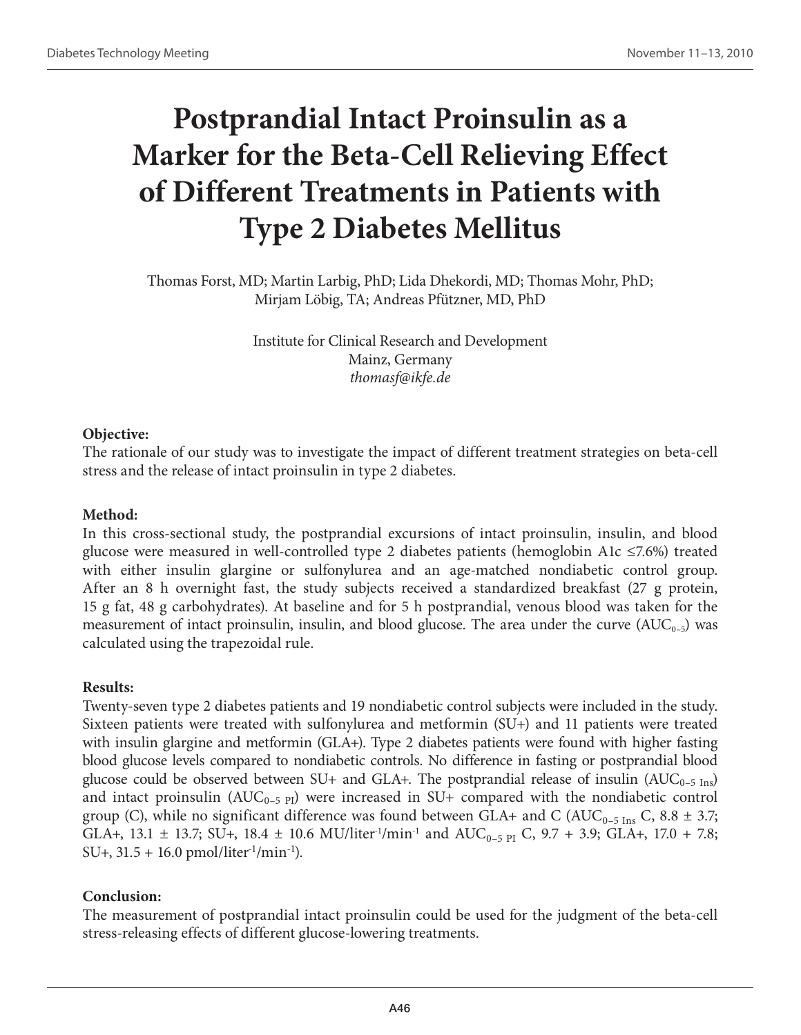# **Postprandial Intact Proinsulin as a Marker for the Beta-Cell Relieving Effect of Different Treatments in Patients with Type 2 Diabetes Mellitus**

Thomas Forst, MD; Martin Larbig, PhD; Lida Dhekordi, MD; Thomas Mohr, PhD; Mirjam Löbig, TA; Andreas Pfützner, MD, PhD

> Institute for Clinical Research and Development Mainz, Germany *thomasf@ikfe.de*

# **Objective:**

The rationale of our study was to investigate the impact of different treatment strategies on beta-cell stress and the release of intact proinsulin in type 2 diabetes.

# **Method:**

In this cross-sectional study, the postprandial excursions of intact proinsulin, insulin, and blood glucose were measured in well-controlled type 2 diabetes patients (hemoglobin A1c ≤7.6%) treated with either insulin glargine or sulfonylurea and an age-matched nondiabetic control group. After an 8 h overnight fast, the study subjects received a standardized breakfast (27 g protein, 15 g fat, 48 g carbohydrates). At baseline and for 5 h postprandial, venous blood was taken for the measurement of intact proinsulin, insulin, and blood glucose. The area under the curve  $(AUC_{0-5})$  was calculated using the trapezoidal rule.

# **Results:**

Twenty-seven type 2 diabetes patients and 19 nondiabetic control subjects were included in the study. Sixteen patients were treated with sulfonylurea and metformin (SU+) and 11 patients were treated with insulin glargine and metformin (GLA+). Type 2 diabetes patients were found with higher fasting blood glucose levels compared to nondiabetic controls. No difference in fasting or postprandial blood glucose could be observed between SU+ and GLA+. The postprandial release of insulin ( $AUC_{0-5 \text{ Ins}}$ ) and intact proinsulin  $(AUC_{0-5\text{ Pl}})$  were increased in SU+ compared with the nondiabetic control group (C), while no significant difference was found between GLA+ and C (AUC<sub>0-5 Ins</sub> C, 8.8  $\pm$  3.7; GLA+, 13.1  $\pm$  13.7; SU+, 18.4  $\pm$  10.6 MU/liter<sup>-1</sup>/min<sup>-1</sup> and AUC<sub>0-5 PI</sub> C, 9.7 + 3.9; GLA+, 17.0 + 7.8;  $SU+, 31.5 + 16.0$  pmol/liter<sup>1</sup>/min<sup>-1</sup>).

# **Conclusion:**

The measurement of postprandial intact proinsulin could be used for the judgment of the beta-cell stress-releasing effects of different glucose-lowering treatments.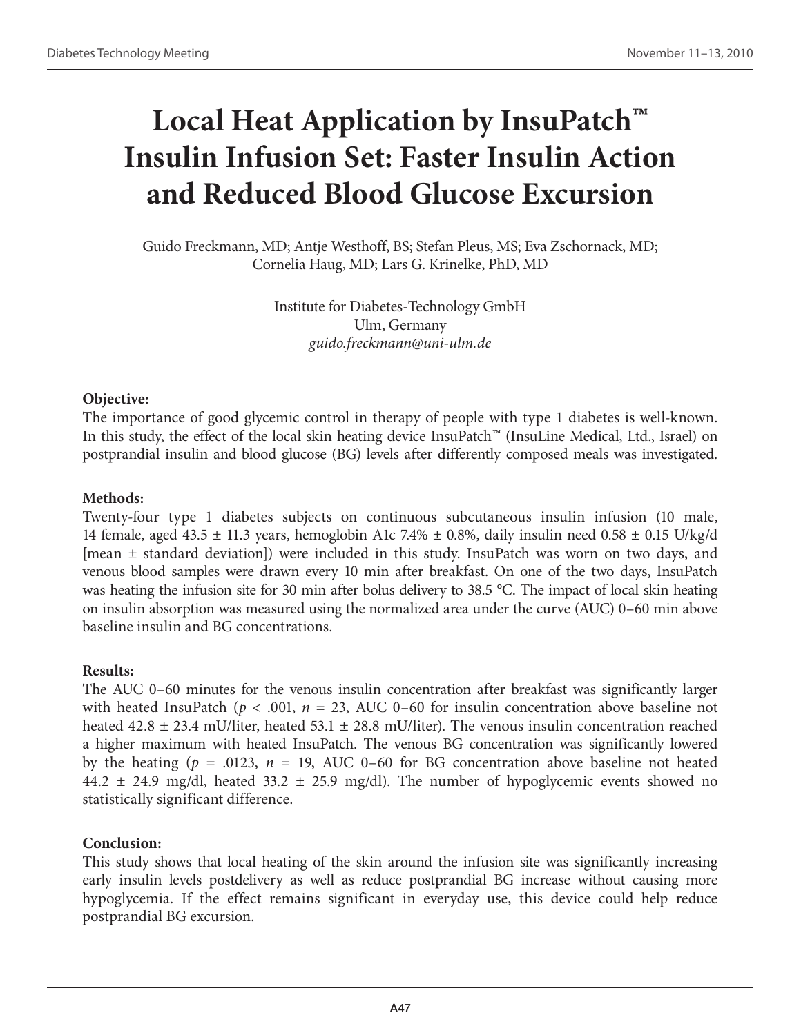# **Local Heat Application by InsuPatch™ Insulin Infusion Set: Faster Insulin Action and Reduced Blood Glucose Excursion**

Guido Freckmann, MD; Antje Westhoff, BS; Stefan Pleus, MS; Eva Zschornack, MD; Cornelia Haug, MD; Lars G. Krinelke, PhD, MD

> Institute for Diabetes-Technology GmbH Ulm, Germany *guido.freckmann@uni-ulm.de*

# **Objective:**

The importance of good glycemic control in therapy of people with type 1 diabetes is well-known. In this study, the effect of the local skin heating device InsuPatch™ (InsuLine Medical, Ltd., Israel) on postprandial insulin and blood glucose (BG) levels after differently composed meals was investigated.

#### **Methods:**

Twenty-four type 1 diabetes subjects on continuous subcutaneous insulin infusion (10 male, 14 female, aged 43.5  $\pm$  11.3 years, hemoglobin A1c 7.4%  $\pm$  0.8%, daily insulin need 0.58  $\pm$  0.15 U/kg/d [mean ± standard deviation]) were included in this study. InsuPatch was worn on two days, and venous blood samples were drawn every 10 min after breakfast. On one of the two days, InsuPatch was heating the infusion site for 30 min after bolus delivery to 38.5 °C. The impact of local skin heating on insulin absorption was measured using the normalized area under the curve (AUC) 0–60 min above baseline insulin and BG concentrations.

# **Results:**

The AUC 0–60 minutes for the venous insulin concentration after breakfast was significantly larger with heated InsuPatch ( $p < .001$ ,  $n = 23$ , AUC 0–60 for insulin concentration above baseline not heated 42.8  $\pm$  23.4 mU/liter, heated 53.1  $\pm$  28.8 mU/liter). The venous insulin concentration reached a higher maximum with heated InsuPatch. The venous BG concentration was significantly lowered by the heating ( $p = .0123$ ,  $n = 19$ , AUC 0–60 for BG concentration above baseline not heated 44.2  $\pm$  24.9 mg/dl, heated 33.2  $\pm$  25.9 mg/dl). The number of hypoglycemic events showed no statistically significant difference.

# **Conclusion:**

This study shows that local heating of the skin around the infusion site was significantly increasing early insulin levels postdelivery as well as reduce postprandial BG increase without causing more hypoglycemia. If the effect remains significant in everyday use, this device could help reduce postprandial BG excursion.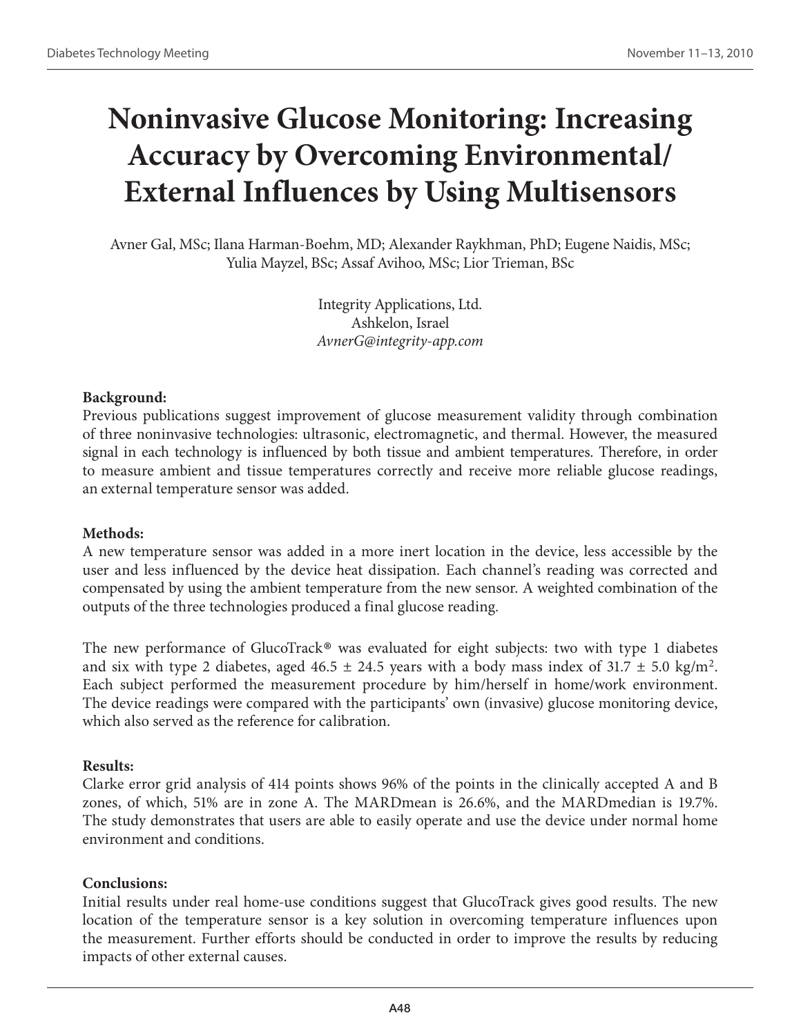# **Noninvasive Glucose Monitoring: Increasing Accuracy by Overcoming Environmental/ External Influences by Using Multisensors**

Avner Gal, MSc; Ilana Harman-Boehm, MD; Alexander Raykhman, PhD; Eugene Naidis, MSc; Yulia Mayzel, BSc; Assaf Avihoo, MSc; Lior Trieman, BSc

> Integrity Applications, Ltd. Ashkelon, Israel *AvnerG@integrity-app.com*

#### **Background:**

Previous publications suggest improvement of glucose measurement validity through combination of three noninvasive technologies: ultrasonic, electromagnetic, and thermal. However, the measured signal in each technology is influenced by both tissue and ambient temperatures. Therefore, in order to measure ambient and tissue temperatures correctly and receive more reliable glucose readings, an external temperature sensor was added.

#### **Methods:**

A new temperature sensor was added in a more inert location in the device, less accessible by the user and less influenced by the device heat dissipation. Each channel's reading was corrected and compensated by using the ambient temperature from the new sensor. A weighted combination of the outputs of the three technologies produced a final glucose reading.

The new performance of GlucoTrack<sup>®</sup> was evaluated for eight subjects: two with type 1 diabetes and six with type 2 diabetes, aged  $46.5 \pm 24.5$  years with a body mass index of  $31.7 \pm 5.0$  kg/m<sup>2</sup>. Each subject performed the measurement procedure by him/herself in home/work environment. The device readings were compared with the participants' own (invasive) glucose monitoring device, which also served as the reference for calibration.

#### **Results:**

Clarke error grid analysis of 414 points shows 96% of the points in the clinically accepted A and B zones, of which, 51% are in zone A. The MARDmean is 26.6%, and the MARDmedian is 19.7%. The study demonstrates that users are able to easily operate and use the device under normal home environment and conditions.

# **Conclusions:**

Initial results under real home-use conditions suggest that GlucoTrack gives good results. The new location of the temperature sensor is a key solution in overcoming temperature influences upon the measurement. Further efforts should be conducted in order to improve the results by reducing impacts of other external causes.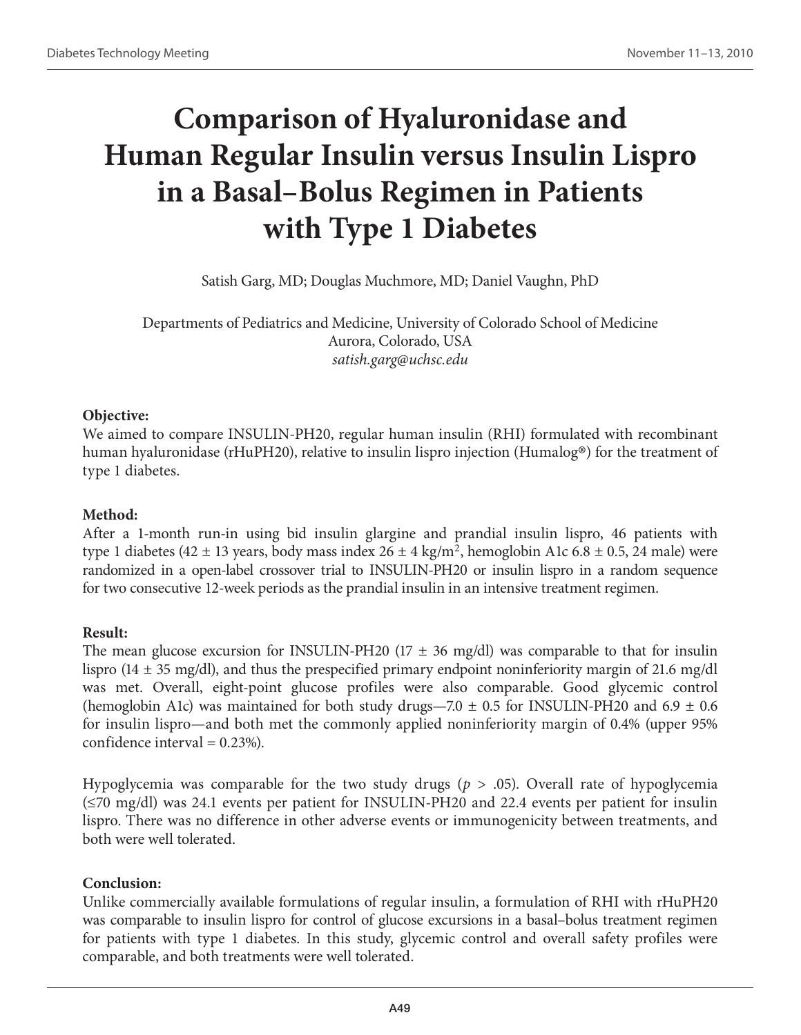# **Comparison of Hyaluronidase and Human Regular Insulin versus Insulin Lispro in a Basal–Bolus Regimen in Patients with Type 1 Diabetes**

Satish Garg, MD; Douglas Muchmore, MD; Daniel Vaughn, PhD

Departments of Pediatrics and Medicine, University of Colorado School of Medicine Aurora, Colorado, USA *satish.garg@uchsc.edu*

#### **Objective:**

We aimed to compare INSULIN-PH20, regular human insulin (RHI) formulated with recombinant human hyaluronidase (rHuPH20), relative to insulin lispro injection (Humalog®) for the treatment of type 1 diabetes.

# **Method:**

After a 1-month run-in using bid insulin glargine and prandial insulin lispro, 46 patients with type 1 diabetes (42  $\pm$  13 years, body mass index 26  $\pm$  4 kg/m<sup>2</sup>, hemoglobin A1c 6.8  $\pm$  0.5, 24 male) were randomized in a open-label crossover trial to INSULIN-PH20 or insulin lispro in a random sequence for two consecutive 12-week periods as the prandial insulin in an intensive treatment regimen.

# **Result:**

The mean glucose excursion for INSULIN-PH20 (17  $\pm$  36 mg/dl) was comparable to that for insulin lispro (14  $\pm$  35 mg/dl), and thus the prespecified primary endpoint noninferiority margin of 21.6 mg/dl was met. Overall, eight-point glucose profiles were also comparable. Good glycemic control (hemoglobin A1c) was maintained for both study drugs—7.0  $\pm$  0.5 for INSULIN-PH20 and 6.9  $\pm$  0.6 for insulin lispro—and both met the commonly applied noninferiority margin of 0.4% (upper 95% confidence interval  $= 0.23\%$ ).

Hypoglycemia was comparable for the two study drugs (*p* > .05). Overall rate of hypoglycemia (≤70 mg/dl) was 24.1 events per patient for INSULIN-PH20 and 22.4 events per patient for insulin lispro. There was no difference in other adverse events or immunogenicity between treatments, and both were well tolerated.

# **Conclusion:**

Unlike commercially available formulations of regular insulin, a formulation of RHI with rHuPH20 was comparable to insulin lispro for control of glucose excursions in a basal–bolus treatment regimen for patients with type 1 diabetes. In this study, glycemic control and overall safety profiles were comparable, and both treatments were well tolerated.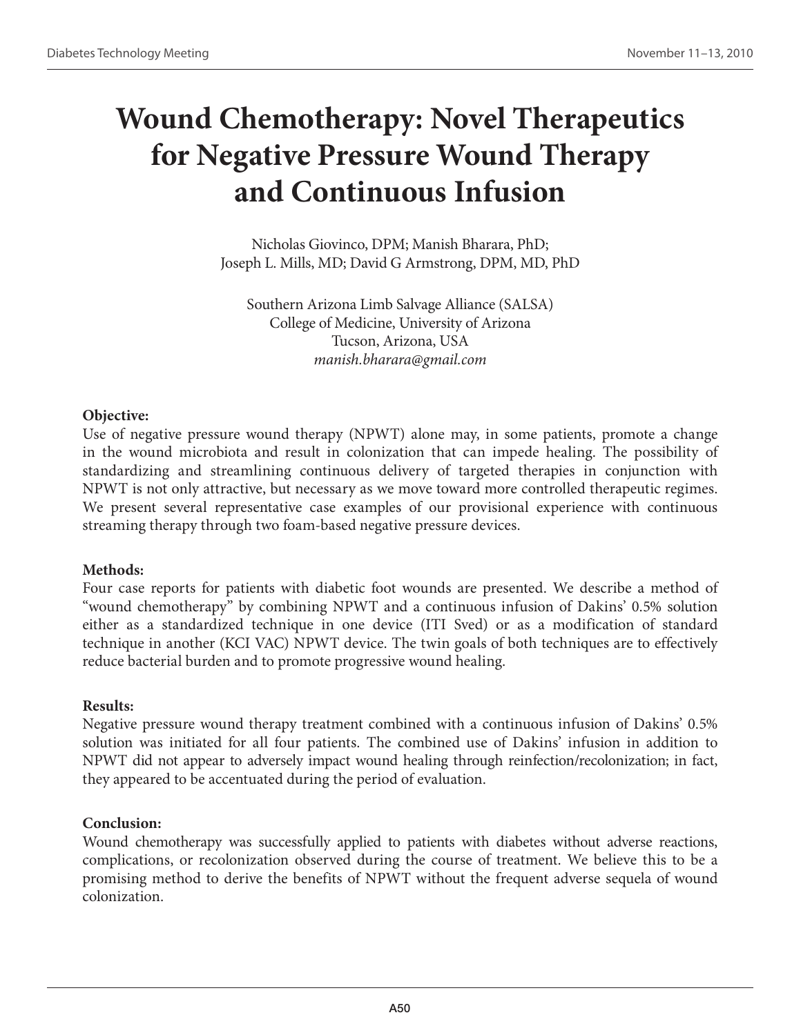# **Wound Chemotherapy: Novel Therapeutics for Negative Pressure Wound Therapy and Continuous Infusion**

Nicholas Giovinco, DPM; Manish Bharara, PhD; Joseph L. Mills, MD; David G Armstrong, DPM, MD, PhD

Southern Arizona Limb Salvage Alliance (SALSA) College of Medicine, University of Arizona Tucson, Arizona, USA *manish.bharara@gmail.com* 

#### **Objective:**

Use of negative pressure wound therapy (NPWT) alone may, in some patients, promote a change in the wound microbiota and result in colonization that can impede healing. The possibility of standardizing and streamlining continuous delivery of targeted therapies in conjunction with NPWT is not only attractive, but necessary as we move toward more controlled therapeutic regimes. We present several representative case examples of our provisional experience with continuous streaming therapy through two foam-based negative pressure devices.

# **Methods:**

Four case reports for patients with diabetic foot wounds are presented. We describe a method of "wound chemotherapy" by combining NPWT and a continuous infusion of Dakins' 0.5% solution either as a standardized technique in one device (ITI Sved) or as a modification of standard technique in another (KCI VAC) NPWT device. The twin goals of both techniques are to effectively reduce bacterial burden and to promote progressive wound healing.

# **Results:**

Negative pressure wound therapy treatment combined with a continuous infusion of Dakins' 0.5% solution was initiated for all four patients. The combined use of Dakins' infusion in addition to NPWT did not appear to adversely impact wound healing through reinfection/recolonization; in fact, they appeared to be accentuated during the period of evaluation.

# **Conclusion:**

Wound chemotherapy was successfully applied to patients with diabetes without adverse reactions, complications, or recolonization observed during the course of treatment. We believe this to be a promising method to derive the benefits of NPWT without the frequent adverse sequela of wound colonization.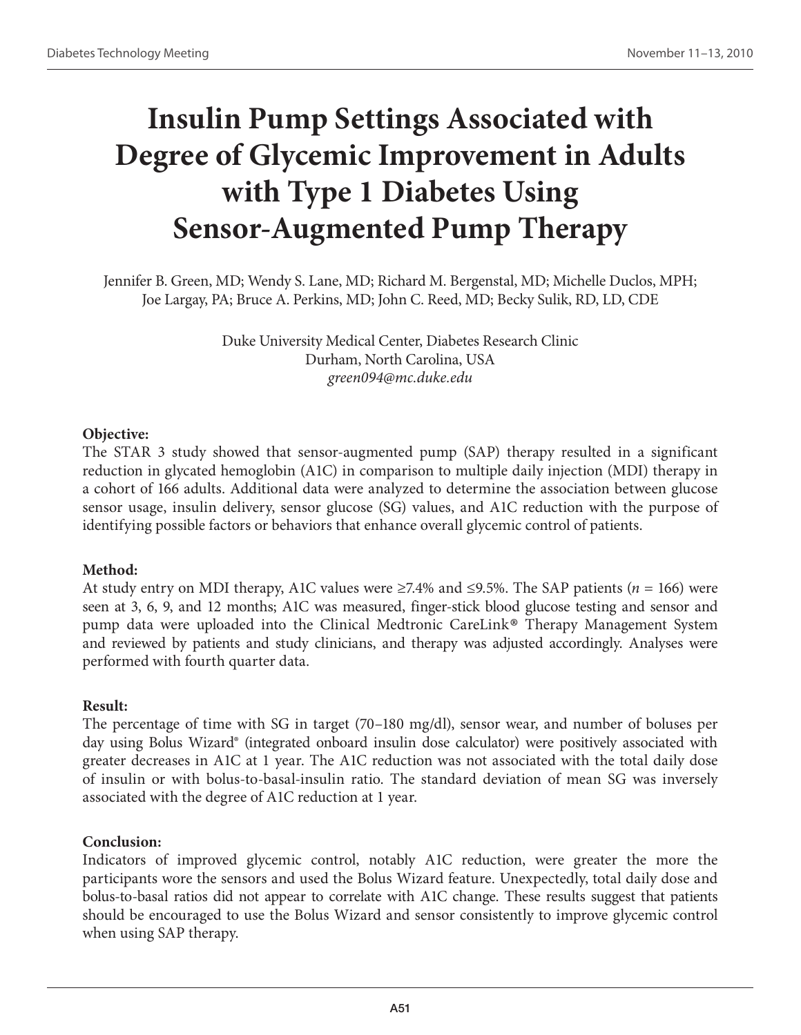# **Insulin Pump Settings Associated with Degree of Glycemic Improvement in Adults with Type 1 Diabetes Using Sensor-Augmented Pump Therapy**

Jennifer B. Green, MD; Wendy S. Lane, MD; Richard M. Bergenstal, MD; Michelle Duclos, MPH; Joe Largay, PA; Bruce A. Perkins, MD; John C. Reed, MD; Becky Sulik, RD, LD, CDE

> Duke University Medical Center, Diabetes Research Clinic Durham, North Carolina, USA *green094@mc.duke.edu*

# **Objective:**

The STAR 3 study showed that sensor-augmented pump (SAP) therapy resulted in a significant reduction in glycated hemoglobin (A1C) in comparison to multiple daily injection (MDI) therapy in a cohort of 166 adults. Additional data were analyzed to determine the association between glucose sensor usage, insulin delivery, sensor glucose (SG) values, and A1C reduction with the purpose of identifying possible factors or behaviors that enhance overall glycemic control of patients.

# **Method:**

At study entry on MDI therapy, A1C values were ≥7.4% and ≤9.5%. The SAP patients (*n* = 166) were seen at 3, 6, 9, and 12 months; A1C was measured, finger-stick blood glucose testing and sensor and pump data were uploaded into the Clinical Medtronic CareLink® Therapy Management System and reviewed by patients and study clinicians, and therapy was adjusted accordingly. Analyses were performed with fourth quarter data.

#### **Result:**

The percentage of time with SG in target (70–180 mg/dl), sensor wear, and number of boluses per day using Bolus Wizard® (integrated onboard insulin dose calculator) were positively associated with greater decreases in A1C at 1 year. The A1C reduction was not associated with the total daily dose of insulin or with bolus-to-basal-insulin ratio. The standard deviation of mean SG was inversely associated with the degree of A1C reduction at 1 year.

# **Conclusion:**

Indicators of improved glycemic control, notably A1C reduction, were greater the more the participants wore the sensors and used the Bolus Wizard feature. Unexpectedly, total daily dose and bolus-to-basal ratios did not appear to correlate with A1C change. These results suggest that patients should be encouraged to use the Bolus Wizard and sensor consistently to improve glycemic control when using SAP therapy.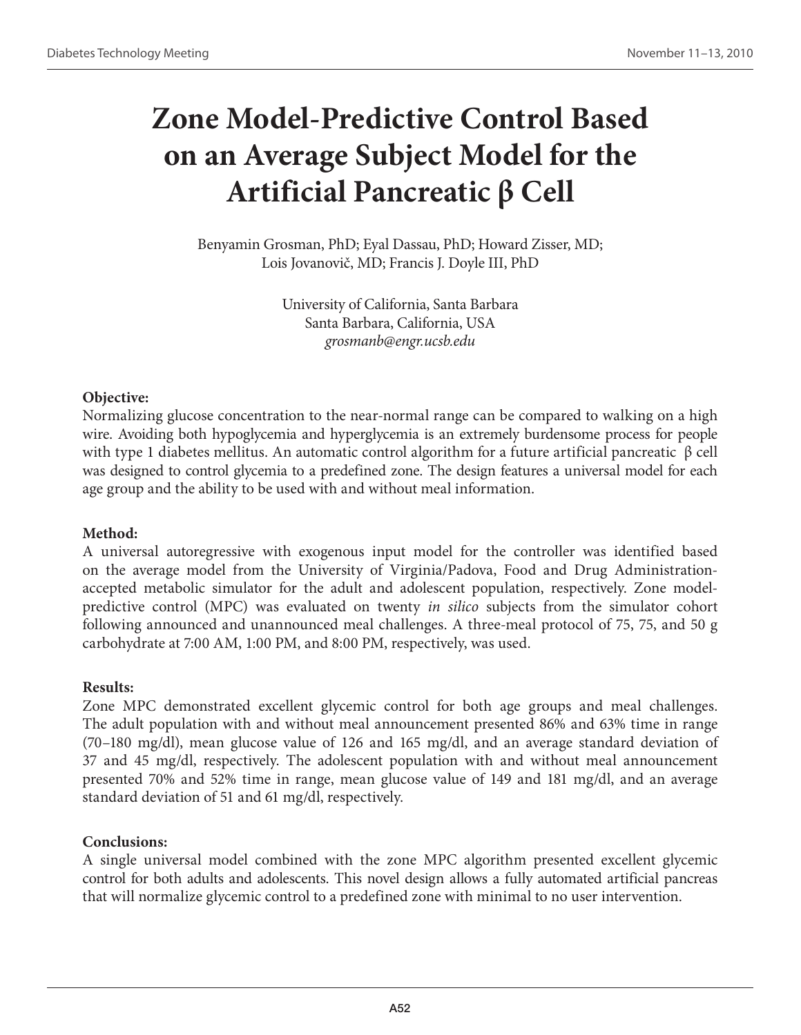# **Zone Model-Predictive Control Based on an Average Subject Model for the Artificial Pancreatic β Cell**

Benyamin Grosman, PhD; Eyal Dassau, PhD; Howard Zisser, MD; Lois Jovanovič, MD; Francis J. Doyle III, PhD

> University of California, Santa Barbara Santa Barbara, California, USA *grosmanb@engr.ucsb.edu*

#### **Objective:**

Normalizing glucose concentration to the near-normal range can be compared to walking on a high wire. Avoiding both hypoglycemia and hyperglycemia is an extremely burdensome process for people with type 1 diabetes mellitus. An automatic control algorithm for a future artificial pancreatic β cell was designed to control glycemia to a predefined zone. The design features a universal model for each age group and the ability to be used with and without meal information.

# **Method:**

A universal autoregressive with exogenous input model for the controller was identified based on the average model from the University of Virginia/Padova, Food and Drug Administrationaccepted metabolic simulator for the adult and adolescent population, respectively. Zone modelpredictive control (MPC) was evaluated on twenty *in silico* subjects from the simulator cohort following announced and unannounced meal challenges. A three-meal protocol of 75, 75, and 50 g carbohydrate at 7:00 AM, 1:00 PM, and 8:00 PM, respectively, was used.

#### **Results:**

Zone MPC demonstrated excellent glycemic control for both age groups and meal challenges. The adult population with and without meal announcement presented 86% and 63% time in range (70–180 mg/dl), mean glucose value of 126 and 165 mg/dl, and an average standard deviation of 37 and 45 mg/dl, respectively. The adolescent population with and without meal announcement presented 70% and 52% time in range, mean glucose value of 149 and 181 mg/dl, and an average standard deviation of 51 and 61 mg/dl, respectively.

# **Conclusions:**

A single universal model combined with the zone MPC algorithm presented excellent glycemic control for both adults and adolescents. This novel design allows a fully automated artificial pancreas that will normalize glycemic control to a predefined zone with minimal to no user intervention.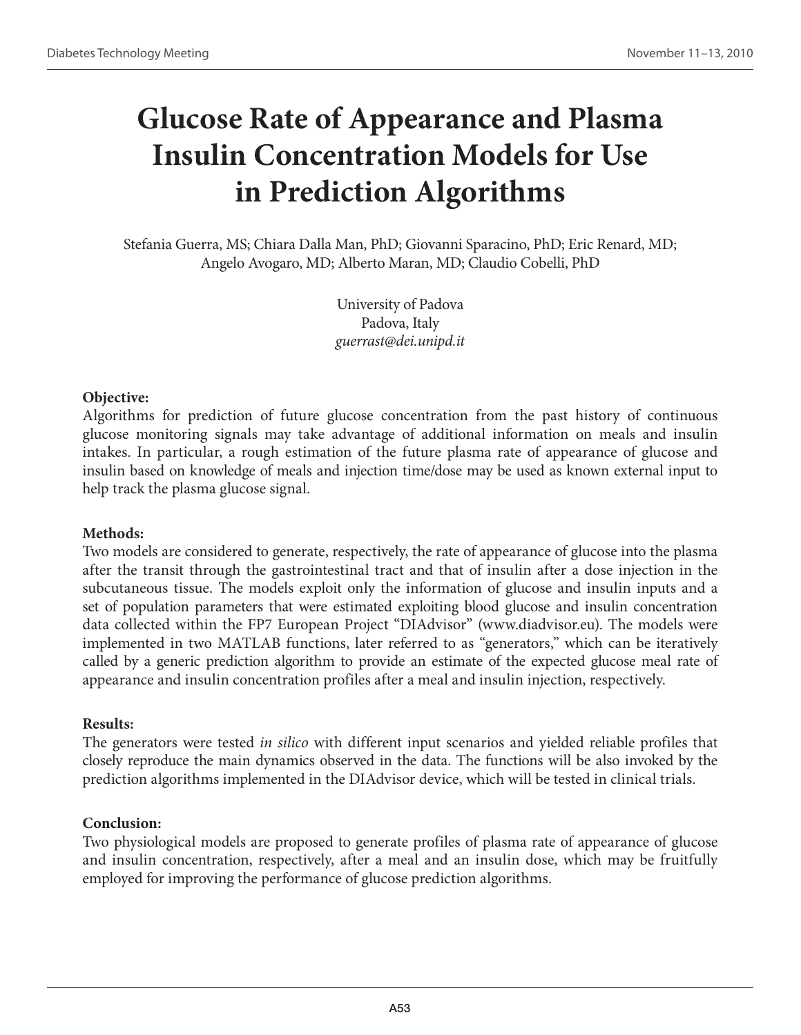# **Glucose Rate of Appearance and Plasma Insulin Concentration Models for Use in Prediction Algorithms**

Stefania Guerra, MS; Chiara Dalla Man, PhD; Giovanni Sparacino, PhD; Eric Renard, MD; Angelo Avogaro, MD; Alberto Maran, MD; Claudio Cobelli, PhD

> University of Padova Padova, Italy *guerrast@dei.unipd.it*

# **Objective:**

Algorithms for prediction of future glucose concentration from the past history of continuous glucose monitoring signals may take advantage of additional information on meals and insulin intakes. In particular, a rough estimation of the future plasma rate of appearance of glucose and insulin based on knowledge of meals and injection time/dose may be used as known external input to help track the plasma glucose signal.

# **Methods:**

Two models are considered to generate, respectively, the rate of appearance of glucose into the plasma after the transit through the gastrointestinal tract and that of insulin after a dose injection in the subcutaneous tissue. The models exploit only the information of glucose and insulin inputs and a set of population parameters that were estimated exploiting blood glucose and insulin concentration data collected within the FP7 European Project "DIAdvisor" (www.diadvisor.eu). The models were implemented in two MATLAB functions, later referred to as "generators," which can be iteratively called by a generic prediction algorithm to provide an estimate of the expected glucose meal rate of appearance and insulin concentration profiles after a meal and insulin injection, respectively.

#### **Results:**

The generators were tested *in silico* with different input scenarios and yielded reliable profiles that closely reproduce the main dynamics observed in the data. The functions will be also invoked by the prediction algorithms implemented in the DIAdvisor device, which will be tested in clinical trials.

# **Conclusion:**

Two physiological models are proposed to generate profiles of plasma rate of appearance of glucose and insulin concentration, respectively, after a meal and an insulin dose, which may be fruitfully employed for improving the performance of glucose prediction algorithms.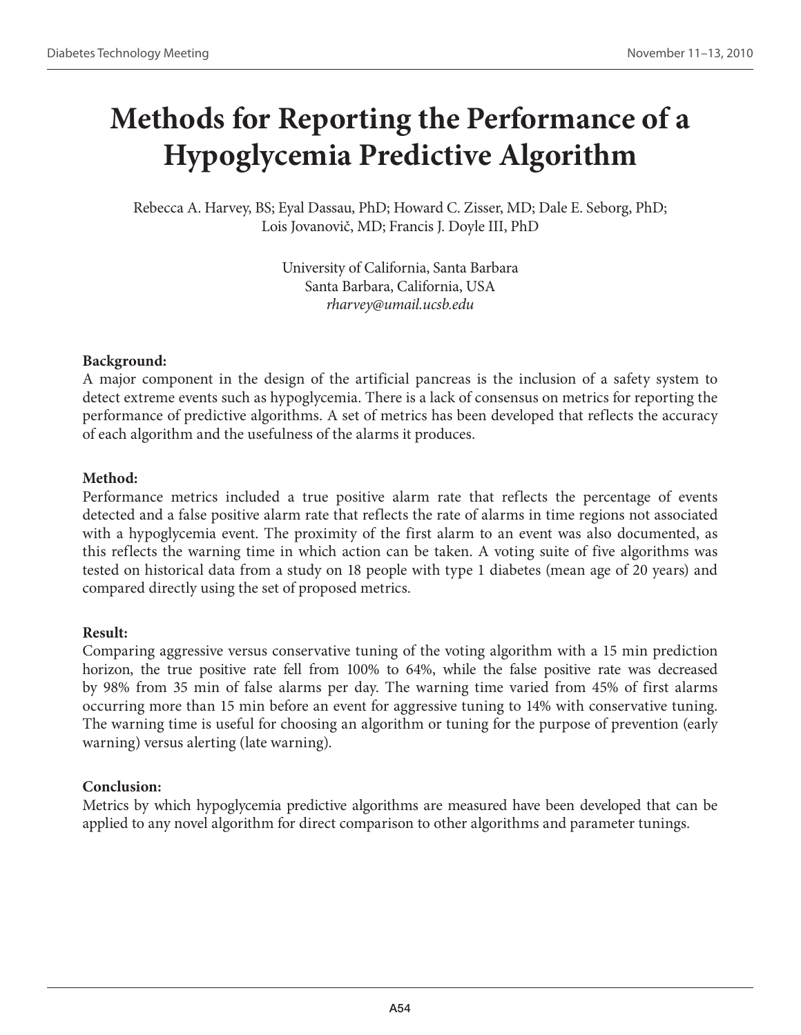# **Methods for Reporting the Performance of a Hypoglycemia Predictive Algorithm**

Rebecca A. Harvey, BS; Eyal Dassau, PhD; Howard C. Zisser, MD; Dale E. Seborg, PhD; Lois Jovanovič, MD; Francis J. Doyle III, PhD

> University of California, Santa Barbara Santa Barbara, California, USA *rharvey@umail.ucsb.edu*

# **Background:**

A major component in the design of the artificial pancreas is the inclusion of a safety system to detect extreme events such as hypoglycemia. There is a lack of consensus on metrics for reporting the performance of predictive algorithms. A set of metrics has been developed that reflects the accuracy of each algorithm and the usefulness of the alarms it produces.

# **Method:**

Performance metrics included a true positive alarm rate that reflects the percentage of events detected and a false positive alarm rate that reflects the rate of alarms in time regions not associated with a hypoglycemia event. The proximity of the first alarm to an event was also documented, as this reflects the warning time in which action can be taken. A voting suite of five algorithms was tested on historical data from a study on 18 people with type 1 diabetes (mean age of 20 years) and compared directly using the set of proposed metrics.

# **Result:**

Comparing aggressive versus conservative tuning of the voting algorithm with a 15 min prediction horizon, the true positive rate fell from 100% to 64%, while the false positive rate was decreased by 98% from 35 min of false alarms per day. The warning time varied from 45% of first alarms occurring more than 15 min before an event for aggressive tuning to 14% with conservative tuning. The warning time is useful for choosing an algorithm or tuning for the purpose of prevention (early warning) versus alerting (late warning).

# **Conclusion:**

Metrics by which hypoglycemia predictive algorithms are measured have been developed that can be applied to any novel algorithm for direct comparison to other algorithms and parameter tunings.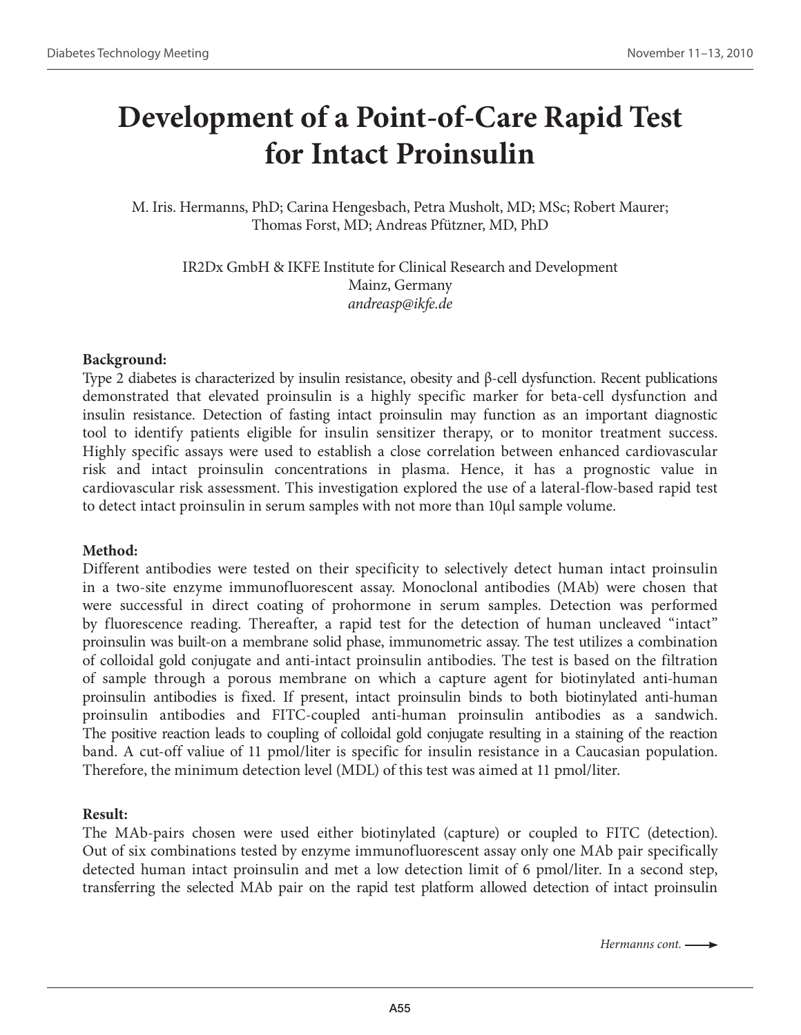# **Development of a Point-of-Care Rapid Test for Intact Proinsulin**

M. Iris. Hermanns, PhD; Carina Hengesbach, Petra Musholt, MD; MSc; Robert Maurer; Thomas Forst, MD; Andreas Pfützner, MD, PhD

IR2Dx GmbH & IKFE Institute for Clinical Research and Development Mainz, Germany *andreasp@ikfe.de*

#### **Background:**

Type 2 diabetes is characterized by insulin resistance, obesity and β-cell dysfunction. Recent publications demonstrated that elevated proinsulin is a highly specific marker for beta-cell dysfunction and insulin resistance. Detection of fasting intact proinsulin may function as an important diagnostic tool to identify patients eligible for insulin sensitizer therapy, or to monitor treatment success. Highly specific assays were used to establish a close correlation between enhanced cardiovascular risk and intact proinsulin concentrations in plasma. Hence, it has a prognostic value in cardiovascular risk assessment. This investigation explored the use of a lateral-flow-based rapid test to detect intact proinsulin in serum samples with not more than 10µl sample volume.

#### **Method:**

Different antibodies were tested on their specificity to selectively detect human intact proinsulin in a two-site enzyme immunofluorescent assay. Monoclonal antibodies (MAb) were chosen that were successful in direct coating of prohormone in serum samples. Detection was performed by fluorescence reading. Thereafter, a rapid test for the detection of human uncleaved "intact" proinsulin was built-on a membrane solid phase, immunometric assay. The test utilizes a combination of colloidal gold conjugate and anti-intact proinsulin antibodies. The test is based on the filtration of sample through a porous membrane on which a capture agent for biotinylated anti-human proinsulin antibodies is fixed. If present, intact proinsulin binds to both biotinylated anti-human proinsulin antibodies and FITC-coupled anti-human proinsulin antibodies as a sandwich. The positive reaction leads to coupling of colloidal gold conjugate resulting in a staining of the reaction band. A cut-off valiue of 11 pmol/liter is specific for insulin resistance in a Caucasian population. Therefore, the minimum detection level (MDL) of this test was aimed at 11 pmol/liter.

#### **Result:**

The MAb-pairs chosen were used either biotinylated (capture) or coupled to FITC (detection). Out of six combinations tested by enzyme immunofluorescent assay only one MAb pair specifically detected human intact proinsulin and met a low detection limit of 6 pmol/liter. In a second step, transferring the selected MAb pair on the rapid test platform allowed detection of intact proinsulin

*Hermanns cont.*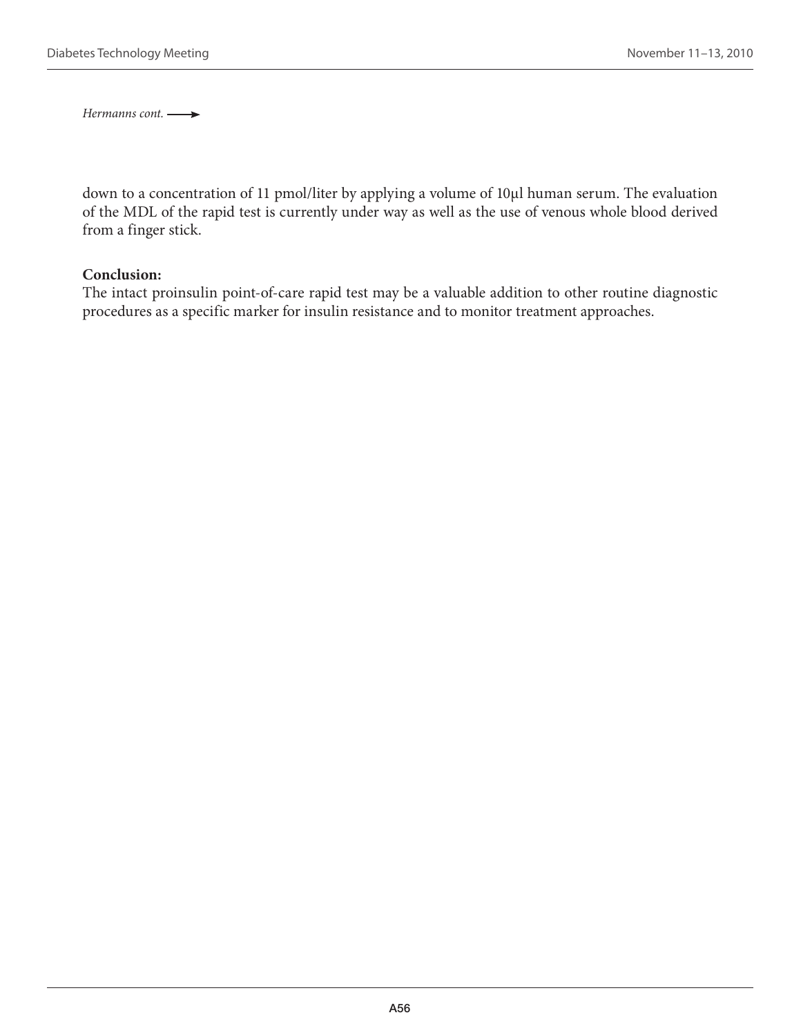*Hermanns cont.* 

down to a concentration of 11 pmol/liter by applying a volume of 10µl human serum. The evaluation of the MDL of the rapid test is currently under way as well as the use of venous whole blood derived from a finger stick.

#### **Conclusion:**

The intact proinsulin point-of-care rapid test may be a valuable addition to other routine diagnostic procedures as a specific marker for insulin resistance and to monitor treatment approaches.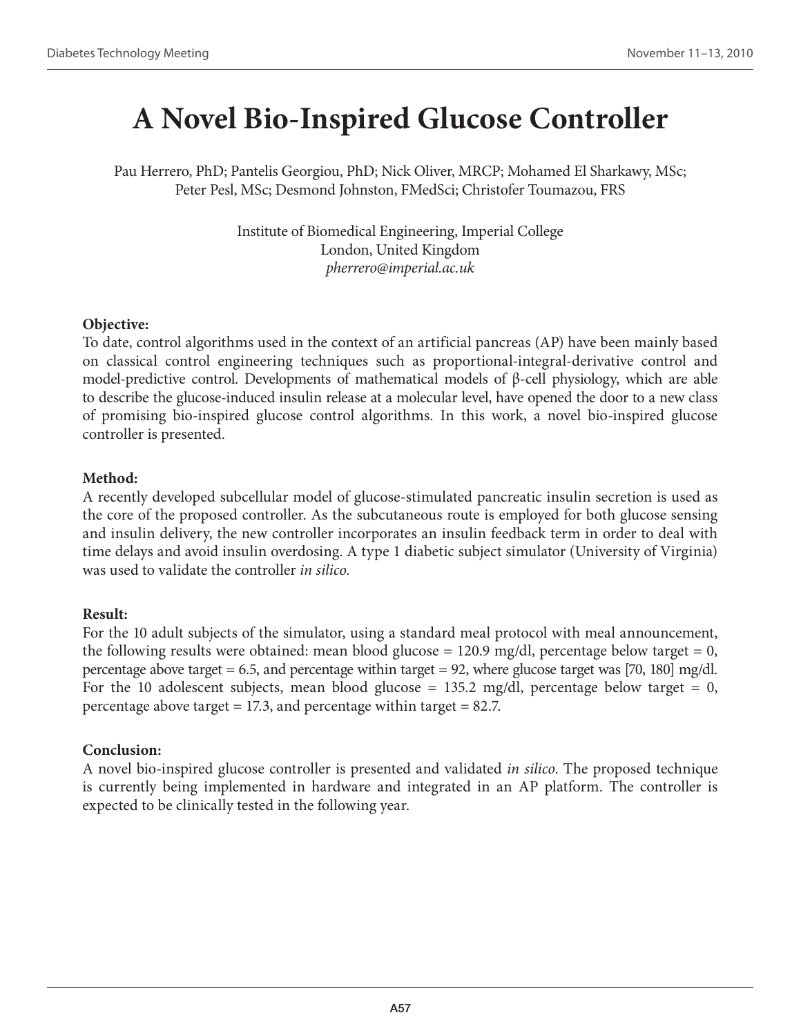# **A Novel Bio-Inspired Glucose Controller**

Pau Herrero, PhD; Pantelis Georgiou, PhD; Nick Oliver, MRCP; Mohamed El Sharkawy, MSc; Peter Pesl, MSc; Desmond Johnston, FMedSci; Christofer Toumazou, FRS

> Institute of Biomedical Engineering, Imperial College London, United Kingdom *pherrero@imperial.ac.uk*

#### **Objective:**

To date, control algorithms used in the context of an artificial pancreas (AP) have been mainly based on classical control engineering techniques such as proportional-integral-derivative control and model-predictive control. Developments of mathematical models of β-cell physiology, which are able to describe the glucose-induced insulin release at a molecular level, have opened the door to a new class of promising bio-inspired glucose control algorithms. In this work, a novel bio-inspired glucose controller is presented.

#### **Method:**

A recently developed subcellular model of glucose-stimulated pancreatic insulin secretion is used as the core of the proposed controller. As the subcutaneous route is employed for both glucose sensing and insulin delivery, the new controller incorporates an insulin feedback term in order to deal with time delays and avoid insulin overdosing. A type 1 diabetic subject simulator (University of Virginia) was used to validate the controller *in silico*.

# **Result:**

For the 10 adult subjects of the simulator, using a standard meal protocol with meal announcement, the following results were obtained: mean blood glucose = 120.9 mg/dl, percentage below target = 0, percentage above target  $= 6.5$ , and percentage within target  $= 92$ , where glucose target was [70, 180] mg/dl. For the 10 adolescent subjects, mean blood glucose = 135.2 mg/dl, percentage below target = 0, percentage above target = 17.3, and percentage within target =  $82.7$ .

# **Conclusion:**

A novel bio-inspired glucose controller is presented and validated *in silico*. The proposed technique is currently being implemented in hardware and integrated in an AP platform. The controller is expected to be clinically tested in the following year.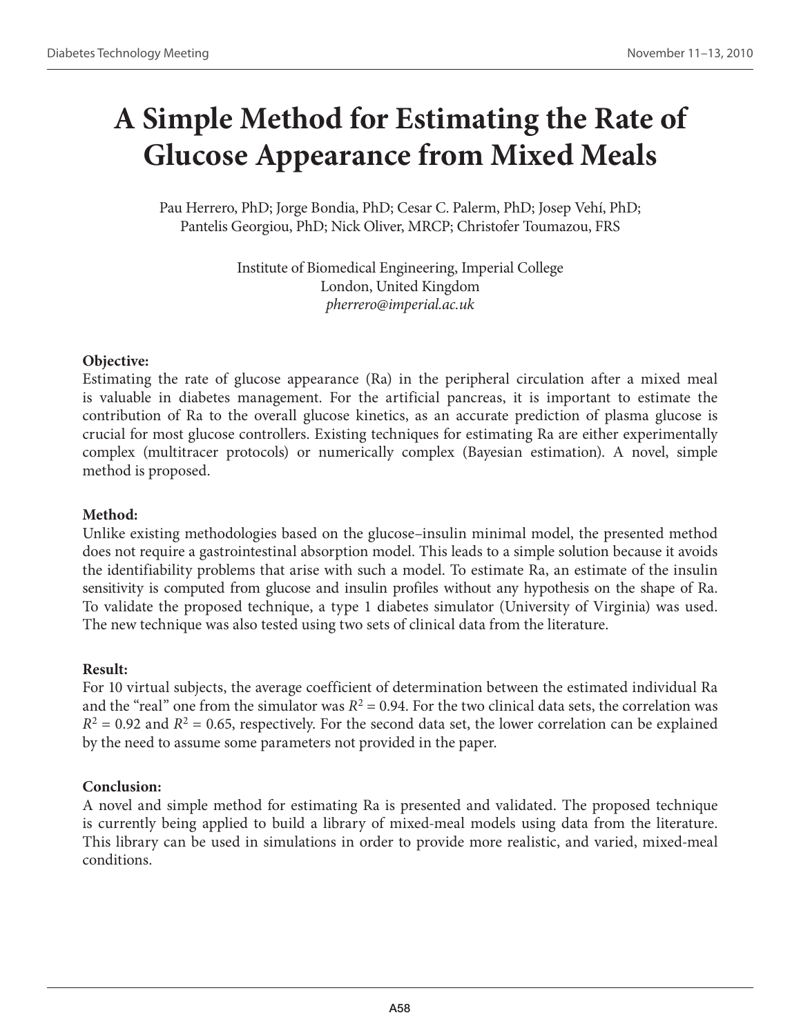# **A Simple Method for Estimating the Rate of Glucose Appearance from Mixed Meals**

Pau Herrero, PhD; Jorge Bondia, PhD; Cesar C. Palerm, PhD; Josep Vehí, PhD; Pantelis Georgiou, PhD; Nick Oliver, MRCP; Christofer Toumazou, FRS

> Institute of Biomedical Engineering, Imperial College London, United Kingdom *pherrero@imperial.ac.uk*

# **Objective:**

Estimating the rate of glucose appearance (Ra) in the peripheral circulation after a mixed meal is valuable in diabetes management. For the artificial pancreas, it is important to estimate the contribution of Ra to the overall glucose kinetics, as an accurate prediction of plasma glucose is crucial for most glucose controllers. Existing techniques for estimating Ra are either experimentally complex (multitracer protocols) or numerically complex (Bayesian estimation). A novel, simple method is proposed.

# **Method:**

Unlike existing methodologies based on the glucose–insulin minimal model, the presented method does not require a gastrointestinal absorption model. This leads to a simple solution because it avoids the identifiability problems that arise with such a model. To estimate Ra, an estimate of the insulin sensitivity is computed from glucose and insulin profiles without any hypothesis on the shape of Ra. To validate the proposed technique, a type 1 diabetes simulator (University of Virginia) was used. The new technique was also tested using two sets of clinical data from the literature.

# **Result:**

For 10 virtual subjects, the average coefficient of determination between the estimated individual Ra and the "real" one from the simulator was  $R^2 = 0.94$ . For the two clinical data sets, the correlation was  $R^2$  = 0.92 and  $R^2$  = 0.65, respectively. For the second data set, the lower correlation can be explained by the need to assume some parameters not provided in the paper.

# **Conclusion:**

A novel and simple method for estimating Ra is presented and validated. The proposed technique is currently being applied to build a library of mixed-meal models using data from the literature. This library can be used in simulations in order to provide more realistic, and varied, mixed-meal conditions.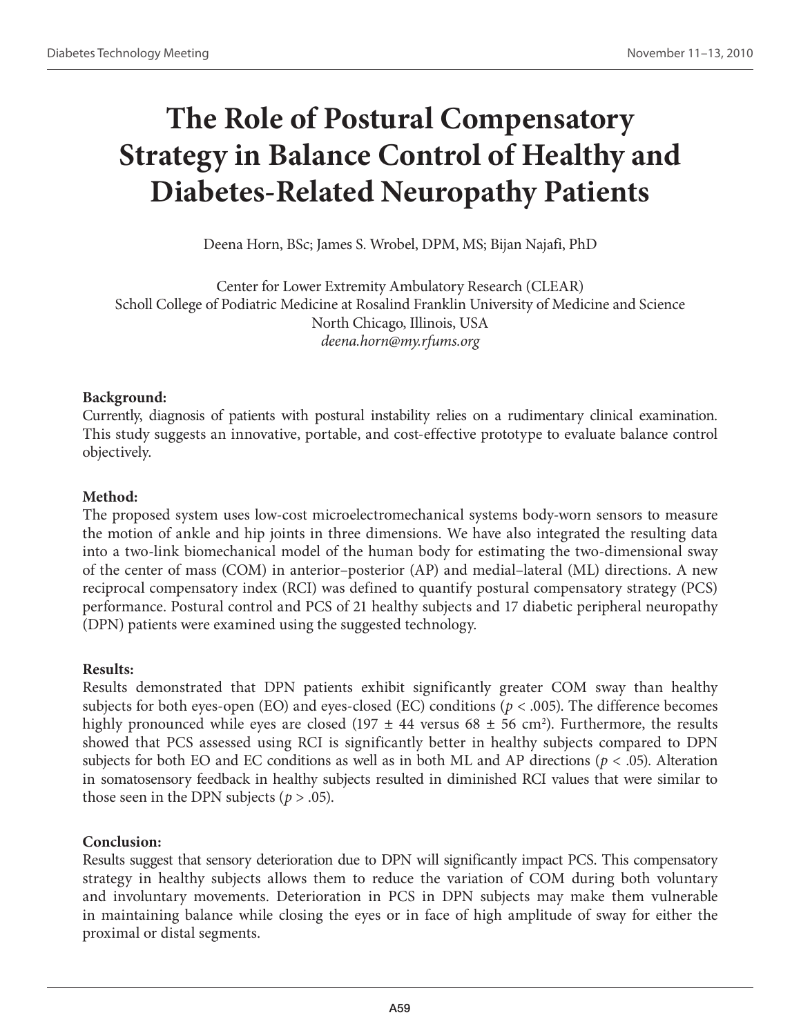# **The Role of Postural Compensatory Strategy in Balance Control of Healthy and Diabetes-Related Neuropathy Patients**

Deena Horn, BSc; James S. Wrobel, DPM, MS; Bijan Najafi, PhD

Center for Lower Extremity Ambulatory Research (CLEAR) Scholl College of Podiatric Medicine at Rosalind Franklin University of Medicine and Science North Chicago, Illinois, USA *deena.horn@my.rfums.org*

# **Background:**

Currently, diagnosis of patients with postural instability relies on a rudimentary clinical examination. This study suggests an innovative, portable, and cost-effective prototype to evaluate balance control objectively.

# **Method:**

The proposed system uses low-cost microelectromechanical systems body-worn sensors to measure the motion of ankle and hip joints in three dimensions. We have also integrated the resulting data into a two-link biomechanical model of the human body for estimating the two-dimensional sway of the center of mass (COM) in anterior–posterior (AP) and medial–lateral (ML) directions. A new reciprocal compensatory index (RCI) was defined to quantify postural compensatory strategy (PCS) performance. Postural control and PCS of 21 healthy subjects and 17 diabetic peripheral neuropathy (DPN) patients were examined using the suggested technology.

# **Results:**

Results demonstrated that DPN patients exhibit significantly greater COM sway than healthy subjects for both eyes-open (EO) and eyes-closed (EC) conditions (*p* < .005). The difference becomes highly pronounced while eyes are closed (197  $\pm$  44 versus 68  $\pm$  56 cm<sup>2</sup>). Furthermore, the results showed that PCS assessed using RCI is significantly better in healthy subjects compared to DPN subjects for both EO and EC conditions as well as in both ML and AP directions (*p* < .05). Alteration in somatosensory feedback in healthy subjects resulted in diminished RCI values that were similar to those seen in the DPN subjects ( $p > .05$ ).

# **Conclusion:**

Results suggest that sensory deterioration due to DPN will significantly impact PCS. This compensatory strategy in healthy subjects allows them to reduce the variation of COM during both voluntary and involuntary movements. Deterioration in PCS in DPN subjects may make them vulnerable in maintaining balance while closing the eyes or in face of high amplitude of sway for either the proximal or distal segments.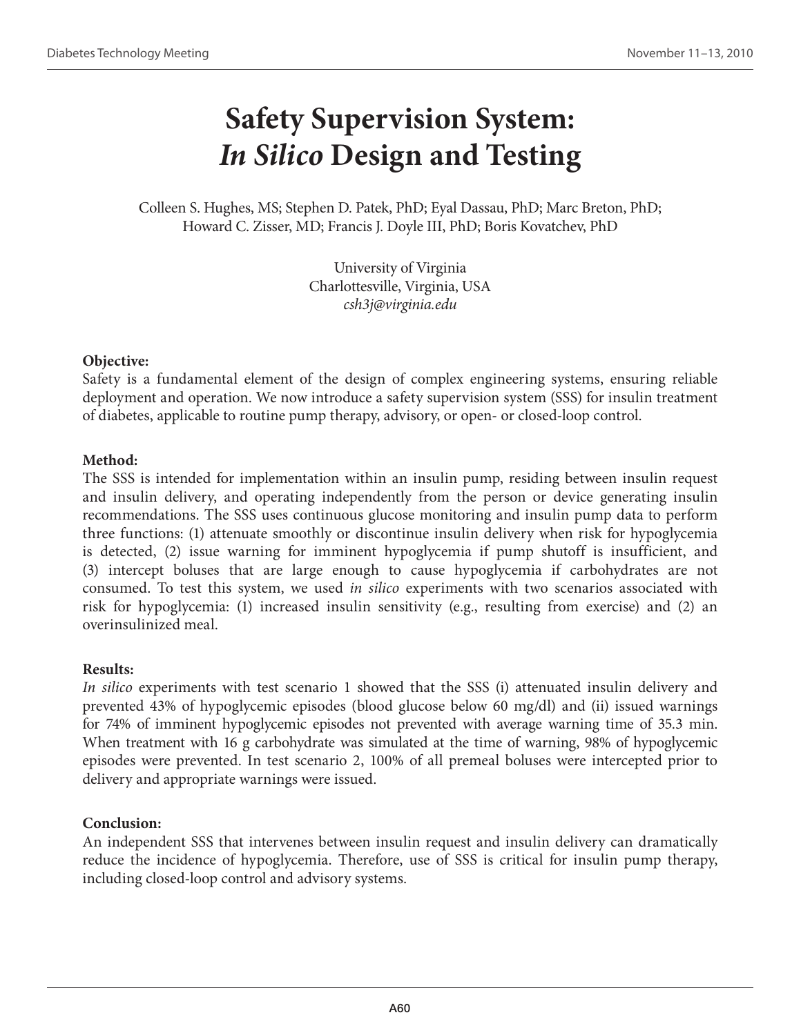# **Safety Supervision System:**  *In Silico* **Design and Testing**

Colleen S. Hughes, MS; Stephen D. Patek, PhD; Eyal Dassau, PhD; Marc Breton, PhD; Howard C. Zisser, MD; Francis J. Doyle III, PhD; Boris Kovatchev, PhD

> University of Virginia Charlottesville, Virginia, USA *csh3j@virginia.edu*

# **Objective:**

Safety is a fundamental element of the design of complex engineering systems, ensuring reliable deployment and operation. We now introduce a safety supervision system (SSS) for insulin treatment of diabetes, applicable to routine pump therapy, advisory, or open- or closed-loop control.

# **Method:**

The SSS is intended for implementation within an insulin pump, residing between insulin request and insulin delivery, and operating independently from the person or device generating insulin recommendations. The SSS uses continuous glucose monitoring and insulin pump data to perform three functions: (1) attenuate smoothly or discontinue insulin delivery when risk for hypoglycemia is detected, (2) issue warning for imminent hypoglycemia if pump shutoff is insufficient, and (3) intercept boluses that are large enough to cause hypoglycemia if carbohydrates are not consumed. To test this system, we used *in silico* experiments with two scenarios associated with risk for hypoglycemia: (1) increased insulin sensitivity (e.g., resulting from exercise) and (2) an overinsulinized meal.

# **Results:**

*In silico* experiments with test scenario 1 showed that the SSS (i) attenuated insulin delivery and prevented 43% of hypoglycemic episodes (blood glucose below 60 mg/dl) and (ii) issued warnings for 74% of imminent hypoglycemic episodes not prevented with average warning time of 35.3 min. When treatment with 16 g carbohydrate was simulated at the time of warning, 98% of hypoglycemic episodes were prevented. In test scenario 2, 100% of all premeal boluses were intercepted prior to delivery and appropriate warnings were issued.

# **Conclusion:**

An independent SSS that intervenes between insulin request and insulin delivery can dramatically reduce the incidence of hypoglycemia. Therefore, use of SSS is critical for insulin pump therapy, including closed-loop control and advisory systems.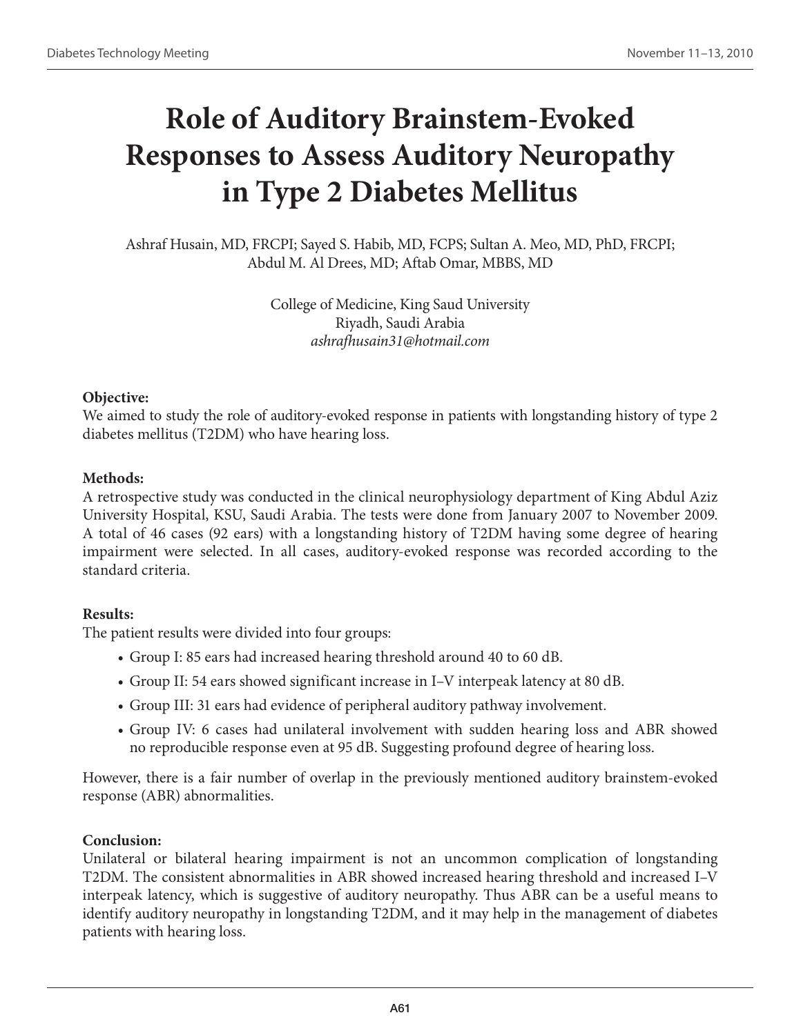# **Role of Auditory Brainstem-Evoked Responses to Assess Auditory Neuropathy in Type 2 Diabetes Mellitus**

Ashraf Husain, MD, FRCPI; Sayed S. Habib, MD, FCPS; Sultan A. Meo, MD, PhD, FRCPI; Abdul M. Al Drees, MD; Aftab Omar, MBBS, MD

> College of Medicine, King Saud University Riyadh, Saudi Arabia *ashrafhusain31@hotmail.com*

#### **Objective:**

We aimed to study the role of auditory-evoked response in patients with longstanding history of type 2 diabetes mellitus (T2DM) who have hearing loss.

#### **Methods:**

A retrospective study was conducted in the clinical neurophysiology department of King Abdul Aziz University Hospital, KSU, Saudi Arabia. The tests were done from January 2007 to November 2009. A total of 46 cases (92 ears) with a longstanding history of T2DM having some degree of hearing impairment were selected. In all cases, auditory-evoked response was recorded according to the standard criteria.

# **Results:**

The patient results were divided into four groups:

- Group I: 85 ears had increased hearing threshold around 40 to 60 dB.
- Group II: 54 ears showed significant increase in I–V interpeak latency at 80 dB.
- Group III: 31 ears had evidence of peripheral auditory pathway involvement.
- Group IV: 6 cases had unilateral involvement with sudden hearing loss and ABR showed no reproducible response even at 95 dB. Suggesting profound degree of hearing loss.

However, there is a fair number of overlap in the previously mentioned auditory brainstem-evoked response (ABR) abnormalities.

# **Conclusion:**

Unilateral or bilateral hearing impairment is not an uncommon complication of longstanding T2DM. The consistent abnormalities in ABR showed increased hearing threshold and increased I–V interpeak latency, which is suggestive of auditory neuropathy. Thus ABR can be a useful means to identify auditory neuropathy in longstanding T2DM, and it may help in the management of diabetes patients with hearing loss.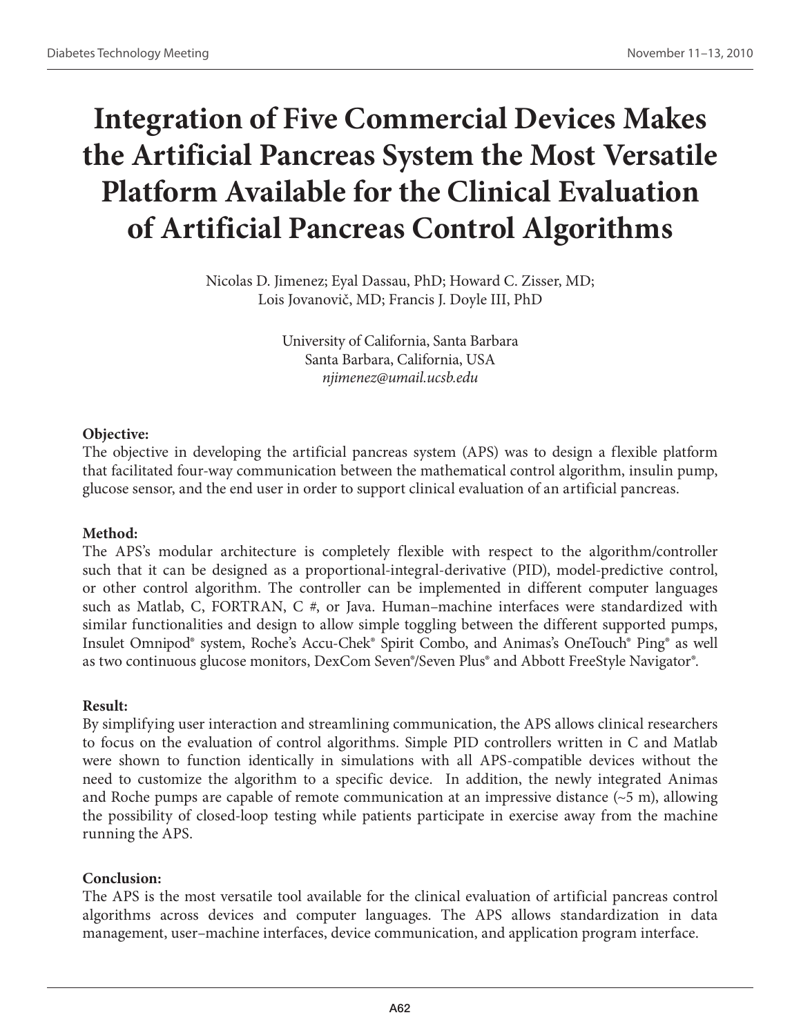# **Integration of Five Commercial Devices Makes the Artificial Pancreas System the Most Versatile Platform Available for the Clinical Evaluation of Artificial Pancreas Control Algorithms**

Nicolas D. Jimenez; Eyal Dassau, PhD; Howard C. Zisser, MD; Lois Jovanovič, MD; Francis J. Doyle III, PhD

> University of California, Santa Barbara Santa Barbara, California, USA *njimenez@umail.ucsb.edu*

#### **Objective:**

The objective in developing the artificial pancreas system (APS) was to design a flexible platform that facilitated four-way communication between the mathematical control algorithm, insulin pump, glucose sensor, and the end user in order to support clinical evaluation of an artificial pancreas.

# **Method:**

The APS's modular architecture is completely flexible with respect to the algorithm/controller such that it can be designed as a proportional-integral-derivative (PID), model-predictive control, or other control algorithm. The controller can be implemented in different computer languages such as Matlab, C, FORTRAN, C  $#$ , or Java. Human–machine interfaces were standardized with similar functionalities and design to allow simple toggling between the different supported pumps, Insulet Omnipod® system, Roche's Accu-Chek® Spirit Combo, and Animas's OneTouch® Ping® as well as two continuous glucose monitors, DexCom Seven®/Seven Plus® and Abbott FreeStyle Navigator®.

#### **Result:**

By simplifying user interaction and streamlining communication, the APS allows clinical researchers to focus on the evaluation of control algorithms. Simple PID controllers written in C and Matlab were shown to function identically in simulations with all APS-compatible devices without the need to customize the algorithm to a specific device. In addition, the newly integrated Animas and Roche pumps are capable of remote communication at an impressive distance  $(\sim 5 \text{ m})$ , allowing the possibility of closed-loop testing while patients participate in exercise away from the machine running the APS.

# **Conclusion:**

The APS is the most versatile tool available for the clinical evaluation of artificial pancreas control algorithms across devices and computer languages. The APS allows standardization in data management, user–machine interfaces, device communication, and application program interface.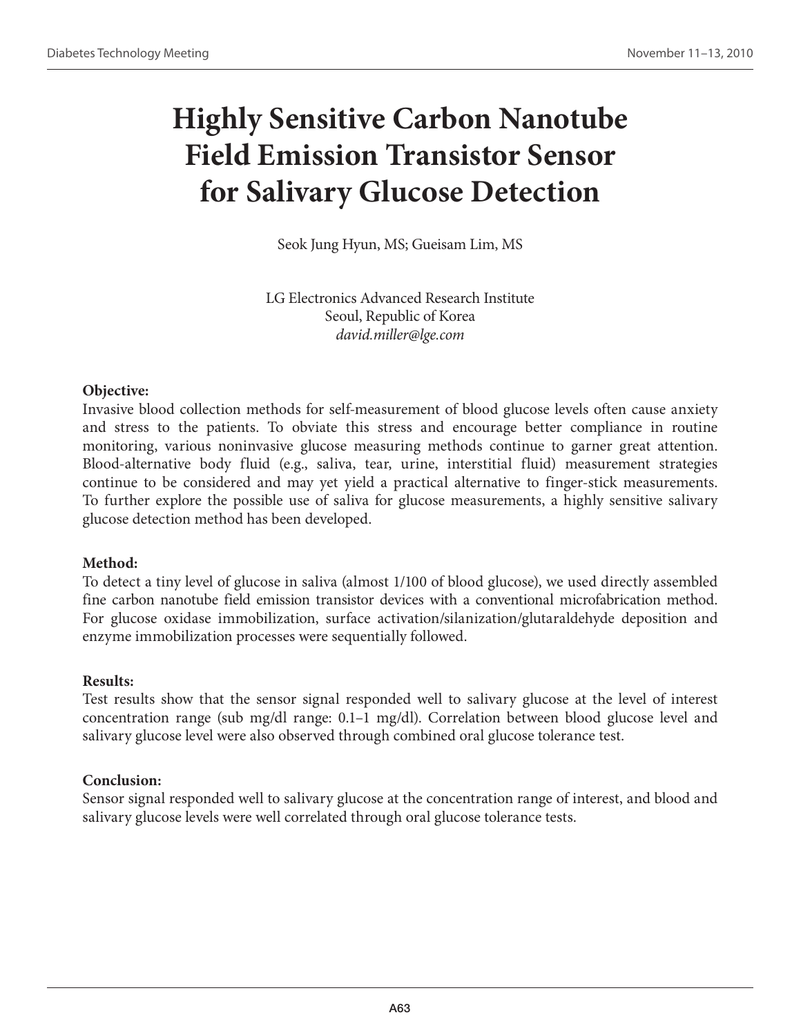# **Highly Sensitive Carbon Nanotube Field Emission Transistor Sensor for Salivary Glucose Detection**

Seok Jung Hyun, MS; Gueisam Lim, MS

LG Electronics Advanced Research Institute Seoul, Republic of Korea *david.miller@lge.com*

# **Objective:**

Invasive blood collection methods for self-measurement of blood glucose levels often cause anxiety and stress to the patients. To obviate this stress and encourage better compliance in routine monitoring, various noninvasive glucose measuring methods continue to garner great attention. Blood-alternative body fluid (e.g., saliva, tear, urine, interstitial fluid) measurement strategies continue to be considered and may yet yield a practical alternative to finger-stick measurements. To further explore the possible use of saliva for glucose measurements, a highly sensitive salivary glucose detection method has been developed.

#### **Method:**

To detect a tiny level of glucose in saliva (almost 1/100 of blood glucose), we used directly assembled fine carbon nanotube field emission transistor devices with a conventional microfabrication method. For glucose oxidase immobilization, surface activation/silanization/glutaraldehyde deposition and enzyme immobilization processes were sequentially followed.

#### **Results:**

Test results show that the sensor signal responded well to salivary glucose at the level of interest concentration range (sub mg/dl range: 0.1–1 mg/dl). Correlation between blood glucose level and salivary glucose level were also observed through combined oral glucose tolerance test.

# **Conclusion:**

Sensor signal responded well to salivary glucose at the concentration range of interest, and blood and salivary glucose levels were well correlated through oral glucose tolerance tests.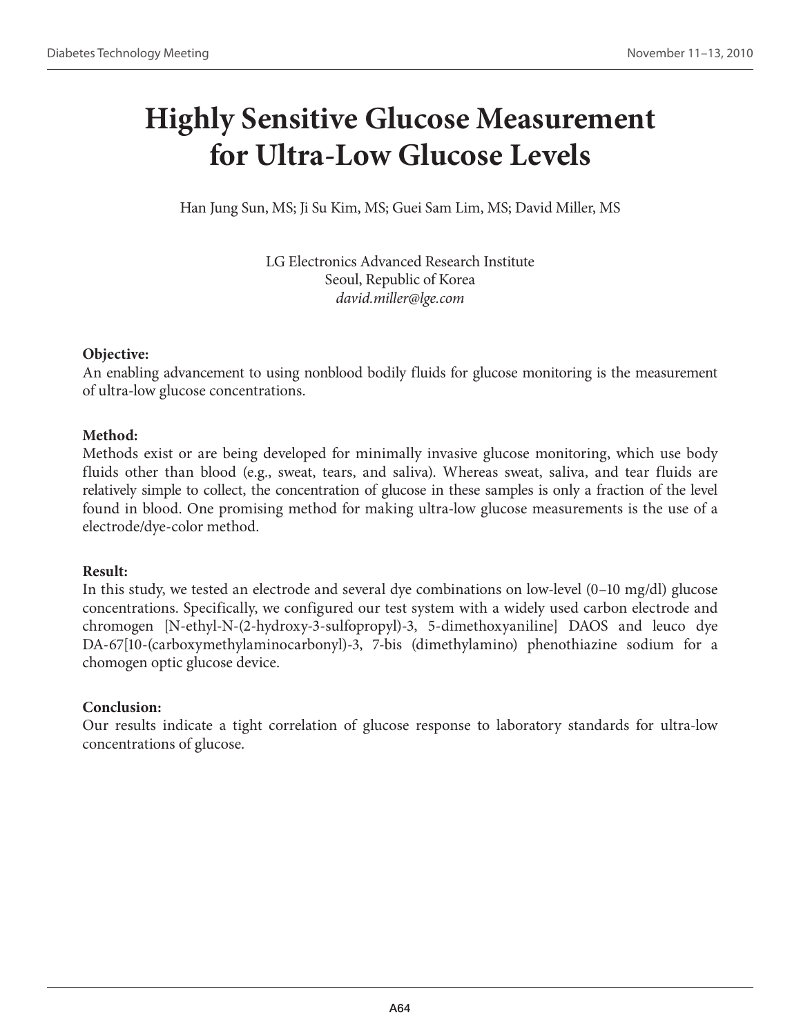# **Highly Sensitive Glucose Measurement for Ultra-Low Glucose Levels**

Han Jung Sun, MS; Ji Su Kim, MS; Guei Sam Lim, MS; David Miller, MS

LG Electronics Advanced Research Institute Seoul, Republic of Korea *david.miller@lge.com*

#### **Objective:**

An enabling advancement to using nonblood bodily fluids for glucose monitoring is the measurement of ultra-low glucose concentrations.

# **Method:**

Methods exist or are being developed for minimally invasive glucose monitoring, which use body fluids other than blood (e.g., sweat, tears, and saliva). Whereas sweat, saliva, and tear fluids are relatively simple to collect, the concentration of glucose in these samples is only a fraction of the level found in blood. One promising method for making ultra-low glucose measurements is the use of a electrode/dye-color method.

# **Result:**

In this study, we tested an electrode and several dye combinations on low-level (0–10 mg/dl) glucose concentrations. Specifically, we configured our test system with a widely used carbon electrode and chromogen [N-ethyl-N-(2-hydroxy-3-sulfopropyl)-3, 5-dimethoxyaniline] DAOS and leuco dye DA-67[10-(carboxymethylaminocarbonyl)-3, 7-bis (dimethylamino) phenothiazine sodium for a chomogen optic glucose device.

# **Conclusion:**

Our results indicate a tight correlation of glucose response to laboratory standards for ultra-low concentrations of glucose.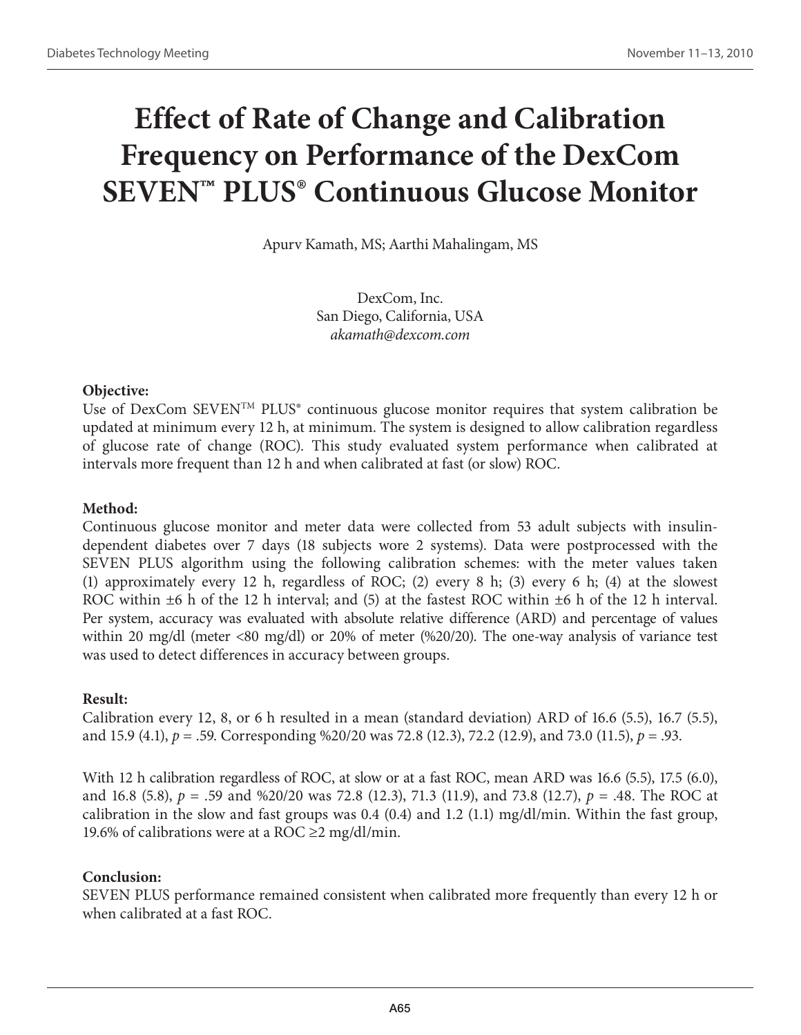# **Effect of Rate of Change and Calibration Frequency on Performance of the DexCom SEVEN™ PLUS® Continuous Glucose Monitor**

Apurv Kamath, MS; Aarthi Mahalingam, MS

DexCom, Inc. San Diego, California, USA *akamath@dexcom.com*

#### **Objective:**

Use of DexCom SEVEN<sup>TM</sup> PLUS<sup>®</sup> continuous glucose monitor requires that system calibration be updated at minimum every 12 h, at minimum. The system is designed to allow calibration regardless of glucose rate of change (ROC). This study evaluated system performance when calibrated at intervals more frequent than 12 h and when calibrated at fast (or slow) ROC.

# **Method:**

Continuous glucose monitor and meter data were collected from 53 adult subjects with insulindependent diabetes over 7 days (18 subjects wore 2 systems). Data were postprocessed with the SEVEN PLUS algorithm using the following calibration schemes: with the meter values taken (1) approximately every 12 h, regardless of ROC; (2) every 8 h; (3) every 6 h; (4) at the slowest ROC within  $\pm 6$  h of the 12 h interval; and (5) at the fastest ROC within  $\pm 6$  h of the 12 h interval. Per system, accuracy was evaluated with absolute relative difference (ARD) and percentage of values within 20 mg/dl (meter <80 mg/dl) or 20% of meter (%20/20). The one-way analysis of variance test was used to detect differences in accuracy between groups.

#### **Result:**

Calibration every 12, 8, or 6 h resulted in a mean (standard deviation) ARD of 16.6 (5.5), 16.7 (5.5), and 15.9 (4.1), *p* = .59. Corresponding %20/20 was 72.8 (12.3), 72.2 (12.9), and 73.0 (11.5), *p* = .93.

With 12 h calibration regardless of ROC, at slow or at a fast ROC, mean ARD was 16.6 (5.5), 17.5 (6.0), and 16.8 (5.8), *p* = .59 and %20/20 was 72.8 (12.3), 71.3 (11.9), and 73.8 (12.7), *p* = .48. The ROC at calibration in the slow and fast groups was 0.4 (0.4) and 1.2 (1.1) mg/dl/min. Within the fast group, 19.6% of calibrations were at a ROC  $\geq$ 2 mg/dl/min.

# **Conclusion:**

SEVEN PLUS performance remained consistent when calibrated more frequently than every 12 h or when calibrated at a fast ROC.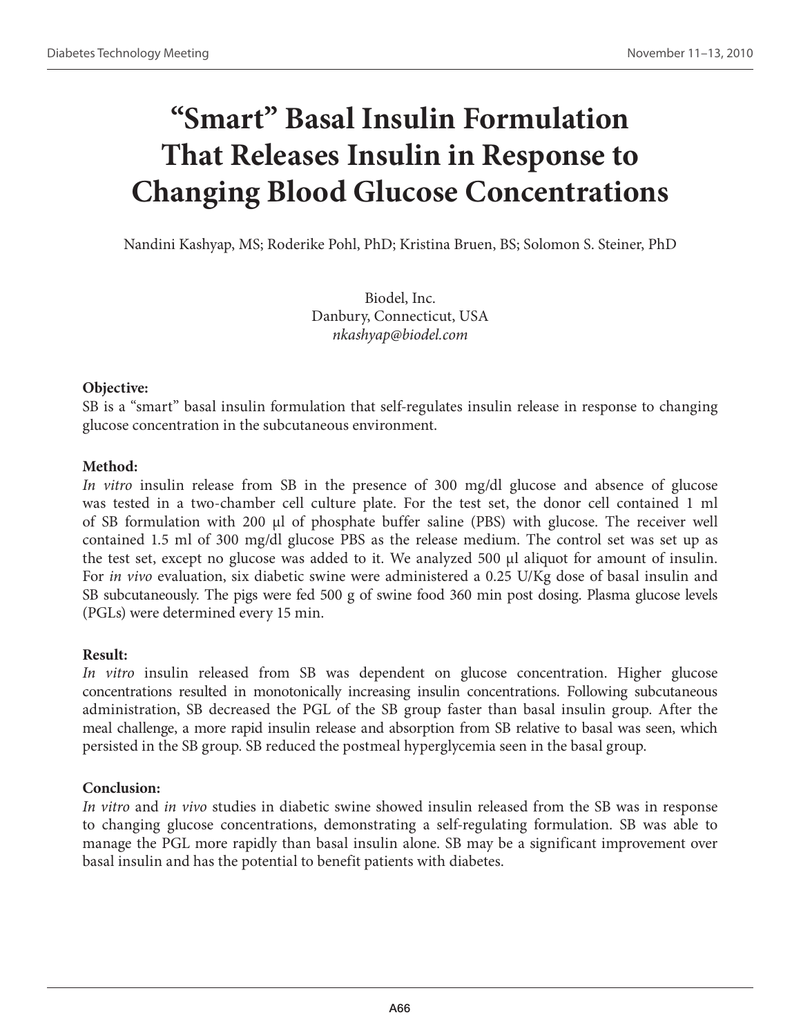# **"Smart" Basal Insulin Formulation That Releases Insulin in Response to Changing Blood Glucose Concentrations**

Nandini Kashyap, MS; Roderike Pohl, PhD; Kristina Bruen, BS; Solomon S. Steiner, PhD

Biodel, Inc. Danbury, Connecticut, USA *nkashyap@biodel.com*

# **Objective:**

SB is a "smart" basal insulin formulation that self-regulates insulin release in response to changing glucose concentration in the subcutaneous environment.

# **Method:**

*In vitro* insulin release from SB in the presence of 300 mg/dl glucose and absence of glucose was tested in a two-chamber cell culture plate. For the test set, the donor cell contained 1 ml of SB formulation with 200  $\mu$ l of phosphate buffer saline (PBS) with glucose. The receiver well contained 1.5 ml of 300 mg/dl glucose PBS as the release medium. The control set was set up as the test set, except no glucose was added to it. We analyzed 500 µl aliquot for amount of insulin. For *in vivo* evaluation, six diabetic swine were administered a 0.25 U/Kg dose of basal insulin and SB subcutaneously. The pigs were fed 500 g of swine food 360 min post dosing. Plasma glucose levels (PGLs) were determined every 15 min.

# **Result:**

*In vitro* insulin released from SB was dependent on glucose concentration. Higher glucose concentrations resulted in monotonically increasing insulin concentrations. Following subcutaneous administration, SB decreased the PGL of the SB group faster than basal insulin group. After the meal challenge, a more rapid insulin release and absorption from SB relative to basal was seen, which persisted in the SB group. SB reduced the postmeal hyperglycemia seen in the basal group.

# **Conclusion:**

*In vitro* and *in vivo* studies in diabetic swine showed insulin released from the SB was in response to changing glucose concentrations, demonstrating a self-regulating formulation. SB was able to manage the PGL more rapidly than basal insulin alone. SB may be a significant improvement over basal insulin and has the potential to benefit patients with diabetes.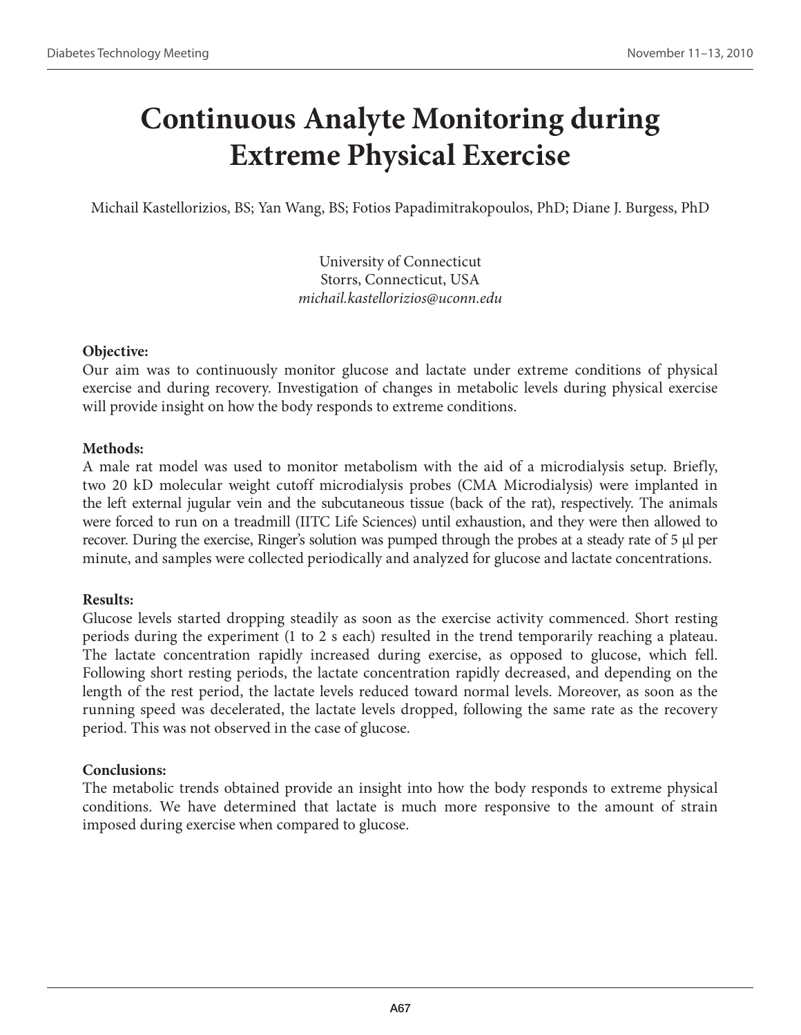# **Continuous Analyte Monitoring during Extreme Physical Exercise**

Michail Kastellorizios, BS; Yan Wang, BS; Fotios Papadimitrakopoulos, PhD; Diane J. Burgess, PhD

University of Connecticut Storrs, Connecticut, USA *michail.kastellorizios@uconn.edu*

# **Objective:**

Our aim was to continuously monitor glucose and lactate under extreme conditions of physical exercise and during recovery. Investigation of changes in metabolic levels during physical exercise will provide insight on how the body responds to extreme conditions.

# **Methods:**

A male rat model was used to monitor metabolism with the aid of a microdialysis setup. Briefly, two 20 kD molecular weight cutoff microdialysis probes (CMA Microdialysis) were implanted in the left external jugular vein and the subcutaneous tissue (back of the rat), respectively. The animals were forced to run on a treadmill (IITC Life Sciences) until exhaustion, and they were then allowed to recover. During the exercise, Ringer's solution was pumped through the probes at a steady rate of 5 µl per minute, and samples were collected periodically and analyzed for glucose and lactate concentrations.

# **Results:**

Glucose levels started dropping steadily as soon as the exercise activity commenced. Short resting periods during the experiment (1 to 2 s each) resulted in the trend temporarily reaching a plateau. The lactate concentration rapidly increased during exercise, as opposed to glucose, which fell. Following short resting periods, the lactate concentration rapidly decreased, and depending on the length of the rest period, the lactate levels reduced toward normal levels. Moreover, as soon as the running speed was decelerated, the lactate levels dropped, following the same rate as the recovery period. This was not observed in the case of glucose.

# **Conclusions:**

The metabolic trends obtained provide an insight into how the body responds to extreme physical conditions. We have determined that lactate is much more responsive to the amount of strain imposed during exercise when compared to glucose.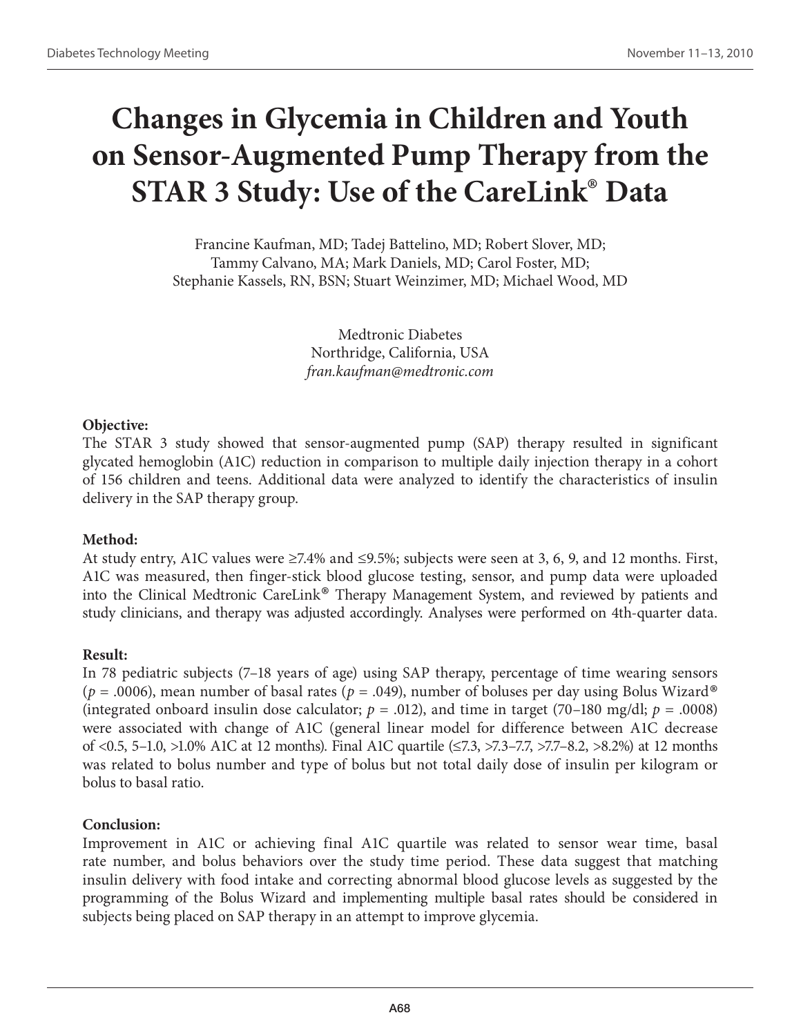# **Changes in Glycemia in Children and Youth on Sensor-Augmented Pump Therapy from the STAR 3 Study: Use of the CareLink® Data**

Francine Kaufman, MD; Tadej Battelino, MD; Robert Slover, MD; Tammy Calvano, MA; Mark Daniels, MD; Carol Foster, MD; Stephanie Kassels, RN, BSN; Stuart Weinzimer, MD; Michael Wood, MD

> Medtronic Diabetes Northridge, California, USA *fran.kaufman@medtronic.com*

#### **Objective:**

The STAR 3 study showed that sensor-augmented pump (SAP) therapy resulted in significant glycated hemoglobin (A1C) reduction in comparison to multiple daily injection therapy in a cohort of 156 children and teens. Additional data were analyzed to identify the characteristics of insulin delivery in the SAP therapy group.

# **Method:**

At study entry, A1C values were ≥7.4% and ≤9.5%; subjects were seen at 3, 6, 9, and 12 months. First, A1C was measured, then finger-stick blood glucose testing, sensor, and pump data were uploaded into the Clinical Medtronic CareLink® Therapy Management System, and reviewed by patients and study clinicians, and therapy was adjusted accordingly. Analyses were performed on 4th-quarter data.

#### **Result:**

In 78 pediatric subjects (7–18 years of age) using SAP therapy, percentage of time wearing sensors ( $p = .0006$ ), mean number of basal rates ( $p = .049$ ), number of boluses per day using Bolus Wizard<sup>®</sup> (integrated onboard insulin dose calculator;  $p = .012$ ), and time in target (70–180 mg/dl;  $p = .0008$ ) were associated with change of A1C (general linear model for difference between A1C decrease of <0.5, 5–1.0, >1.0% A1C at 12 months). Final A1C quartile (≤7.3, >7.3–7.7, >7.7–8.2, >8.2%) at 12 months was related to bolus number and type of bolus but not total daily dose of insulin per kilogram or bolus to basal ratio.

#### **Conclusion:**

Improvement in A1C or achieving final A1C quartile was related to sensor wear time, basal rate number, and bolus behaviors over the study time period. These data suggest that matching insulin delivery with food intake and correcting abnormal blood glucose levels as suggested by the programming of the Bolus Wizard and implementing multiple basal rates should be considered in subjects being placed on SAP therapy in an attempt to improve glycemia.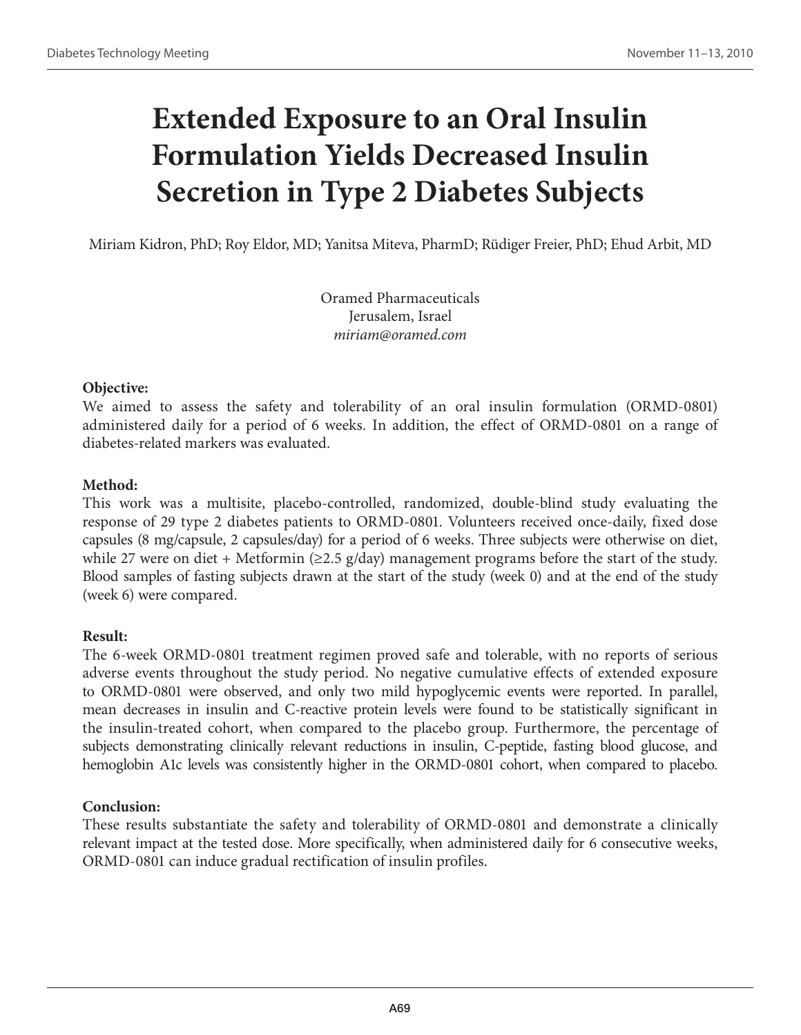# **Extended Exposure to an Oral Insulin Formulation Yields Decreased Insulin Secretion in Type 2 Diabetes Subjects**

Miriam Kidron, PhD; Roy Eldor, MD; Yanitsa Miteva, PharmD; Rüdiger Freier, PhD; Ehud Arbit, MD

Oramed Pharmaceuticals Jerusalem, Israel *miriam@oramed.com* 

### **Objective:**

We aimed to assess the safety and tolerability of an oral insulin formulation (ORMD-0801) administered daily for a period of 6 weeks. In addition, the effect of ORMD-0801 on a range of diabetes-related markers was evaluated.

### **Method:**

This work was a multisite, placebo-controlled, randomized, double-blind study evaluating the response of 29 type 2 diabetes patients to ORMD-0801. Volunteers received once-daily, fixed dose capsules (8 mg/capsule, 2 capsules/day) for a period of 6 weeks. Three subjects were otherwise on diet, while 27 were on diet + Metformin ( $\geq$ 2.5 g/day) management programs before the start of the study. Blood samples of fasting subjects drawn at the start of the study (week 0) and at the end of the study (week 6) were compared.

### **Result:**

The 6-week ORMD-0801 treatment regimen proved safe and tolerable, with no reports of serious adverse events throughout the study period. No negative cumulative effects of extended exposure to ORMD-0801 were observed, and only two mild hypoglycemic events were reported. In parallel, mean decreases in insulin and C-reactive protein levels were found to be statistically significant in the insulin-treated cohort, when compared to the placebo group. Furthermore, the percentage of subjects demonstrating clinically relevant reductions in insulin, C-peptide, fasting blood glucose, and hemoglobin A1c levels was consistently higher in the ORMD-0801 cohort, when compared to placebo.

### **Conclusion:**

These results substantiate the safety and tolerability of ORMD-0801 and demonstrate a clinically relevant impact at the tested dose. More specifically, when administered daily for 6 consecutive weeks, ORMD-0801 can induce gradual rectification of insulin profiles.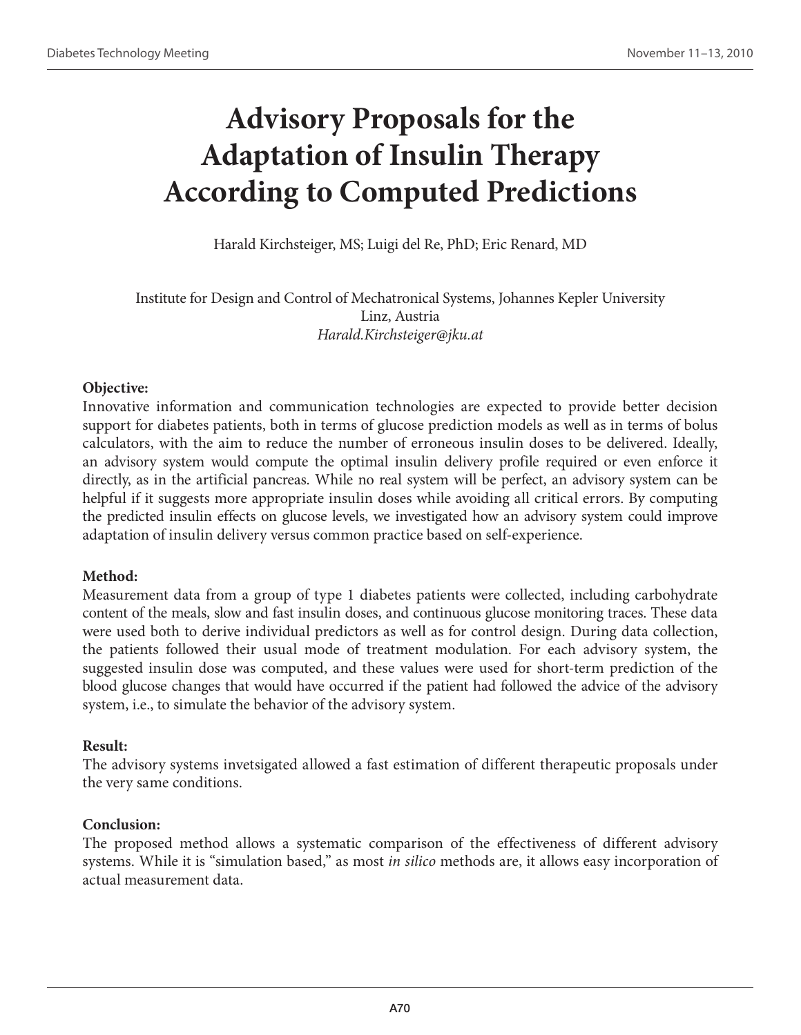## **Advisory Proposals for the Adaptation of Insulin Therapy According to Computed Predictions**

Harald Kirchsteiger, MS; Luigi del Re, PhD; Eric Renard, MD

Institute for Design and Control of Mechatronical Systems, Johannes Kepler University Linz, Austria *Harald.Kirchsteiger@jku.at*

### **Objective:**

Innovative information and communication technologies are expected to provide better decision support for diabetes patients, both in terms of glucose prediction models as well as in terms of bolus calculators, with the aim to reduce the number of erroneous insulin doses to be delivered. Ideally, an advisory system would compute the optimal insulin delivery profile required or even enforce it directly, as in the artificial pancreas. While no real system will be perfect, an advisory system can be helpful if it suggests more appropriate insulin doses while avoiding all critical errors. By computing the predicted insulin effects on glucose levels, we investigated how an advisory system could improve adaptation of insulin delivery versus common practice based on self-experience.

### **Method:**

Measurement data from a group of type 1 diabetes patients were collected, including carbohydrate content of the meals, slow and fast insulin doses, and continuous glucose monitoring traces. These data were used both to derive individual predictors as well as for control design. During data collection, the patients followed their usual mode of treatment modulation. For each advisory system, the suggested insulin dose was computed, and these values were used for short-term prediction of the blood glucose changes that would have occurred if the patient had followed the advice of the advisory system, i.e., to simulate the behavior of the advisory system.

### **Result:**

The advisory systems invetsigated allowed a fast estimation of different therapeutic proposals under the very same conditions.

### **Conclusion:**

The proposed method allows a systematic comparison of the effectiveness of different advisory systems. While it is "simulation based," as most *in silico* methods are, it allows easy incorporation of actual measurement data.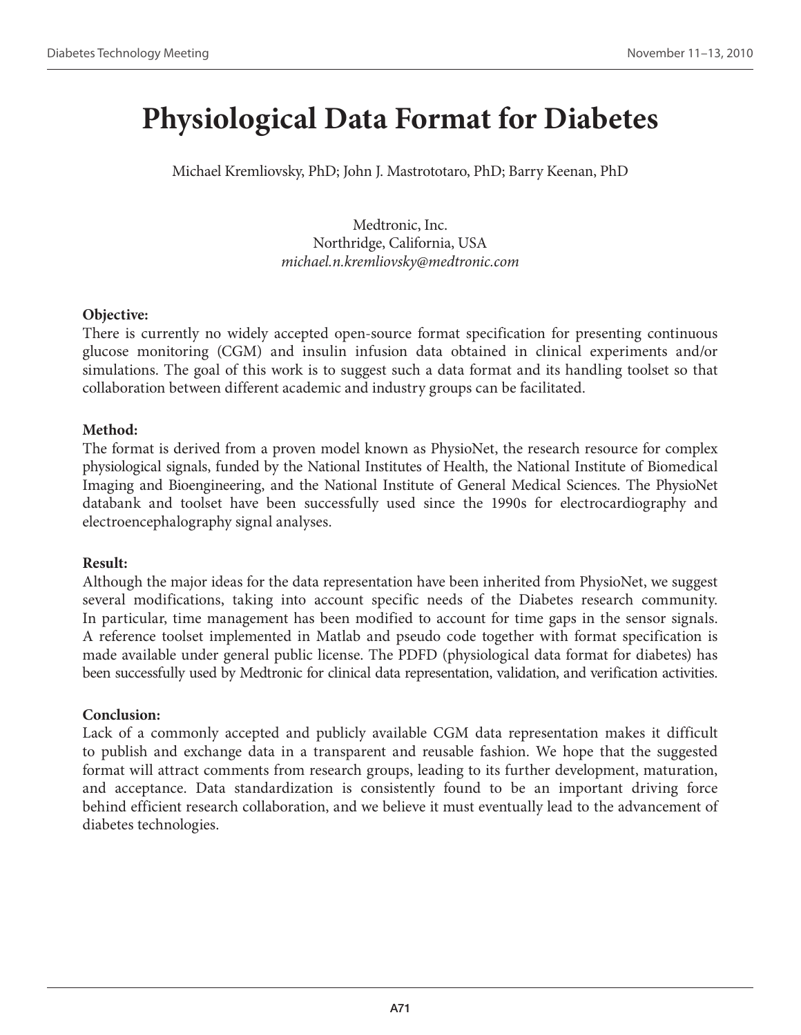## **Physiological Data Format for Diabetes**

Michael Kremliovsky, PhD; John J. Mastrototaro, PhD; Barry Keenan, PhD

Medtronic, Inc. Northridge, California, USA *michael.n.kremliovsky@medtronic.com*

### **Objective:**

There is currently no widely accepted open-source format specification for presenting continuous glucose monitoring (CGM) and insulin infusion data obtained in clinical experiments and/or simulations. The goal of this work is to suggest such a data format and its handling toolset so that collaboration between different academic and industry groups can be facilitated.

### **Method:**

The format is derived from a proven model known as PhysioNet, the research resource for complex physiological signals, funded by the National Institutes of Health, the National Institute of Biomedical Imaging and Bioengineering, and the National Institute of General Medical Sciences. The PhysioNet databank and toolset have been successfully used since the 1990s for electrocardiography and electroencephalography signal analyses.

## **Result:**

Although the major ideas for the data representation have been inherited from PhysioNet, we suggest several modifications, taking into account specific needs of the Diabetes research community. In particular, time management has been modified to account for time gaps in the sensor signals. A reference toolset implemented in Matlab and pseudo code together with format specification is made available under general public license. The PDFD (physiological data format for diabetes) has been successfully used by Medtronic for clinical data representation, validation, and verification activities.

## **Conclusion:**

Lack of a commonly accepted and publicly available CGM data representation makes it difficult to publish and exchange data in a transparent and reusable fashion. We hope that the suggested format will attract comments from research groups, leading to its further development, maturation, and acceptance. Data standardization is consistently found to be an important driving force behind efficient research collaboration, and we believe it must eventually lead to the advancement of diabetes technologies.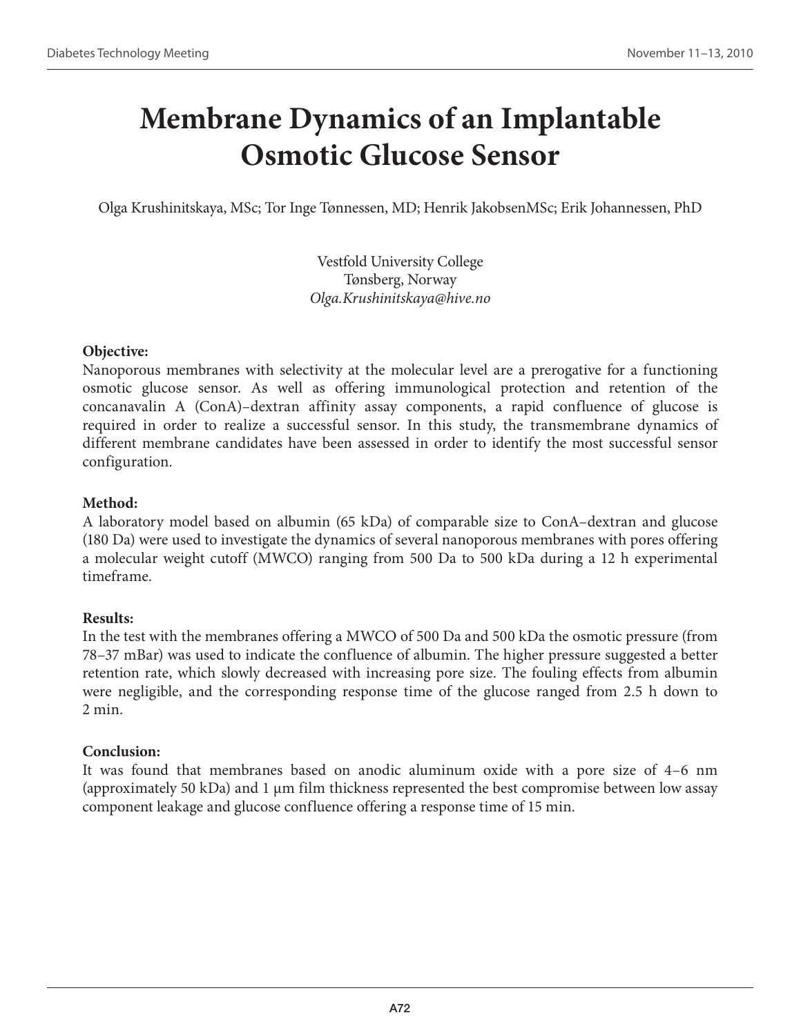## **Membrane Dynamics of an Implantable Osmotic Glucose Sensor**

Olga Krushinitskaya, MSc; Tor Inge Tønnessen, MD; Henrik JakobsenMSc; Erik Johannessen, PhD

Vestfold University College Tønsberg, Norway *Olga.Krushinitskaya@hive.no*

### **Objective:**

Nanoporous membranes with selectivity at the molecular level are a prerogative for a functioning osmotic glucose sensor. As well as offering immunological protection and retention of the concanavalin A (ConA)–dextran affinity assay components, a rapid confluence of glucose is required in order to realize a successful sensor. In this study, the transmembrane dynamics of different membrane candidates have been assessed in order to identify the most successful sensor configuration.

## **Method:**

A laboratory model based on albumin (65 kDa) of comparable size to ConA–dextran and glucose (180 Da) were used to investigate the dynamics of several nanoporous membranes with pores offering a molecular weight cutoff (MWCO) ranging from 500 Da to 500 kDa during a 12 h experimental timeframe.

## **Results:**

In the test with the membranes offering a MWCO of 500 Da and 500 kDa the osmotic pressure (from 78–37 mBar) was used to indicate the confluence of albumin. The higher pressure suggested a better retention rate, which slowly decreased with increasing pore size. The fouling effects from albumin were negligible, and the corresponding response time of the glucose ranged from 2.5 h down to 2 min.

## **Conclusion:**

It was found that membranes based on anodic aluminum oxide with a pore size of 4–6 nm (approximately 50 kDa) and 1  $\mu$ m film thickness represented the best compromise between low assay component leakage and glucose confluence offering a response time of 15 min.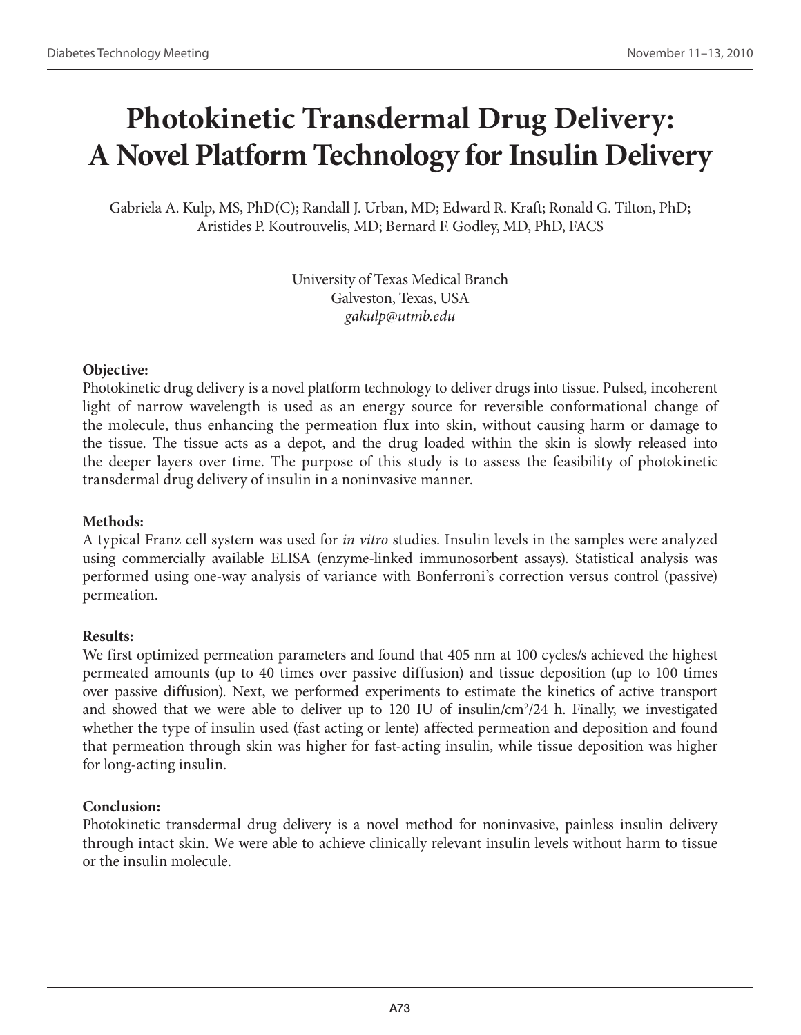# **Photokinetic Transdermal Drug Delivery: A Novel Platform Technology for Insulin Delivery**

Gabriela A. Kulp, MS, PhD(C); Randall J. Urban, MD; Edward R. Kraft; Ronald G. Tilton, PhD; Aristides P. Koutrouvelis, MD; Bernard F. Godley, MD, PhD, FACS

> University of Texas Medical Branch Galveston, Texas, USA *gakulp@utmb.edu*

#### **Objective:**

Photokinetic drug delivery is a novel platform technology to deliver drugs into tissue. Pulsed, incoherent light of narrow wavelength is used as an energy source for reversible conformational change of the molecule, thus enhancing the permeation flux into skin, without causing harm or damage to the tissue. The tissue acts as a depot, and the drug loaded within the skin is slowly released into the deeper layers over time. The purpose of this study is to assess the feasibility of photokinetic transdermal drug delivery of insulin in a noninvasive manner.

### **Methods:**

A typical Franz cell system was used for *in vitro* studies. Insulin levels in the samples were analyzed using commercially available ELISA (enzyme-linked immunosorbent assays). Statistical analysis was performed using one-way analysis of variance with Bonferroni's correction versus control (passive) permeation.

#### **Results:**

We first optimized permeation parameters and found that 405 nm at 100 cycles/s achieved the highest permeated amounts (up to 40 times over passive diffusion) and tissue deposition (up to 100 times over passive diffusion). Next, we performed experiments to estimate the kinetics of active transport and showed that we were able to deliver up to 120 IU of insulin/cm<sup>2</sup>/24 h. Finally, we investigated whether the type of insulin used (fast acting or lente) affected permeation and deposition and found that permeation through skin was higher for fast-acting insulin, while tissue deposition was higher for long-acting insulin.

### **Conclusion:**

Photokinetic transdermal drug delivery is a novel method for noninvasive, painless insulin delivery through intact skin. We were able to achieve clinically relevant insulin levels without harm to tissue or the insulin molecule.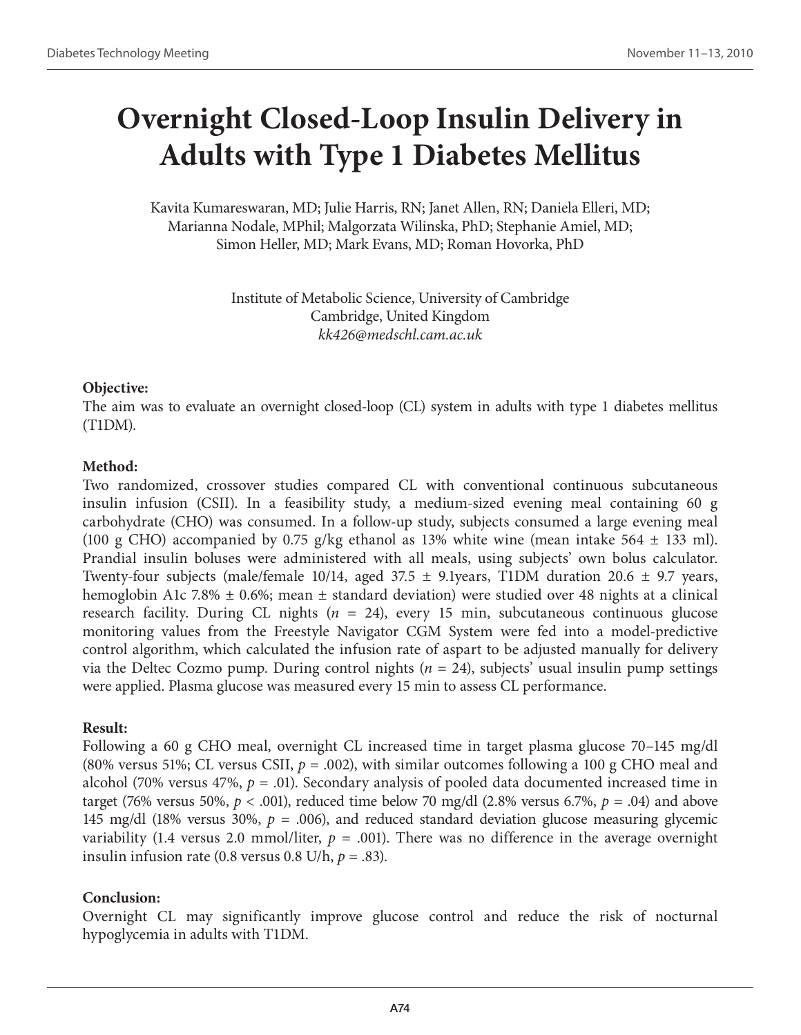# **Overnight Closed-Loop Insulin Delivery in Adults with Type 1 Diabetes Mellitus**

Kavita Kumareswaran, MD; Julie Harris, RN; Janet Allen, RN; Daniela Elleri, MD; Marianna Nodale, MPhil; Malgorzata Wilinska, PhD; Stephanie Amiel, MD; Simon Heller, MD; Mark Evans, MD; Roman Hovorka, PhD

> Institute of Metabolic Science, University of Cambridge Cambridge, United Kingdom *kk426@medschl.cam.ac.uk*

### **Objective:**

The aim was to evaluate an overnight closed-loop (CL) system in adults with type 1 diabetes mellitus (T1DM).

### **Method:**

Two randomized, crossover studies compared CL with conventional continuous subcutaneous insulin infusion (CSII). In a feasibility study, a medium-sized evening meal containing 60 g carbohydrate (CHO) was consumed. In a follow-up study, subjects consumed a large evening meal (100 g CHO) accompanied by 0.75 g/kg ethanol as 13% white wine (mean intake 564  $\pm$  133 ml). Prandial insulin boluses were administered with all meals, using subjects' own bolus calculator. Twenty-four subjects (male/female 10/14, aged  $37.5 \pm 9.1$ years, T1DM duration 20.6  $\pm$  9.7 years, hemoglobin A1c 7.8%  $\pm$  0.6%; mean  $\pm$  standard deviation) were studied over 48 nights at a clinical research facility. During CL nights (*n* = 24), every 15 min, subcutaneous continuous glucose monitoring values from the Freestyle Navigator CGM System were fed into a model-predictive control algorithm, which calculated the infusion rate of aspart to be adjusted manually for delivery via the Deltec Cozmo pump. During control nights (*n* = 24), subjects' usual insulin pump settings were applied. Plasma glucose was measured every 15 min to assess CL performance.

### **Result:**

Following a 60 g CHO meal, overnight CL increased time in target plasma glucose 70–145 mg/dl (80% versus 51%; CL versus CSII,  $p = .002$ ), with similar outcomes following a 100 g CHO meal and alcohol (70% versus 47%,  $p = .01$ ). Secondary analysis of pooled data documented increased time in target (76% versus 50%,  $p < .001$ ), reduced time below 70 mg/dl (2.8% versus 6.7%,  $p = .04$ ) and above 145 mg/dl (18% versus 30%,  $p = .006$ ), and reduced standard deviation glucose measuring glycemic variability (1.4 versus 2.0 mmol/liter,  $p = .001$ ). There was no difference in the average overnight insulin infusion rate (0.8 versus 0.8 U/h,  $p = .83$ ).

### **Conclusion:**

Overnight CL may significantly improve glucose control and reduce the risk of nocturnal hypoglycemia in adults with T1DM.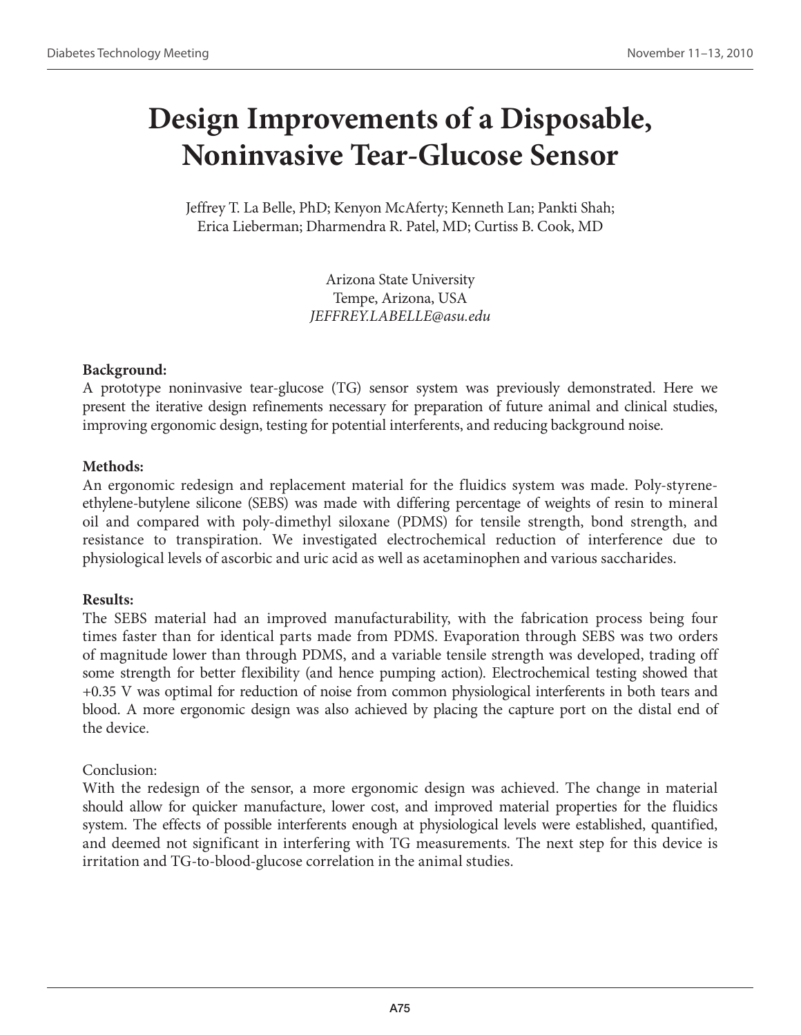## **Design Improvements of a Disposable, Noninvasive Tear-Glucose Sensor**

Jeffrey T. La Belle, PhD; Kenyon McAferty; Kenneth Lan; Pankti Shah; Erica Lieberman; Dharmendra R. Patel, MD; Curtiss B. Cook, MD

> Arizona State University Tempe, Arizona, USA *JEFFREY.LABELLE@asu.edu*

### **Background:**

A prototype noninvasive tear-glucose (TG) sensor system was previously demonstrated. Here we present the iterative design refinements necessary for preparation of future animal and clinical studies, improving ergonomic design, testing for potential interferents, and reducing background noise.

### **Methods:**

An ergonomic redesign and replacement material for the fluidics system was made. Poly-styreneethylene-butylene silicone (SEBS) was made with differing percentage of weights of resin to mineral oil and compared with poly-dimethyl siloxane (PDMS) for tensile strength, bond strength, and resistance to transpiration. We investigated electrochemical reduction of interference due to physiological levels of ascorbic and uric acid as well as acetaminophen and various saccharides.

## **Results:**

The SEBS material had an improved manufacturability, with the fabrication process being four times faster than for identical parts made from PDMS. Evaporation through SEBS was two orders of magnitude lower than through PDMS, and a variable tensile strength was developed, trading off some strength for better flexibility (and hence pumping action). Electrochemical testing showed that +0.35 V was optimal for reduction of noise from common physiological interferents in both tears and blood. A more ergonomic design was also achieved by placing the capture port on the distal end of the device.

## Conclusion:

With the redesign of the sensor, a more ergonomic design was achieved. The change in material should allow for quicker manufacture, lower cost, and improved material properties for the fluidics system. The effects of possible interferents enough at physiological levels were established, quantified, and deemed not significant in interfering with TG measurements. The next step for this device is irritation and TG-to-blood-glucose correlation in the animal studies.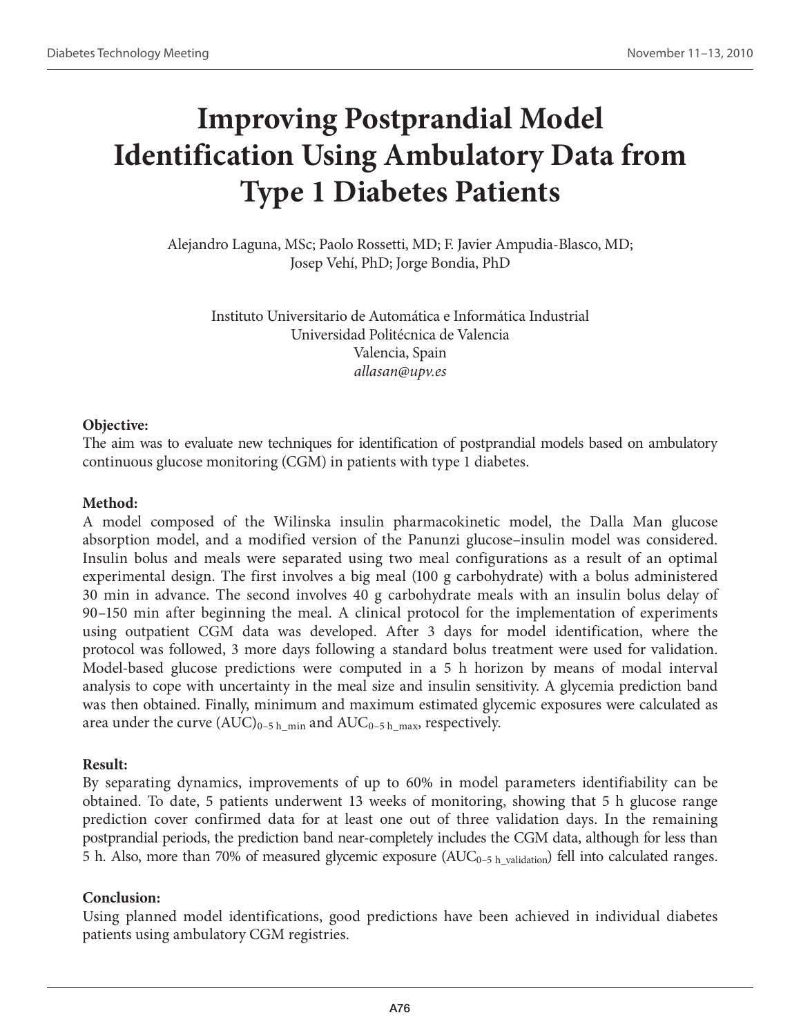## **Improving Postprandial Model Identification Using Ambulatory Data from Type 1 Diabetes Patients**

Alejandro Laguna, MSc; Paolo Rossetti, MD; F. Javier Ampudia-Blasco, MD; Josep Vehí, PhD; Jorge Bondia, PhD

Instituto Universitario de Automática e Informática Industrial Universidad Politécnica de Valencia Valencia, Spain *allasan@upv.es*

#### **Objective:**

The aim was to evaluate new techniques for identification of postprandial models based on ambulatory continuous glucose monitoring (CGM) in patients with type 1 diabetes.

### **Method:**

A model composed of the Wilinska insulin pharmacokinetic model, the Dalla Man glucose absorption model, and a modified version of the Panunzi glucose–insulin model was considered. Insulin bolus and meals were separated using two meal configurations as a result of an optimal experimental design. The first involves a big meal (100 g carbohydrate) with a bolus administered 30 min in advance. The second involves 40 g carbohydrate meals with an insulin bolus delay of 90–150 min after beginning the meal. A clinical protocol for the implementation of experiments using outpatient CGM data was developed. After 3 days for model identification, where the protocol was followed, 3 more days following a standard bolus treatment were used for validation. Model-based glucose predictions were computed in a 5 h horizon by means of modal interval analysis to cope with uncertainty in the meal size and insulin sensitivity. A glycemia prediction band was then obtained. Finally, minimum and maximum estimated glycemic exposures were calculated as area under the curve  $(AUC)_{0-5 \, h\_min}$  and  $AUC_{0-5 \, h\_max}$ , respectively.

### **Result:**

By separating dynamics, improvements of up to 60% in model parameters identifiability can be obtained. To date, 5 patients underwent 13 weeks of monitoring, showing that 5 h glucose range prediction cover confirmed data for at least one out of three validation days. In the remaining postprandial periods, the prediction band near-completely includes the CGM data, although for less than 5 h. Also, more than 70% of measured glycemic exposure  $(AUC_{0-5 \text{ h}-\text{validation}})$  fell into calculated ranges.

### **Conclusion:**

Using planned model identifications, good predictions have been achieved in individual diabetes patients using ambulatory CGM registries.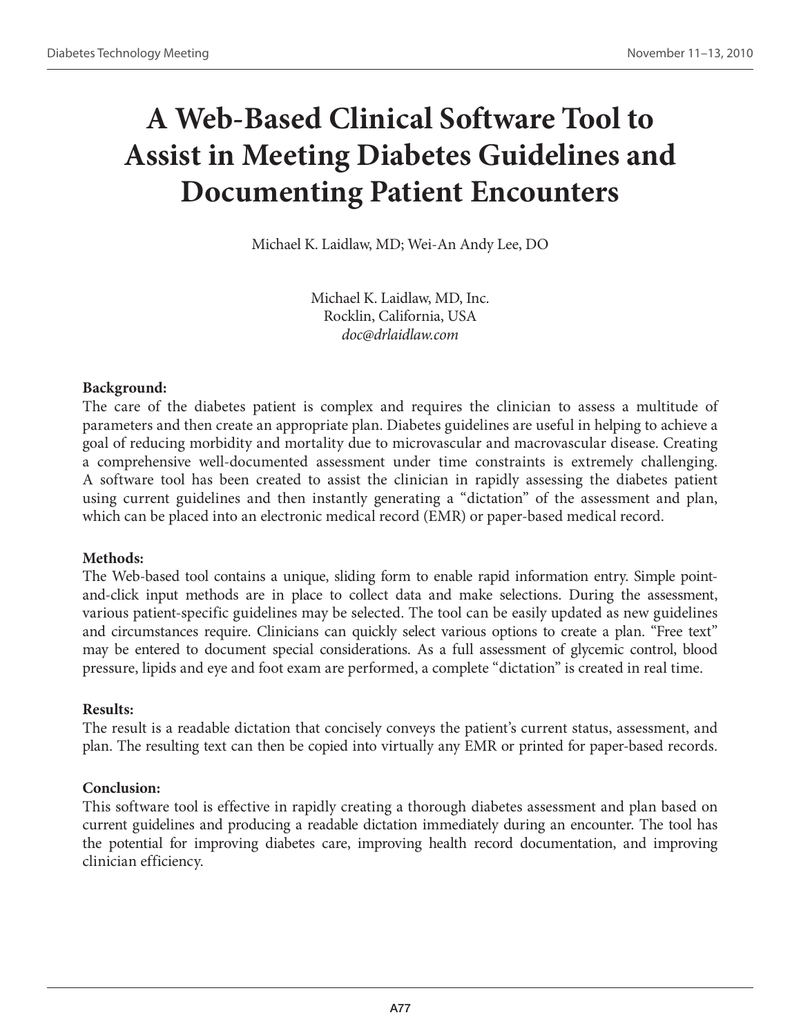# **A Web-Based Clinical Software Tool to Assist in Meeting Diabetes Guidelines and Documenting Patient Encounters**

Michael K. Laidlaw, MD; Wei-An Andy Lee, DO

Michael K. Laidlaw, MD, Inc. Rocklin, California, USA *doc@drlaidlaw.com*

### **Background:**

The care of the diabetes patient is complex and requires the clinician to assess a multitude of parameters and then create an appropriate plan. Diabetes guidelines are useful in helping to achieve a goal of reducing morbidity and mortality due to microvascular and macrovascular disease. Creating a comprehensive well-documented assessment under time constraints is extremely challenging. A software tool has been created to assist the clinician in rapidly assessing the diabetes patient using current guidelines and then instantly generating a "dictation" of the assessment and plan, which can be placed into an electronic medical record (EMR) or paper-based medical record.

#### **Methods:**

The Web-based tool contains a unique, sliding form to enable rapid information entry. Simple pointand-click input methods are in place to collect data and make selections. During the assessment, various patient-specific guidelines may be selected. The tool can be easily updated as new guidelines and circumstances require. Clinicians can quickly select various options to create a plan. "Free text" may be entered to document special considerations. As a full assessment of glycemic control, blood pressure, lipids and eye and foot exam are performed, a complete "dictation" is created in real time.

#### **Results:**

The result is a readable dictation that concisely conveys the patient's current status, assessment, and plan. The resulting text can then be copied into virtually any EMR or printed for paper-based records.

### **Conclusion:**

This software tool is effective in rapidly creating a thorough diabetes assessment and plan based on current guidelines and producing a readable dictation immediately during an encounter. The tool has the potential for improving diabetes care, improving health record documentation, and improving clinician efficiency.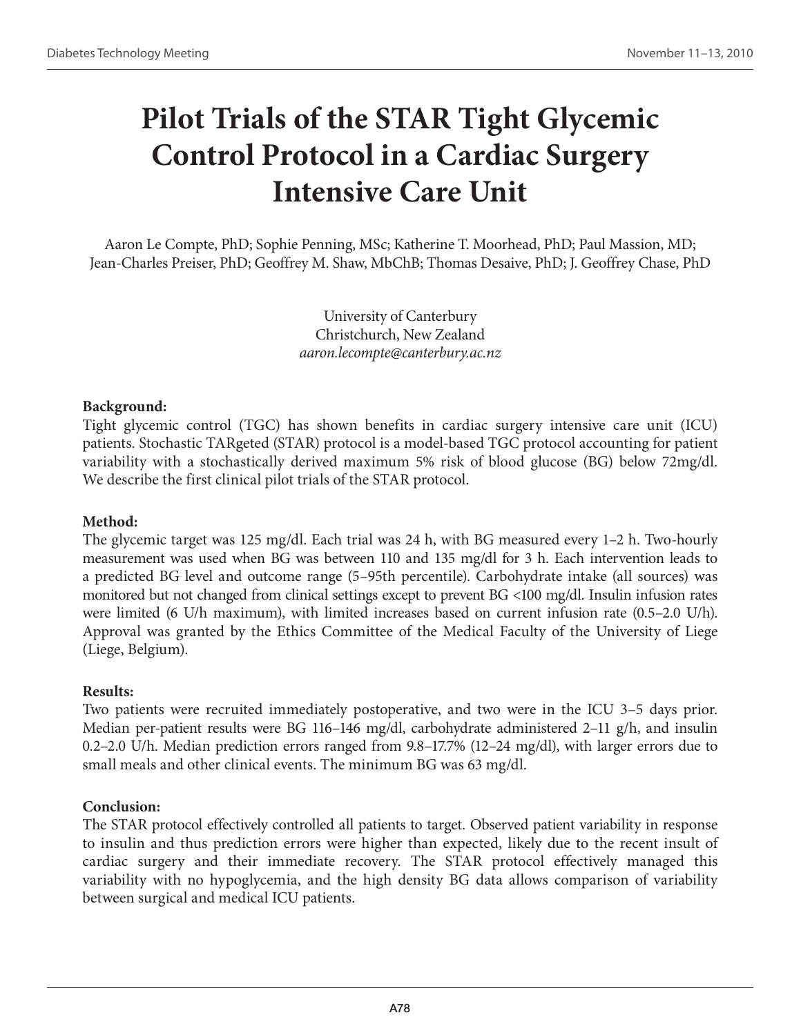## **Pilot Trials of the STAR Tight Glycemic Control Protocol in a Cardiac Surgery Intensive Care Unit**

Aaron Le Compte, PhD; Sophie Penning, MSc; Katherine T. Moorhead, PhD; Paul Massion, MD; Jean-Charles Preiser, PhD; Geoffrey M. Shaw, MbChB; Thomas Desaive, PhD; J. Geoffrey Chase, PhD

> University of Canterbury Christchurch, New Zealand *aaron.lecompte@canterbury.ac.nz*

### **Background:**

Tight glycemic control (TGC) has shown benefits in cardiac surgery intensive care unit (ICU) patients. Stochastic TARgeted (STAR) protocol is a model-based TGC protocol accounting for patient variability with a stochastically derived maximum 5% risk of blood glucose (BG) below 72mg/dl. We describe the first clinical pilot trials of the STAR protocol.

### **Method:**

The glycemic target was 125 mg/dl. Each trial was 24 h, with BG measured every 1–2 h. Two-hourly measurement was used when BG was between 110 and 135 mg/dl for 3 h. Each intervention leads to a predicted BG level and outcome range (5–95th percentile). Carbohydrate intake (all sources) was monitored but not changed from clinical settings except to prevent BG <100 mg/dl. Insulin infusion rates were limited (6 U/h maximum), with limited increases based on current infusion rate (0.5–2.0 U/h). Approval was granted by the Ethics Committee of the Medical Faculty of the University of Liege (Liege, Belgium).

### **Results:**

Two patients were recruited immediately postoperative, and two were in the ICU 3–5 days prior. Median per-patient results were BG 116–146 mg/dl, carbohydrate administered 2–11 g/h, and insulin 0.2–2.0 U/h. Median prediction errors ranged from 9.8–17.7% (12–24 mg/dl), with larger errors due to small meals and other clinical events. The minimum BG was 63 mg/dl.

### **Conclusion:**

The STAR protocol effectively controlled all patients to target. Observed patient variability in response to insulin and thus prediction errors were higher than expected, likely due to the recent insult of cardiac surgery and their immediate recovery. The STAR protocol effectively managed this variability with no hypoglycemia, and the high density BG data allows comparison of variability between surgical and medical ICU patients.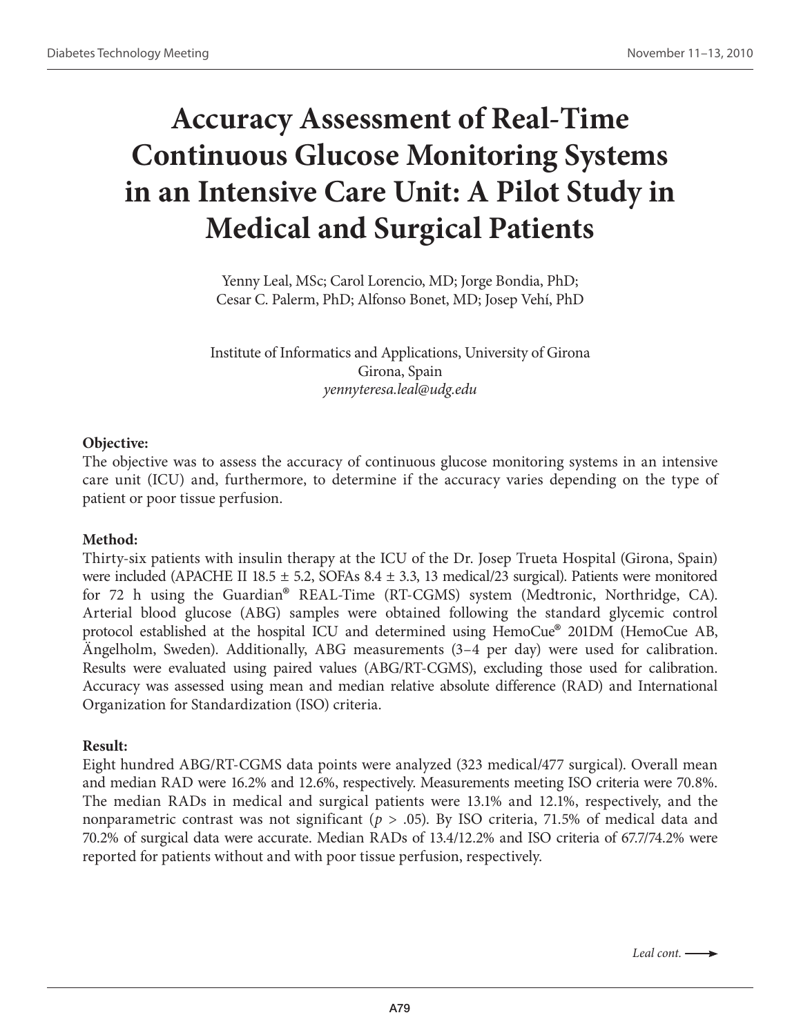## **Accuracy Assessment of Real-Time Continuous Glucose Monitoring Systems in an Intensive Care Unit: A Pilot Study in Medical and Surgical Patients**

Yenny Leal, MSc; Carol Lorencio, MD; Jorge Bondia, PhD; Cesar C. Palerm, PhD; Alfonso Bonet, MD; Josep Vehí, PhD

Institute of Informatics and Applications, University of Girona Girona, Spain *yennyteresa.leal@udg.edu*

#### **Objective:**

The objective was to assess the accuracy of continuous glucose monitoring systems in an intensive care unit (ICU) and, furthermore, to determine if the accuracy varies depending on the type of patient or poor tissue perfusion.

### **Method:**

Thirty-six patients with insulin therapy at the ICU of the Dr. Josep Trueta Hospital (Girona, Spain) were included (APACHE II 18.5  $\pm$  5.2, SOFAs 8.4  $\pm$  3.3, 13 medical/23 surgical). Patients were monitored for 72 h using the Guardian® REAL-Time (RT-CGMS) system (Medtronic, Northridge, CA). Arterial blood glucose (ABG) samples were obtained following the standard glycemic control protocol established at the hospital ICU and determined using HemoCue® 201DM (HemoCue AB, Ängelholm, Sweden). Additionally, ABG measurements (3–4 per day) were used for calibration. Results were evaluated using paired values (ABG/RT-CGMS), excluding those used for calibration. Accuracy was assessed using mean and median relative absolute difference (RAD) and International Organization for Standardization (ISO) criteria.

#### **Result:**

Eight hundred ABG/RT-CGMS data points were analyzed (323 medical/477 surgical). Overall mean and median RAD were 16.2% and 12.6%, respectively. Measurements meeting ISO criteria were 70.8%. The median RADs in medical and surgical patients were 13.1% and 12.1%, respectively, and the nonparametric contrast was not significant (*p* > .05). By ISO criteria, 71.5% of medical data and 70.2% of surgical data were accurate. Median RADs of 13.4/12.2% and ISO criteria of 67.7/74.2% were reported for patients without and with poor tissue perfusion, respectively.

*Leal cont.*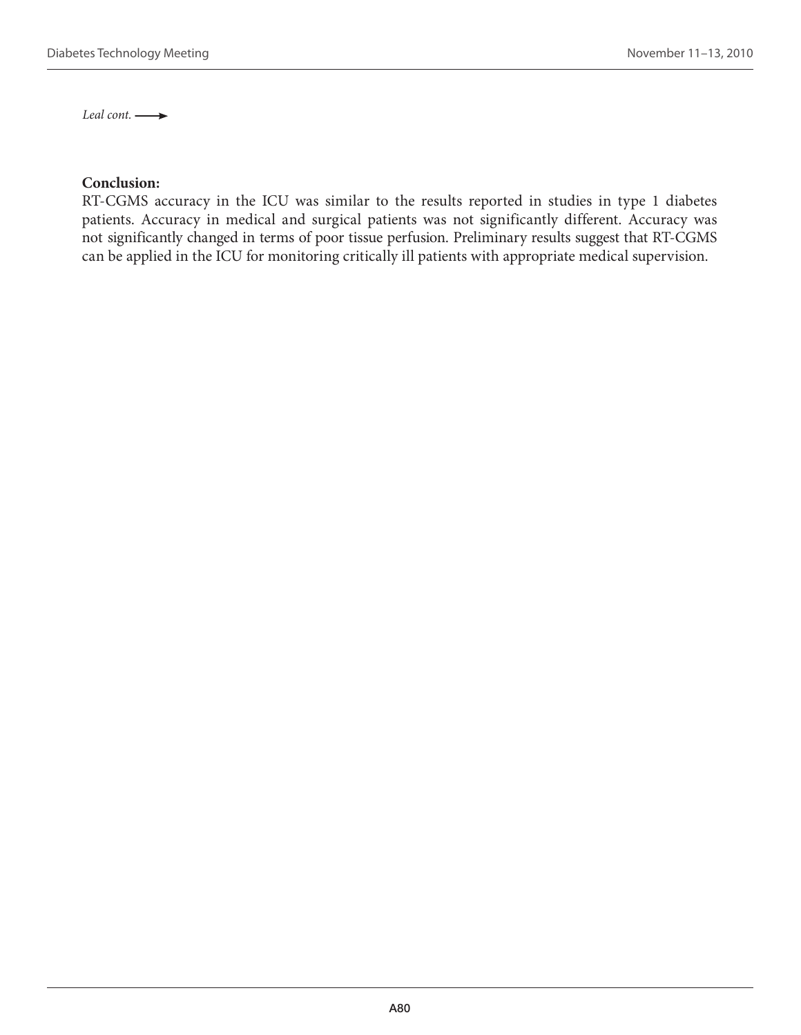*Leal cont.* 

#### **Conclusion:**

RT-CGMS accuracy in the ICU was similar to the results reported in studies in type 1 diabetes patients. Accuracy in medical and surgical patients was not significantly different. Accuracy was not significantly changed in terms of poor tissue perfusion. Preliminary results suggest that RT-CGMS can be applied in the ICU for monitoring critically ill patients with appropriate medical supervision.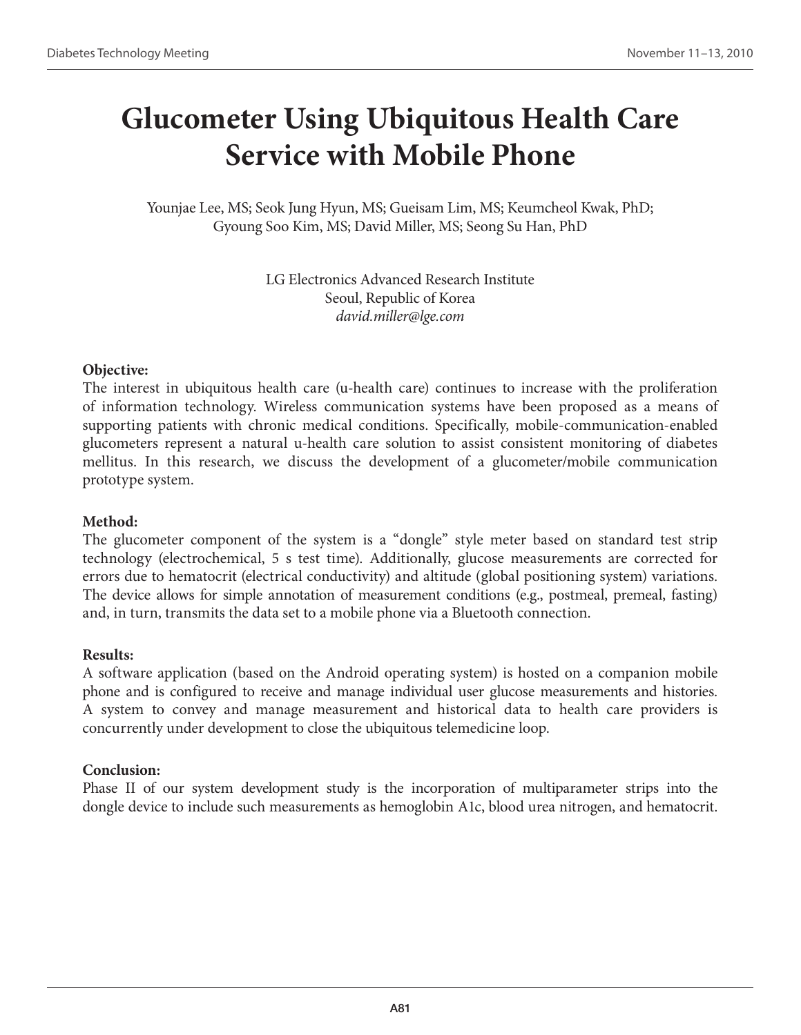# **Glucometer Using Ubiquitous Health Care Service with Mobile Phone**

Younjae Lee, MS; Seok Jung Hyun, MS; Gueisam Lim, MS; Keumcheol Kwak, PhD; Gyoung Soo Kim, MS; David Miller, MS; Seong Su Han, PhD

> LG Electronics Advanced Research Institute Seoul, Republic of Korea *david.miller@lge.com*

#### **Objective:**

The interest in ubiquitous health care (u-health care) continues to increase with the proliferation of information technology. Wireless communication systems have been proposed as a means of supporting patients with chronic medical conditions. Specifically, mobile-communication-enabled glucometers represent a natural u-health care solution to assist consistent monitoring of diabetes mellitus. In this research, we discuss the development of a glucometer/mobile communication prototype system.

#### **Method:**

The glucometer component of the system is a "dongle" style meter based on standard test strip technology (electrochemical, 5 s test time). Additionally, glucose measurements are corrected for errors due to hematocrit (electrical conductivity) and altitude (global positioning system) variations. The device allows for simple annotation of measurement conditions (e.g., postmeal, premeal, fasting) and, in turn, transmits the data set to a mobile phone via a Bluetooth connection.

#### **Results:**

A software application (based on the Android operating system) is hosted on a companion mobile phone and is configured to receive and manage individual user glucose measurements and histories. A system to convey and manage measurement and historical data to health care providers is concurrently under development to close the ubiquitous telemedicine loop.

#### **Conclusion:**

Phase II of our system development study is the incorporation of multiparameter strips into the dongle device to include such measurements as hemoglobin A1c, blood urea nitrogen, and hematocrit.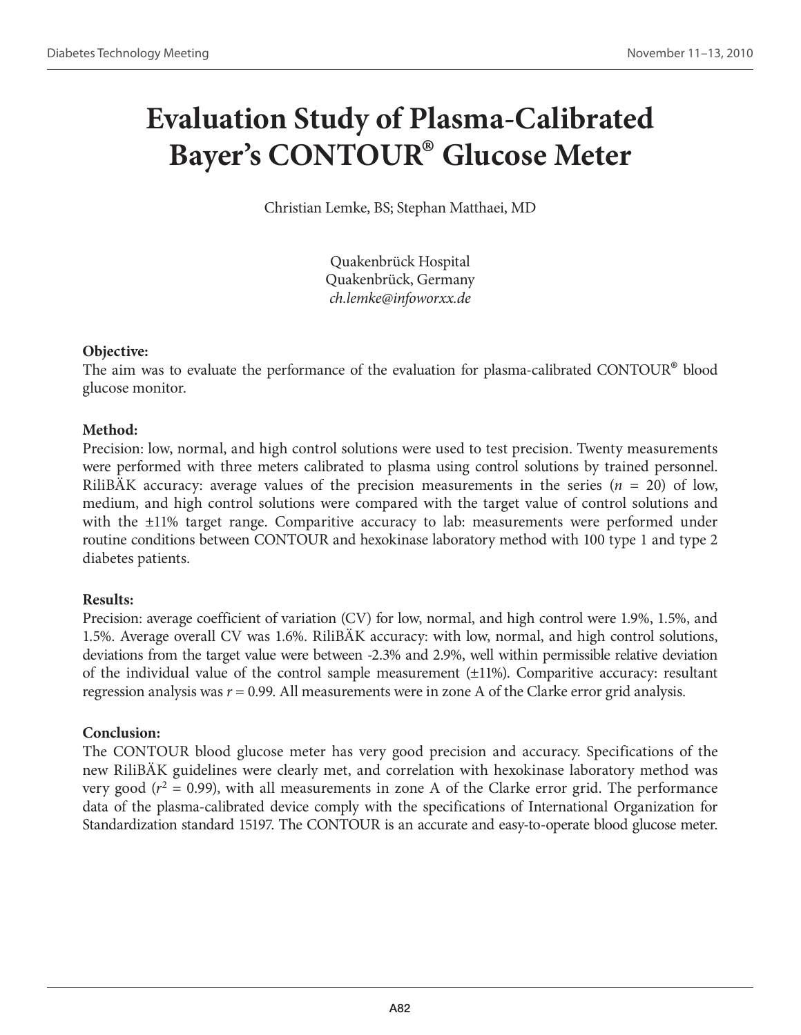# **Evaluation Study of Plasma-Calibrated Bayer's CONTOUR® Glucose Meter**

Christian Lemke, BS; Stephan Matthaei, MD

Quakenbrück Hospital Quakenbrück, Germany *ch.lemke@infoworxx.de*

### **Objective:**

The aim was to evaluate the performance of the evaluation for plasma-calibrated CONTOUR® blood glucose monitor.

### **Method:**

Precision: low, normal, and high control solutions were used to test precision. Twenty measurements were performed with three meters calibrated to plasma using control solutions by trained personnel. RiliBAK accuracy: average values of the precision measurements in the series  $(n = 20)$  of low, medium, and high control solutions were compared with the target value of control solutions and with the ±11% target range. Comparitive accuracy to lab: measurements were performed under routine conditions between CONTOUR and hexokinase laboratory method with 100 type 1 and type 2 diabetes patients.

### **Results:**

Precision: average coefficient of variation (CV) for low, normal, and high control were 1.9%, 1.5%, and 1.5%. Average overall CV was 1.6%. RiliBÄK accuracy: with low, normal, and high control solutions, deviations from the target value were between -2.3% and 2.9%, well within permissible relative deviation of the individual value of the control sample measurement (±11%). Comparitive accuracy: resultant regression analysis was *r* = 0.99. All measurements were in zone A of the Clarke error grid analysis.

### **Conclusion:**

The CONTOUR blood glucose meter has very good precision and accuracy. Specifications of the new RiliBÄK guidelines were clearly met, and correlation with hexokinase laboratory method was very good  $(r^2 = 0.99)$ , with all measurements in zone A of the Clarke error grid. The performance data of the plasma-calibrated device comply with the specifications of International Organization for Standardization standard 15197. The CONTOUR is an accurate and easy-to-operate blood glucose meter.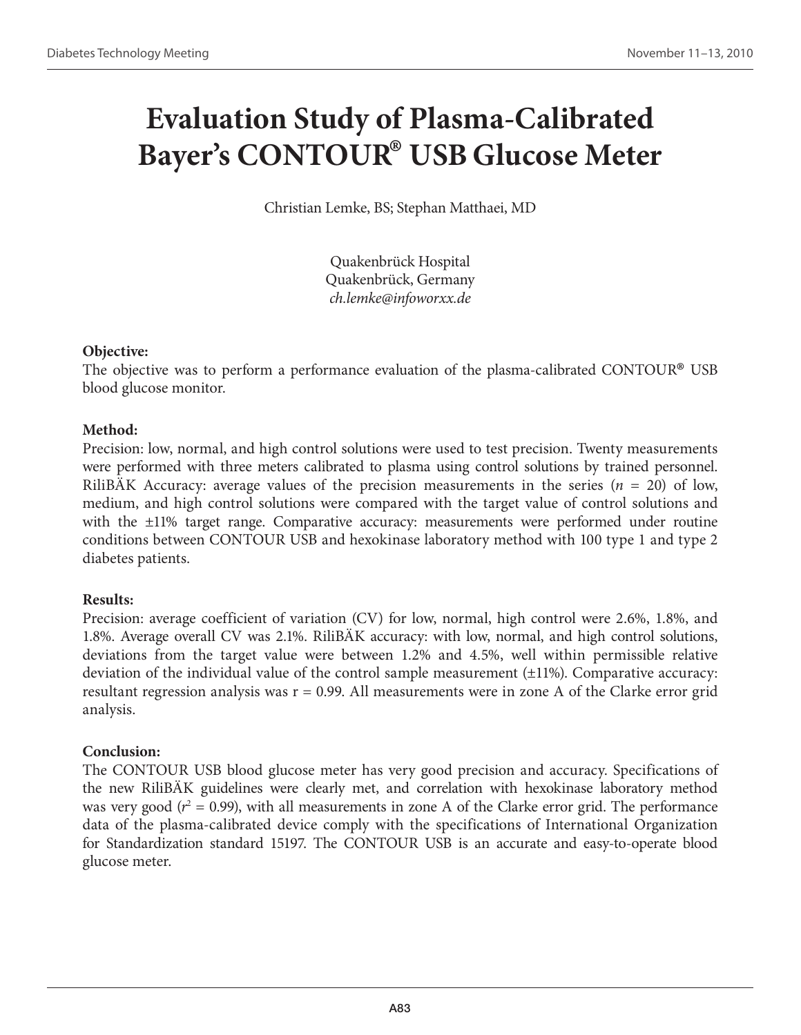# **Evaluation Study of Plasma-Calibrated Bayer's CONTOUR® USB Glucose Meter**

Christian Lemke, BS; Stephan Matthaei, MD

Quakenbrück Hospital Quakenbrück, Germany *ch.lemke@infoworxx.de*

### **Objective:**

The objective was to perform a performance evaluation of the plasma-calibrated CONTOUR® USB blood glucose monitor.

### **Method:**

Precision: low, normal, and high control solutions were used to test precision. Twenty measurements were performed with three meters calibrated to plasma using control solutions by trained personnel. RiliBAK Accuracy: average values of the precision measurements in the series  $(n = 20)$  of low, medium, and high control solutions were compared with the target value of control solutions and with the ±11% target range. Comparative accuracy: measurements were performed under routine conditions between CONTOUR USB and hexokinase laboratory method with 100 type 1 and type 2 diabetes patients.

### **Results:**

Precision: average coefficient of variation (CV) for low, normal, high control were 2.6%, 1.8%, and 1.8%. Average overall CV was 2.1%. RiliBÄK accuracy: with low, normal, and high control solutions, deviations from the target value were between 1.2% and 4.5%, well within permissible relative deviation of the individual value of the control sample measurement (±11%). Comparative accuracy: resultant regression analysis was  $r = 0.99$ . All measurements were in zone A of the Clarke error grid analysis.

### **Conclusion:**

The CONTOUR USB blood glucose meter has very good precision and accuracy. Specifications of the new RiliBÄK guidelines were clearly met, and correlation with hexokinase laboratory method was very good ( $r^2 = 0.99$ ), with all measurements in zone A of the Clarke error grid. The performance data of the plasma-calibrated device comply with the specifications of International Organization for Standardization standard 15197. The CONTOUR USB is an accurate and easy-to-operate blood glucose meter.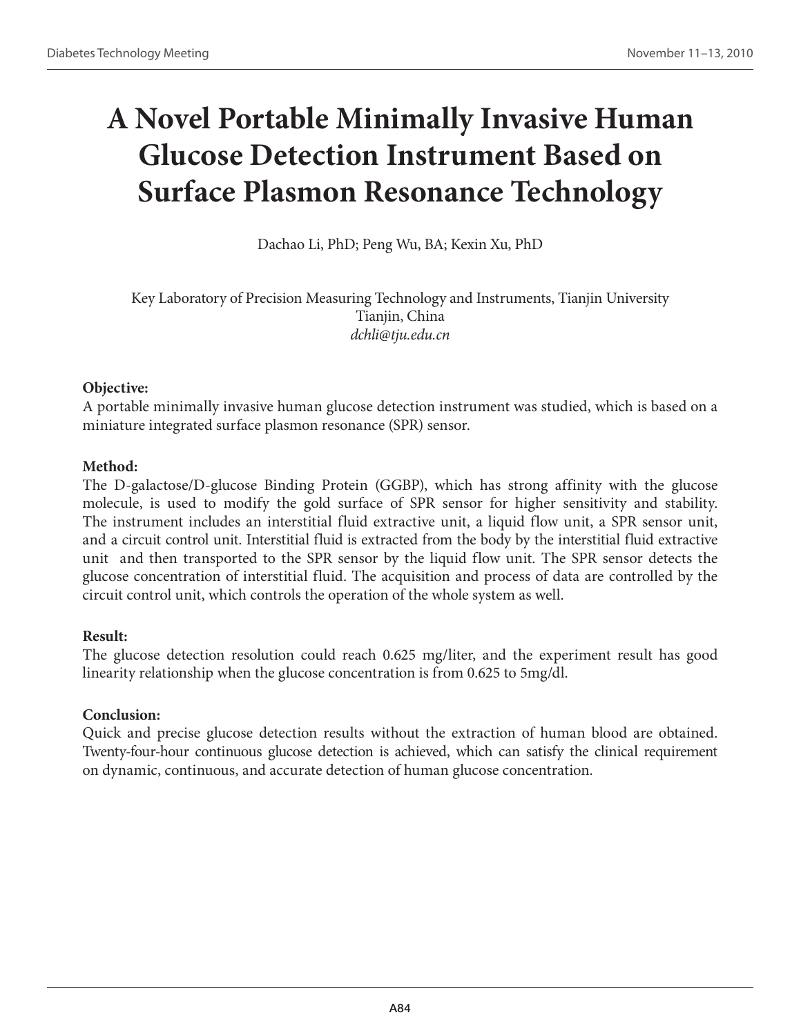# **A Novel Portable Minimally Invasive Human Glucose Detection Instrument Based on Surface Plasmon Resonance Technology**

Dachao Li, PhD; Peng Wu, BA; Kexin Xu, PhD

Key Laboratory of Precision Measuring Technology and Instruments, Tianjin University Tianjin, China *dchli@tju.edu.cn*

### **Objective:**

A portable minimally invasive human glucose detection instrument was studied, which is based on a miniature integrated surface plasmon resonance (SPR) sensor.

### **Method:**

The D-galactose/D-glucose Binding Protein (GGBP), which has strong affinity with the glucose molecule, is used to modify the gold surface of SPR sensor for higher sensitivity and stability. The instrument includes an interstitial fluid extractive unit, a liquid flow unit, a SPR sensor unit, and a circuit control unit. Interstitial fluid is extracted from the body by the interstitial fluid extractive unit and then transported to the SPR sensor by the liquid flow unit. The SPR sensor detects the glucose concentration of interstitial fluid. The acquisition and process of data are controlled by the circuit control unit, which controls the operation of the whole system as well.

### **Result:**

The glucose detection resolution could reach 0.625 mg/liter, and the experiment result has good linearity relationship when the glucose concentration is from 0.625 to 5mg/dl.

## **Conclusion:**

Quick and precise glucose detection results without the extraction of human blood are obtained. Twenty-four-hour continuous glucose detection is achieved, which can satisfy the clinical requirement on dynamic, continuous, and accurate detection of human glucose concentration.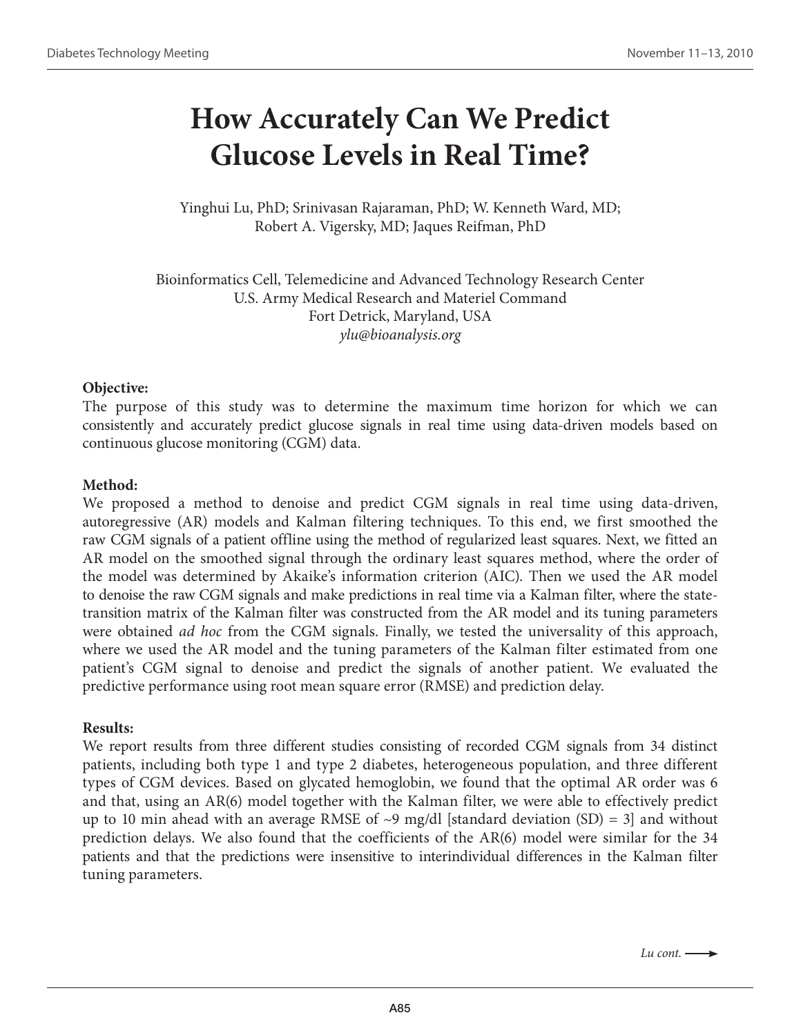## **How Accurately Can We Predict Glucose Levels in Real Time?**

Yinghui Lu, PhD; Srinivasan Rajaraman, PhD; W. Kenneth Ward, MD; Robert A. Vigersky, MD; Jaques Reifman, PhD

Bioinformatics Cell, Telemedicine and Advanced Technology Research Center U.S. Army Medical Research and Materiel Command Fort Detrick, Maryland, USA *ylu@bioanalysis.org*

#### **Objective:**

The purpose of this study was to determine the maximum time horizon for which we can consistently and accurately predict glucose signals in real time using data-driven models based on continuous glucose monitoring (CGM) data.

#### **Method:**

We proposed a method to denoise and predict CGM signals in real time using data-driven, autoregressive (AR) models and Kalman filtering techniques. To this end, we first smoothed the raw CGM signals of a patient offline using the method of regularized least squares. Next, we fitted an AR model on the smoothed signal through the ordinary least squares method, where the order of the model was determined by Akaike's information criterion (AIC). Then we used the AR model to denoise the raw CGM signals and make predictions in real time via a Kalman filter, where the statetransition matrix of the Kalman filter was constructed from the AR model and its tuning parameters were obtained *ad hoc* from the CGM signals. Finally, we tested the universality of this approach, where we used the AR model and the tuning parameters of the Kalman filter estimated from one patient's CGM signal to denoise and predict the signals of another patient. We evaluated the predictive performance using root mean square error (RMSE) and prediction delay.

#### **Results:**

We report results from three different studies consisting of recorded CGM signals from 34 distinct patients, including both type 1 and type 2 diabetes, heterogeneous population, and three different types of CGM devices. Based on glycated hemoglobin, we found that the optimal AR order was 6 and that, using an AR(6) model together with the Kalman filter, we were able to effectively predict up to 10 min ahead with an average RMSE of  $\sim$ 9 mg/dl [standard deviation (SD) = 3] and without prediction delays. We also found that the coefficients of the AR(6) model were similar for the 34 patients and that the predictions were insensitive to interindividual differences in the Kalman filter tuning parameters.

*Lu cont.*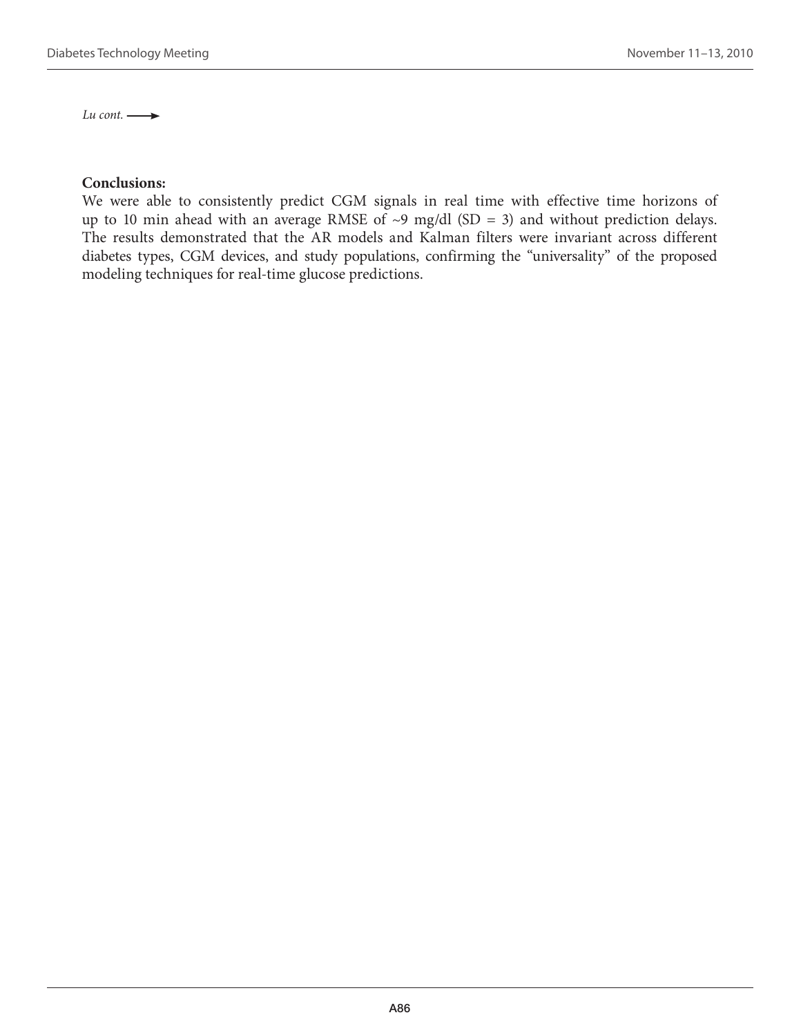Lu cont.  $\longrightarrow$ 

#### **Conclusions:**

We were able to consistently predict CGM signals in real time with effective time horizons of up to 10 min ahead with an average RMSE of  $\sim$ 9 mg/dl (SD = 3) and without prediction delays. The results demonstrated that the AR models and Kalman filters were invariant across different diabetes types, CGM devices, and study populations, confirming the "universality" of the proposed modeling techniques for real-time glucose predictions.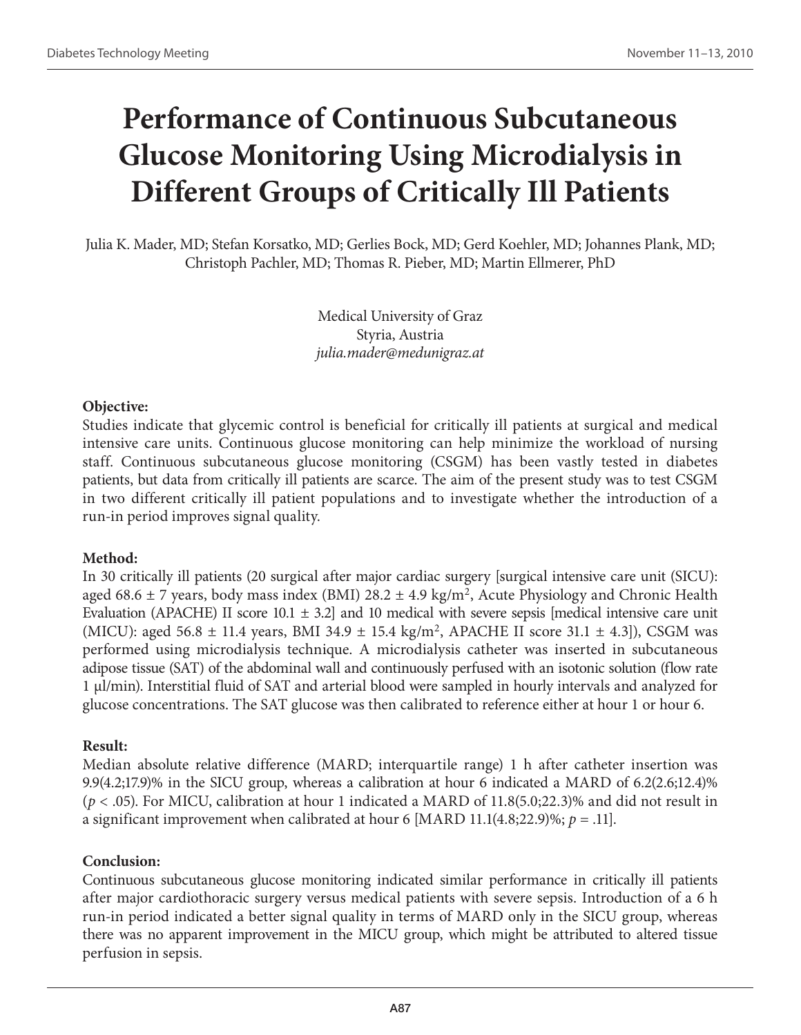## **Performance of Continuous Subcutaneous Glucose Monitoring Using Microdialysis in Different Groups of Critically Ill Patients**

Julia K. Mader, MD; Stefan Korsatko, MD; Gerlies Bock, MD; Gerd Koehler, MD; Johannes Plank, MD; Christoph Pachler, MD; Thomas R. Pieber, MD; Martin Ellmerer, PhD

> Medical University of Graz Styria, Austria *julia.mader@medunigraz.at*

#### **Objective:**

Studies indicate that glycemic control is beneficial for critically ill patients at surgical and medical intensive care units. Continuous glucose monitoring can help minimize the workload of nursing staff. Continuous subcutaneous glucose monitoring (CSGM) has been vastly tested in diabetes patients, but data from critically ill patients are scarce. The aim of the present study was to test CSGM in two different critically ill patient populations and to investigate whether the introduction of a run-in period improves signal quality.

### **Method:**

In 30 critically ill patients (20 surgical after major cardiac surgery [surgical intensive care unit (SICU): aged 68.6  $\pm$  7 years, body mass index (BMI) 28.2  $\pm$  4.9 kg/m<sup>2</sup>, Acute Physiology and Chronic Health Evaluation (APACHE) II score 10.1  $\pm$  3.2] and 10 medical with severe sepsis [medical intensive care unit (MICU): aged 56.8  $\pm$  11.4 years, BMI 34.9  $\pm$  15.4 kg/m<sup>2</sup>, APACHE II score 31.1  $\pm$  4.3]), CSGM was performed using microdialysis technique. A microdialysis catheter was inserted in subcutaneous adipose tissue (SAT) of the abdominal wall and continuously perfused with an isotonic solution (flow rate 1 µl/min). Interstitial fluid of SAT and arterial blood were sampled in hourly intervals and analyzed for glucose concentrations. The SAT glucose was then calibrated to reference either at hour 1 or hour 6.

### **Result:**

Median absolute relative difference (MARD; interquartile range) 1 h after catheter insertion was 9.9(4.2;17.9)% in the SICU group, whereas a calibration at hour 6 indicated a MARD of 6.2(2.6;12.4)% (*p* < .05). For MICU, calibration at hour 1 indicated a MARD of 11.8(5.0;22.3)% and did not result in a significant improvement when calibrated at hour 6 [MARD 11.1(4.8;22.9)%;  $p = .11$ ].

### **Conclusion:**

Continuous subcutaneous glucose monitoring indicated similar performance in critically ill patients after major cardiothoracic surgery versus medical patients with severe sepsis. Introduction of a 6 h run-in period indicated a better signal quality in terms of MARD only in the SICU group, whereas there was no apparent improvement in the MICU group, which might be attributed to altered tissue perfusion in sepsis.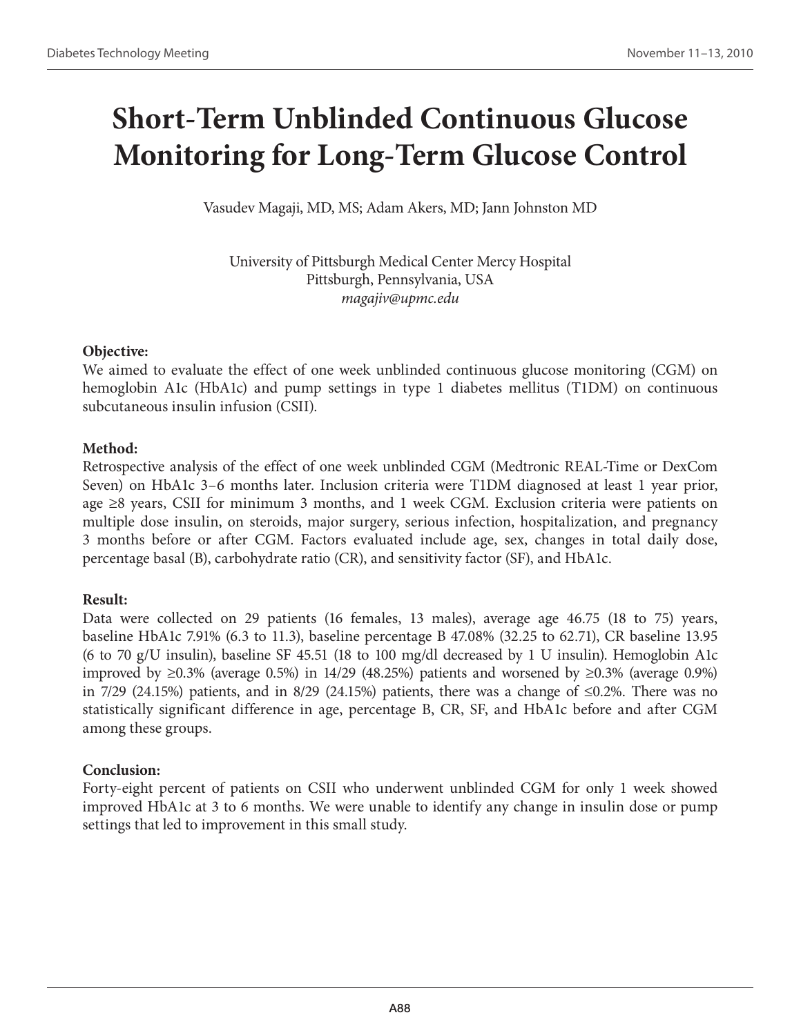# **Short-Term Unblinded Continuous Glucose Monitoring for Long-Term Glucose Control**

Vasudev Magaji, MD, MS; Adam Akers, MD; Jann Johnston MD

University of Pittsburgh Medical Center Mercy Hospital Pittsburgh, Pennsylvania, USA *magajiv@upmc.edu*

### **Objective:**

We aimed to evaluate the effect of one week unblinded continuous glucose monitoring (CGM) on hemoglobin A1c (HbA1c) and pump settings in type 1 diabetes mellitus (T1DM) on continuous subcutaneous insulin infusion (CSII).

## **Method:**

Retrospective analysis of the effect of one week unblinded CGM (Medtronic REAL-Time or DexCom Seven) on HbA1c 3–6 months later. Inclusion criteria were T1DM diagnosed at least 1 year prior, age ≥8 years, CSII for minimum 3 months, and 1 week CGM. Exclusion criteria were patients on multiple dose insulin, on steroids, major surgery, serious infection, hospitalization, and pregnancy 3 months before or after CGM. Factors evaluated include age, sex, changes in total daily dose, percentage basal (B), carbohydrate ratio (CR), and sensitivity factor (SF), and HbA1c.

## **Result:**

Data were collected on 29 patients (16 females, 13 males), average age 46.75 (18 to 75) years, baseline HbA1c 7.91% (6.3 to 11.3), baseline percentage B 47.08% (32.25 to 62.71), CR baseline 13.95 (6 to 70 g/U insulin), baseline SF 45.51 (18 to 100 mg/dl decreased by 1 U insulin). Hemoglobin A1c improved by ≥0.3% (average 0.5%) in 14/29 (48.25%) patients and worsened by ≥0.3% (average 0.9%) in 7/29 (24.15%) patients, and in 8/29 (24.15%) patients, there was a change of ≤0.2%. There was no statistically significant difference in age, percentage B, CR, SF, and HbA1c before and after CGM among these groups.

## **Conclusion:**

Forty-eight percent of patients on CSII who underwent unblinded CGM for only 1 week showed improved HbA1c at 3 to 6 months. We were unable to identify any change in insulin dose or pump settings that led to improvement in this small study.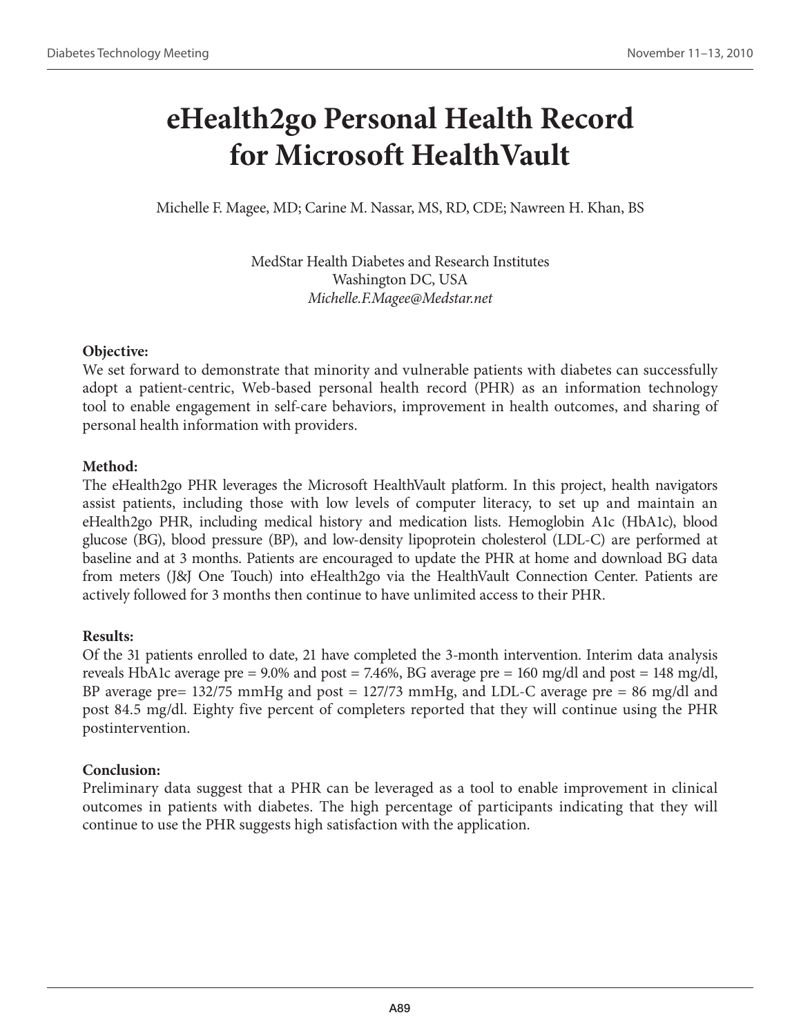## **eHealth2go Personal Health Record for Microsoft HealthVault**

Michelle F. Magee, MD; Carine M. Nassar, MS, RD, CDE; Nawreen H. Khan, BS

MedStar Health Diabetes and Research Institutes Washington DC, USA *Michelle.F.Magee@Medstar.net*

### **Objective:**

We set forward to demonstrate that minority and vulnerable patients with diabetes can successfully adopt a patient-centric, Web-based personal health record (PHR) as an information technology tool to enable engagement in self-care behaviors, improvement in health outcomes, and sharing of personal health information with providers.

## **Method:**

The eHealth2go PHR leverages the Microsoft HealthVault platform. In this project, health navigators assist patients, including those with low levels of computer literacy, to set up and maintain an eHealth2go PHR, including medical history and medication lists. Hemoglobin A1c (HbA1c), blood glucose (BG), blood pressure (BP), and low-density lipoprotein cholesterol (LDL-C) are performed at baseline and at 3 months. Patients are encouraged to update the PHR at home and download BG data from meters (J&J One Touch) into eHealth2go via the HealthVault Connection Center. Patients are actively followed for 3 months then continue to have unlimited access to their PHR.

## **Results:**

Of the 31 patients enrolled to date, 21 have completed the 3-month intervention. Interim data analysis reveals HbA1c average pre =  $9.0\%$  and post = 7.46%, BG average pre = 160 mg/dl and post = 148 mg/dl, BP average pre= 132/75 mmHg and post = 127/73 mmHg, and LDL-C average pre = 86 mg/dl and post 84.5 mg/dl. Eighty five percent of completers reported that they will continue using the PHR postintervention.

## **Conclusion:**

Preliminary data suggest that a PHR can be leveraged as a tool to enable improvement in clinical outcomes in patients with diabetes. The high percentage of participants indicating that they will continue to use the PHR suggests high satisfaction with the application.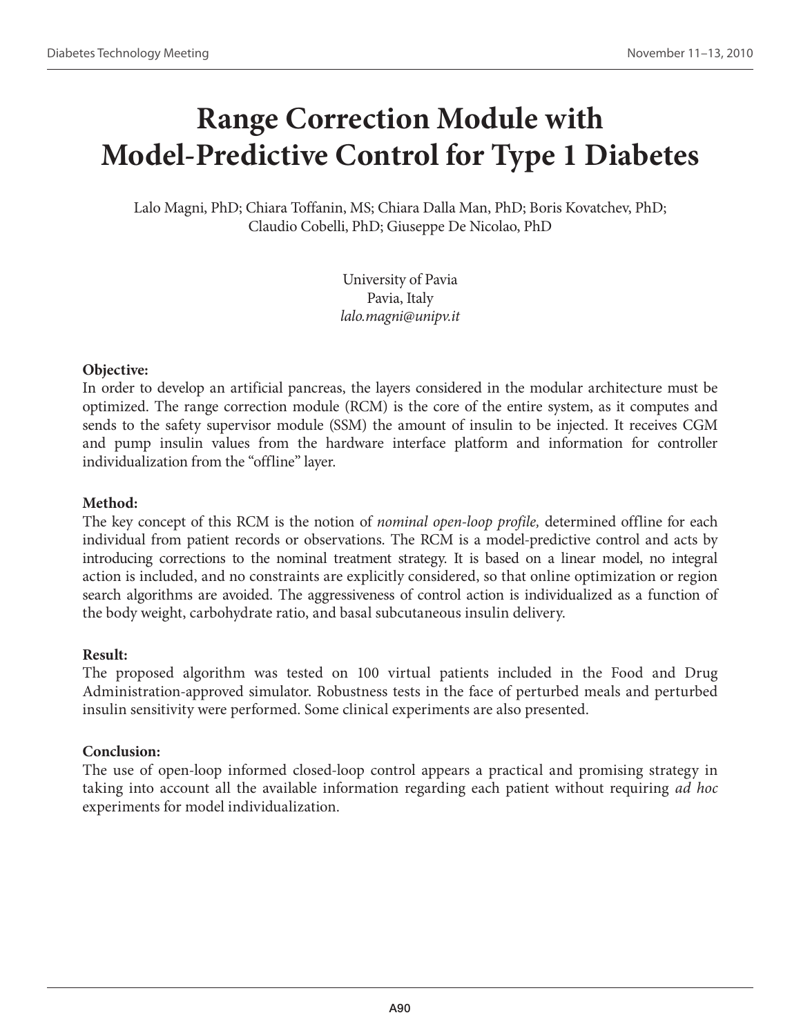## **Range Correction Module with Model-Predictive Control for Type 1 Diabetes**

Lalo Magni, PhD; Chiara Toffanin, MS; Chiara Dalla Man, PhD; Boris Kovatchev, PhD; Claudio Cobelli, PhD; Giuseppe De Nicolao, PhD

> University of Pavia Pavia, Italy *lalo.magni@unipv.it*

#### **Objective:**

In order to develop an artificial pancreas, the layers considered in the modular architecture must be optimized. The range correction module (RCM) is the core of the entire system, as it computes and sends to the safety supervisor module (SSM) the amount of insulin to be injected. It receives CGM and pump insulin values from the hardware interface platform and information for controller individualization from the "offline" layer.

### **Method:**

The key concept of this RCM is the notion of *nominal open-loop profile,* determined offline for each individual from patient records or observations. The RCM is a model-predictive control and acts by introducing corrections to the nominal treatment strategy. It is based on a linear model, no integral action is included, and no constraints are explicitly considered, so that online optimization or region search algorithms are avoided. The aggressiveness of control action is individualized as a function of the body weight, carbohydrate ratio, and basal subcutaneous insulin delivery.

#### **Result:**

The proposed algorithm was tested on 100 virtual patients included in the Food and Drug Administration-approved simulator. Robustness tests in the face of perturbed meals and perturbed insulin sensitivity were performed. Some clinical experiments are also presented.

#### **Conclusion:**

The use of open-loop informed closed-loop control appears a practical and promising strategy in taking into account all the available information regarding each patient without requiring *ad hoc* experiments for model individualization.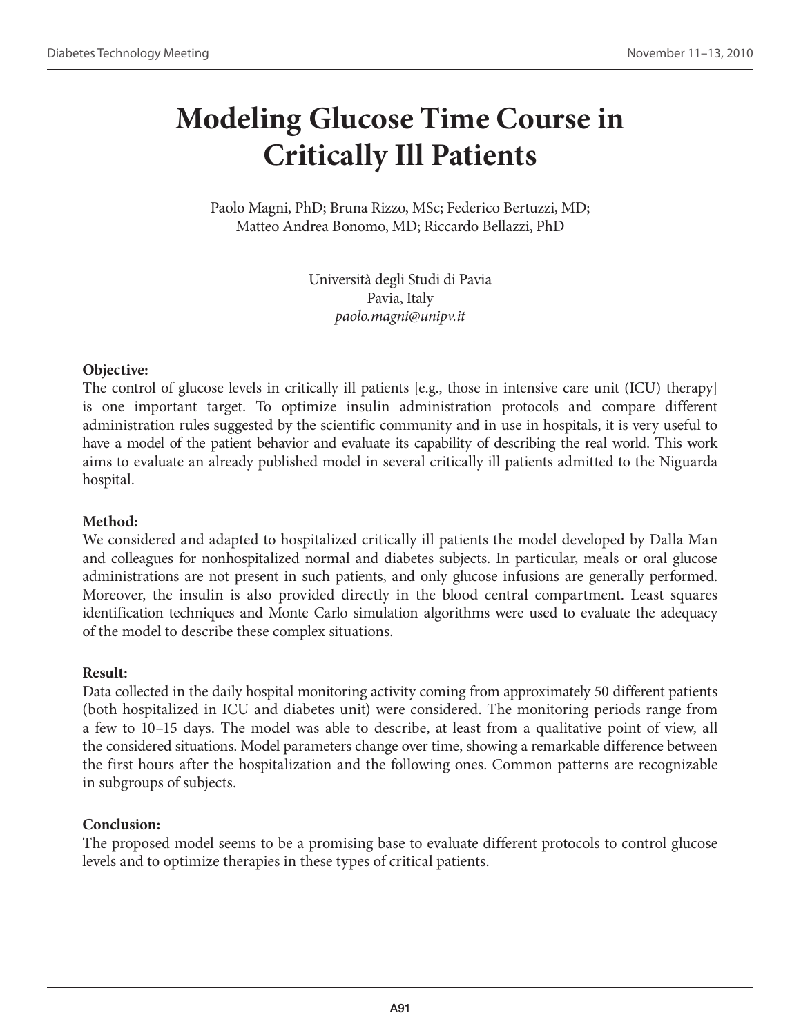## **Modeling Glucose Time Course in Critically Ill Patients**

Paolo Magni, PhD; Bruna Rizzo, MSc; Federico Bertuzzi, MD; Matteo Andrea Bonomo, MD; Riccardo Bellazzi, PhD

> Università degli Studi di Pavia Pavia, Italy *paolo.magni@unipv.it*

#### **Objective:**

The control of glucose levels in critically ill patients [e.g., those in intensive care unit (ICU) therapy] is one important target. To optimize insulin administration protocols and compare different administration rules suggested by the scientific community and in use in hospitals, it is very useful to have a model of the patient behavior and evaluate its capability of describing the real world. This work aims to evaluate an already published model in several critically ill patients admitted to the Niguarda hospital.

#### **Method:**

We considered and adapted to hospitalized critically ill patients the model developed by Dalla Man and colleagues for nonhospitalized normal and diabetes subjects. In particular, meals or oral glucose administrations are not present in such patients, and only glucose infusions are generally performed. Moreover, the insulin is also provided directly in the blood central compartment. Least squares identification techniques and Monte Carlo simulation algorithms were used to evaluate the adequacy of the model to describe these complex situations.

#### **Result:**

Data collected in the daily hospital monitoring activity coming from approximately 50 different patients (both hospitalized in ICU and diabetes unit) were considered. The monitoring periods range from a few to 10–15 days. The model was able to describe, at least from a qualitative point of view, all the considered situations. Model parameters change over time, showing a remarkable difference between the first hours after the hospitalization and the following ones. Common patterns are recognizable in subgroups of subjects.

#### **Conclusion:**

The proposed model seems to be a promising base to evaluate different protocols to control glucose levels and to optimize therapies in these types of critical patients.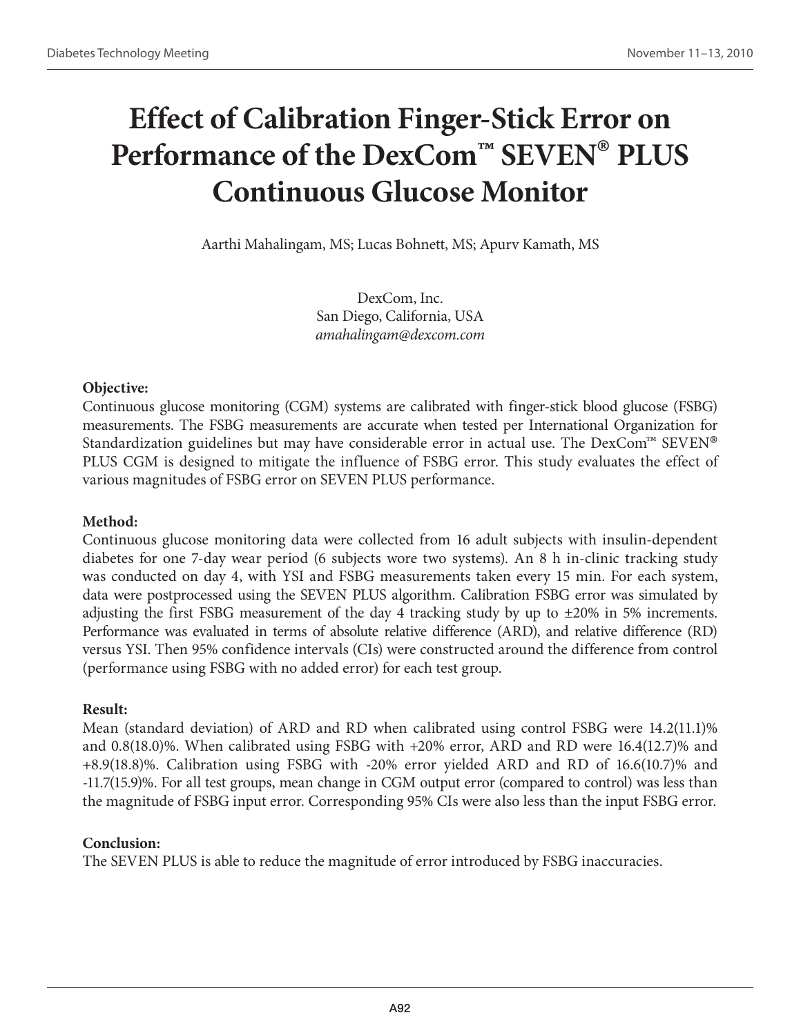# **Effect of Calibration Finger-Stick Error on Performance of the DexCom™ SEVEN® PLUS Continuous Glucose Monitor**

Aarthi Mahalingam, MS; Lucas Bohnett, MS; Apurv Kamath, MS

DexCom, Inc. San Diego, California, USA *amahalingam@dexcom.com*

### **Objective:**

Continuous glucose monitoring (CGM) systems are calibrated with finger-stick blood glucose (FSBG) measurements. The FSBG measurements are accurate when tested per International Organization for Standardization guidelines but may have considerable error in actual use. The DexCom<sup>™</sup> SEVEN<sup>®</sup> PLUS CGM is designed to mitigate the influence of FSBG error. This study evaluates the effect of various magnitudes of FSBG error on SEVEN PLUS performance.

### **Method:**

Continuous glucose monitoring data were collected from 16 adult subjects with insulin-dependent diabetes for one 7-day wear period (6 subjects wore two systems). An 8 h in-clinic tracking study was conducted on day 4, with YSI and FSBG measurements taken every 15 min. For each system, data were postprocessed using the SEVEN PLUS algorithm. Calibration FSBG error was simulated by adjusting the first FSBG measurement of the day 4 tracking study by up to  $\pm 20\%$  in 5% increments. Performance was evaluated in terms of absolute relative difference (ARD), and relative difference (RD) versus YSI. Then 95% confidence intervals (CIs) were constructed around the difference from control (performance using FSBG with no added error) for each test group.

### **Result:**

Mean (standard deviation) of ARD and RD when calibrated using control FSBG were 14.2(11.1)% and 0.8(18.0)%. When calibrated using FSBG with +20% error, ARD and RD were 16.4(12.7)% and +8.9(18.8)%. Calibration using FSBG with -20% error yielded ARD and RD of 16.6(10.7)% and -11.7(15.9)%. For all test groups, mean change in CGM output error (compared to control) was less than the magnitude of FSBG input error. Corresponding 95% CIs were also less than the input FSBG error.

### **Conclusion:**

The SEVEN PLUS is able to reduce the magnitude of error introduced by FSBG inaccuracies.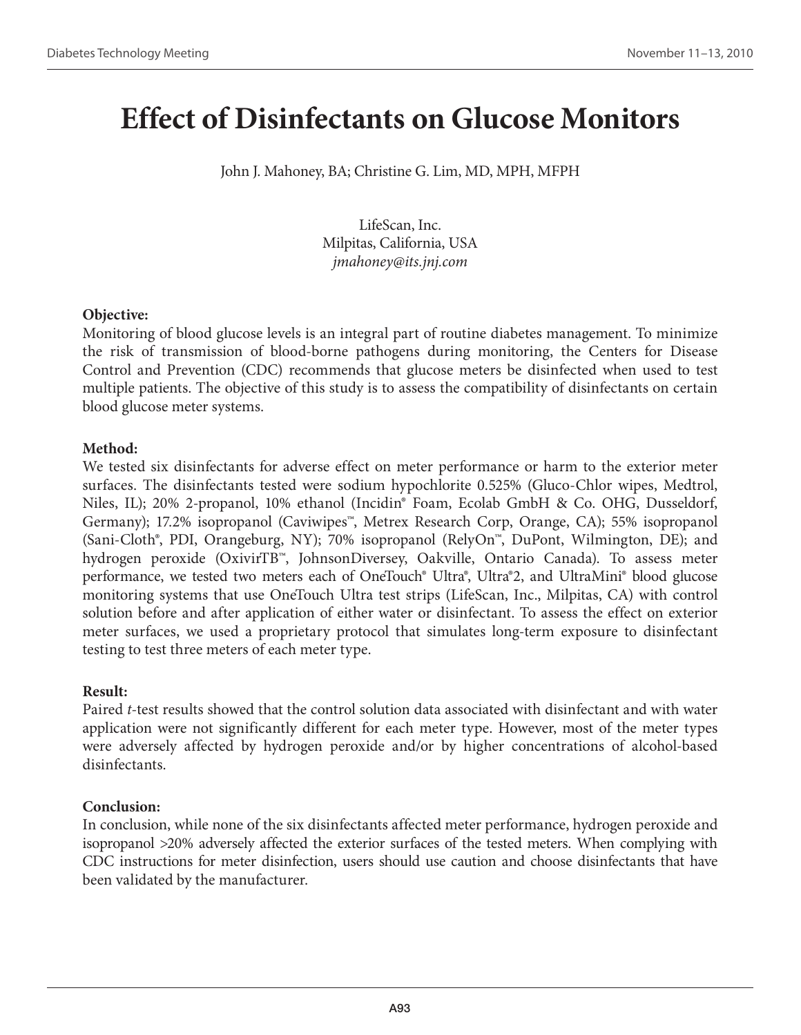## **Effect of Disinfectants on Glucose Monitors**

John J. Mahoney, BA; Christine G. Lim, MD, MPH, MFPH

LifeScan, Inc. Milpitas, California, USA *jmahoney@its.jnj.com*

#### **Objective:**

Monitoring of blood glucose levels is an integral part of routine diabetes management. To minimize the risk of transmission of blood-borne pathogens during monitoring, the Centers for Disease Control and Prevention (CDC) recommends that glucose meters be disinfected when used to test multiple patients. The objective of this study is to assess the compatibility of disinfectants on certain blood glucose meter systems.

### **Method:**

We tested six disinfectants for adverse effect on meter performance or harm to the exterior meter surfaces. The disinfectants tested were sodium hypochlorite 0.525% (Gluco-Chlor wipes, Medtrol, Niles, IL); 20% 2-propanol, 10% ethanol (Incidin® Foam, Ecolab GmbH & Co. OHG, Dusseldorf, Germany); 17.2% isopropanol (Caviwipes™, Metrex Research Corp, Orange, CA); 55% isopropanol (Sani-Cloth®, PDI, Orangeburg, NY); 70% isopropanol (RelyOn™, DuPont, Wilmington, DE); and hydrogen peroxide (OxivirTB™, JohnsonDiversey, Oakville, Ontario Canada). To assess meter performance, we tested two meters each of OneTouch® Ultra®, Ultra®2, and UltraMini® blood glucose monitoring systems that use OneTouch Ultra test strips (LifeScan, Inc., Milpitas, CA) with control solution before and after application of either water or disinfectant. To assess the effect on exterior meter surfaces, we used a proprietary protocol that simulates long-term exposure to disinfectant testing to test three meters of each meter type.

### **Result:**

Paired *t*-test results showed that the control solution data associated with disinfectant and with water application were not significantly different for each meter type. However, most of the meter types were adversely affected by hydrogen peroxide and/or by higher concentrations of alcohol-based disinfectants.

### **Conclusion:**

In conclusion, while none of the six disinfectants affected meter performance, hydrogen peroxide and isopropanol >20% adversely affected the exterior surfaces of the tested meters. When complying with CDC instructions for meter disinfection, users should use caution and choose disinfectants that have been validated by the manufacturer.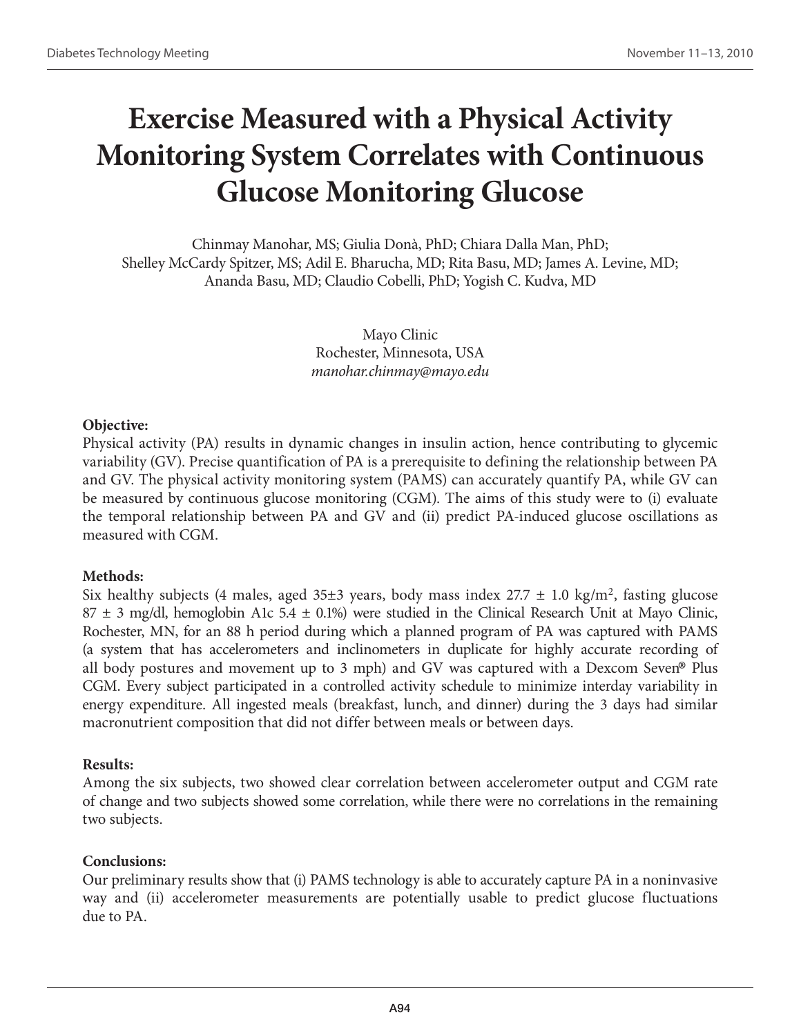## **Exercise Measured with a Physical Activity Monitoring System Correlates with Continuous Glucose Monitoring Glucose**

Chinmay Manohar, MS; Giulia Donà, PhD; Chiara Dalla Man, PhD; Shelley McCardy Spitzer, MS; Adil E. Bharucha, MD; Rita Basu, MD; James A. Levine, MD; Ananda Basu, MD; Claudio Cobelli, PhD; Yogish C. Kudva, MD

> Mayo Clinic Rochester, Minnesota, USA *manohar.chinmay@mayo.edu*

#### **Objective:**

Physical activity (PA) results in dynamic changes in insulin action, hence contributing to glycemic variability (GV). Precise quantification of PA is a prerequisite to defining the relationship between PA and GV. The physical activity monitoring system (PAMS) can accurately quantify PA, while GV can be measured by continuous glucose monitoring (CGM). The aims of this study were to (i) evaluate the temporal relationship between PA and GV and (ii) predict PA-induced glucose oscillations as measured with CGM.

#### **Methods:**

Six healthy subjects (4 males, aged 35 $\pm$ 3 years, body mass index 27.7  $\pm$  1.0 kg/m<sup>2</sup>, fasting glucose 87  $\pm$  3 mg/dl, hemoglobin A1c 5.4  $\pm$  0.1%) were studied in the Clinical Research Unit at Mayo Clinic, Rochester, MN, for an 88 h period during which a planned program of PA was captured with PAMS (a system that has accelerometers and inclinometers in duplicate for highly accurate recording of all body postures and movement up to 3 mph) and GV was captured with a Dexcom Seven® Plus CGM. Every subject participated in a controlled activity schedule to minimize interday variability in energy expenditure. All ingested meals (breakfast, lunch, and dinner) during the 3 days had similar macronutrient composition that did not differ between meals or between days.

#### **Results:**

Among the six subjects, two showed clear correlation between accelerometer output and CGM rate of change and two subjects showed some correlation, while there were no correlations in the remaining two subjects.

#### **Conclusions:**

Our preliminary results show that (i) PAMS technology is able to accurately capture PA in a noninvasive way and (ii) accelerometer measurements are potentially usable to predict glucose fluctuations due to PA.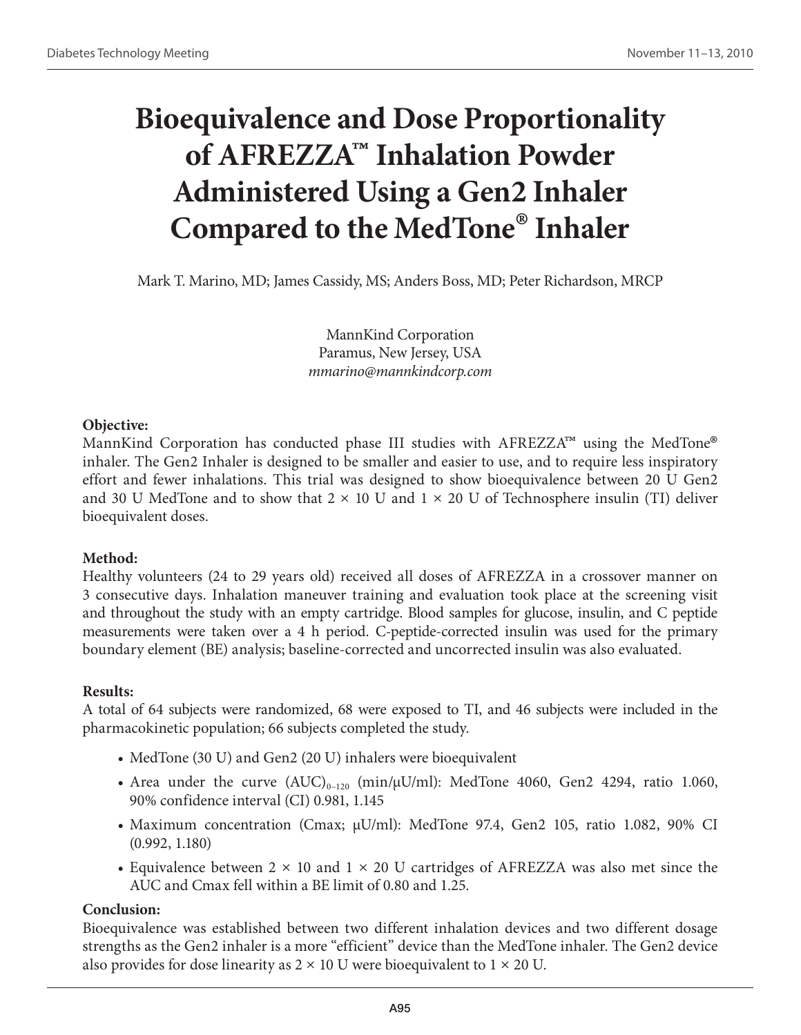# **Bioequivalence and Dose Proportionality of AFREZZA™ Inhalation Powder Administered Using a Gen2 Inhaler Compared to the MedTone® Inhaler**

Mark T. Marino, MD; James Cassidy, MS; Anders Boss, MD; Peter Richardson, MRCP

MannKind Corporation Paramus, New Jersey, USA *mmarino@mannkindcorp.com*

### **Objective:**

MannKind Corporation has conducted phase III studies with  $\rm{AFREZZA}^{\rm{m}}$  using the MedTone® inhaler. The Gen2 Inhaler is designed to be smaller and easier to use, and to require less inspiratory effort and fewer inhalations. This trial was designed to show bioequivalence between 20 U Gen2 and 30 U MedTone and to show that  $2 \times 10$  U and  $1 \times 20$  U of Technosphere insulin (TI) deliver bioequivalent doses.

## **Method:**

Healthy volunteers (24 to 29 years old) received all doses of AFREZZA in a crossover manner on 3 consecutive days. Inhalation maneuver training and evaluation took place at the screening visit and throughout the study with an empty cartridge. Blood samples for glucose, insulin, and C peptide measurements were taken over a 4 h period. C-peptide-corrected insulin was used for the primary boundary element (BE) analysis; baseline-corrected and uncorrected insulin was also evaluated.

### **Results:**

A total of 64 subjects were randomized, 68 were exposed to TI, and 46 subjects were included in the pharmacokinetic population; 66 subjects completed the study.

- MedTone (30 U) and Gen2 (20 U) inhalers were bioequivalent
- Area under the curve  $(AUC)_{0-120}$  (min/ $\mu U/ml$ ): MedTone 4060, Gen2 4294, ratio 1.060, 90% confidence interval (CI) 0.981, 1.145
- Maximum concentration (Cmax;  $\mu$ U/ml): MedTone 97.4, Gen2 105, ratio 1.082, 90% CI (0.992, 1.180)
- Equivalence between  $2 \times 10$  and  $1 \times 20$  U cartridges of AFREZZA was also met since the AUC and Cmax fell within a BE limit of 0.80 and 1.25.

### **Conclusion:**

Bioequivalence was established between two different inhalation devices and two different dosage strengths as the Gen2 inhaler is a more "efficient" device than the MedTone inhaler. The Gen2 device also provides for dose linearity as  $2 \times 10$  U were bioequivalent to  $1 \times 20$  U.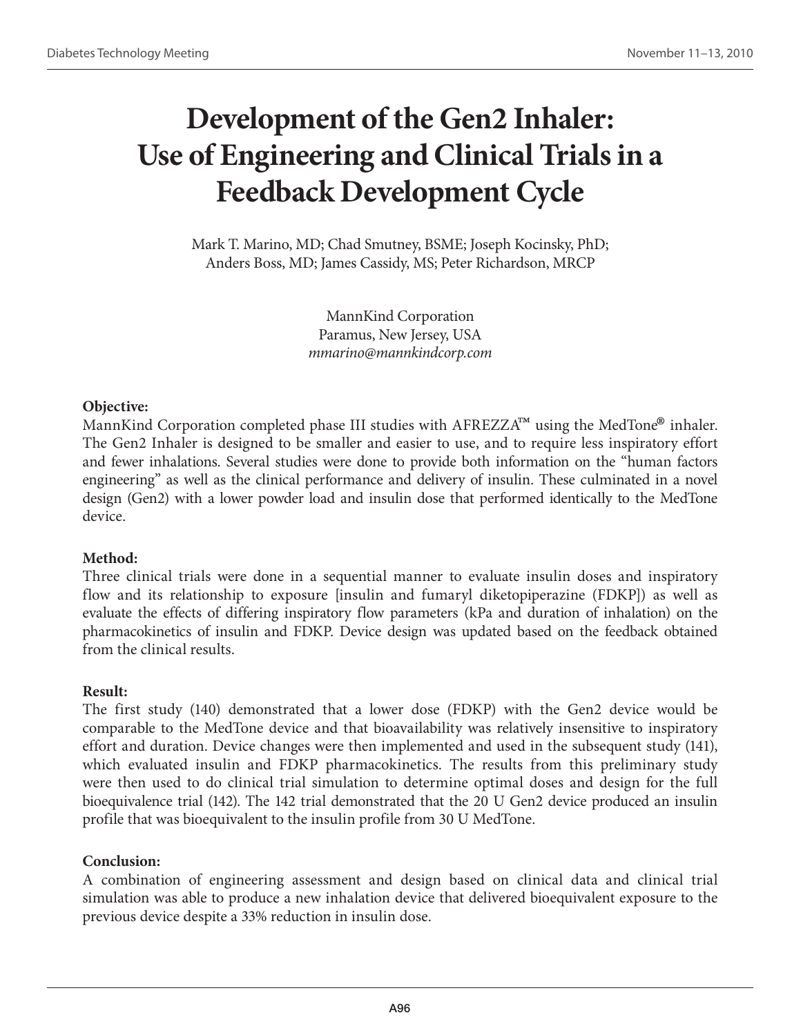## **Development of the Gen2 Inhaler: Use of Engineering and Clinical Trials in a Feedback Development Cycle**

Mark T. Marino, MD; Chad Smutney, BSME; Joseph Kocinsky, PhD; Anders Boss, MD; James Cassidy, MS; Peter Richardson, MRCP

> MannKind Corporation Paramus, New Jersey, USA *mmarino@mannkindcorp.com*

#### **Objective:**

MannKind Corporation completed phase III studies with AFREZZA™ using the MedTone® inhaler. The Gen2 Inhaler is designed to be smaller and easier to use, and to require less inspiratory effort and fewer inhalations. Several studies were done to provide both information on the "human factors engineering" as well as the clinical performance and delivery of insulin. These culminated in a novel design (Gen2) with a lower powder load and insulin dose that performed identically to the MedTone device.

### **Method:**

Three clinical trials were done in a sequential manner to evaluate insulin doses and inspiratory flow and its relationship to exposure [insulin and fumaryl diketopiperazine (FDKP]) as well as evaluate the effects of differing inspiratory flow parameters (kPa and duration of inhalation) on the pharmacokinetics of insulin and FDKP. Device design was updated based on the feedback obtained from the clinical results.

### **Result:**

The first study (140) demonstrated that a lower dose (FDKP) with the Gen2 device would be comparable to the MedTone device and that bioavailability was relatively insensitive to inspiratory effort and duration. Device changes were then implemented and used in the subsequent study (141), which evaluated insulin and FDKP pharmacokinetics. The results from this preliminary study were then used to do clinical trial simulation to determine optimal doses and design for the full bioequivalence trial (142). The 142 trial demonstrated that the 20 U Gen2 device produced an insulin profile that was bioequivalent to the insulin profile from 30 U MedTone.

### **Conclusion:**

A combination of engineering assessment and design based on clinical data and clinical trial simulation was able to produce a new inhalation device that delivered bioequivalent exposure to the previous device despite a 33% reduction in insulin dose.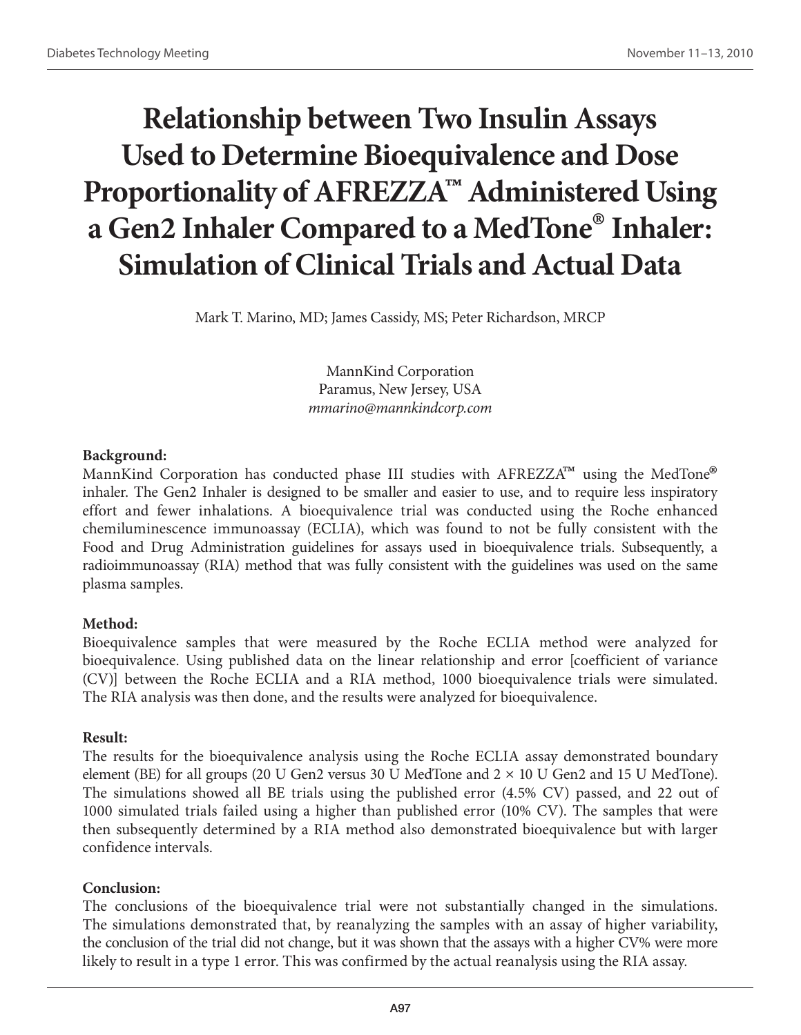# **Relationship between Two Insulin Assays Used to Determine Bioequivalence and Dose Proportionality of AFREZZA™ Administered Using a Gen2 Inhaler Compared to a MedTone® Inhaler: Simulation of Clinical Trials and Actual Data**

Mark T. Marino, MD; James Cassidy, MS; Peter Richardson, MRCP

MannKind Corporation Paramus, New Jersey, USA *mmarino@mannkindcorp.com*

### **Background:**

MannKind Corporation has conducted phase III studies with AFREZZA™ using the MedTone® inhaler. The Gen2 Inhaler is designed to be smaller and easier to use, and to require less inspiratory effort and fewer inhalations. A bioequivalence trial was conducted using the Roche enhanced chemiluminescence immunoassay (ECLIA), which was found to not be fully consistent with the Food and Drug Administration guidelines for assays used in bioequivalence trials. Subsequently, a radioimmunoassay (RIA) method that was fully consistent with the guidelines was used on the same plasma samples.

### **Method:**

Bioequivalence samples that were measured by the Roche ECLIA method were analyzed for bioequivalence. Using published data on the linear relationship and error [coefficient of variance (CV)] between the Roche ECLIA and a RIA method, 1000 bioequivalence trials were simulated. The RIA analysis was then done, and the results were analyzed for bioequivalence.

### **Result:**

The results for the bioequivalence analysis using the Roche ECLIA assay demonstrated boundary element (BE) for all groups (20 U Gen2 versus 30 U MedTone and  $2 \times 10$  U Gen2 and 15 U MedTone). The simulations showed all BE trials using the published error (4.5% CV) passed, and 22 out of 1000 simulated trials failed using a higher than published error (10% CV). The samples that were then subsequently determined by a RIA method also demonstrated bioequivalence but with larger confidence intervals.

### **Conclusion:**

The conclusions of the bioequivalence trial were not substantially changed in the simulations. The simulations demonstrated that, by reanalyzing the samples with an assay of higher variability, the conclusion of the trial did not change, but it was shown that the assays with a higher CV% were more likely to result in a type 1 error. This was confirmed by the actual reanalysis using the RIA assay.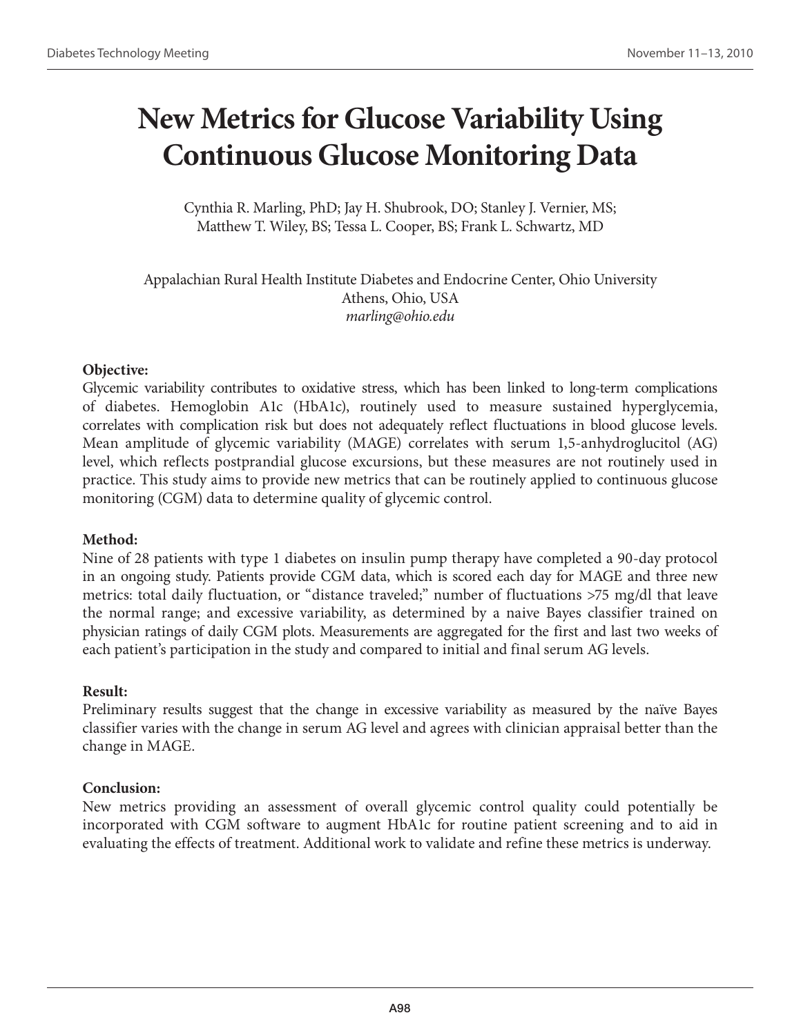## **New Metrics for Glucose Variability Using Continuous Glucose Monitoring Data**

Cynthia R. Marling, PhD; Jay H. Shubrook, DO; Stanley J. Vernier, MS; Matthew T. Wiley, BS; Tessa L. Cooper, BS; Frank L. Schwartz, MD

Appalachian Rural Health Institute Diabetes and Endocrine Center, Ohio University Athens, Ohio, USA *marling@ohio.edu*

#### **Objective:**

Glycemic variability contributes to oxidative stress, which has been linked to long-term complications of diabetes. Hemoglobin A1c (HbA1c), routinely used to measure sustained hyperglycemia, correlates with complication risk but does not adequately reflect fluctuations in blood glucose levels. Mean amplitude of glycemic variability (MAGE) correlates with serum 1,5-anhydroglucitol (AG) level, which reflects postprandial glucose excursions, but these measures are not routinely used in practice. This study aims to provide new metrics that can be routinely applied to continuous glucose monitoring (CGM) data to determine quality of glycemic control.

### **Method:**

Nine of 28 patients with type 1 diabetes on insulin pump therapy have completed a 90-day protocol in an ongoing study. Patients provide CGM data, which is scored each day for MAGE and three new metrics: total daily fluctuation, or "distance traveled;" number of fluctuations >75 mg/dl that leave the normal range; and excessive variability, as determined by a naive Bayes classifier trained on physician ratings of daily CGM plots. Measurements are aggregated for the first and last two weeks of each patient's participation in the study and compared to initial and final serum AG levels.

### **Result:**

Preliminary results suggest that the change in excessive variability as measured by the naïve Bayes classifier varies with the change in serum AG level and agrees with clinician appraisal better than the change in MAGE.

### **Conclusion:**

New metrics providing an assessment of overall glycemic control quality could potentially be incorporated with CGM software to augment HbA1c for routine patient screening and to aid in evaluating the effects of treatment. Additional work to validate and refine these metrics is underway.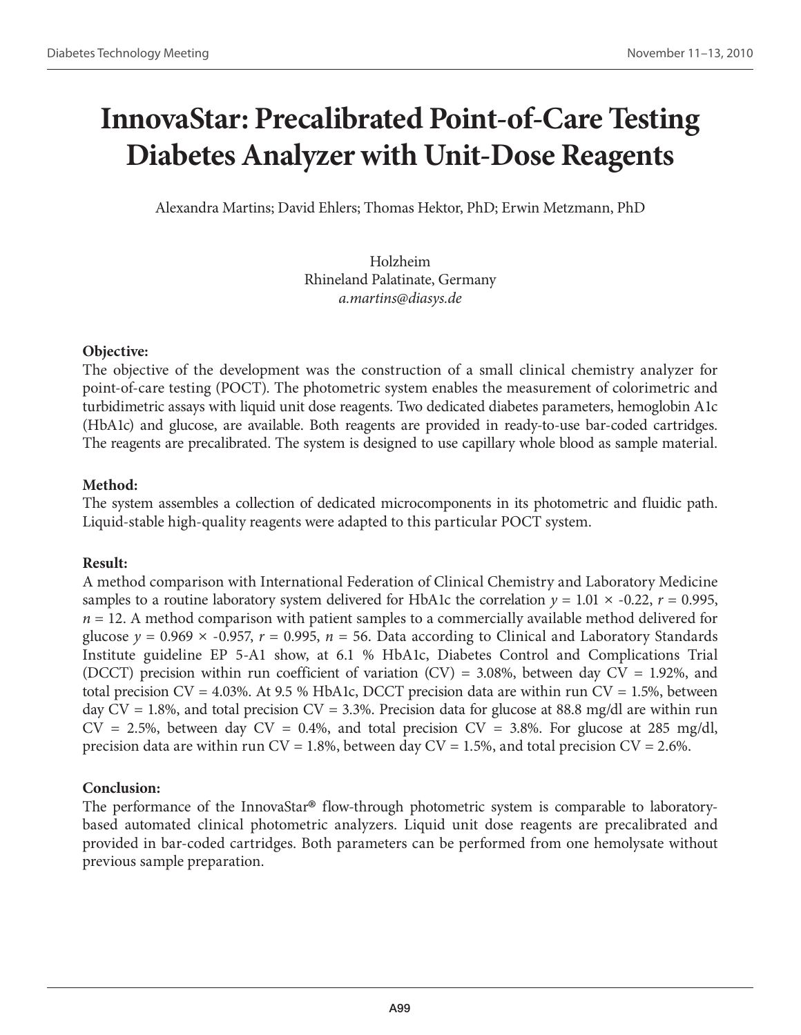## **InnovaStar: Precalibrated Point-of-Care Testing Diabetes Analyzer with Unit-Dose Reagents**

Alexandra Martins; David Ehlers; Thomas Hektor, PhD; Erwin Metzmann, PhD

Holzheim Rhineland Palatinate, Germany *a.martins@diasys.de*

### **Objective:**

The objective of the development was the construction of a small clinical chemistry analyzer for point-of-care testing (POCT). The photometric system enables the measurement of colorimetric and turbidimetric assays with liquid unit dose reagents. Two dedicated diabetes parameters, hemoglobin A1c (HbA1c) and glucose, are available. Both reagents are provided in ready-to-use bar-coded cartridges. The reagents are precalibrated. The system is designed to use capillary whole blood as sample material.

## **Method:**

The system assembles a collection of dedicated microcomponents in its photometric and fluidic path. Liquid-stable high-quality reagents were adapted to this particular POCT system.

## **Result:**

A method comparison with International Federation of Clinical Chemistry and Laboratory Medicine samples to a routine laboratory system delivered for HbA1c the correlation  $y = 1.01 \times -0.22$ ,  $r = 0.995$ ,  $n = 12$ . A method comparison with patient samples to a commercially available method delivered for glucose  $y = 0.969 \times -0.957$ ,  $r = 0.995$ ,  $n = 56$ . Data according to Clinical and Laboratory Standards Institute guideline EP 5-A1 show, at 6.1 % HbA1c, Diabetes Control and Complications Trial (DCCT) precision within run coefficient of variation (CV) = 3.08%, between day CV = 1.92%, and total precision  $CV = 4.03\%$ . At 9.5 % HbA1c, DCCT precision data are within run  $CV = 1.5\%$ , between day  $CV = 1.8$ %, and total precision  $CV = 3.3$ %. Precision data for glucose at 88.8 mg/dl are within run  $CV = 2.5\%$ , between day  $CV = 0.4\%$ , and total precision  $CV = 3.8\%$ . For glucose at 285 mg/dl, precision data are within run  $CV = 1.8$ %, between day  $CV = 1.5$ %, and total precision  $CV = 2.6$ %.

## **Conclusion:**

The performance of the InnovaStar**®** flow-through photometric system is comparable to laboratorybased automated clinical photometric analyzers. Liquid unit dose reagents are precalibrated and provided in bar-coded cartridges. Both parameters can be performed from one hemolysate without previous sample preparation.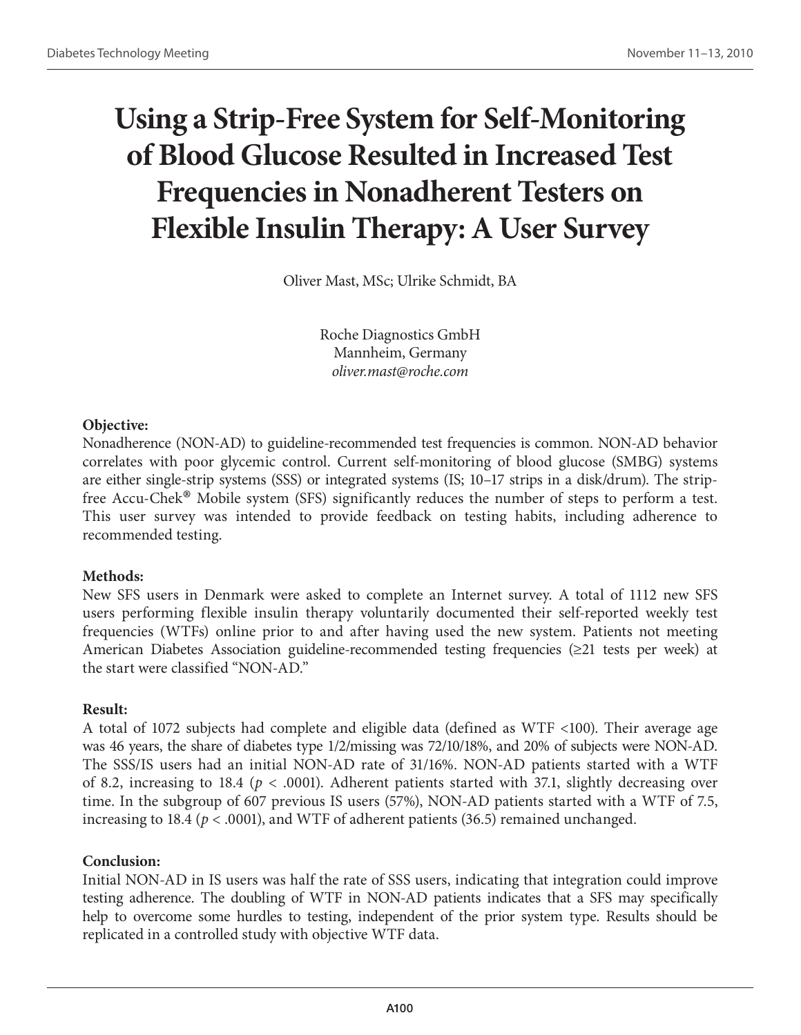# **Using a Strip-Free System for Self-Monitoring of Blood Glucose Resulted in Increased Test Frequencies in Nonadherent Testers on Flexible Insulin Therapy: A User Survey**

Oliver Mast, MSc; Ulrike Schmidt, BA

Roche Diagnostics GmbH Mannheim, Germany *oliver.mast@roche.com*

### **Objective:**

Nonadherence (NON-AD) to guideline-recommended test frequencies is common. NON-AD behavior correlates with poor glycemic control. Current self-monitoring of blood glucose (SMBG) systems are either single-strip systems (SSS) or integrated systems (IS; 10–17 strips in a disk/drum). The stripfree Accu-Chek® Mobile system (SFS) significantly reduces the number of steps to perform a test. This user survey was intended to provide feedback on testing habits, including adherence to recommended testing.

### **Methods:**

New SFS users in Denmark were asked to complete an Internet survey. A total of 1112 new SFS users performing flexible insulin therapy voluntarily documented their self-reported weekly test frequencies (WTFs) online prior to and after having used the new system. Patients not meeting American Diabetes Association guideline-recommended testing frequencies (≥21 tests per week) at the start were classified "NON-AD."

### **Result:**

A total of 1072 subjects had complete and eligible data (defined as WTF <100). Their average age was 46 years, the share of diabetes type 1/2/missing was 72/10/18%, and 20% of subjects were NON-AD. The SSS/IS users had an initial NON-AD rate of 31/16%. NON-AD patients started with a WTF of 8.2, increasing to 18.4 ( $p < .0001$ ). Adherent patients started with 37.1, slightly decreasing over time. In the subgroup of 607 previous IS users (57%), NON-AD patients started with a WTF of 7.5, increasing to 18.4 ( $p < .0001$ ), and WTF of adherent patients (36.5) remained unchanged.

### **Conclusion:**

Initial NON-AD in IS users was half the rate of SSS users, indicating that integration could improve testing adherence. The doubling of WTF in NON-AD patients indicates that a SFS may specifically help to overcome some hurdles to testing, independent of the prior system type. Results should be replicated in a controlled study with objective WTF data.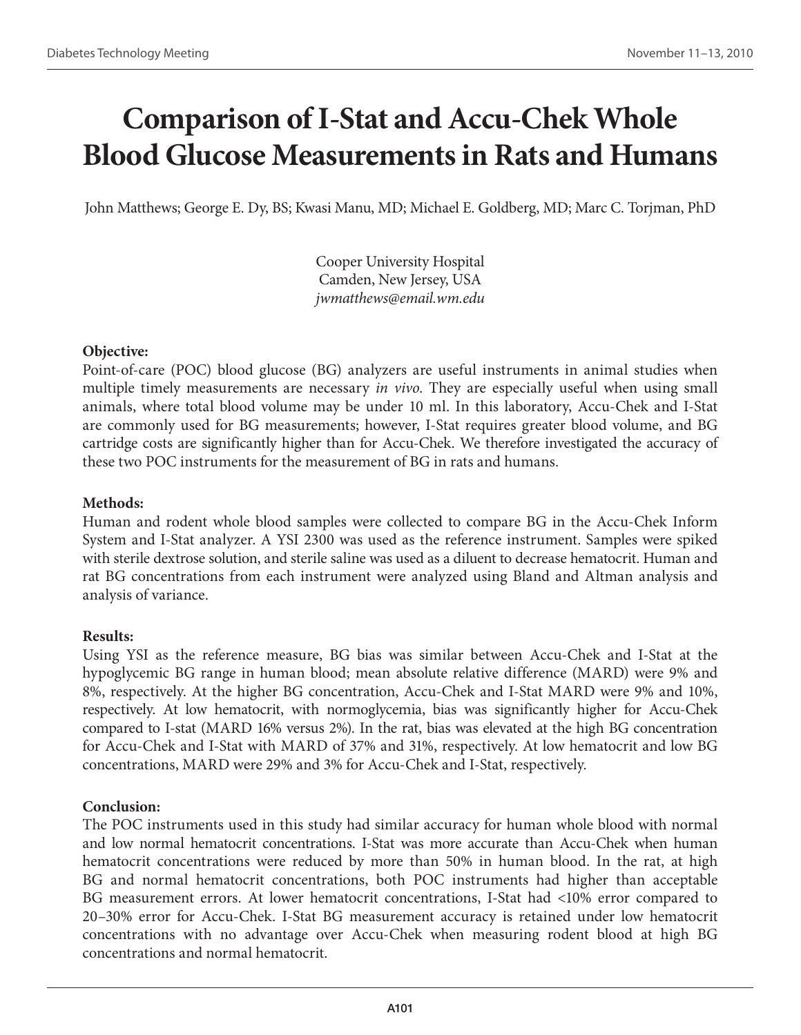## **Comparison of I-Stat and Accu-Chek Whole Blood Glucose Measurements in Rats and Humans**

John Matthews; George E. Dy, BS; Kwasi Manu, MD; Michael E. Goldberg, MD; Marc C. Torjman, PhD

Cooper University Hospital Camden, New Jersey, USA *jwmatthews@email.wm.edu*

### **Objective:**

Point-of-care (POC) blood glucose (BG) analyzers are useful instruments in animal studies when multiple timely measurements are necessary *in vivo*. They are especially useful when using small animals, where total blood volume may be under 10 ml. In this laboratory, Accu-Chek and I-Stat are commonly used for BG measurements; however, I-Stat requires greater blood volume, and BG cartridge costs are significantly higher than for Accu-Chek. We therefore investigated the accuracy of these two POC instruments for the measurement of BG in rats and humans.

### **Methods:**

Human and rodent whole blood samples were collected to compare BG in the Accu-Chek Inform System and I-Stat analyzer. A YSI 2300 was used as the reference instrument. Samples were spiked with sterile dextrose solution, and sterile saline was used as a diluent to decrease hematocrit. Human and rat BG concentrations from each instrument were analyzed using Bland and Altman analysis and analysis of variance.

### **Results:**

Using YSI as the reference measure, BG bias was similar between Accu-Chek and I-Stat at the hypoglycemic BG range in human blood; mean absolute relative difference (MARD) were 9% and 8%, respectively. At the higher BG concentration, Accu-Chek and I-Stat MARD were 9% and 10%, respectively. At low hematocrit, with normoglycemia, bias was significantly higher for Accu-Chek compared to I-stat (MARD 16% versus 2%). In the rat, bias was elevated at the high BG concentration for Accu-Chek and I-Stat with MARD of 37% and 31%, respectively. At low hematocrit and low BG concentrations, MARD were 29% and 3% for Accu-Chek and I-Stat, respectively.

### **Conclusion:**

The POC instruments used in this study had similar accuracy for human whole blood with normal and low normal hematocrit concentrations. I-Stat was more accurate than Accu-Chek when human hematocrit concentrations were reduced by more than 50% in human blood. In the rat, at high BG and normal hematocrit concentrations, both POC instruments had higher than acceptable BG measurement errors. At lower hematocrit concentrations, I-Stat had <10% error compared to 20–30% error for Accu-Chek. I-Stat BG measurement accuracy is retained under low hematocrit concentrations with no advantage over Accu-Chek when measuring rodent blood at high BG concentrations and normal hematocrit.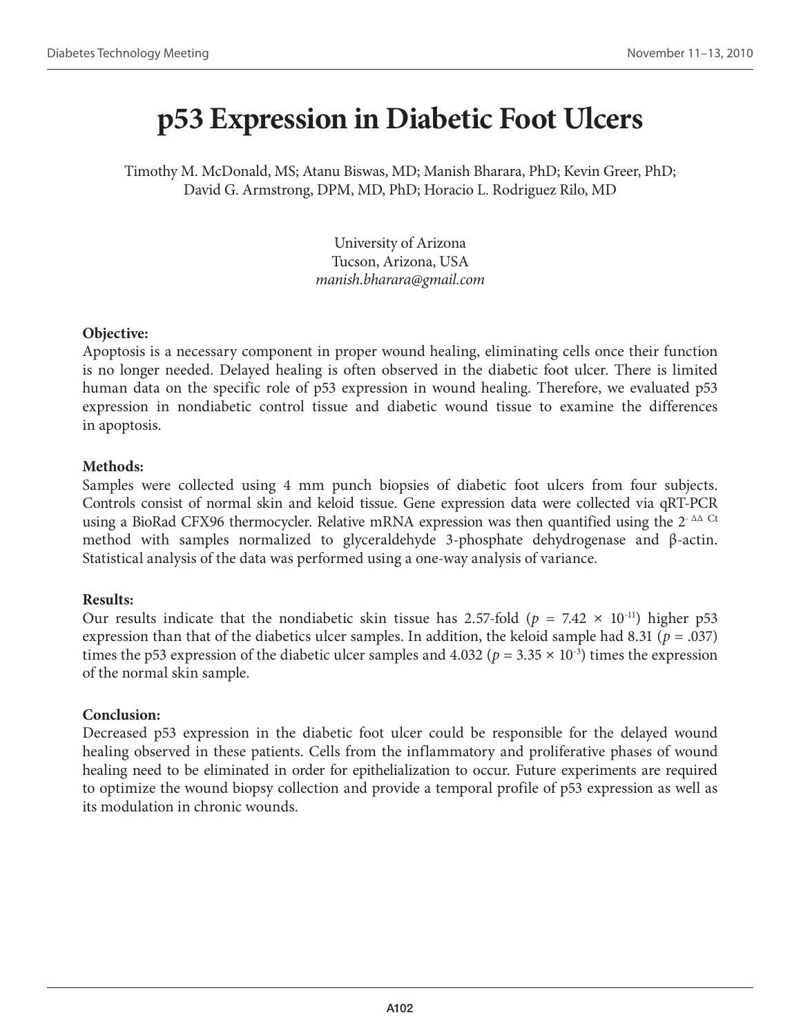## **p53 Expression in Diabetic Foot Ulcers**

Timothy M. McDonald, MS; Atanu Biswas, MD; Manish Bharara, PhD; Kevin Greer, PhD; David G. Armstrong, DPM, MD, PhD; Horacio L. Rodriguez Rilo, MD

> University of Arizona Tucson, Arizona, USA *manish.bharara@gmail.com*

#### **Objective:**

Apoptosis is a necessary component in proper wound healing, eliminating cells once their function is no longer needed. Delayed healing is often observed in the diabetic foot ulcer. There is limited human data on the specific role of p53 expression in wound healing. Therefore, we evaluated p53 expression in nondiabetic control tissue and diabetic wound tissue to examine the differences in apoptosis.

### **Methods:**

Samples were collected using 4 mm punch biopsies of diabetic foot ulcers from four subjects. Controls consist of normal skin and keloid tissue. Gene expression data were collected via qRT-PCR using a BioRad CFX96 thermocycler. Relative mRNA expression was then quantified using the  $2^{\cdot}$   $\Delta\Delta$  Ct method with samples normalized to glyceraldehyde 3-phosphate dehydrogenase and β-actin. Statistical analysis of the data was performed using a one-way analysis of variance.

### **Results:**

Our results indicate that the nondiabetic skin tissue has 2.57-fold ( $p = 7.42 \times 10^{-11}$ ) higher p53 expression than that of the diabetics ulcer samples. In addition, the keloid sample had 8.31 ( $p = .037$ ) times the p53 expression of the diabetic ulcer samples and 4.032 ( $p = 3.35 \times 10^{-3}$ ) times the expression of the normal skin sample.

### **Conclusion:**

Decreased p53 expression in the diabetic foot ulcer could be responsible for the delayed wound healing observed in these patients. Cells from the inflammatory and proliferative phases of wound healing need to be eliminated in order for epithelialization to occur. Future experiments are required to optimize the wound biopsy collection and provide a temporal profile of p53 expression as well as its modulation in chronic wounds.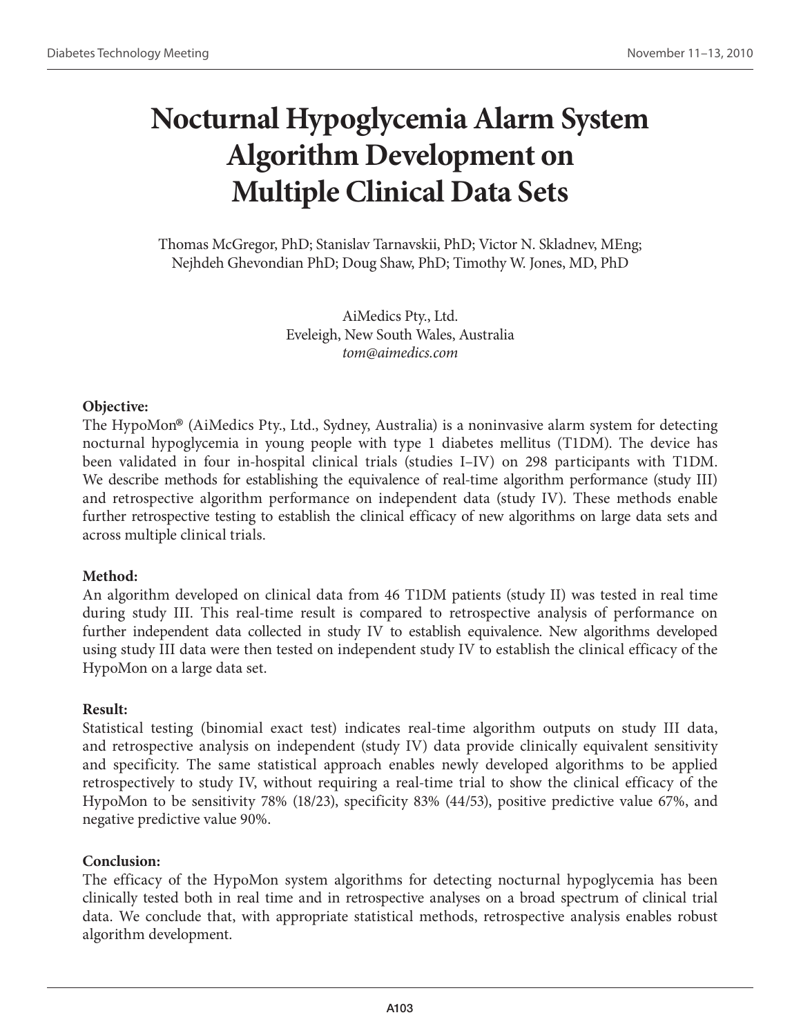## **Nocturnal Hypoglycemia Alarm System Algorithm Development on Multiple Clinical Data Sets**

Thomas McGregor, PhD; Stanislav Tarnavskii, PhD; Victor N. Skladnev, MEng; Nejhdeh Ghevondian PhD; Doug Shaw, PhD; Timothy W. Jones, MD, PhD

> AiMedics Pty., Ltd. Eveleigh, New South Wales, Australia *tom@aimedics.com*

#### **Objective:**

The HypoMon® (AiMedics Pty., Ltd., Sydney, Australia) is a noninvasive alarm system for detecting nocturnal hypoglycemia in young people with type 1 diabetes mellitus (T1DM). The device has been validated in four in-hospital clinical trials (studies I–IV) on 298 participants with T1DM. We describe methods for establishing the equivalence of real-time algorithm performance (study III) and retrospective algorithm performance on independent data (study IV). These methods enable further retrospective testing to establish the clinical efficacy of new algorithms on large data sets and across multiple clinical trials.

### **Method:**

An algorithm developed on clinical data from 46 T1DM patients (study II) was tested in real time during study III. This real-time result is compared to retrospective analysis of performance on further independent data collected in study IV to establish equivalence. New algorithms developed using study III data were then tested on independent study IV to establish the clinical efficacy of the HypoMon on a large data set.

### **Result:**

Statistical testing (binomial exact test) indicates real-time algorithm outputs on study III data, and retrospective analysis on independent (study IV) data provide clinically equivalent sensitivity and specificity. The same statistical approach enables newly developed algorithms to be applied retrospectively to study IV, without requiring a real-time trial to show the clinical efficacy of the HypoMon to be sensitivity 78% (18/23), specificity 83% (44/53), positive predictive value 67%, and negative predictive value 90%.

#### **Conclusion:**

The efficacy of the HypoMon system algorithms for detecting nocturnal hypoglycemia has been clinically tested both in real time and in retrospective analyses on a broad spectrum of clinical trial data. We conclude that, with appropriate statistical methods, retrospective analysis enables robust algorithm development.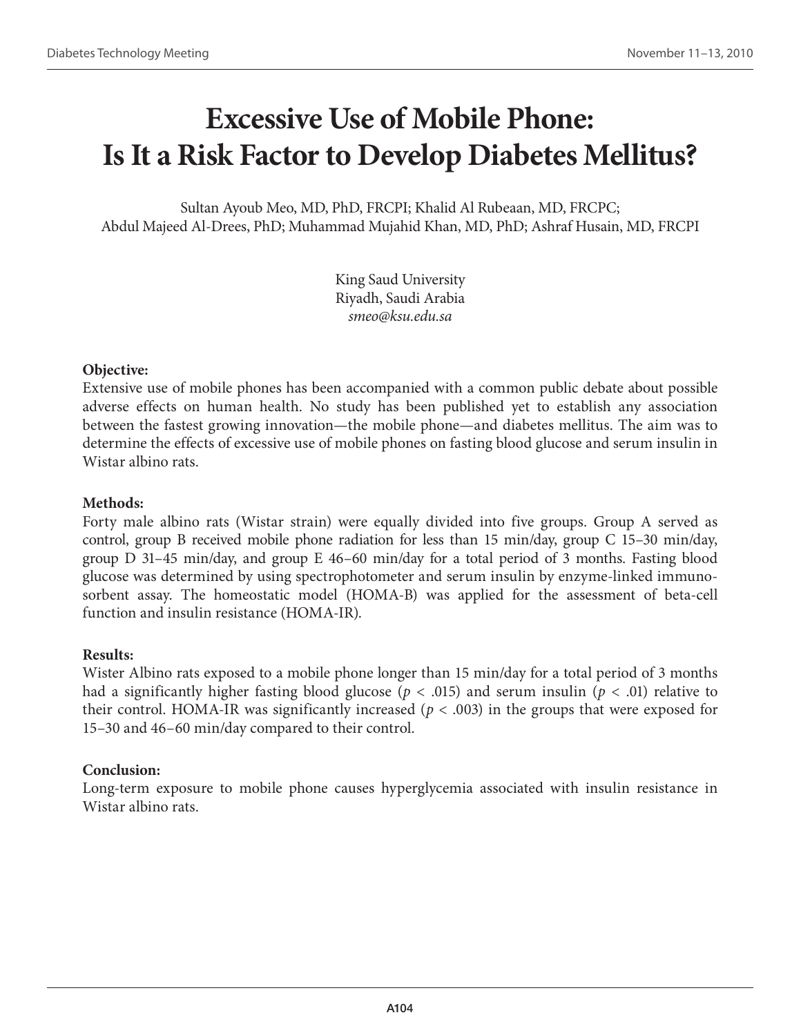## **Excessive Use of Mobile Phone: Is It a Risk Factor to Develop Diabetes Mellitus?**

Sultan Ayoub Meo, MD, PhD, FRCPI; Khalid Al Rubeaan, MD, FRCPC; Abdul Majeed Al-Drees, PhD; Muhammad Mujahid Khan, MD, PhD; Ashraf Husain, MD, FRCPI

> King Saud University Riyadh, Saudi Arabia *smeo@ksu.edu.sa*

#### **Objective:**

Extensive use of mobile phones has been accompanied with a common public debate about possible adverse effects on human health. No study has been published yet to establish any association between the fastest growing innovation—the mobile phone—and diabetes mellitus. The aim was to determine the effects of excessive use of mobile phones on fasting blood glucose and serum insulin in Wistar albino rats.

### **Methods:**

Forty male albino rats (Wistar strain) were equally divided into five groups. Group A served as control, group B received mobile phone radiation for less than 15 min/day, group C 15–30 min/day, group D 31–45 min/day, and group E 46–60 min/day for a total period of 3 months. Fasting blood glucose was determined by using spectrophotometer and serum insulin by enzyme-linked immunosorbent assay. The homeostatic model (HOMA-B) was applied for the assessment of beta-cell function and insulin resistance (HOMA-IR).

### **Results:**

Wister Albino rats exposed to a mobile phone longer than 15 min/day for a total period of 3 months had a significantly higher fasting blood glucose (*p* < .015) and serum insulin (*p* < .01) relative to their control. HOMA-IR was significantly increased (*p* < .003) in the groups that were exposed for 15–30 and 46–60 min/day compared to their control.

### **Conclusion:**

Long-term exposure to mobile phone causes hyperglycemia associated with insulin resistance in Wistar albino rats.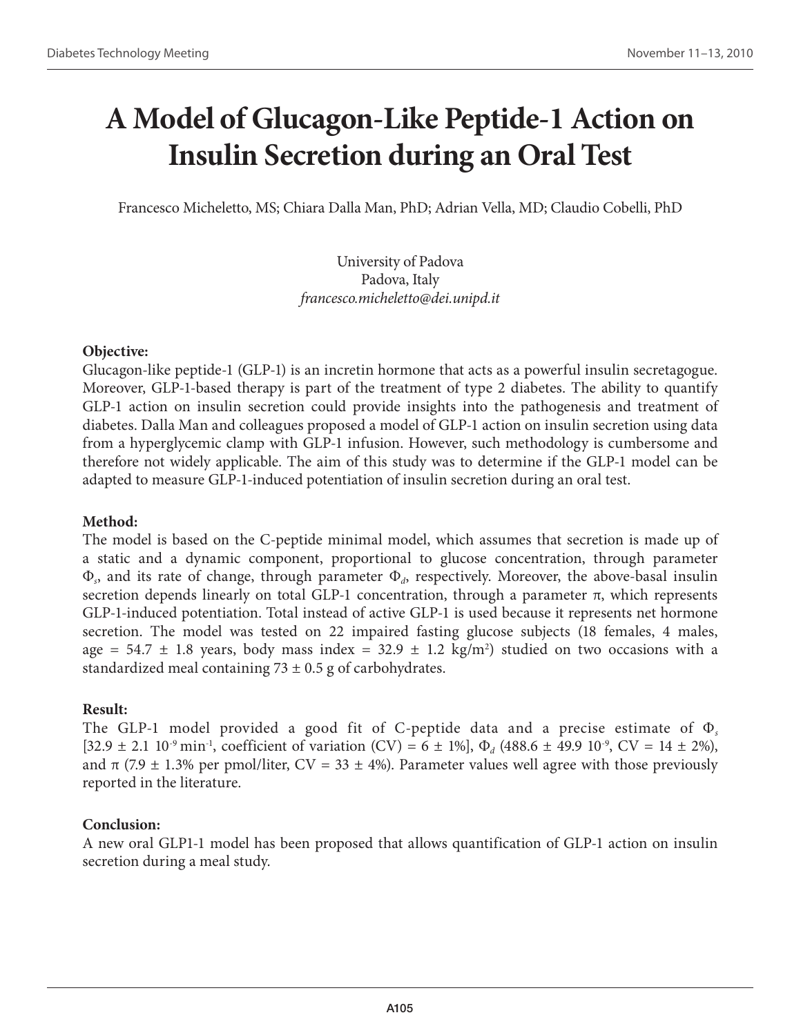# **A Model of Glucagon-Like Peptide-1 Action on Insulin Secretion during an Oral Test**

Francesco Micheletto, MS; Chiara Dalla Man, PhD; Adrian Vella, MD; Claudio Cobelli, PhD

University of Padova Padova, Italy *francesco.micheletto@dei.unipd.it*

### **Objective:**

Glucagon-like peptide-1 (GLP-1) is an incretin hormone that acts as a powerful insulin secretagogue. Moreover, GLP-1-based therapy is part of the treatment of type 2 diabetes. The ability to quantify GLP-1 action on insulin secretion could provide insights into the pathogenesis and treatment of diabetes. Dalla Man and colleagues proposed a model of GLP-1 action on insulin secretion using data from a hyperglycemic clamp with GLP-1 infusion. However, such methodology is cumbersome and therefore not widely applicable. The aim of this study was to determine if the GLP-1 model can be adapted to measure GLP-1-induced potentiation of insulin secretion during an oral test.

### **Method:**

The model is based on the C-peptide minimal model, which assumes that secretion is made up of a static and a dynamic component, proportional to glucose concentration, through parameter Φ*s*, and its rate of change, through parameter Φ*d*, respectively. Moreover, the above-basal insulin secretion depends linearly on total GLP-1 concentration, through a parameter  $\pi$ , which represents GLP-1-induced potentiation. Total instead of active GLP-1 is used because it represents net hormone secretion. The model was tested on 22 impaired fasting glucose subjects (18 females, 4 males, age =  $54.7 \pm 1.8$  years, body mass index =  $32.9 \pm 1.2$  kg/m<sup>2</sup>) studied on two occasions with a standardized meal containing  $73 \pm 0.5$  g of carbohydrates.

## **Result:**

The GLP-1 model provided a good fit of C-peptide data and a precise estimate of Φ*<sup>s</sup>*  $[32.9 \pm 2.1 \, 10^{-9} \, \text{min}^{-1}$ , coefficient of variation (CV) = 6  $\pm$  1%],  $\Phi_d$  (488.6  $\pm$  49.9 10<sup>-9</sup>, CV = 14  $\pm$  2%), and  $\pi$  (7.9 ± 1.3% per pmol/liter, CV = 33 ± 4%). Parameter values well agree with those previously reported in the literature.

### **Conclusion:**

A new oral GLP1-1 model has been proposed that allows quantification of GLP-1 action on insulin secretion during a meal study.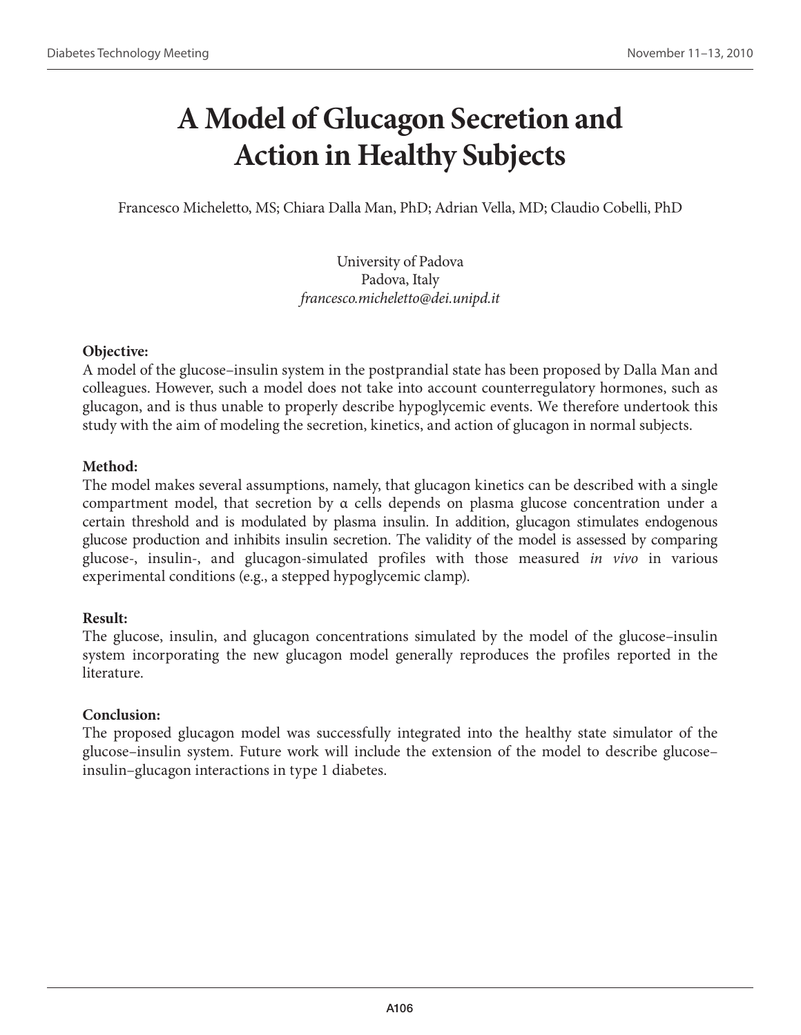# **A Model of Glucagon Secretion and Action in Healthy Subjects**

Francesco Micheletto, MS; Chiara Dalla Man, PhD; Adrian Vella, MD; Claudio Cobelli, PhD

University of Padova Padova, Italy *francesco.micheletto@dei.unipd.it*

### **Objective:**

A model of the glucose–insulin system in the postprandial state has been proposed by Dalla Man and colleagues. However, such a model does not take into account counterregulatory hormones, such as glucagon, and is thus unable to properly describe hypoglycemic events. We therefore undertook this study with the aim of modeling the secretion, kinetics, and action of glucagon in normal subjects.

### **Method:**

The model makes several assumptions, namely, that glucagon kinetics can be described with a single compartment model, that secretion by  $\alpha$  cells depends on plasma glucose concentration under a certain threshold and is modulated by plasma insulin. In addition, glucagon stimulates endogenous glucose production and inhibits insulin secretion. The validity of the model is assessed by comparing glucose-, insulin-, and glucagon-simulated profiles with those measured *in vivo* in various experimental conditions (e.g., a stepped hypoglycemic clamp).

### **Result:**

The glucose, insulin, and glucagon concentrations simulated by the model of the glucose–insulin system incorporating the new glucagon model generally reproduces the profiles reported in the literature.

### **Conclusion:**

The proposed glucagon model was successfully integrated into the healthy state simulator of the glucose–insulin system. Future work will include the extension of the model to describe glucose– insulin–glucagon interactions in type 1 diabetes.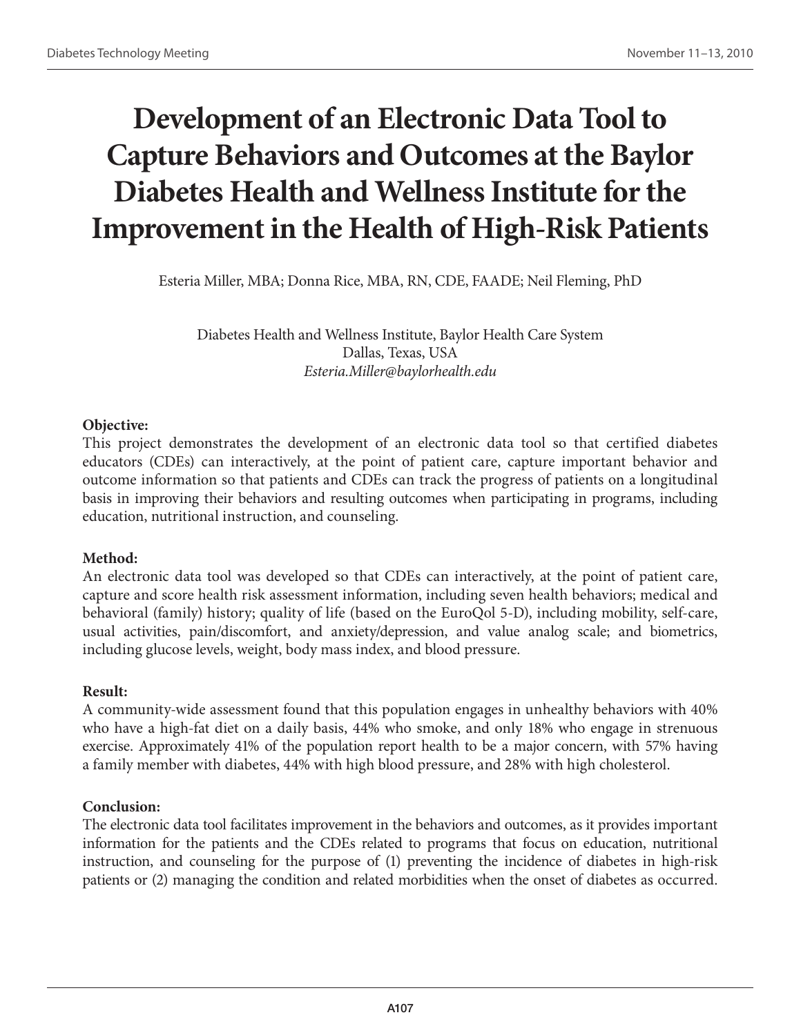# **Development of an Electronic Data Tool to Capture Behaviors and Outcomes at the Baylor Diabetes Health and Wellness Institute for the Improvement in the Health of High-Risk Patients**

Esteria Miller, MBA; Donna Rice, MBA, RN, CDE, FAADE; Neil Fleming, PhD

Diabetes Health and Wellness Institute, Baylor Health Care System Dallas, Texas, USA *Esteria.Miller@baylorhealth.edu*

### **Objective:**

This project demonstrates the development of an electronic data tool so that certified diabetes educators (CDEs) can interactively, at the point of patient care, capture important behavior and outcome information so that patients and CDEs can track the progress of patients on a longitudinal basis in improving their behaviors and resulting outcomes when participating in programs, including education, nutritional instruction, and counseling.

### **Method:**

An electronic data tool was developed so that CDEs can interactively, at the point of patient care, capture and score health risk assessment information, including seven health behaviors; medical and behavioral (family) history; quality of life (based on the EuroQol 5-D), including mobility, self-care, usual activities, pain/discomfort, and anxiety/depression, and value analog scale; and biometrics, including glucose levels, weight, body mass index, and blood pressure.

### **Result:**

A community-wide assessment found that this population engages in unhealthy behaviors with 40% who have a high-fat diet on a daily basis, 44% who smoke, and only 18% who engage in strenuous exercise. Approximately 41% of the population report health to be a major concern, with 57% having a family member with diabetes, 44% with high blood pressure, and 28% with high cholesterol.

### **Conclusion:**

The electronic data tool facilitates improvement in the behaviors and outcomes, as it provides important information for the patients and the CDEs related to programs that focus on education, nutritional instruction, and counseling for the purpose of (1) preventing the incidence of diabetes in high-risk patients or (2) managing the condition and related morbidities when the onset of diabetes as occurred.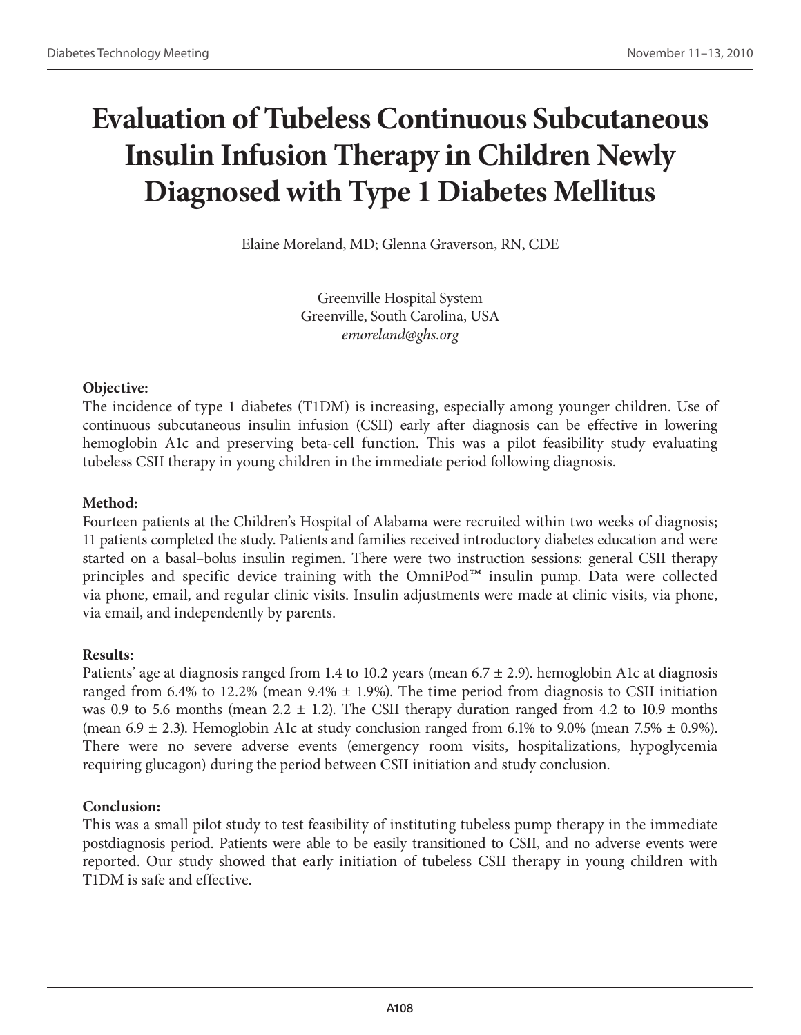# **Evaluation of Tubeless Continuous Subcutaneous Insulin Infusion Therapy in Children Newly Diagnosed with Type 1 Diabetes Mellitus**

Elaine Moreland, MD; Glenna Graverson, RN, CDE

Greenville Hospital System Greenville, South Carolina, USA *emoreland@ghs.org*

### **Objective:**

The incidence of type 1 diabetes (T1DM) is increasing, especially among younger children. Use of continuous subcutaneous insulin infusion (CSII) early after diagnosis can be effective in lowering hemoglobin A1c and preserving beta-cell function. This was a pilot feasibility study evaluating tubeless CSII therapy in young children in the immediate period following diagnosis.

### **Method:**

Fourteen patients at the Children's Hospital of Alabama were recruited within two weeks of diagnosis; 11 patients completed the study. Patients and families received introductory diabetes education and were started on a basal–bolus insulin regimen. There were two instruction sessions: general CSII therapy principles and specific device training with the OmniPod™ insulin pump. Data were collected via phone, email, and regular clinic visits. Insulin adjustments were made at clinic visits, via phone, via email, and independently by parents.

#### **Results:**

Patients' age at diagnosis ranged from 1.4 to 10.2 years (mean  $6.7 \pm 2.9$ ). hemoglobin A1c at diagnosis ranged from 6.4% to 12.2% (mean 9.4%  $\pm$  1.9%). The time period from diagnosis to CSII initiation was 0.9 to 5.6 months (mean  $2.2 \pm 1.2$ ). The CSII therapy duration ranged from 4.2 to 10.9 months (mean 6.9  $\pm$  2.3). Hemoglobin A1c at study conclusion ranged from 6.1% to 9.0% (mean 7.5%  $\pm$  0.9%). There were no severe adverse events (emergency room visits, hospitalizations, hypoglycemia requiring glucagon) during the period between CSII initiation and study conclusion.

#### **Conclusion:**

This was a small pilot study to test feasibility of instituting tubeless pump therapy in the immediate postdiagnosis period. Patients were able to be easily transitioned to CSII, and no adverse events were reported. Our study showed that early initiation of tubeless CSII therapy in young children with T1DM is safe and effective.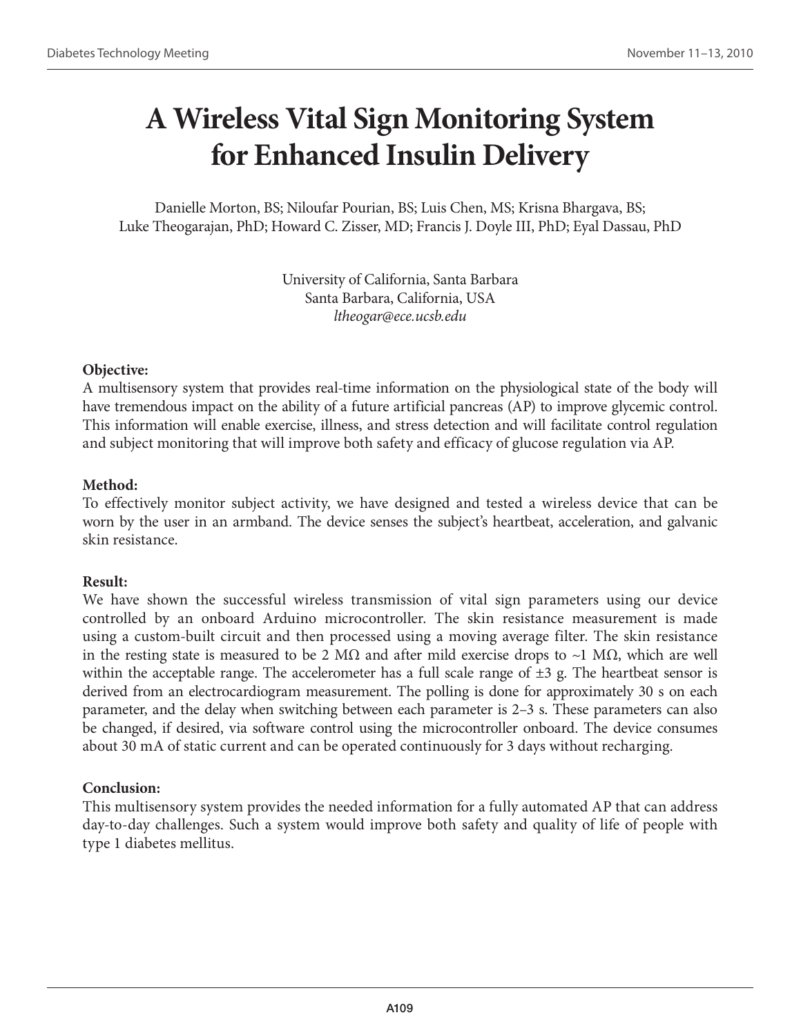# **A Wireless Vital Sign Monitoring System for Enhanced Insulin Delivery**

Danielle Morton, BS; Niloufar Pourian, BS; Luis Chen, MS; Krisna Bhargava, BS; Luke Theogarajan, PhD; Howard C. Zisser, MD; Francis J. Doyle III, PhD; Eyal Dassau, PhD

> University of California, Santa Barbara Santa Barbara, California, USA *ltheogar@ece.ucsb.edu*

### **Objective:**

A multisensory system that provides real-time information on the physiological state of the body will have tremendous impact on the ability of a future artificial pancreas (AP) to improve glycemic control. This information will enable exercise, illness, and stress detection and will facilitate control regulation and subject monitoring that will improve both safety and efficacy of glucose regulation via AP.

### **Method:**

To effectively monitor subject activity, we have designed and tested a wireless device that can be worn by the user in an armband. The device senses the subject's heartbeat, acceleration, and galvanic skin resistance.

### **Result:**

We have shown the successful wireless transmission of vital sign parameters using our device controlled by an onboard Arduino microcontroller. The skin resistance measurement is made using a custom-built circuit and then processed using a moving average filter. The skin resistance in the resting state is measured to be 2 M $\Omega$  and after mild exercise drops to ~1 M $\Omega$ , which are well within the acceptable range. The accelerometer has a full scale range of  $\pm 3$  g. The heartbeat sensor is derived from an electrocardiogram measurement. The polling is done for approximately 30 s on each parameter, and the delay when switching between each parameter is 2–3 s. These parameters can also be changed, if desired, via software control using the microcontroller onboard. The device consumes about 30 mA of static current and can be operated continuously for 3 days without recharging.

## **Conclusion:**

This multisensory system provides the needed information for a fully automated AP that can address day-to-day challenges. Such a system would improve both safety and quality of life of people with type 1 diabetes mellitus.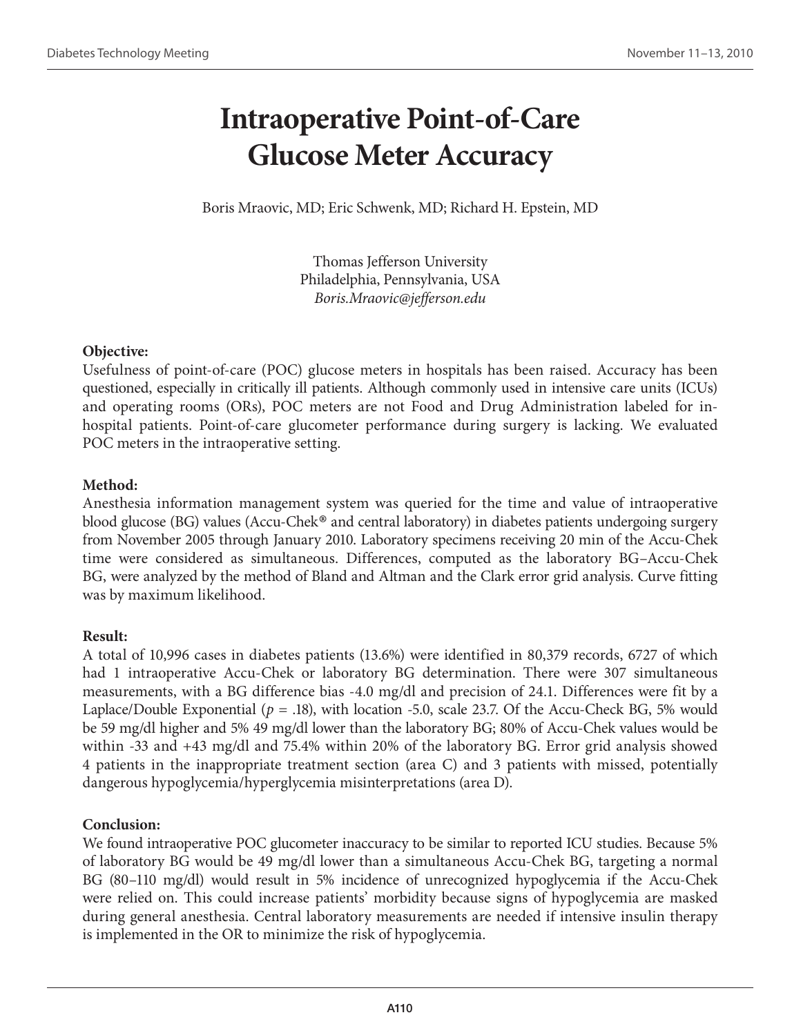# **Intraoperative Point-of-Care Glucose Meter Accuracy**

Boris Mraovic, MD; Eric Schwenk, MD; Richard H. Epstein, MD

Thomas Jefferson University Philadelphia, Pennsylvania, USA *Boris.Mraovic@jefferson.edu*

## **Objective:**

Usefulness of point-of-care (POC) glucose meters in hospitals has been raised. Accuracy has been questioned, especially in critically ill patients. Although commonly used in intensive care units (ICUs) and operating rooms (ORs), POC meters are not Food and Drug Administration labeled for inhospital patients. Point-of-care glucometer performance during surgery is lacking. We evaluated POC meters in the intraoperative setting.

## **Method:**

Anesthesia information management system was queried for the time and value of intraoperative blood glucose (BG) values (Accu-Chek® and central laboratory) in diabetes patients undergoing surgery from November 2005 through January 2010. Laboratory specimens receiving 20 min of the Accu-Chek time were considered as simultaneous. Differences, computed as the laboratory BG–Accu-Chek BG, were analyzed by the method of Bland and Altman and the Clark error grid analysis. Curve fitting was by maximum likelihood.

### **Result:**

A total of 10,996 cases in diabetes patients (13.6%) were identified in 80,379 records, 6727 of which had 1 intraoperative Accu-Chek or laboratory BG determination. There were 307 simultaneous measurements, with a BG difference bias -4.0 mg/dl and precision of 24.1. Differences were fit by a Laplace/Double Exponential (*p* = .18), with location -5.0, scale 23.7. Of the Accu-Check BG, 5% would be 59 mg/dl higher and 5% 49 mg/dl lower than the laboratory BG; 80% of Accu-Chek values would be within -33 and +43 mg/dl and 75.4% within 20% of the laboratory BG. Error grid analysis showed 4 patients in the inappropriate treatment section (area C) and 3 patients with missed, potentially dangerous hypoglycemia/hyperglycemia misinterpretations (area D).

### **Conclusion:**

We found intraoperative POC glucometer inaccuracy to be similar to reported ICU studies. Because 5% of laboratory BG would be 49 mg/dl lower than a simultaneous Accu-Chek BG, targeting a normal BG (80–110 mg/dl) would result in 5% incidence of unrecognized hypoglycemia if the Accu-Chek were relied on. This could increase patients' morbidity because signs of hypoglycemia are masked during general anesthesia. Central laboratory measurements are needed if intensive insulin therapy is implemented in the OR to minimize the risk of hypoglycemia.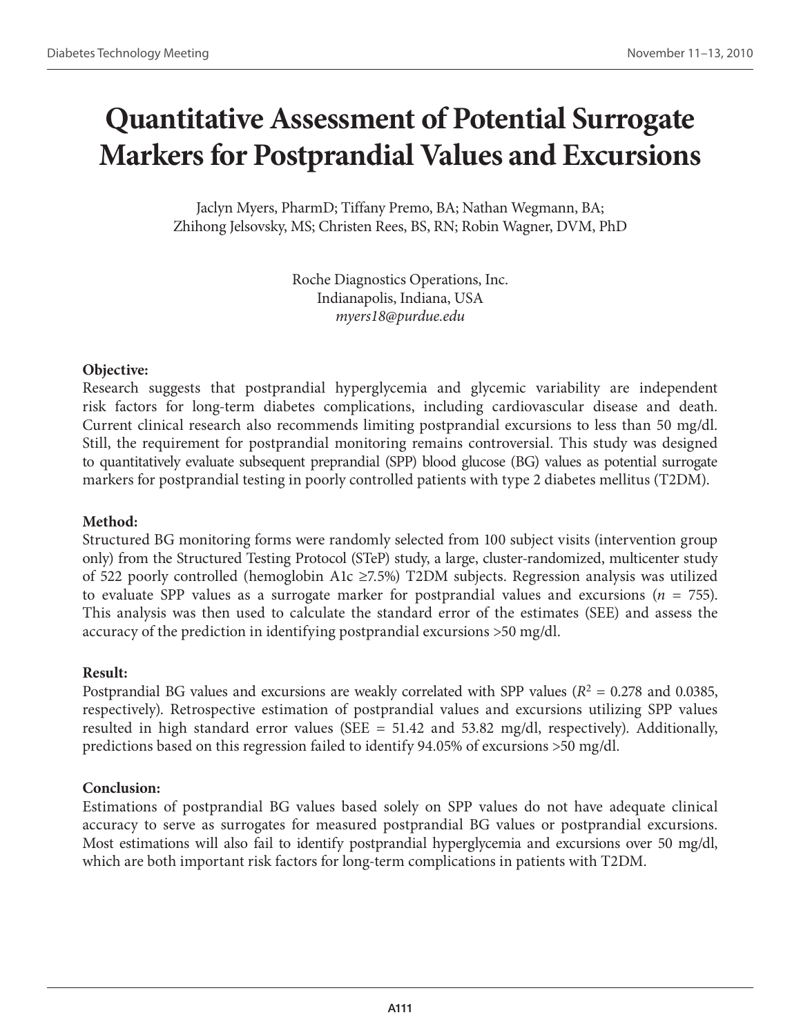# **Quantitative Assessment of Potential Surrogate Markers for Postprandial Values and Excursions**

Jaclyn Myers, PharmD; Tiffany Premo, BA; Nathan Wegmann, BA; Zhihong Jelsovsky, MS; Christen Rees, BS, RN; Robin Wagner, DVM, PhD

> Roche Diagnostics Operations, Inc. Indianapolis, Indiana, USA *myers18@purdue.edu*

### **Objective:**

Research suggests that postprandial hyperglycemia and glycemic variability are independent risk factors for long-term diabetes complications, including cardiovascular disease and death. Current clinical research also recommends limiting postprandial excursions to less than 50 mg/dl. Still, the requirement for postprandial monitoring remains controversial. This study was designed to quantitatively evaluate subsequent preprandial (SPP) blood glucose (BG) values as potential surrogate markers for postprandial testing in poorly controlled patients with type 2 diabetes mellitus (T2DM).

### **Method:**

Structured BG monitoring forms were randomly selected from 100 subject visits (intervention group only) from the Structured Testing Protocol (STeP) study, a large, cluster-randomized, multicenter study of 522 poorly controlled (hemoglobin A1c ≥7.5%) T2DM subjects. Regression analysis was utilized to evaluate SPP values as a surrogate marker for postprandial values and excursions ( $n = 755$ ). This analysis was then used to calculate the standard error of the estimates (SEE) and assess the accuracy of the prediction in identifying postprandial excursions >50 mg/dl.

#### **Result:**

Postprandial BG values and excursions are weakly correlated with SPP values  $(R^2 = 0.278$  and 0.0385, respectively). Retrospective estimation of postprandial values and excursions utilizing SPP values resulted in high standard error values (SEE  $= 51.42$  and 53.82 mg/dl, respectively). Additionally, predictions based on this regression failed to identify 94.05% of excursions >50 mg/dl.

### **Conclusion:**

Estimations of postprandial BG values based solely on SPP values do not have adequate clinical accuracy to serve as surrogates for measured postprandial BG values or postprandial excursions. Most estimations will also fail to identify postprandial hyperglycemia and excursions over 50 mg/dl, which are both important risk factors for long-term complications in patients with T2DM.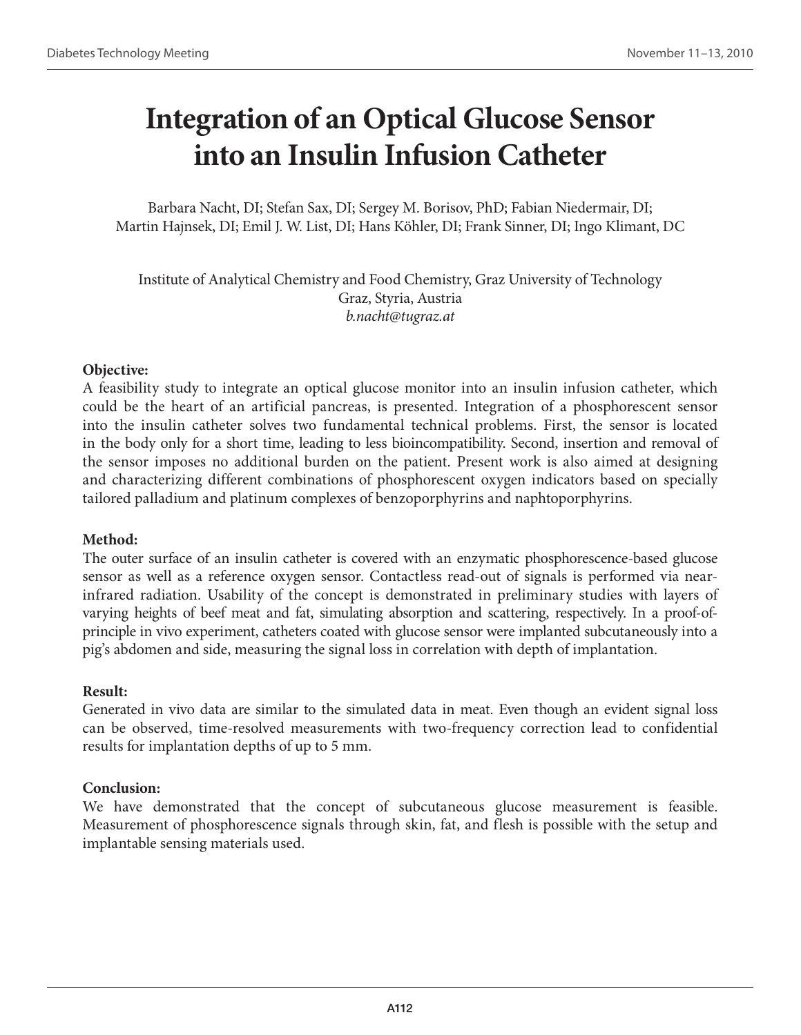# **Integration of an Optical Glucose Sensor into an Insulin Infusion Catheter**

Barbara Nacht, DI; Stefan Sax, DI; Sergey M. Borisov, PhD; Fabian Niedermair, DI; Martin Hajnsek, DI; Emil J. W. List, DI; Hans Köhler, DI; Frank Sinner, DI; Ingo Klimant, DC

Institute of Analytical Chemistry and Food Chemistry, Graz University of Technology Graz, Styria, Austria *b.nacht@tugraz.at*

### **Objective:**

A feasibility study to integrate an optical glucose monitor into an insulin infusion catheter, which could be the heart of an artificial pancreas, is presented. Integration of a phosphorescent sensor into the insulin catheter solves two fundamental technical problems. First, the sensor is located in the body only for a short time, leading to less bioincompatibility. Second, insertion and removal of the sensor imposes no additional burden on the patient. Present work is also aimed at designing and characterizing different combinations of phosphorescent oxygen indicators based on specially tailored palladium and platinum complexes of benzoporphyrins and naphtoporphyrins.

### **Method:**

The outer surface of an insulin catheter is covered with an enzymatic phosphorescence-based glucose sensor as well as a reference oxygen sensor. Contactless read-out of signals is performed via nearinfrared radiation. Usability of the concept is demonstrated in preliminary studies with layers of varying heights of beef meat and fat, simulating absorption and scattering, respectively. In a proof-ofprinciple in vivo experiment, catheters coated with glucose sensor were implanted subcutaneously into a pig's abdomen and side, measuring the signal loss in correlation with depth of implantation.

#### **Result:**

Generated in vivo data are similar to the simulated data in meat. Even though an evident signal loss can be observed, time-resolved measurements with two-frequency correction lead to confidential results for implantation depths of up to 5 mm.

### **Conclusion:**

We have demonstrated that the concept of subcutaneous glucose measurement is feasible. Measurement of phosphorescence signals through skin, fat, and flesh is possible with the setup and implantable sensing materials used.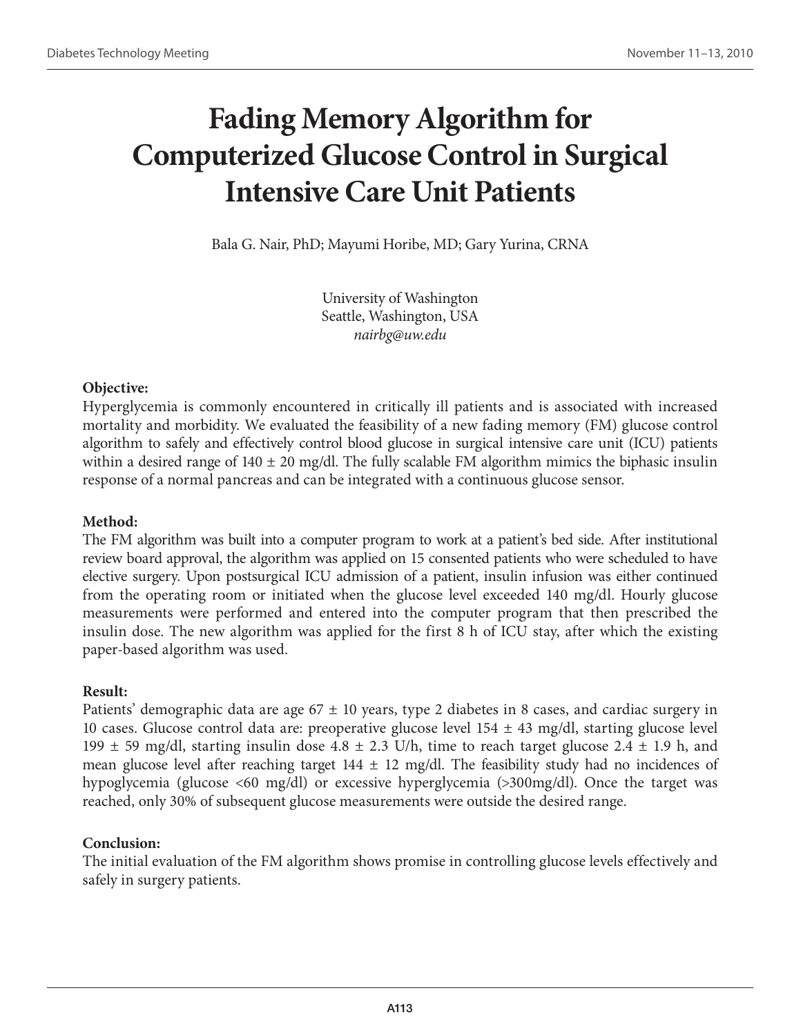# **Fading Memory Algorithm for Computerized Glucose Control in Surgical Intensive Care Unit Patients**

Bala G. Nair, PhD; Mayumi Horibe, MD; Gary Yurina, CRNA

University of Washington Seattle, Washington, USA *nairbg@uw.edu*

## **Objective:**

Hyperglycemia is commonly encountered in critically ill patients and is associated with increased mortality and morbidity. We evaluated the feasibility of a new fading memory (FM) glucose control algorithm to safely and effectively control blood glucose in surgical intensive care unit (ICU) patients within a desired range of  $140 \pm 20$  mg/dl. The fully scalable FM algorithm mimics the biphasic insulin response of a normal pancreas and can be integrated with a continuous glucose sensor.

### **Method:**

The FM algorithm was built into a computer program to work at a patient's bed side. After institutional review board approval, the algorithm was applied on 15 consented patients who were scheduled to have elective surgery. Upon postsurgical ICU admission of a patient, insulin infusion was either continued from the operating room or initiated when the glucose level exceeded 140 mg/dl. Hourly glucose measurements were performed and entered into the computer program that then prescribed the insulin dose. The new algorithm was applied for the first 8 h of ICU stay, after which the existing paper-based algorithm was used.

### **Result:**

Patients' demographic data are age  $67 \pm 10$  years, type 2 diabetes in 8 cases, and cardiac surgery in 10 cases. Glucose control data are: preoperative glucose level  $154 \pm 43$  mg/dl, starting glucose level 199  $\pm$  59 mg/dl, starting insulin dose 4.8  $\pm$  2.3 U/h, time to reach target glucose 2.4  $\pm$  1.9 h, and mean glucose level after reaching target  $144 \pm 12$  mg/dl. The feasibility study had no incidences of hypoglycemia (glucose <60 mg/dl) or excessive hyperglycemia (>300mg/dl). Once the target was reached, only 30% of subsequent glucose measurements were outside the desired range.

### **Conclusion:**

The initial evaluation of the FM algorithm shows promise in controlling glucose levels effectively and safely in surgery patients.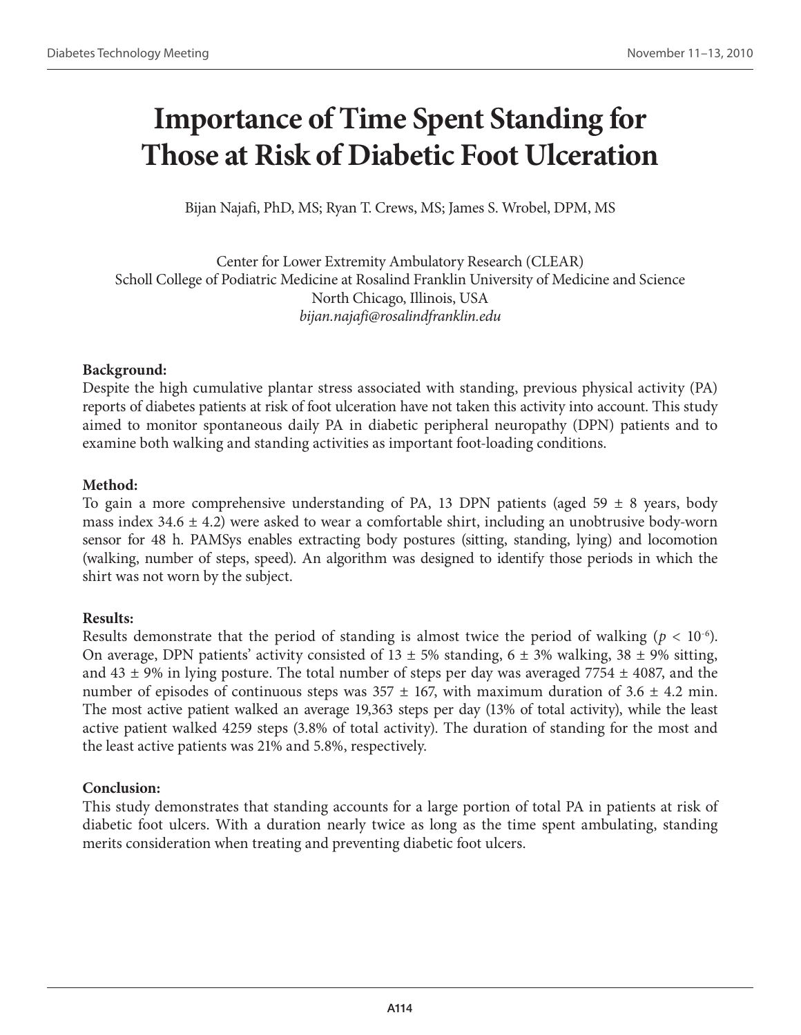# **Importance of Time Spent Standing for Those at Risk of Diabetic Foot Ulceration**

Bijan Najafi, PhD, MS; Ryan T. Crews, MS; James S. Wrobel, DPM, MS

Center for Lower Extremity Ambulatory Research (CLEAR) Scholl College of Podiatric Medicine at Rosalind Franklin University of Medicine and Science North Chicago, Illinois, USA *bijan.najafi@rosalindfranklin.edu*

## **Background:**

Despite the high cumulative plantar stress associated with standing, previous physical activity (PA) reports of diabetes patients at risk of foot ulceration have not taken this activity into account. This study aimed to monitor spontaneous daily PA in diabetic peripheral neuropathy (DPN) patients and to examine both walking and standing activities as important foot-loading conditions.

## **Method:**

To gain a more comprehensive understanding of PA, 13 DPN patients (aged 59  $\pm$  8 years, body mass index 34.6  $\pm$  4.2) were asked to wear a comfortable shirt, including an unobtrusive body-worn sensor for 48 h. PAMSys enables extracting body postures (sitting, standing, lying) and locomotion (walking, number of steps, speed). An algorithm was designed to identify those periods in which the shirt was not worn by the subject.

## **Results:**

Results demonstrate that the period of standing is almost twice the period of walking ( $p < 10^{-6}$ ). On average, DPN patients' activity consisted of  $13 \pm 5\%$  standing,  $6 \pm 3\%$  walking,  $38 \pm 9\%$  sitting, and 43  $\pm$  9% in lying posture. The total number of steps per day was averaged 7754  $\pm$  4087, and the number of episodes of continuous steps was  $357 \pm 167$ , with maximum duration of  $3.6 \pm 4.2$  min. The most active patient walked an average 19,363 steps per day (13% of total activity), while the least active patient walked 4259 steps (3.8% of total activity). The duration of standing for the most and the least active patients was 21% and 5.8%, respectively.

### **Conclusion:**

This study demonstrates that standing accounts for a large portion of total PA in patients at risk of diabetic foot ulcers. With a duration nearly twice as long as the time spent ambulating, standing merits consideration when treating and preventing diabetic foot ulcers.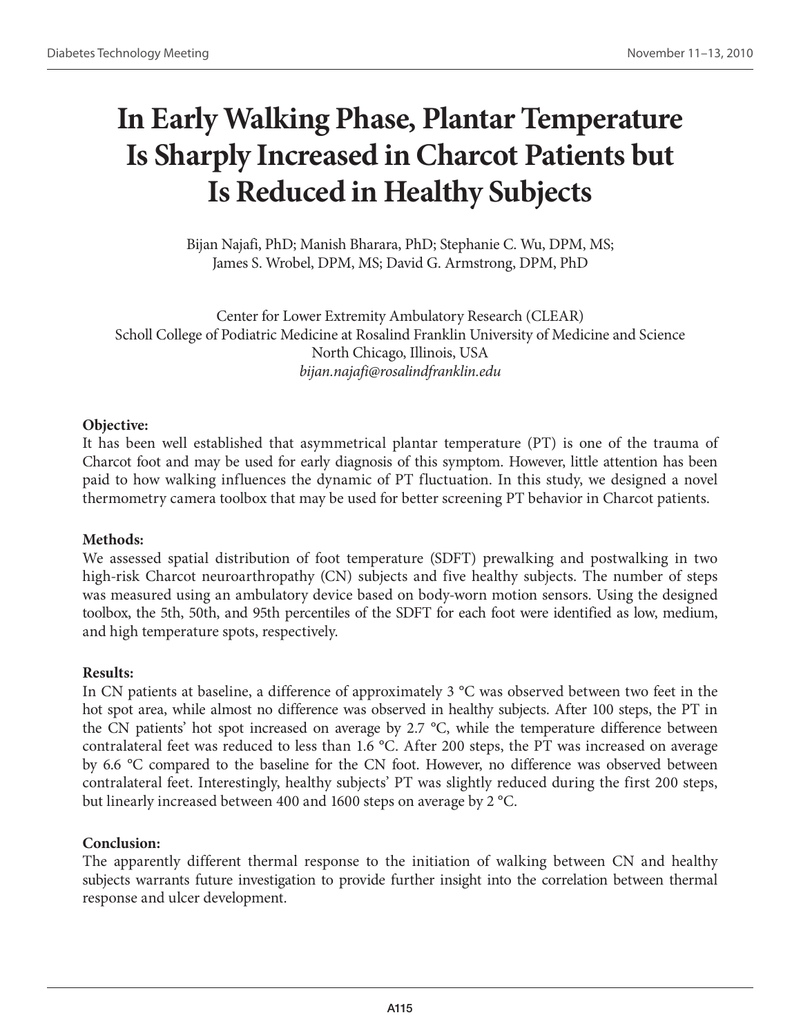# **In Early Walking Phase, Plantar Temperature Is Sharply Increased in Charcot Patients but Is Reduced in Healthy Subjects**

Bijan Najafi, PhD; Manish Bharara, PhD; Stephanie C. Wu, DPM, MS; James S. Wrobel, DPM, MS; David G. Armstrong, DPM, PhD

Center for Lower Extremity Ambulatory Research (CLEAR) Scholl College of Podiatric Medicine at Rosalind Franklin University of Medicine and Science North Chicago, Illinois, USA *bijan.najafi@rosalindfranklin.edu*

### **Objective:**

It has been well established that asymmetrical plantar temperature (PT) is one of the trauma of Charcot foot and may be used for early diagnosis of this symptom. However, little attention has been paid to how walking influences the dynamic of PT fluctuation. In this study, we designed a novel thermometry camera toolbox that may be used for better screening PT behavior in Charcot patients.

### **Methods:**

We assessed spatial distribution of foot temperature (SDFT) prewalking and postwalking in two high-risk Charcot neuroarthropathy (CN) subjects and five healthy subjects. The number of steps was measured using an ambulatory device based on body-worn motion sensors. Using the designed toolbox, the 5th, 50th, and 95th percentiles of the SDFT for each foot were identified as low, medium, and high temperature spots, respectively.

## **Results:**

In CN patients at baseline, a difference of approximately 3 °C was observed between two feet in the hot spot area, while almost no difference was observed in healthy subjects. After 100 steps, the PT in the CN patients' hot spot increased on average by 2.7 °C, while the temperature difference between contralateral feet was reduced to less than 1.6 °C. After 200 steps, the PT was increased on average by 6.6 °C compared to the baseline for the CN foot. However, no difference was observed between contralateral feet. Interestingly, healthy subjects' PT was slightly reduced during the first 200 steps, but linearly increased between 400 and 1600 steps on average by 2 °C.

## **Conclusion:**

The apparently different thermal response to the initiation of walking between CN and healthy subjects warrants future investigation to provide further insight into the correlation between thermal response and ulcer development.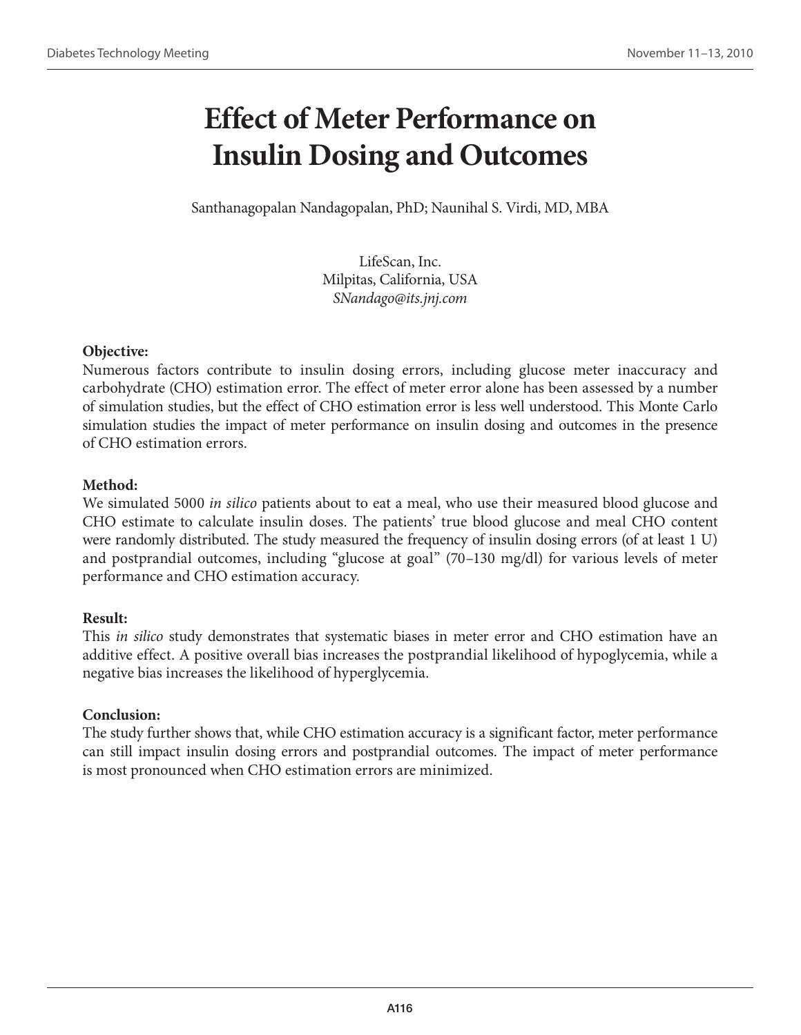# **Effect of Meter Performance on Insulin Dosing and Outcomes**

Santhanagopalan Nandagopalan, PhD; Naunihal S. Virdi, MD, MBA

LifeScan, Inc. Milpitas, California, USA *SNandago@its.jnj.com*

## **Objective:**

Numerous factors contribute to insulin dosing errors, including glucose meter inaccuracy and carbohydrate (CHO) estimation error. The effect of meter error alone has been assessed by a number of simulation studies, but the effect of CHO estimation error is less well understood. This Monte Carlo simulation studies the impact of meter performance on insulin dosing and outcomes in the presence of CHO estimation errors.

## **Method:**

We simulated 5000 *in silico* patients about to eat a meal, who use their measured blood glucose and CHO estimate to calculate insulin doses. The patients' true blood glucose and meal CHO content were randomly distributed. The study measured the frequency of insulin dosing errors (of at least 1 U) and postprandial outcomes, including "glucose at goal" (70–130 mg/dl) for various levels of meter performance and CHO estimation accuracy.

## **Result:**

This *in silico* study demonstrates that systematic biases in meter error and CHO estimation have an additive effect. A positive overall bias increases the postprandial likelihood of hypoglycemia, while a negative bias increases the likelihood of hyperglycemia.

### **Conclusion:**

The study further shows that, while CHO estimation accuracy is a significant factor, meter performance can still impact insulin dosing errors and postprandial outcomes. The impact of meter performance is most pronounced when CHO estimation errors are minimized.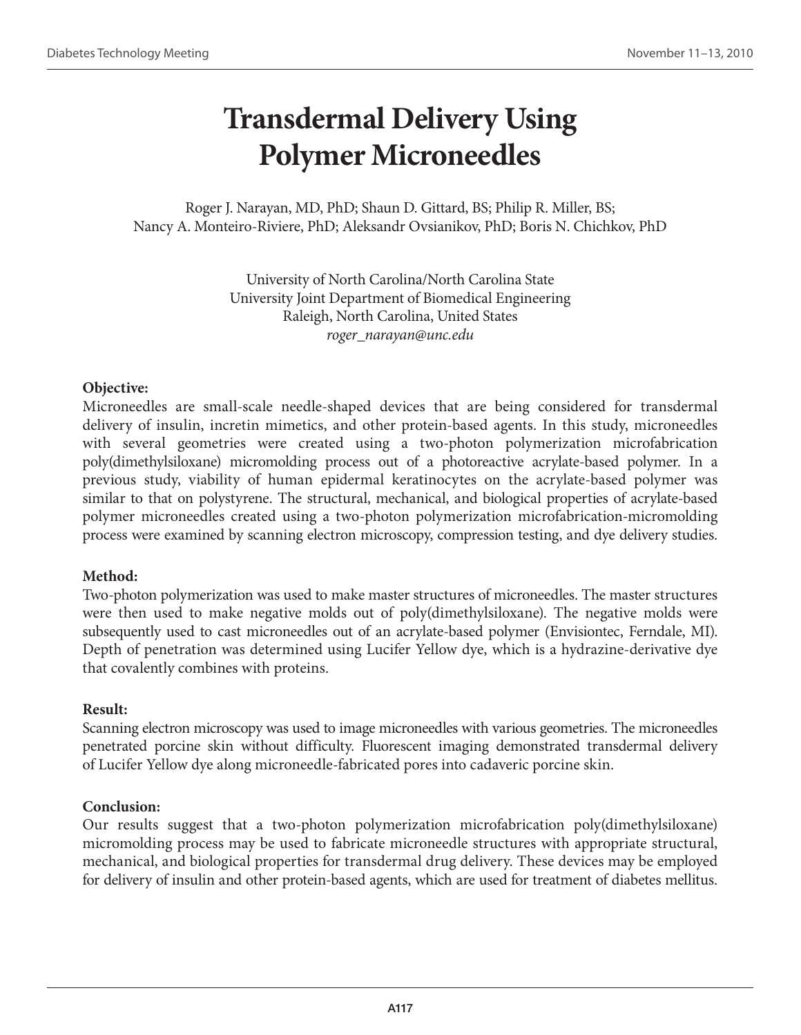# **Transdermal Delivery Using Polymer Microneedles**

Roger J. Narayan, MD, PhD; Shaun D. Gittard, BS; Philip R. Miller, BS; Nancy A. Monteiro-Riviere, PhD; Aleksandr Ovsianikov, PhD; Boris N. Chichkov, PhD

> University of North Carolina/North Carolina State University Joint Department of Biomedical Engineering Raleigh, North Carolina, United States *roger\_narayan@unc.edu*

### **Objective:**

Microneedles are small-scale needle-shaped devices that are being considered for transdermal delivery of insulin, incretin mimetics, and other protein-based agents. In this study, microneedles with several geometries were created using a two-photon polymerization microfabrication poly(dimethylsiloxane) micromolding process out of a photoreactive acrylate-based polymer. In a previous study, viability of human epidermal keratinocytes on the acrylate-based polymer was similar to that on polystyrene. The structural, mechanical, and biological properties of acrylate-based polymer microneedles created using a two-photon polymerization microfabrication-micromolding process were examined by scanning electron microscopy, compression testing, and dye delivery studies.

### **Method:**

Two-photon polymerization was used to make master structures of microneedles. The master structures were then used to make negative molds out of poly(dimethylsiloxane). The negative molds were subsequently used to cast microneedles out of an acrylate-based polymer (Envisiontec, Ferndale, MI). Depth of penetration was determined using Lucifer Yellow dye, which is a hydrazine-derivative dye that covalently combines with proteins.

### **Result:**

Scanning electron microscopy was used to image microneedles with various geometries. The microneedles penetrated porcine skin without difficulty. Fluorescent imaging demonstrated transdermal delivery of Lucifer Yellow dye along microneedle-fabricated pores into cadaveric porcine skin.

### **Conclusion:**

Our results suggest that a two-photon polymerization microfabrication poly(dimethylsiloxane) micromolding process may be used to fabricate microneedle structures with appropriate structural, mechanical, and biological properties for transdermal drug delivery. These devices may be employed for delivery of insulin and other protein-based agents, which are used for treatment of diabetes mellitus.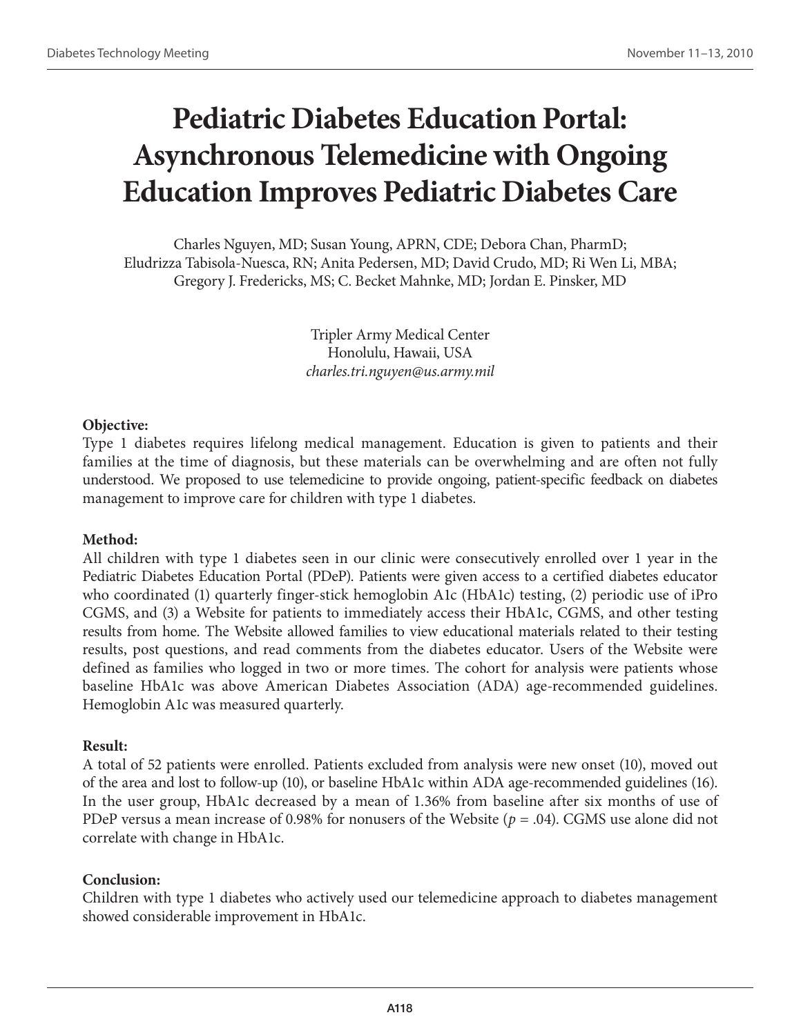# **Pediatric Diabetes Education Portal: Asynchronous Telemedicine with Ongoing Education Improves Pediatric Diabetes Care**

Charles Nguyen, MD; Susan Young, APRN, CDE; Debora Chan, PharmD; Eludrizza Tabisola-Nuesca, RN; Anita Pedersen, MD; David Crudo, MD; Ri Wen Li, MBA; Gregory J. Fredericks, MS; C. Becket Mahnke, MD; Jordan E. Pinsker, MD

> Tripler Army Medical Center Honolulu, Hawaii, USA *charles.tri.nguyen@us.army.mil*

#### **Objective:**

Type 1 diabetes requires lifelong medical management. Education is given to patients and their families at the time of diagnosis, but these materials can be overwhelming and are often not fully understood. We proposed to use telemedicine to provide ongoing, patient-specific feedback on diabetes management to improve care for children with type 1 diabetes.

### **Method:**

All children with type 1 diabetes seen in our clinic were consecutively enrolled over 1 year in the Pediatric Diabetes Education Portal (PDeP). Patients were given access to a certified diabetes educator who coordinated (1) quarterly finger-stick hemoglobin A1c (HbA1c) testing, (2) periodic use of iPro CGMS, and (3) a Website for patients to immediately access their HbA1c, CGMS, and other testing results from home. The Website allowed families to view educational materials related to their testing results, post questions, and read comments from the diabetes educator. Users of the Website were defined as families who logged in two or more times. The cohort for analysis were patients whose baseline HbA1c was above American Diabetes Association (ADA) age-recommended guidelines. Hemoglobin A1c was measured quarterly.

#### **Result:**

A total of 52 patients were enrolled. Patients excluded from analysis were new onset (10), moved out of the area and lost to follow-up (10), or baseline HbA1c within ADA age-recommended guidelines (16). In the user group, HbA1c decreased by a mean of 1.36% from baseline after six months of use of PDeP versus a mean increase of 0.98% for nonusers of the Website (*p* = .04). CGMS use alone did not correlate with change in HbA1c.

#### **Conclusion:**

Children with type 1 diabetes who actively used our telemedicine approach to diabetes management showed considerable improvement in HbA1c.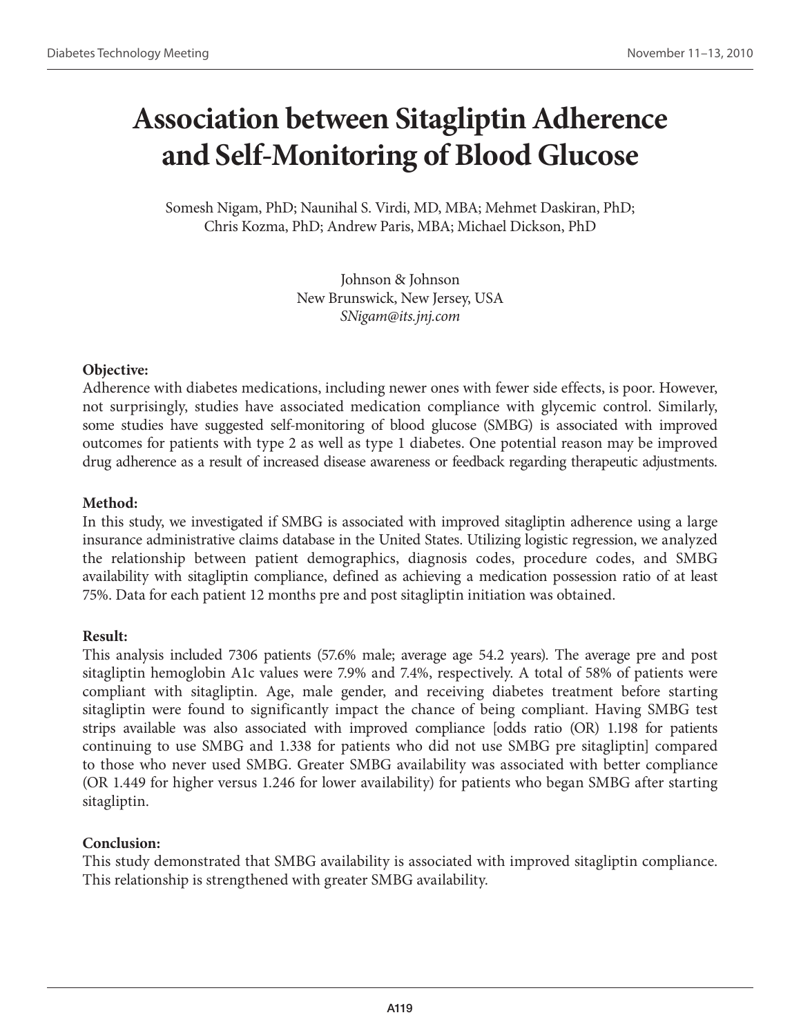# **Association between Sitagliptin Adherence and Self-Monitoring of Blood Glucose**

Somesh Nigam, PhD; Naunihal S. Virdi, MD, MBA; Mehmet Daskiran, PhD; Chris Kozma, PhD; Andrew Paris, MBA; Michael Dickson, PhD

> Johnson & Johnson New Brunswick, New Jersey, USA *SNigam@its.jnj.com*

### **Objective:**

Adherence with diabetes medications, including newer ones with fewer side effects, is poor. However, not surprisingly, studies have associated medication compliance with glycemic control. Similarly, some studies have suggested self-monitoring of blood glucose (SMBG) is associated with improved outcomes for patients with type 2 as well as type 1 diabetes. One potential reason may be improved drug adherence as a result of increased disease awareness or feedback regarding therapeutic adjustments.

## **Method:**

In this study, we investigated if SMBG is associated with improved sitagliptin adherence using a large insurance administrative claims database in the United States. Utilizing logistic regression, we analyzed the relationship between patient demographics, diagnosis codes, procedure codes, and SMBG availability with sitagliptin compliance, defined as achieving a medication possession ratio of at least 75%. Data for each patient 12 months pre and post sitagliptin initiation was obtained.

### **Result:**

This analysis included 7306 patients (57.6% male; average age 54.2 years). The average pre and post sitagliptin hemoglobin A1c values were 7.9% and 7.4%, respectively. A total of 58% of patients were compliant with sitagliptin. Age, male gender, and receiving diabetes treatment before starting sitagliptin were found to significantly impact the chance of being compliant. Having SMBG test strips available was also associated with improved compliance [odds ratio (OR) 1.198 for patients continuing to use SMBG and 1.338 for patients who did not use SMBG pre sitagliptin] compared to those who never used SMBG. Greater SMBG availability was associated with better compliance (OR 1.449 for higher versus 1.246 for lower availability) for patients who began SMBG after starting sitagliptin.

## **Conclusion:**

This study demonstrated that SMBG availability is associated with improved sitagliptin compliance. This relationship is strengthened with greater SMBG availability.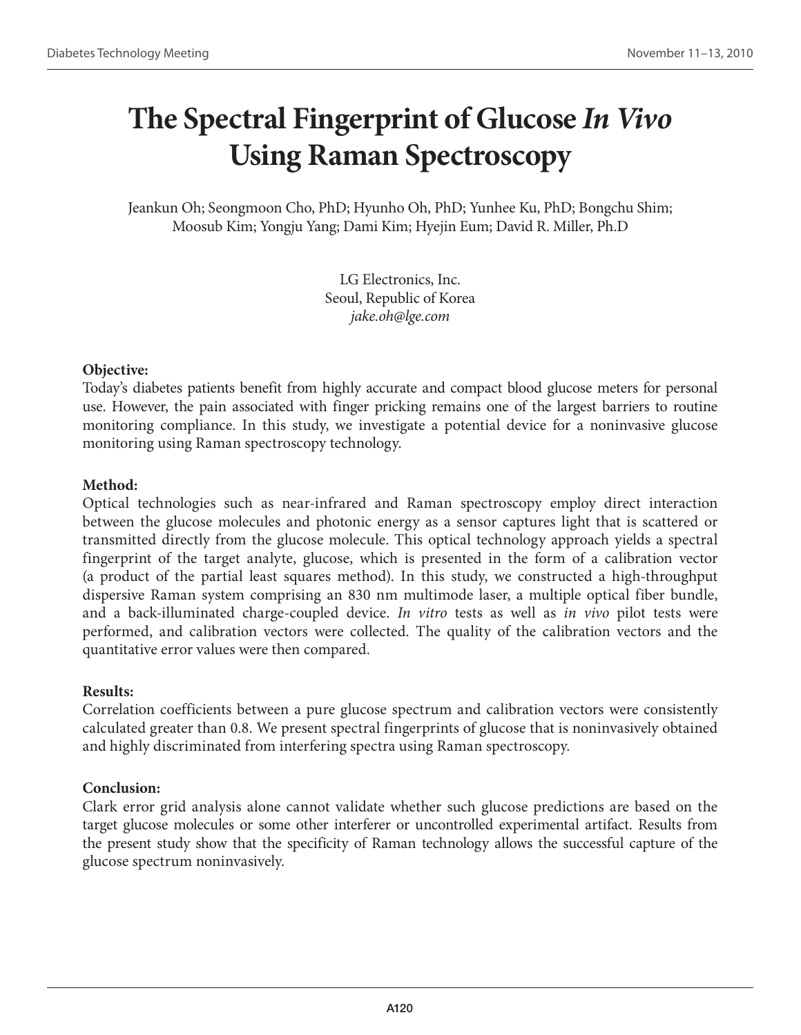# **The Spectral Fingerprint of Glucose** *In Vivo*  **Using Raman Spectroscopy**

Jeankun Oh; Seongmoon Cho, PhD; Hyunho Oh, PhD; Yunhee Ku, PhD; Bongchu Shim; Moosub Kim; Yongju Yang; Dami Kim; Hyejin Eum; David R. Miller, Ph.D

> LG Electronics, Inc. Seoul, Republic of Korea *jake.oh@lge.com*

### **Objective:**

Today's diabetes patients benefit from highly accurate and compact blood glucose meters for personal use. However, the pain associated with finger pricking remains one of the largest barriers to routine monitoring compliance. In this study, we investigate a potential device for a noninvasive glucose monitoring using Raman spectroscopy technology.

### **Method:**

Optical technologies such as near-infrared and Raman spectroscopy employ direct interaction between the glucose molecules and photonic energy as a sensor captures light that is scattered or transmitted directly from the glucose molecule. This optical technology approach yields a spectral fingerprint of the target analyte, glucose, which is presented in the form of a calibration vector (a product of the partial least squares method). In this study, we constructed a high-throughput dispersive Raman system comprising an 830 nm multimode laser, a multiple optical fiber bundle, and a back-illuminated charge-coupled device. *In vitro* tests as well as *in vivo* pilot tests were performed, and calibration vectors were collected. The quality of the calibration vectors and the quantitative error values were then compared.

### **Results:**

Correlation coefficients between a pure glucose spectrum and calibration vectors were consistently calculated greater than 0.8. We present spectral fingerprints of glucose that is noninvasively obtained and highly discriminated from interfering spectra using Raman spectroscopy.

### **Conclusion:**

Clark error grid analysis alone cannot validate whether such glucose predictions are based on the target glucose molecules or some other interferer or uncontrolled experimental artifact. Results from the present study show that the specificity of Raman technology allows the successful capture of the glucose spectrum noninvasively.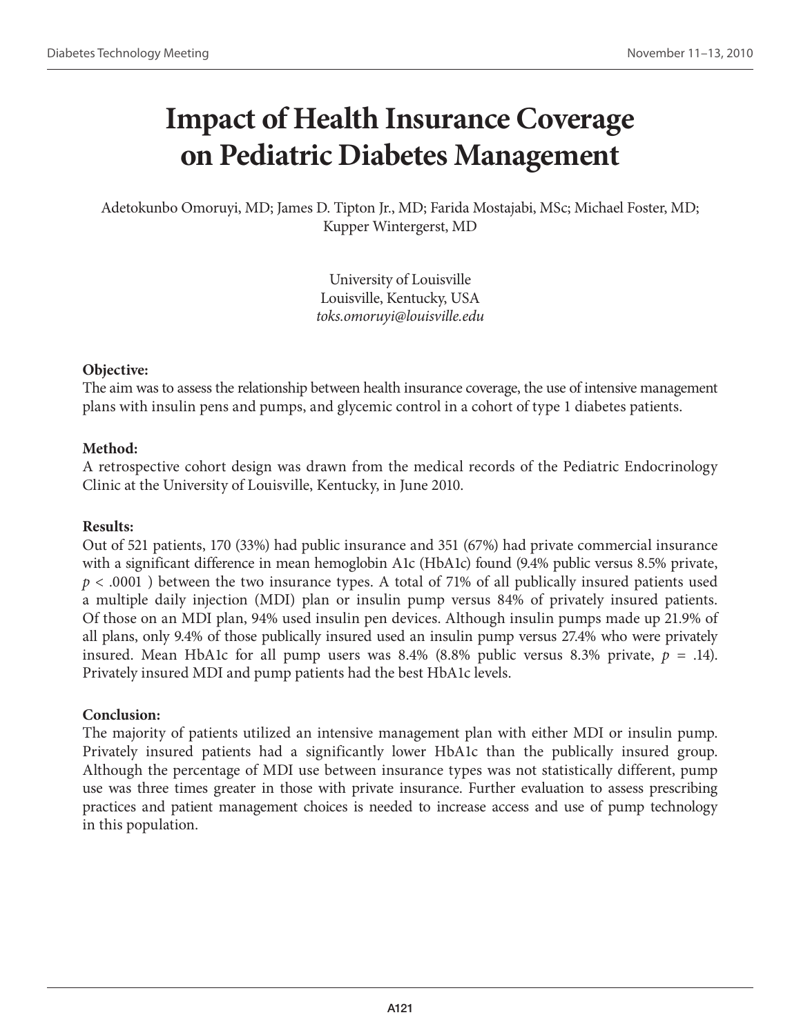# **Impact of Health Insurance Coverage on Pediatric Diabetes Management**

Adetokunbo Omoruyi, MD; James D. Tipton Jr., MD; Farida Mostajabi, MSc; Michael Foster, MD; Kupper Wintergerst, MD

> University of Louisville Louisville, Kentucky, USA *toks.omoruyi@louisville.edu*

### **Objective:**

The aim was to assess the relationship between health insurance coverage, the use of intensive management plans with insulin pens and pumps, and glycemic control in a cohort of type 1 diabetes patients.

### **Method:**

A retrospective cohort design was drawn from the medical records of the Pediatric Endocrinology Clinic at the University of Louisville, Kentucky, in June 2010.

### **Results:**

Out of 521 patients, 170 (33%) had public insurance and 351 (67%) had private commercial insurance with a significant difference in mean hemoglobin A1c (HbA1c) found (9.4% public versus 8.5% private, *p* < .0001 ) between the two insurance types. A total of 71% of all publically insured patients used a multiple daily injection (MDI) plan or insulin pump versus 84% of privately insured patients. Of those on an MDI plan, 94% used insulin pen devices. Although insulin pumps made up 21.9% of all plans, only 9.4% of those publically insured used an insulin pump versus 27.4% who were privately insured. Mean HbA1c for all pump users was  $8.4\%$  ( $8.8\%$  public versus  $8.3\%$  private,  $p = .14$ ). Privately insured MDI and pump patients had the best HbA1c levels.

### **Conclusion:**

The majority of patients utilized an intensive management plan with either MDI or insulin pump. Privately insured patients had a significantly lower HbA1c than the publically insured group. Although the percentage of MDI use between insurance types was not statistically different, pump use was three times greater in those with private insurance. Further evaluation to assess prescribing practices and patient management choices is needed to increase access and use of pump technology in this population.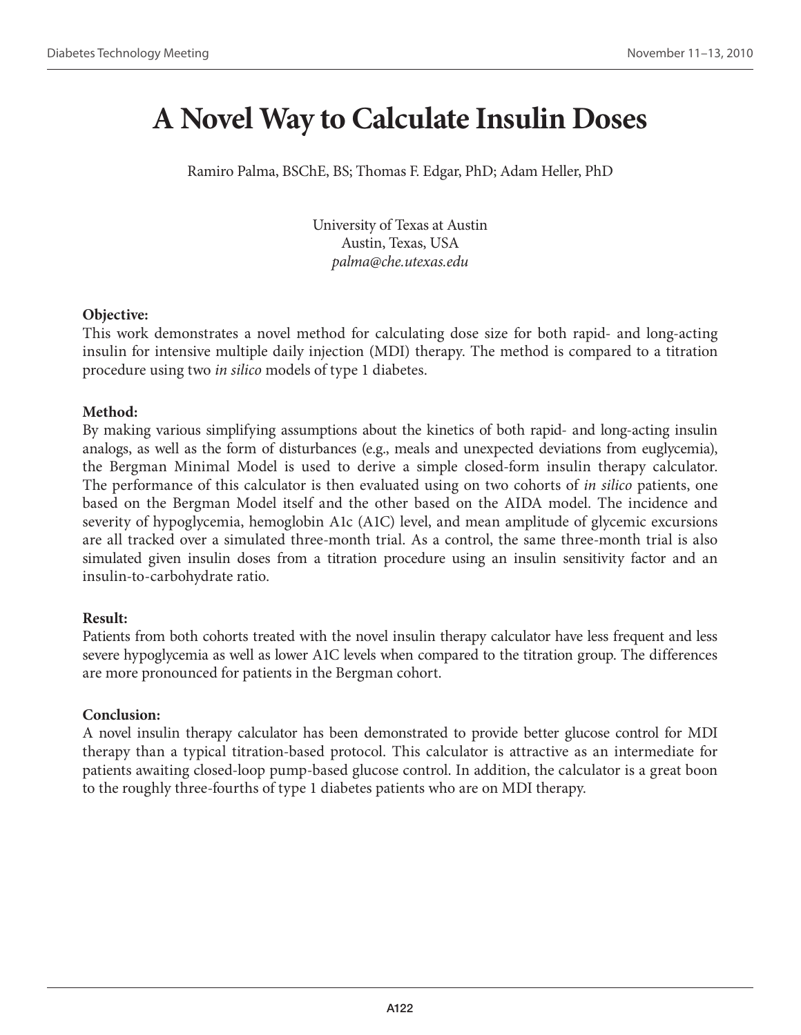## **A Novel Way to Calculate Insulin Doses**

Ramiro Palma, BSChE, BS; Thomas F. Edgar, PhD; Adam Heller, PhD

University of Texas at Austin Austin, Texas, USA *palma@che.utexas.edu*

### **Objective:**

This work demonstrates a novel method for calculating dose size for both rapid- and long-acting insulin for intensive multiple daily injection (MDI) therapy. The method is compared to a titration procedure using two *in silico* models of type 1 diabetes.

### **Method:**

By making various simplifying assumptions about the kinetics of both rapid- and long-acting insulin analogs, as well as the form of disturbances (e.g., meals and unexpected deviations from euglycemia), the Bergman Minimal Model is used to derive a simple closed-form insulin therapy calculator. The performance of this calculator is then evaluated using on two cohorts of *in silico* patients, one based on the Bergman Model itself and the other based on the AIDA model. The incidence and severity of hypoglycemia, hemoglobin A1c (A1C) level, and mean amplitude of glycemic excursions are all tracked over a simulated three-month trial. As a control, the same three-month trial is also simulated given insulin doses from a titration procedure using an insulin sensitivity factor and an insulin-to-carbohydrate ratio.

### **Result:**

Patients from both cohorts treated with the novel insulin therapy calculator have less frequent and less severe hypoglycemia as well as lower A1C levels when compared to the titration group. The differences are more pronounced for patients in the Bergman cohort.

### **Conclusion:**

A novel insulin therapy calculator has been demonstrated to provide better glucose control for MDI therapy than a typical titration-based protocol. This calculator is attractive as an intermediate for patients awaiting closed-loop pump-based glucose control. In addition, the calculator is a great boon to the roughly three-fourths of type 1 diabetes patients who are on MDI therapy.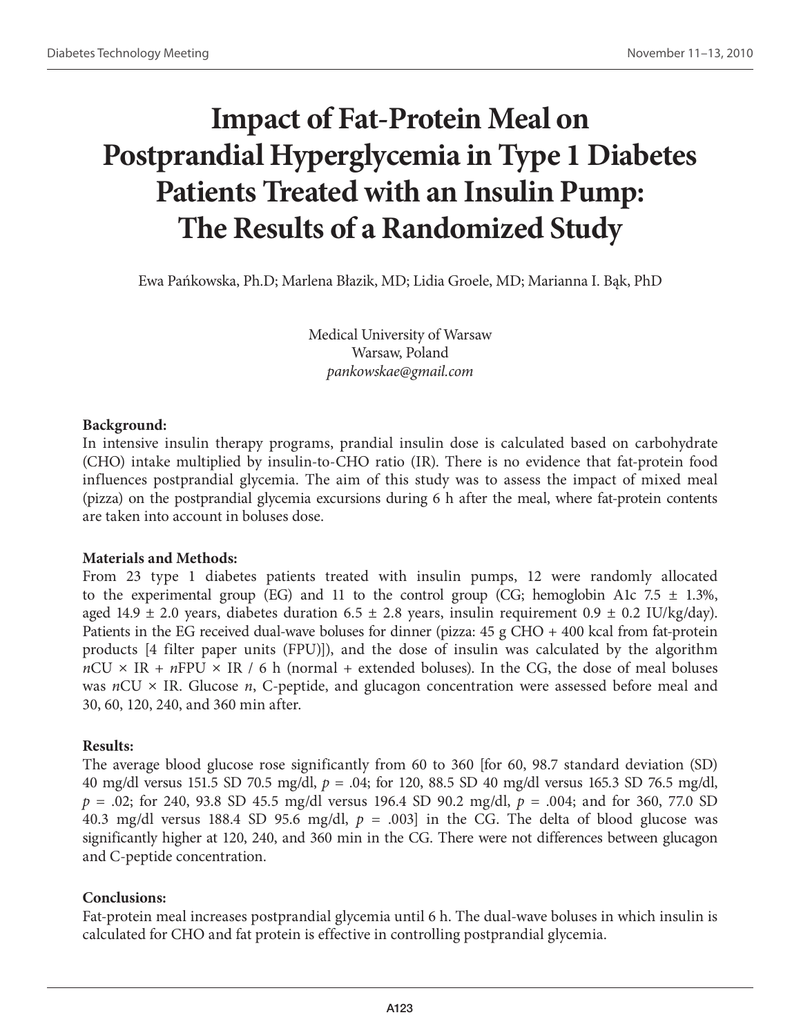# **Impact of Fat-Protein Meal on Postprandial Hyperglycemia in Type 1 Diabetes Patients Treated with an Insulin Pump: The Results of a Randomized Study**

Ewa Pańkowska, Ph.D; Marlena Błazik, MD; Lidia Groele, MD; Marianna I. Bąk, PhD

Medical University of Warsaw Warsaw, Poland *pankowskae@gmail.com*

### **Background:**

In intensive insulin therapy programs, prandial insulin dose is calculated based on carbohydrate (CHO) intake multiplied by insulin-to-CHO ratio (IR). There is no evidence that fat-protein food influences postprandial glycemia. The aim of this study was to assess the impact of mixed meal (pizza) on the postprandial glycemia excursions during 6 h after the meal, where fat-protein contents are taken into account in boluses dose.

### **Materials and Methods:**

From 23 type 1 diabetes patients treated with insulin pumps, 12 were randomly allocated to the experimental group (EG) and 11 to the control group (CG; hemoglobin A1c 7.5  $\pm$  1.3%, aged 14.9  $\pm$  2.0 years, diabetes duration 6.5  $\pm$  2.8 years, insulin requirement 0.9  $\pm$  0.2 IU/kg/day). Patients in the EG received dual-wave boluses for dinner (pizza: 45 g CHO + 400 kcal from fat-protein products [4 filter paper units (FPU)]), and the dose of insulin was calculated by the algorithm  $nCU \times IR + nFPU \times IR / 6$  h (normal + extended boluses). In the CG, the dose of meal boluses was *n*CU × IR. Glucose *n*, C-peptide, and glucagon concentration were assessed before meal and 30, 60, 120, 240, and 360 min after.

### **Results:**

The average blood glucose rose significantly from 60 to 360 [for 60, 98.7 standard deviation (SD) 40 mg/dl versus 151.5 SD 70.5 mg/dl, *p* = .04; for 120, 88.5 SD 40 mg/dl versus 165.3 SD 76.5 mg/dl, *p* = .02; for 240, 93.8 SD 45.5 mg/dl versus 196.4 SD 90.2 mg/dl, *p* = .004; and for 360, 77.0 SD 40.3 mg/dl versus 188.4 SD 95.6 mg/dl,  $p = .003$  in the CG. The delta of blood glucose was significantly higher at 120, 240, and 360 min in the CG. There were not differences between glucagon and C-peptide concentration.

### **Conclusions:**

Fat-protein meal increases postprandial glycemia until 6 h. The dual-wave boluses in which insulin is calculated for CHO and fat protein is effective in controlling postprandial glycemia.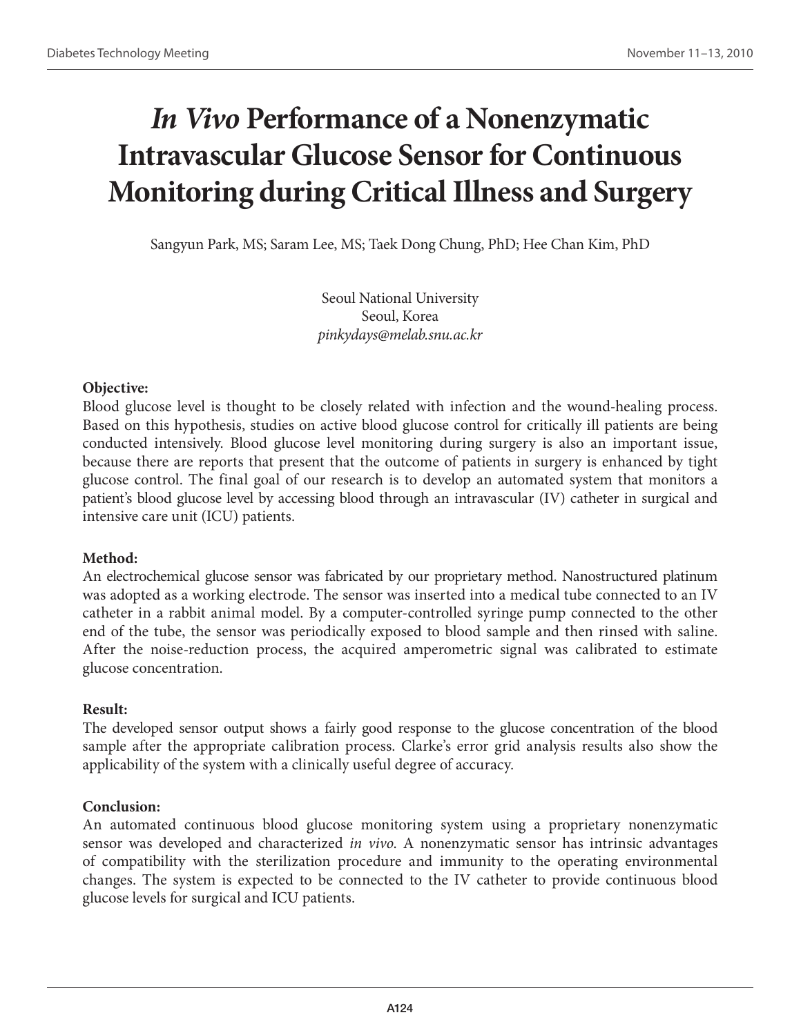# *In Vivo* **Performance of a Nonenzymatic Intravascular Glucose Sensor for Continuous Monitoring during Critical Illness and Surgery**

Sangyun Park, MS; Saram Lee, MS; Taek Dong Chung, PhD; Hee Chan Kim, PhD

Seoul National University Seoul, Korea *pinkydays@melab.snu.ac.kr*

## **Objective:**

Blood glucose level is thought to be closely related with infection and the wound-healing process. Based on this hypothesis, studies on active blood glucose control for critically ill patients are being conducted intensively. Blood glucose level monitoring during surgery is also an important issue, because there are reports that present that the outcome of patients in surgery is enhanced by tight glucose control. The final goal of our research is to develop an automated system that monitors a patient's blood glucose level by accessing blood through an intravascular (IV) catheter in surgical and intensive care unit (ICU) patients.

## **Method:**

An electrochemical glucose sensor was fabricated by our proprietary method. Nanostructured platinum was adopted as a working electrode. The sensor was inserted into a medical tube connected to an IV catheter in a rabbit animal model. By a computer-controlled syringe pump connected to the other end of the tube, the sensor was periodically exposed to blood sample and then rinsed with saline. After the noise-reduction process, the acquired amperometric signal was calibrated to estimate glucose concentration.

### **Result:**

The developed sensor output shows a fairly good response to the glucose concentration of the blood sample after the appropriate calibration process. Clarke's error grid analysis results also show the applicability of the system with a clinically useful degree of accuracy.

### **Conclusion:**

An automated continuous blood glucose monitoring system using a proprietary nonenzymatic sensor was developed and characterized *in vivo*. A nonenzymatic sensor has intrinsic advantages of compatibility with the sterilization procedure and immunity to the operating environmental changes. The system is expected to be connected to the IV catheter to provide continuous blood glucose levels for surgical and ICU patients.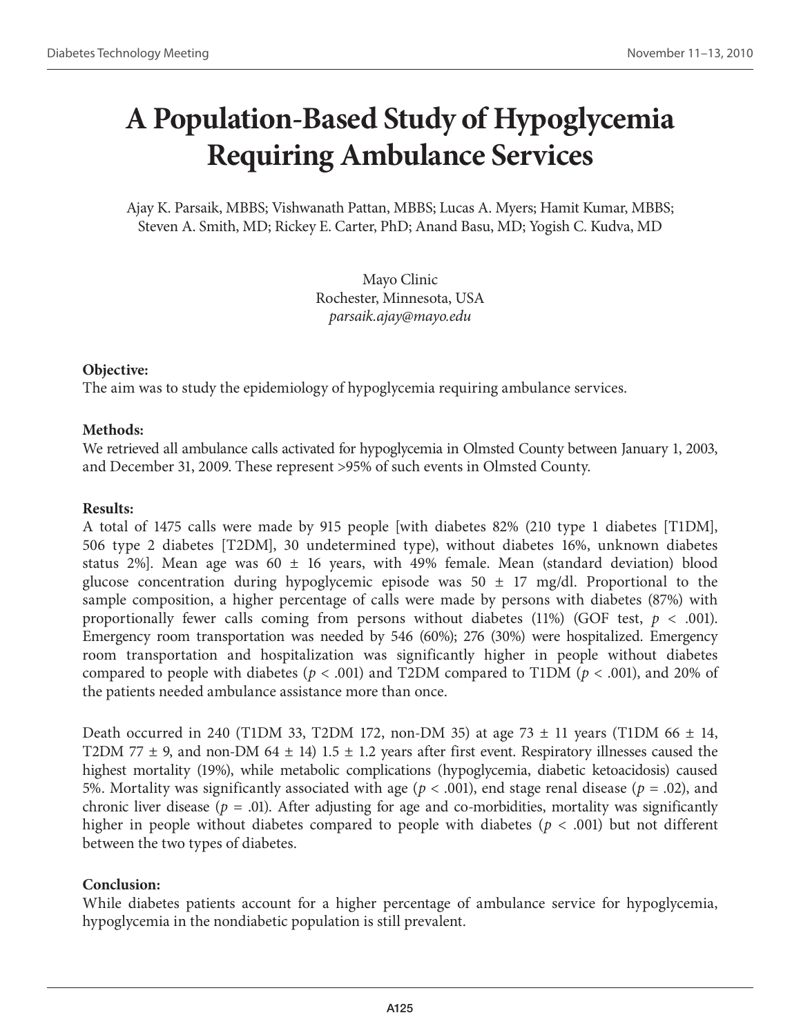# **A Population-Based Study of Hypoglycemia Requiring Ambulance Services**

Ajay K. Parsaik, MBBS; Vishwanath Pattan, MBBS; Lucas A. Myers; Hamit Kumar, MBBS; Steven A. Smith, MD; Rickey E. Carter, PhD; Anand Basu, MD; Yogish C. Kudva, MD

> Mayo Clinic Rochester, Minnesota, USA *parsaik.ajay@mayo.edu*

### **Objective:**

The aim was to study the epidemiology of hypoglycemia requiring ambulance services.

### **Methods:**

We retrieved all ambulance calls activated for hypoglycemia in Olmsted County between January 1, 2003, and December 31, 2009. These represent >95% of such events in Olmsted County.

### **Results:**

A total of 1475 calls were made by 915 people [with diabetes 82% (210 type 1 diabetes [T1DM], 506 type 2 diabetes [T2DM], 30 undetermined type), without diabetes 16%, unknown diabetes status 2%]. Mean age was 60  $\pm$  16 years, with 49% female. Mean (standard deviation) blood glucose concentration during hypoglycemic episode was  $50 \pm 17$  mg/dl. Proportional to the sample composition, a higher percentage of calls were made by persons with diabetes (87%) with proportionally fewer calls coming from persons without diabetes  $(11%)$  (GOF test,  $p < .001$ ). Emergency room transportation was needed by 546 (60%); 276 (30%) were hospitalized. Emergency room transportation and hospitalization was significantly higher in people without diabetes compared to people with diabetes (*p* < .001) and T2DM compared to T1DM (*p* < .001), and 20% of the patients needed ambulance assistance more than once.

Death occurred in 240 (T1DM 33, T2DM 172, non-DM 35) at age 73  $\pm$  11 years (T1DM 66  $\pm$  14, T2DM 77  $\pm$  9, and non-DM 64  $\pm$  14) 1.5  $\pm$  1.2 years after first event. Respiratory illnesses caused the highest mortality (19%), while metabolic complications (hypoglycemia, diabetic ketoacidosis) caused 5%. Mortality was significantly associated with age (*p* < .001), end stage renal disease (*p* = .02), and chronic liver disease ( $p = .01$ ). After adjusting for age and co-morbidities, mortality was significantly higher in people without diabetes compared to people with diabetes (*p* < .001) but not different between the two types of diabetes.

### **Conclusion:**

While diabetes patients account for a higher percentage of ambulance service for hypoglycemia, hypoglycemia in the nondiabetic population is still prevalent.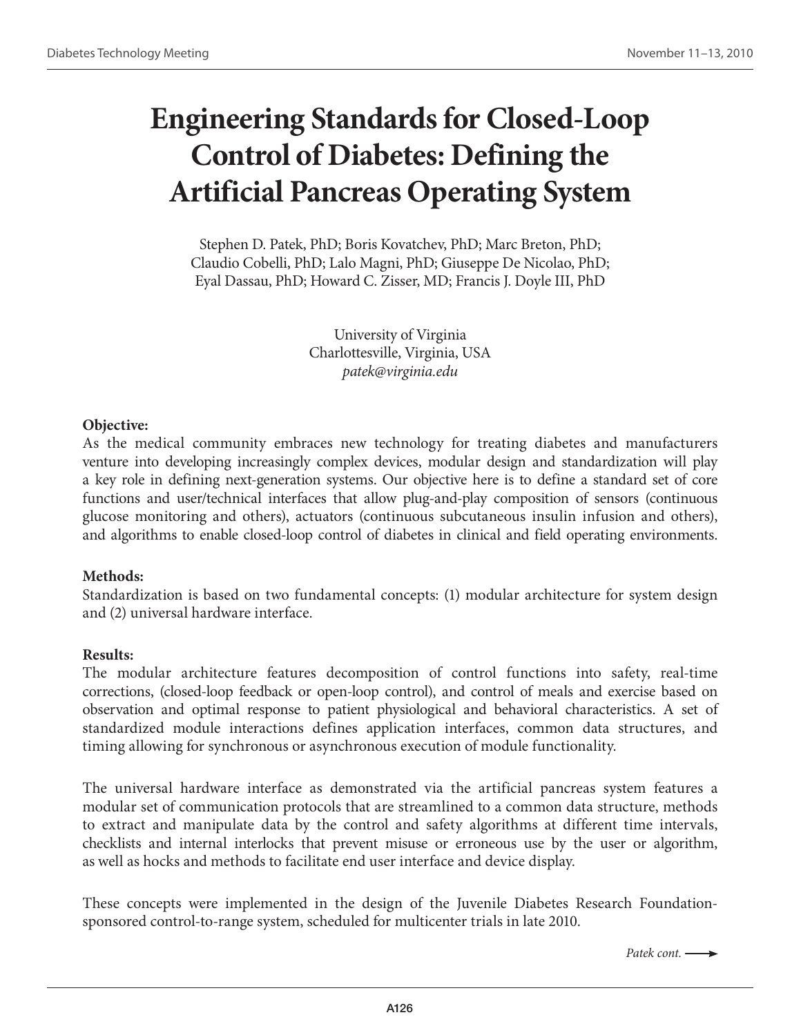# **Engineering Standards for Closed-Loop Control of Diabetes: Defining the Artificial Pancreas Operating System**

Stephen D. Patek, PhD; Boris Kovatchev, PhD; Marc Breton, PhD; Claudio Cobelli, PhD; Lalo Magni, PhD; Giuseppe De Nicolao, PhD; Eyal Dassau, PhD; Howard C. Zisser, MD; Francis J. Doyle III, PhD

> University of Virginia Charlottesville, Virginia, USA *patek@virginia.edu*

#### **Objective:**

As the medical community embraces new technology for treating diabetes and manufacturers venture into developing increasingly complex devices, modular design and standardization will play a key role in defining next-generation systems. Our objective here is to define a standard set of core functions and user/technical interfaces that allow plug-and-play composition of sensors (continuous glucose monitoring and others), actuators (continuous subcutaneous insulin infusion and others), and algorithms to enable closed-loop control of diabetes in clinical and field operating environments.

### **Methods:**

Standardization is based on two fundamental concepts: (1) modular architecture for system design and (2) universal hardware interface.

#### **Results:**

The modular architecture features decomposition of control functions into safety, real-time corrections, (closed-loop feedback or open-loop control), and control of meals and exercise based on observation and optimal response to patient physiological and behavioral characteristics. A set of standardized module interactions defines application interfaces, common data structures, and timing allowing for synchronous or asynchronous execution of module functionality.

The universal hardware interface as demonstrated via the artificial pancreas system features a modular set of communication protocols that are streamlined to a common data structure, methods to extract and manipulate data by the control and safety algorithms at different time intervals, checklists and internal interlocks that prevent misuse or erroneous use by the user or algorithm, as well as hocks and methods to facilitate end user interface and device display.

These concepts were implemented in the design of the Juvenile Diabetes Research Foundationsponsored control-to-range system, scheduled for multicenter trials in late 2010.

*Patek cont.*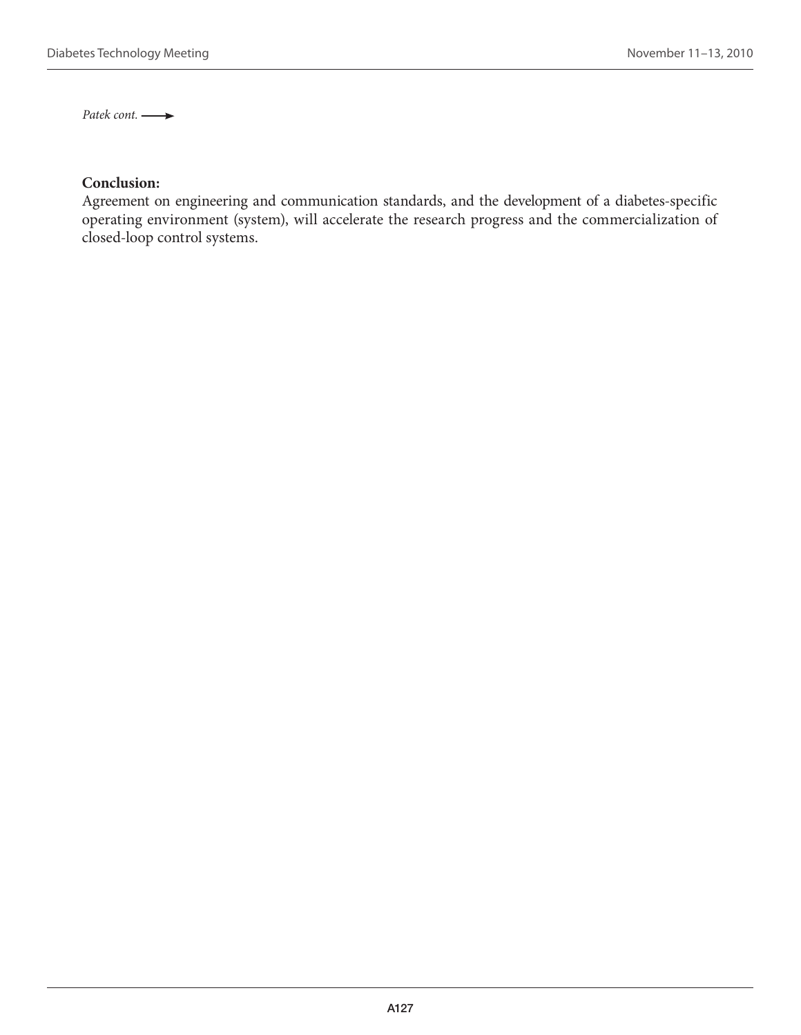Patek cont.  $\longrightarrow$ 

## **Conclusion:**

Agreement on engineering and communication standards, and the development of a diabetes-specific operating environment (system), will accelerate the research progress and the commercialization of closed-loop control systems.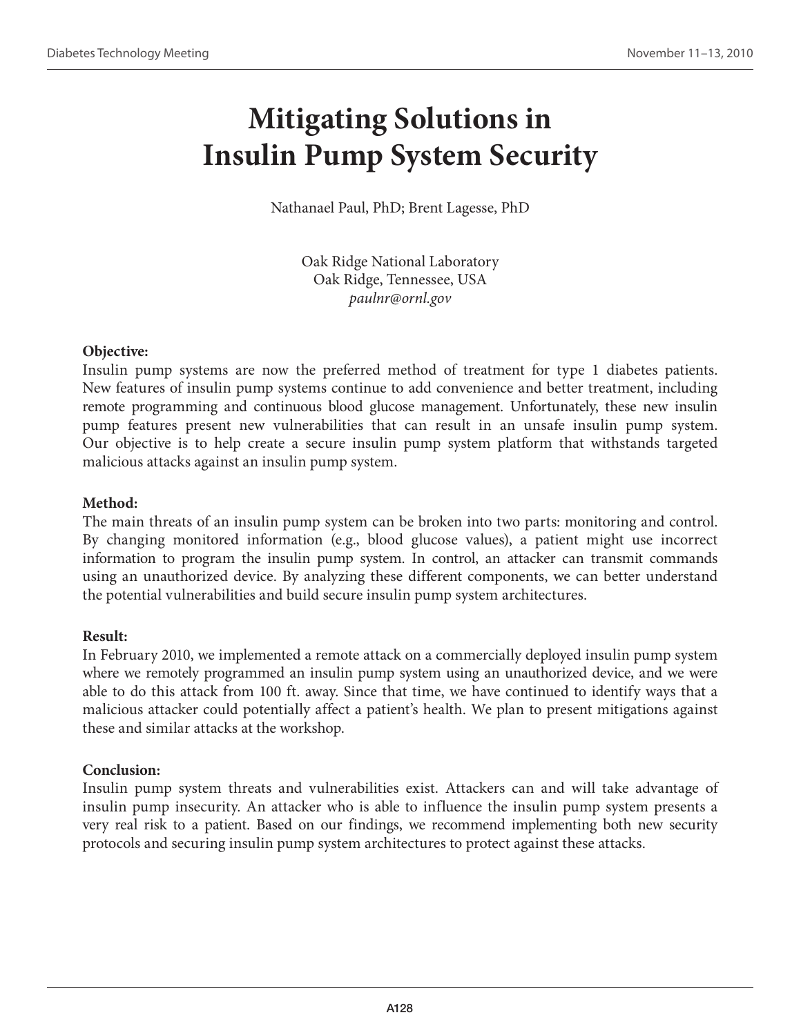# **Mitigating Solutions in Insulin Pump System Security**

Nathanael Paul, PhD; Brent Lagesse, PhD

Oak Ridge National Laboratory Oak Ridge, Tennessee, USA *paulnr@ornl.gov*

### **Objective:**

Insulin pump systems are now the preferred method of treatment for type 1 diabetes patients. New features of insulin pump systems continue to add convenience and better treatment, including remote programming and continuous blood glucose management. Unfortunately, these new insulin pump features present new vulnerabilities that can result in an unsafe insulin pump system. Our objective is to help create a secure insulin pump system platform that withstands targeted malicious attacks against an insulin pump system.

## **Method:**

The main threats of an insulin pump system can be broken into two parts: monitoring and control. By changing monitored information (e.g., blood glucose values), a patient might use incorrect information to program the insulin pump system. In control, an attacker can transmit commands using an unauthorized device. By analyzing these different components, we can better understand the potential vulnerabilities and build secure insulin pump system architectures.

### **Result:**

In February 2010, we implemented a remote attack on a commercially deployed insulin pump system where we remotely programmed an insulin pump system using an unauthorized device, and we were able to do this attack from 100 ft. away. Since that time, we have continued to identify ways that a malicious attacker could potentially affect a patient's health. We plan to present mitigations against these and similar attacks at the workshop.

### **Conclusion:**

Insulin pump system threats and vulnerabilities exist. Attackers can and will take advantage of insulin pump insecurity. An attacker who is able to influence the insulin pump system presents a very real risk to a patient. Based on our findings, we recommend implementing both new security protocols and securing insulin pump system architectures to protect against these attacks.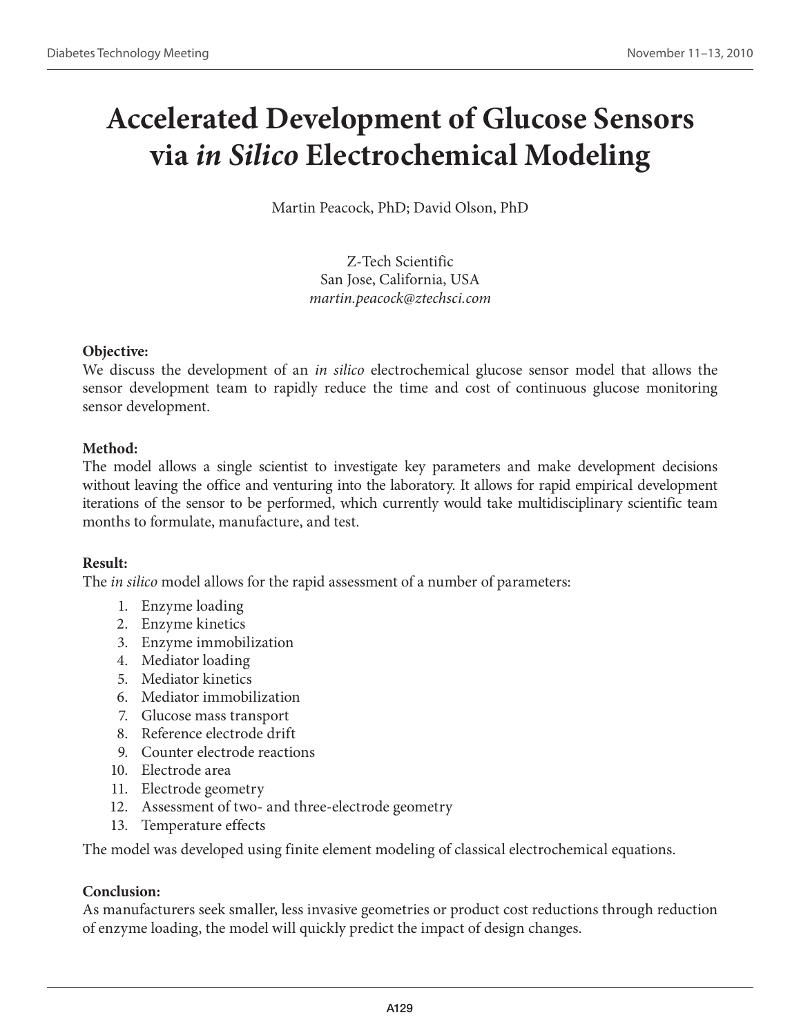# **Accelerated Development of Glucose Sensors via** *in Silico* **Electrochemical Modeling**

Martin Peacock, PhD; David Olson, PhD

Z-Tech Scientific San Jose, California, USA *martin.peacock@ztechsci.com*

### **Objective:**

We discuss the development of an *in silico* electrochemical glucose sensor model that allows the sensor development team to rapidly reduce the time and cost of continuous glucose monitoring sensor development.

## **Method:**

The model allows a single scientist to investigate key parameters and make development decisions without leaving the office and venturing into the laboratory. It allows for rapid empirical development iterations of the sensor to be performed, which currently would take multidisciplinary scientific team months to formulate, manufacture, and test.

### **Result:**

The *in silico* model allows for the rapid assessment of a number of parameters:

- 1. Enzyme loading
- 2. Enzyme kinetics
- 3. Enzyme immobilization
- 4. Mediator loading
- 5. Mediator kinetics
- 6. Mediator immobilization
- 7. Glucose mass transport
- 8. Reference electrode drift
- 9. Counter electrode reactions
- 10. Electrode area
- 11. Electrode geometry
- 12. Assessment of two- and three-electrode geometry
- 13. Temperature effects

The model was developed using finite element modeling of classical electrochemical equations.

### **Conclusion:**

As manufacturers seek smaller, less invasive geometries or product cost reductions through reduction of enzyme loading, the model will quickly predict the impact of design changes.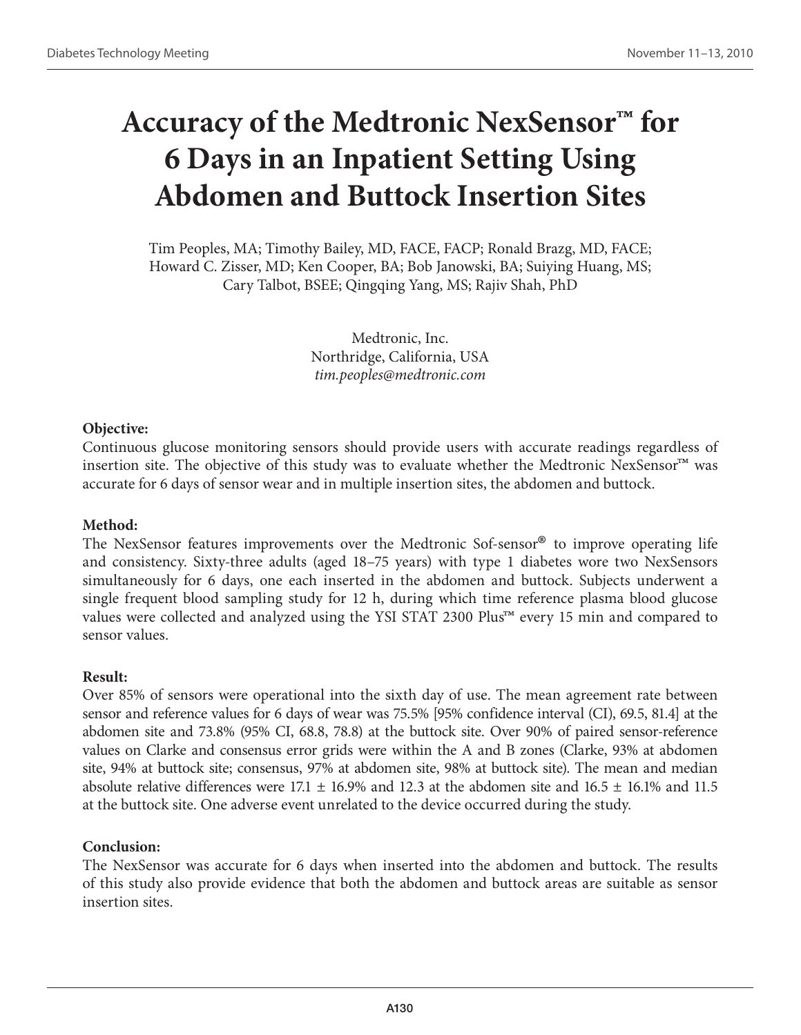# **Accuracy of the Medtronic NexSensor™ for 6 Days in an Inpatient Setting Using Abdomen and Buttock Insertion Sites**

Tim Peoples, MA; Timothy Bailey, MD, FACE, FACP; Ronald Brazg, MD, FACE; Howard C. Zisser, MD; Ken Cooper, BA; Bob Janowski, BA; Suiying Huang, MS; Cary Talbot, BSEE; Qingqing Yang, MS; Rajiv Shah, PhD

> Medtronic, Inc. Northridge, California, USA *tim.peoples@medtronic.com*

### **Objective:**

Continuous glucose monitoring sensors should provide users with accurate readings regardless of insertion site. The objective of this study was to evaluate whether the Medtronic NexSensor™ was accurate for 6 days of sensor wear and in multiple insertion sites, the abdomen and buttock.

#### **Method:**

The NexSensor features improvements over the Medtronic Sof-sensor® to improve operating life and consistency. Sixty-three adults (aged 18–75 years) with type 1 diabetes wore two NexSensors simultaneously for 6 days, one each inserted in the abdomen and buttock. Subjects underwent a single frequent blood sampling study for 12 h, during which time reference plasma blood glucose values were collected and analyzed using the YSI STAT 2300 Plus™ every 15 min and compared to sensor values.

#### **Result:**

Over 85% of sensors were operational into the sixth day of use. The mean agreement rate between sensor and reference values for 6 days of wear was 75.5% [95% confidence interval (CI), 69.5, 81.4] at the abdomen site and 73.8% (95% CI, 68.8, 78.8) at the buttock site. Over 90% of paired sensor-reference values on Clarke and consensus error grids were within the A and B zones (Clarke, 93% at abdomen site, 94% at buttock site; consensus, 97% at abdomen site, 98% at buttock site). The mean and median absolute relative differences were 17.1  $\pm$  16.9% and 12.3 at the abdomen site and 16.5  $\pm$  16.1% and 11.5 at the buttock site. One adverse event unrelated to the device occurred during the study.

#### **Conclusion:**

The NexSensor was accurate for 6 days when inserted into the abdomen and buttock. The results of this study also provide evidence that both the abdomen and buttock areas are suitable as sensor insertion sites.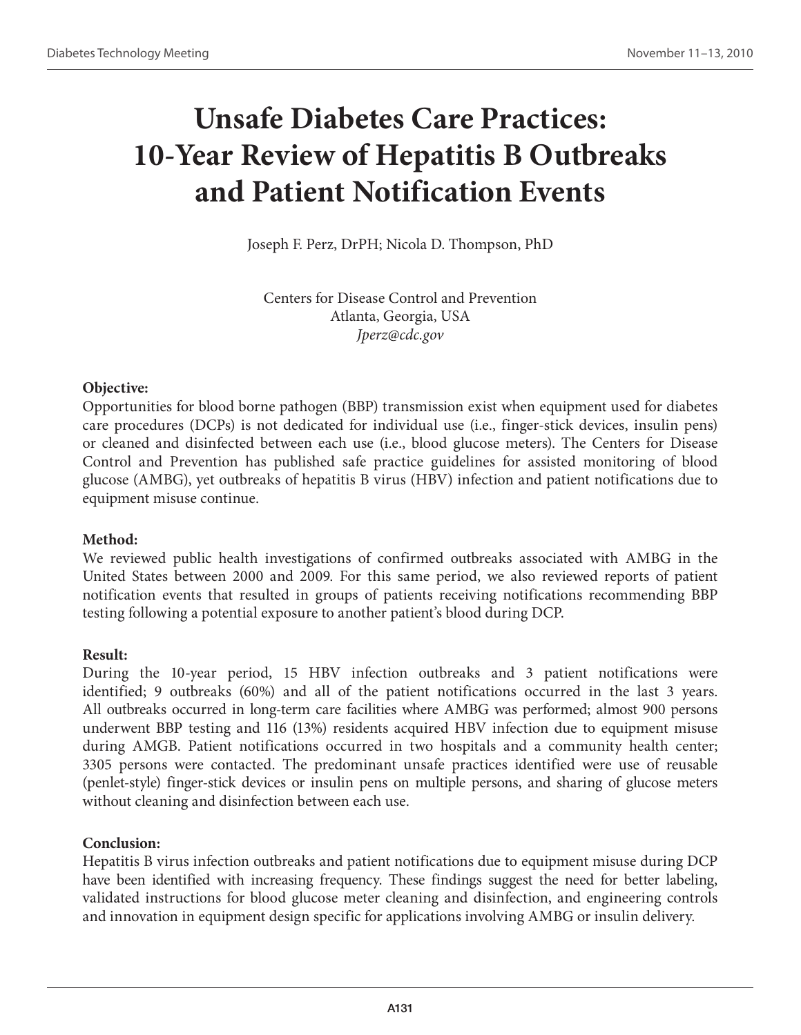# **Unsafe Diabetes Care Practices: 10-Year Review of Hepatitis B Outbreaks and Patient Notification Events**

Joseph F. Perz, DrPH; Nicola D. Thompson, PhD

Centers for Disease Control and Prevention Atlanta, Georgia, USA *Jperz@cdc.gov*

### **Objective:**

Opportunities for blood borne pathogen (BBP) transmission exist when equipment used for diabetes care procedures (DCPs) is not dedicated for individual use (i.e., finger-stick devices, insulin pens) or cleaned and disinfected between each use (i.e., blood glucose meters). The Centers for Disease Control and Prevention has published safe practice guidelines for assisted monitoring of blood glucose (AMBG), yet outbreaks of hepatitis B virus (HBV) infection and patient notifications due to equipment misuse continue.

#### **Method:**

We reviewed public health investigations of confirmed outbreaks associated with AMBG in the United States between 2000 and 2009. For this same period, we also reviewed reports of patient notification events that resulted in groups of patients receiving notifications recommending BBP testing following a potential exposure to another patient's blood during DCP.

#### **Result:**

During the 10-year period, 15 HBV infection outbreaks and 3 patient notifications were identified; 9 outbreaks (60%) and all of the patient notifications occurred in the last 3 years. All outbreaks occurred in long-term care facilities where AMBG was performed; almost 900 persons underwent BBP testing and 116 (13%) residents acquired HBV infection due to equipment misuse during AMGB. Patient notifications occurred in two hospitals and a community health center; 3305 persons were contacted. The predominant unsafe practices identified were use of reusable (penlet-style) finger-stick devices or insulin pens on multiple persons, and sharing of glucose meters without cleaning and disinfection between each use.

#### **Conclusion:**

Hepatitis B virus infection outbreaks and patient notifications due to equipment misuse during DCP have been identified with increasing frequency. These findings suggest the need for better labeling, validated instructions for blood glucose meter cleaning and disinfection, and engineering controls and innovation in equipment design specific for applications involving AMBG or insulin delivery.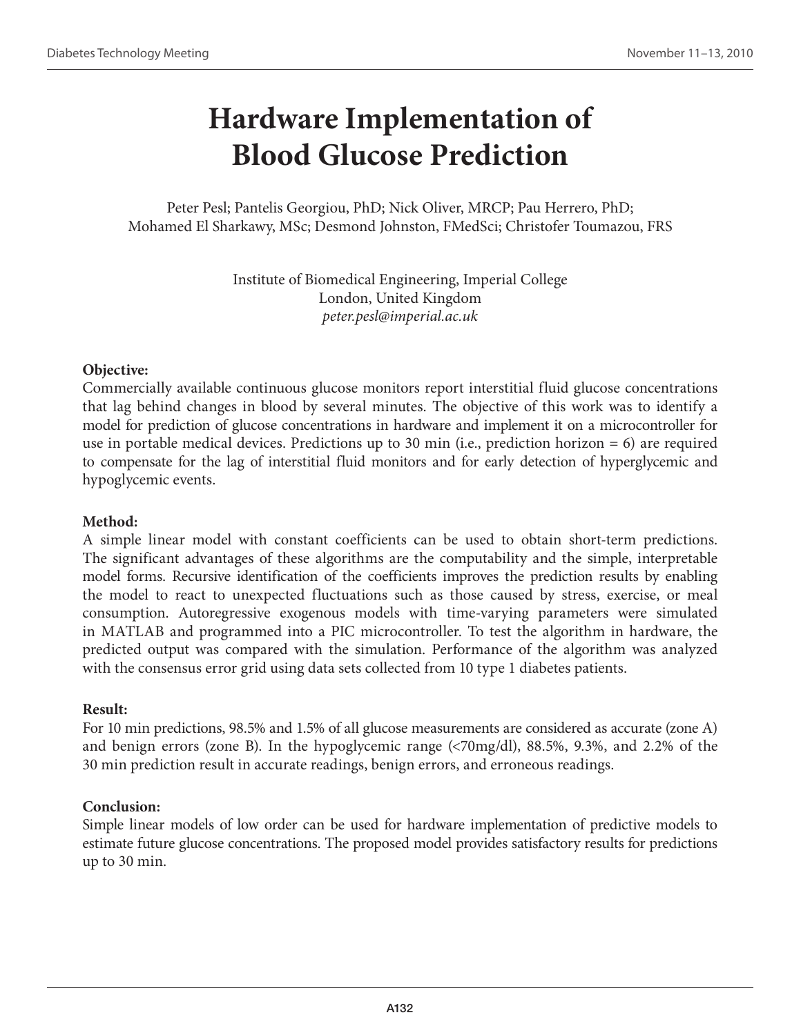# **Hardware Implementation of Blood Glucose Prediction**

Peter Pesl; Pantelis Georgiou, PhD; Nick Oliver, MRCP; Pau Herrero, PhD; Mohamed El Sharkawy, MSc; Desmond Johnston, FMedSci; Christofer Toumazou, FRS

> Institute of Biomedical Engineering, Imperial College London, United Kingdom *peter.pesl@imperial.ac.uk*

### **Objective:**

Commercially available continuous glucose monitors report interstitial fluid glucose concentrations that lag behind changes in blood by several minutes. The objective of this work was to identify a model for prediction of glucose concentrations in hardware and implement it on a microcontroller for use in portable medical devices. Predictions up to 30 min (i.e., prediction horizon = 6) are required to compensate for the lag of interstitial fluid monitors and for early detection of hyperglycemic and hypoglycemic events.

#### **Method:**

A simple linear model with constant coefficients can be used to obtain short-term predictions. The significant advantages of these algorithms are the computability and the simple, interpretable model forms. Recursive identification of the coefficients improves the prediction results by enabling the model to react to unexpected fluctuations such as those caused by stress, exercise, or meal consumption. Autoregressive exogenous models with time-varying parameters were simulated in MATLAB and programmed into a PIC microcontroller. To test the algorithm in hardware, the predicted output was compared with the simulation. Performance of the algorithm was analyzed with the consensus error grid using data sets collected from 10 type 1 diabetes patients.

#### **Result:**

For 10 min predictions, 98.5% and 1.5% of all glucose measurements are considered as accurate (zone A) and benign errors (zone B). In the hypoglycemic range (<70mg/dl), 88.5%, 9.3%, and 2.2% of the 30 min prediction result in accurate readings, benign errors, and erroneous readings.

#### **Conclusion:**

Simple linear models of low order can be used for hardware implementation of predictive models to estimate future glucose concentrations. The proposed model provides satisfactory results for predictions up to 30 min.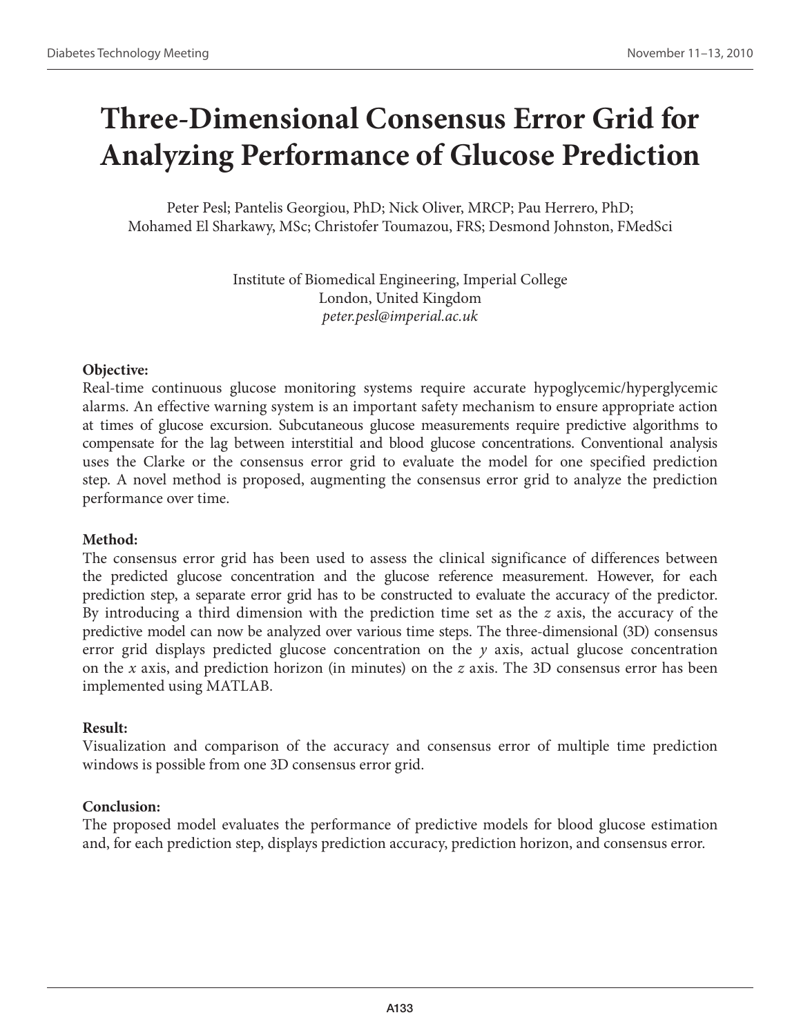# **Three-Dimensional Consensus Error Grid for Analyzing Performance of Glucose Prediction**

Peter Pesl; Pantelis Georgiou, PhD; Nick Oliver, MRCP; Pau Herrero, PhD; Mohamed El Sharkawy, MSc; Christofer Toumazou, FRS; Desmond Johnston, FMedSci

> Institute of Biomedical Engineering, Imperial College London, United Kingdom *peter.pesl@imperial.ac.uk*

### **Objective:**

Real-time continuous glucose monitoring systems require accurate hypoglycemic/hyperglycemic alarms. An effective warning system is an important safety mechanism to ensure appropriate action at times of glucose excursion. Subcutaneous glucose measurements require predictive algorithms to compensate for the lag between interstitial and blood glucose concentrations. Conventional analysis uses the Clarke or the consensus error grid to evaluate the model for one specified prediction step. A novel method is proposed, augmenting the consensus error grid to analyze the prediction performance over time.

### **Method:**

The consensus error grid has been used to assess the clinical significance of differences between the predicted glucose concentration and the glucose reference measurement. However, for each prediction step, a separate error grid has to be constructed to evaluate the accuracy of the predictor. By introducing a third dimension with the prediction time set as the *z* axis, the accuracy of the predictive model can now be analyzed over various time steps. The three-dimensional (3D) consensus error grid displays predicted glucose concentration on the *y* axis, actual glucose concentration on the *x* axis, and prediction horizon (in minutes) on the *z* axis. The 3D consensus error has been implemented using MATLAB.

### **Result:**

Visualization and comparison of the accuracy and consensus error of multiple time prediction windows is possible from one 3D consensus error grid.

### **Conclusion:**

The proposed model evaluates the performance of predictive models for blood glucose estimation and, for each prediction step, displays prediction accuracy, prediction horizon, and consensus error.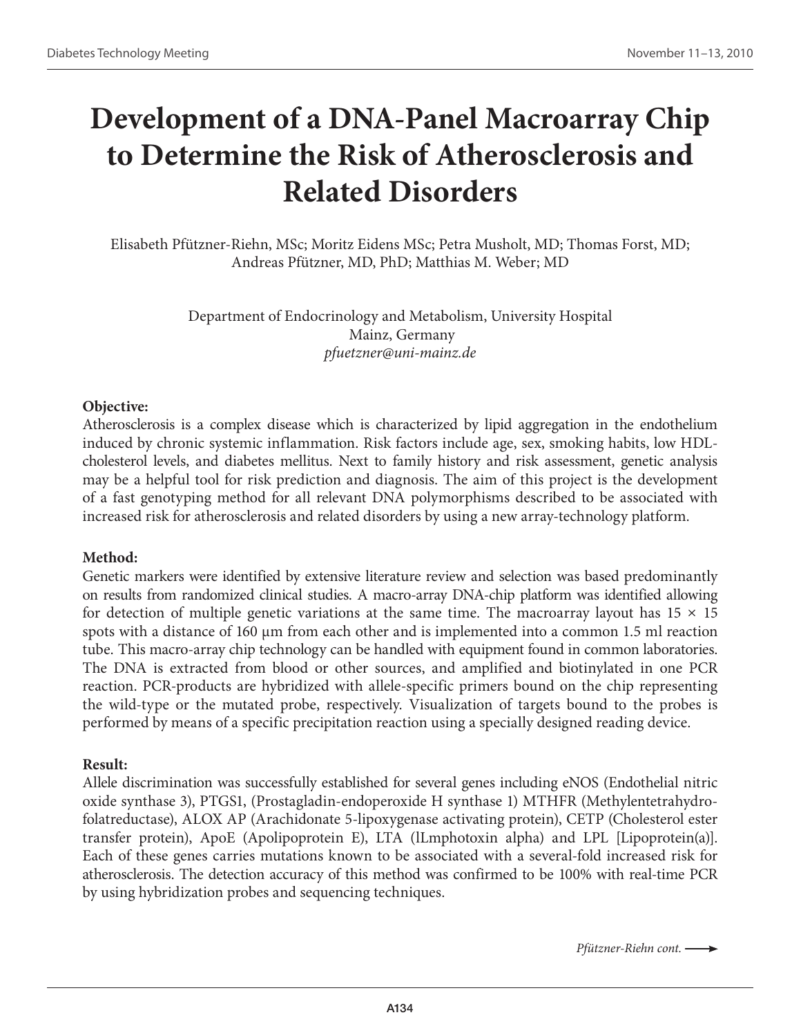# **Development of a DNA-Panel Macroarray Chip to Determine the Risk of Atherosclerosis and Related Disorders**

Elisabeth Pfützner-Riehn, MSc; Moritz Eidens MSc; Petra Musholt, MD; Thomas Forst, MD; Andreas Pfützner, MD, PhD; Matthias M. Weber; MD

> Department of Endocrinology and Metabolism, University Hospital Mainz, Germany *pfuetzner@uni-mainz.de*

#### **Objective:**

Atherosclerosis is a complex disease which is characterized by lipid aggregation in the endothelium induced by chronic systemic inflammation. Risk factors include age, sex, smoking habits, low HDLcholesterol levels, and diabetes mellitus. Next to family history and risk assessment, genetic analysis may be a helpful tool for risk prediction and diagnosis. The aim of this project is the development of a fast genotyping method for all relevant DNA polymorphisms described to be associated with increased risk for atherosclerosis and related disorders by using a new array-technology platform.

#### **Method:**

Genetic markers were identified by extensive literature review and selection was based predominantly on results from randomized clinical studies. A macro-array DNA-chip platform was identified allowing for detection of multiple genetic variations at the same time. The macroarray layout has  $15 \times 15$ spots with a distance of 160 µm from each other and is implemented into a common 1.5 ml reaction tube. This macro-array chip technology can be handled with equipment found in common laboratories. The DNA is extracted from blood or other sources, and amplified and biotinylated in one PCR reaction. PCR-products are hybridized with allele-specific primers bound on the chip representing the wild-type or the mutated probe, respectively. Visualization of targets bound to the probes is performed by means of a specific precipitation reaction using a specially designed reading device.

#### **Result:**

Allele discrimination was successfully established for several genes including eNOS (Endothelial nitric oxide synthase 3), PTGS1, (Prostagladin-endoperoxide H synthase 1) MTHFR (Methylentetrahydrofolatreductase), ALOX AP (Arachidonate 5-lipoxygenase activating protein), CETP (Cholesterol ester transfer protein), ApoE (Apolipoprotein E), LTA (lLmphotoxin alpha) and LPL [Lipoprotein(a)]. Each of these genes carries mutations known to be associated with a several-fold increased risk for atherosclerosis. The detection accuracy of this method was confirmed to be 100% with real-time PCR by using hybridization probes and sequencing techniques.

*Pfützner-Riehn cont.*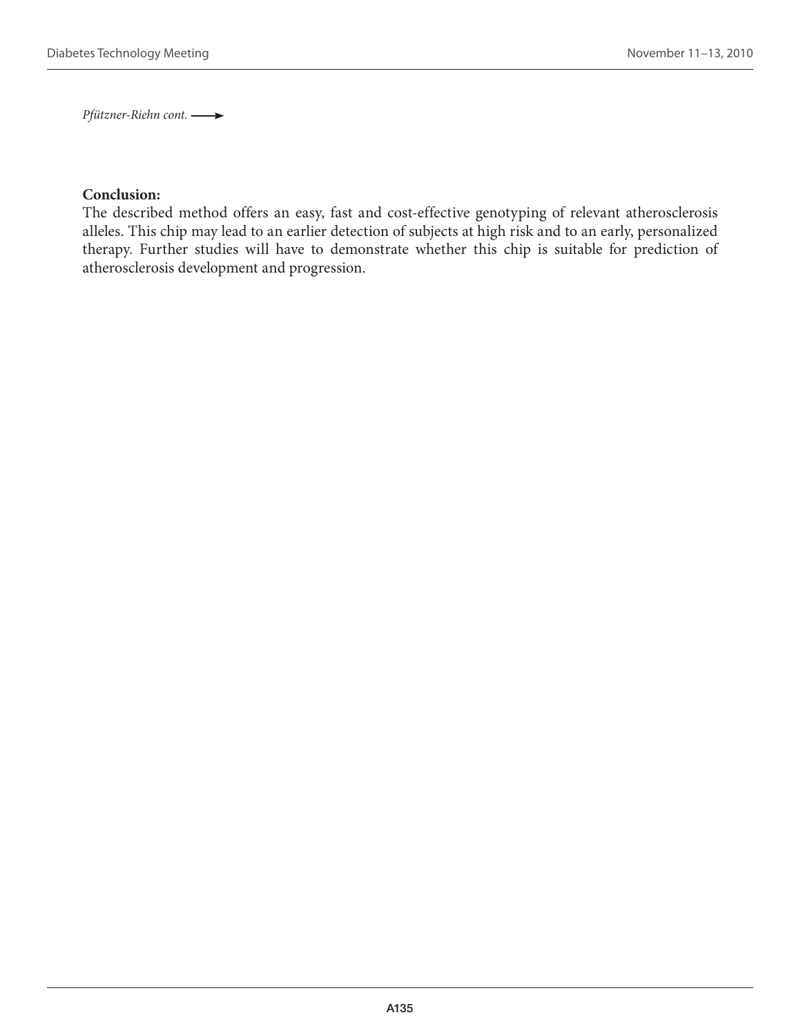*Pfützner-Riehn cont.* 

#### **Conclusion:**

The described method offers an easy, fast and cost-effective genotyping of relevant atherosclerosis alleles. This chip may lead to an earlier detection of subjects at high risk and to an early, personalized therapy. Further studies will have to demonstrate whether this chip is suitable for prediction of atherosclerosis development and progression.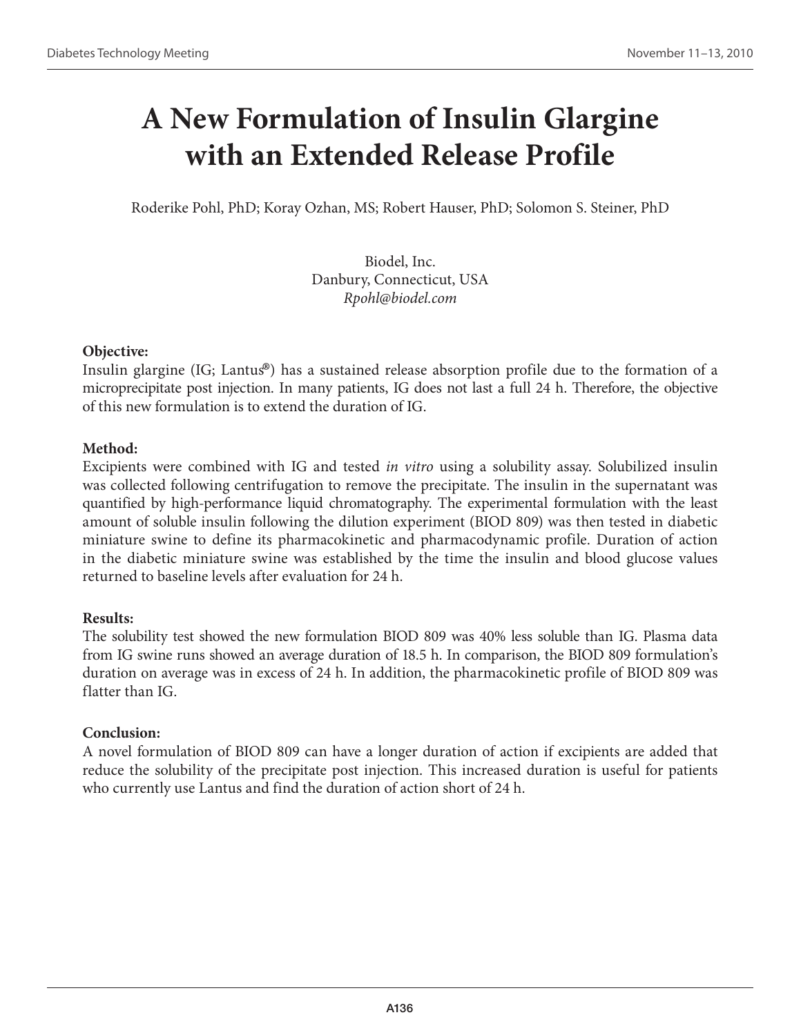# **A New Formulation of Insulin Glargine with an Extended Release Profile**

Roderike Pohl, PhD; Koray Ozhan, MS; Robert Hauser, PhD; Solomon S. Steiner, PhD

Biodel, Inc. Danbury, Connecticut, USA *Rpohl@biodel.com* 

### **Objective:**

Insulin glargine (IG; Lantus®) has a sustained release absorption profile due to the formation of a microprecipitate post injection. In many patients, IG does not last a full 24 h. Therefore, the objective of this new formulation is to extend the duration of IG.

## **Method:**

Excipients were combined with IG and tested *in vitro* using a solubility assay. Solubilized insulin was collected following centrifugation to remove the precipitate. The insulin in the supernatant was quantified by high-performance liquid chromatography. The experimental formulation with the least amount of soluble insulin following the dilution experiment (BIOD 809) was then tested in diabetic miniature swine to define its pharmacokinetic and pharmacodynamic profile. Duration of action in the diabetic miniature swine was established by the time the insulin and blood glucose values returned to baseline levels after evaluation for 24 h.

### **Results:**

The solubility test showed the new formulation BIOD 809 was 40% less soluble than IG. Plasma data from IG swine runs showed an average duration of 18.5 h. In comparison, the BIOD 809 formulation's duration on average was in excess of 24 h. In addition, the pharmacokinetic profile of BIOD 809 was flatter than IG.

### **Conclusion:**

A novel formulation of BIOD 809 can have a longer duration of action if excipients are added that reduce the solubility of the precipitate post injection. This increased duration is useful for patients who currently use Lantus and find the duration of action short of 24 h.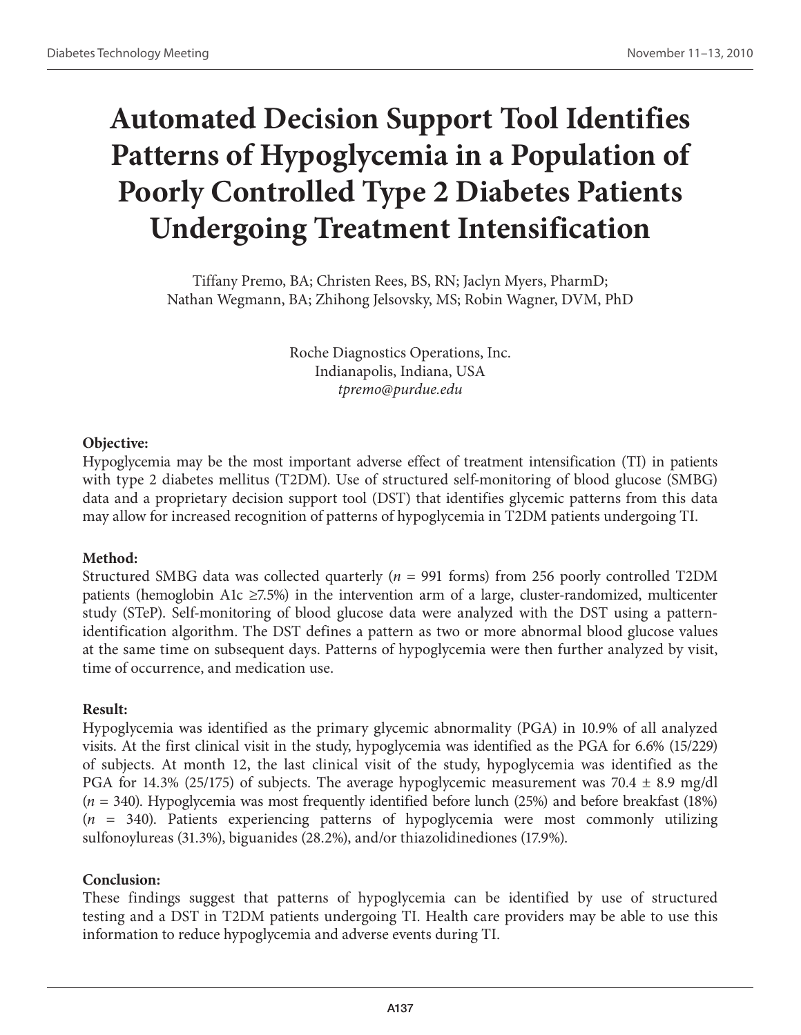# **Automated Decision Support Tool Identifies Patterns of Hypoglycemia in a Population of Poorly Controlled Type 2 Diabetes Patients Undergoing Treatment Intensification**

Tiffany Premo, BA; Christen Rees, BS, RN; Jaclyn Myers, PharmD; Nathan Wegmann, BA; Zhihong Jelsovsky, MS; Robin Wagner, DVM, PhD

> Roche Diagnostics Operations, Inc. Indianapolis, Indiana, USA *tpremo@purdue.edu*

## **Objective:**

Hypoglycemia may be the most important adverse effect of treatment intensification (TI) in patients with type 2 diabetes mellitus (T2DM). Use of structured self-monitoring of blood glucose (SMBG) data and a proprietary decision support tool (DST) that identifies glycemic patterns from this data may allow for increased recognition of patterns of hypoglycemia in T2DM patients undergoing TI.

## **Method:**

Structured SMBG data was collected quarterly (*n* = 991 forms) from 256 poorly controlled T2DM patients (hemoglobin A1c  $\geq$ 7.5%) in the intervention arm of a large, cluster-randomized, multicenter study (STeP). Self-monitoring of blood glucose data were analyzed with the DST using a patternidentification algorithm. The DST defines a pattern as two or more abnormal blood glucose values at the same time on subsequent days. Patterns of hypoglycemia were then further analyzed by visit, time of occurrence, and medication use.

## **Result:**

Hypoglycemia was identified as the primary glycemic abnormality (PGA) in 10.9% of all analyzed visits. At the first clinical visit in the study, hypoglycemia was identified as the PGA for 6.6% (15/229) of subjects. At month 12, the last clinical visit of the study, hypoglycemia was identified as the PGA for 14.3% (25/175) of subjects. The average hypoglycemic measurement was 70.4  $\pm$  8.9 mg/dl (*n* = 340). Hypoglycemia was most frequently identified before lunch (25%) and before breakfast (18%) (*n* = 340). Patients experiencing patterns of hypoglycemia were most commonly utilizing sulfonoylureas (31.3%), biguanides (28.2%), and/or thiazolidinediones (17.9%).

## **Conclusion:**

These findings suggest that patterns of hypoglycemia can be identified by use of structured testing and a DST in T2DM patients undergoing TI. Health care providers may be able to use this information to reduce hypoglycemia and adverse events during TI.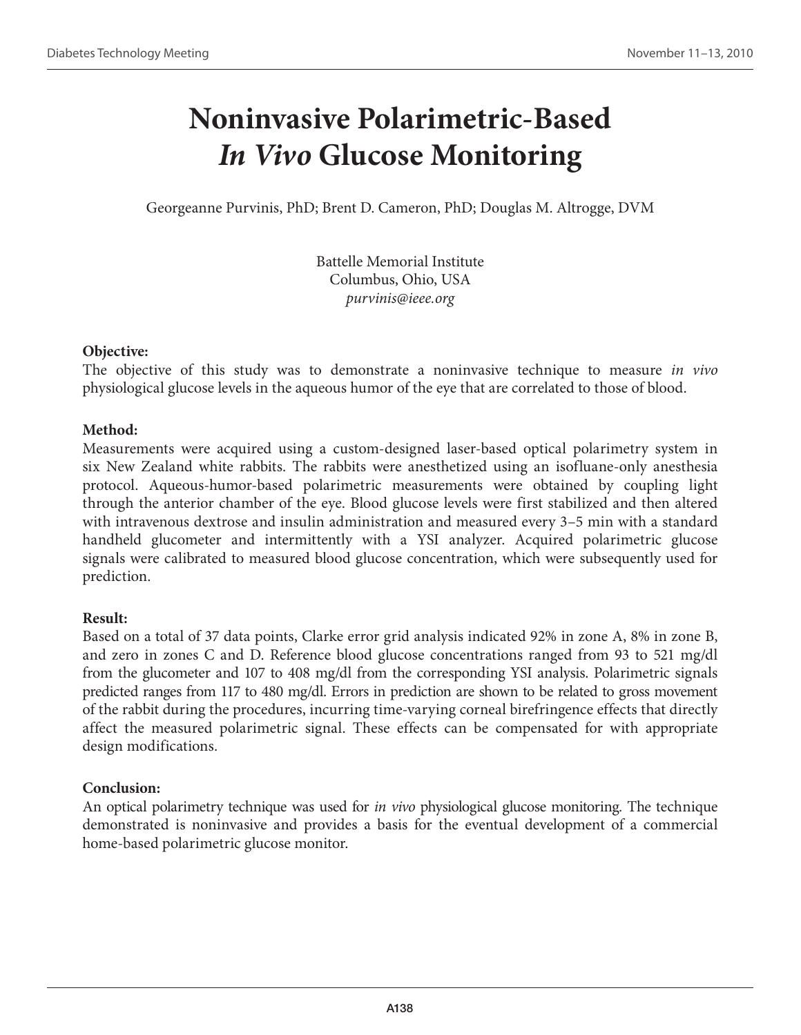# **Noninvasive Polarimetric-Based**  *In Vivo* **Glucose Monitoring**

Georgeanne Purvinis, PhD; Brent D. Cameron, PhD; Douglas M. Altrogge, DVM

Battelle Memorial Institute Columbus, Ohio, USA *purvinis@ieee.org*

### **Objective:**

The objective of this study was to demonstrate a noninvasive technique to measure *in vivo*  physiological glucose levels in the aqueous humor of the eye that are correlated to those of blood.

## **Method:**

Measurements were acquired using a custom-designed laser-based optical polarimetry system in six New Zealand white rabbits. The rabbits were anesthetized using an isofluane-only anesthesia protocol. Aqueous-humor-based polarimetric measurements were obtained by coupling light through the anterior chamber of the eye. Blood glucose levels were first stabilized and then altered with intravenous dextrose and insulin administration and measured every 3–5 min with a standard handheld glucometer and intermittently with a YSI analyzer. Acquired polarimetric glucose signals were calibrated to measured blood glucose concentration, which were subsequently used for prediction.

## **Result:**

Based on a total of 37 data points, Clarke error grid analysis indicated 92% in zone A, 8% in zone B, and zero in zones C and D. Reference blood glucose concentrations ranged from 93 to 521 mg/dl from the glucometer and 107 to 408 mg/dl from the corresponding YSI analysis. Polarimetric signals predicted ranges from 117 to 480 mg/dl. Errors in prediction are shown to be related to gross movement of the rabbit during the procedures, incurring time-varying corneal birefringence effects that directly affect the measured polarimetric signal. These effects can be compensated for with appropriate design modifications.

## **Conclusion:**

An optical polarimetry technique was used for *in vivo* physiological glucose monitoring. The technique demonstrated is noninvasive and provides a basis for the eventual development of a commercial home-based polarimetric glucose monitor.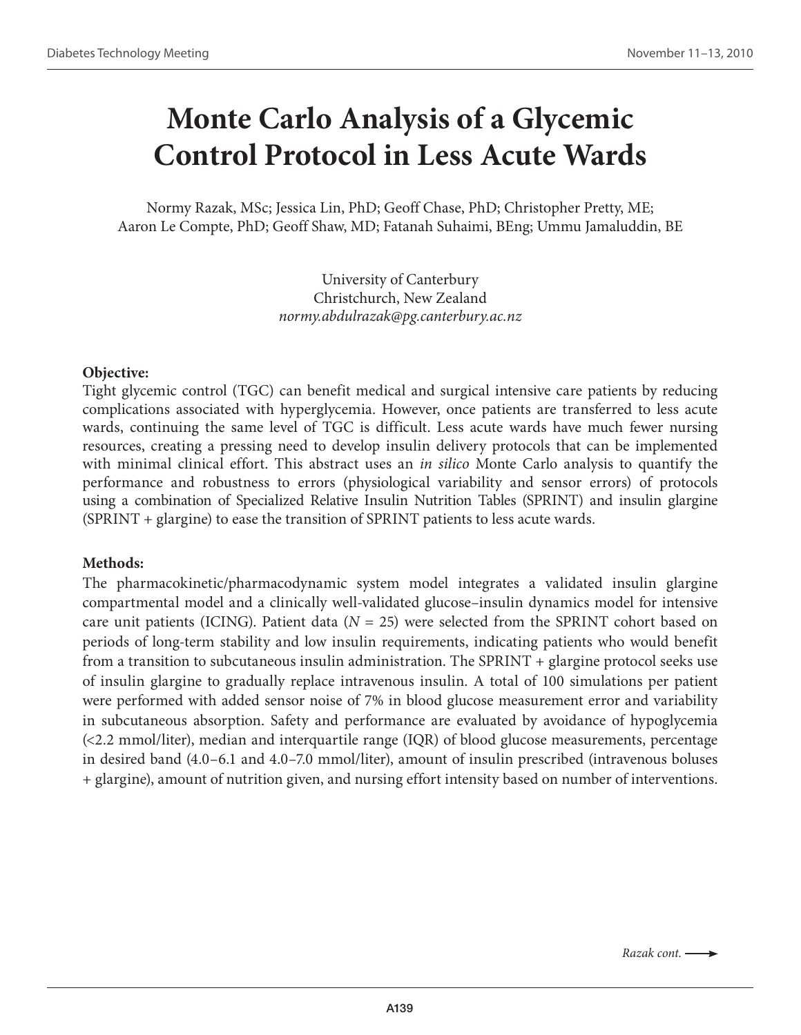# **Monte Carlo Analysis of a Glycemic Control Protocol in Less Acute Wards**

Normy Razak, MSc; Jessica Lin, PhD; Geoff Chase, PhD; Christopher Pretty, ME; Aaron Le Compte, PhD; Geoff Shaw, MD; Fatanah Suhaimi, BEng; Ummu Jamaluddin, BE

> University of Canterbury Christchurch, New Zealand *normy.abdulrazak@pg.canterbury.ac.nz*

#### **Objective:**

Tight glycemic control (TGC) can benefit medical and surgical intensive care patients by reducing complications associated with hyperglycemia. However, once patients are transferred to less acute wards, continuing the same level of TGC is difficult. Less acute wards have much fewer nursing resources, creating a pressing need to develop insulin delivery protocols that can be implemented with minimal clinical effort. This abstract uses an *in silico* Monte Carlo analysis to quantify the performance and robustness to errors (physiological variability and sensor errors) of protocols using a combination of Specialized Relative Insulin Nutrition Tables (SPRINT) and insulin glargine (SPRINT + glargine) to ease the transition of SPRINT patients to less acute wards.

#### **Methods:**

The pharmacokinetic/pharmacodynamic system model integrates a validated insulin glargine compartmental model and a clinically well-validated glucose–insulin dynamics model for intensive care unit patients (ICING). Patient data ( $N = 25$ ) were selected from the SPRINT cohort based on periods of long-term stability and low insulin requirements, indicating patients who would benefit from a transition to subcutaneous insulin administration. The SPRINT + glargine protocol seeks use of insulin glargine to gradually replace intravenous insulin. A total of 100 simulations per patient were performed with added sensor noise of 7% in blood glucose measurement error and variability in subcutaneous absorption. Safety and performance are evaluated by avoidance of hypoglycemia (<2.2 mmol/liter), median and interquartile range (IQR) of blood glucose measurements, percentage in desired band (4.0–6.1 and 4.0–7.0 mmol/liter), amount of insulin prescribed (intravenous boluses + glargine), amount of nutrition given, and nursing effort intensity based on number of interventions.

*Razak cont.*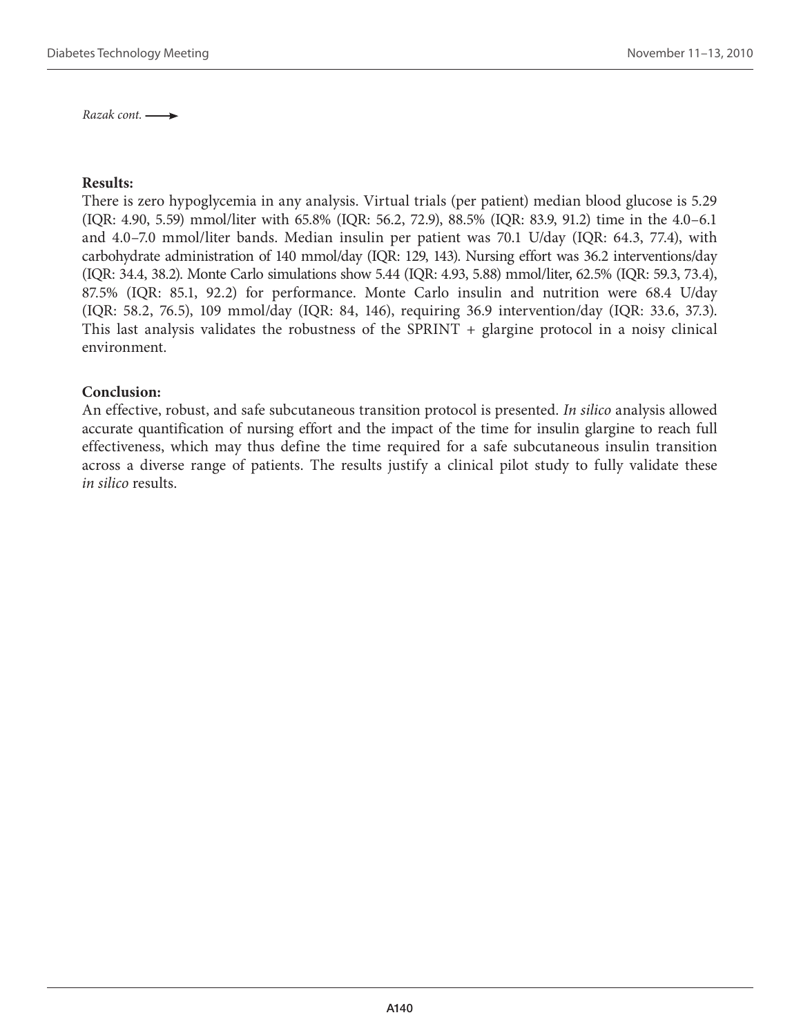*Razak cont.* 

#### **Results:**

There is zero hypoglycemia in any analysis. Virtual trials (per patient) median blood glucose is 5.29 (IQR: 4.90, 5.59) mmol/liter with 65.8% (IQR: 56.2, 72.9), 88.5% (IQR: 83.9, 91.2) time in the 4.0–6.1 and 4.0–7.0 mmol/liter bands. Median insulin per patient was 70.1 U/day (IQR: 64.3, 77.4), with carbohydrate administration of 140 mmol/day (IQR: 129, 143). Nursing effort was 36.2 interventions/day (IQR: 34.4, 38.2). Monte Carlo simulations show 5.44 (IQR: 4.93, 5.88) mmol/liter, 62.5% (IQR: 59.3, 73.4), 87.5% (IQR: 85.1, 92.2) for performance. Monte Carlo insulin and nutrition were 68.4 U/day (IQR: 58.2, 76.5), 109 mmol/day (IQR: 84, 146), requiring 36.9 intervention/day (IQR: 33.6, 37.3). This last analysis validates the robustness of the SPRINT + glargine protocol in a noisy clinical environment.

#### **Conclusion:**

An effective, robust, and safe subcutaneous transition protocol is presented. *In silico* analysis allowed accurate quantification of nursing effort and the impact of the time for insulin glargine to reach full effectiveness, which may thus define the time required for a safe subcutaneous insulin transition across a diverse range of patients. The results justify a clinical pilot study to fully validate these *in silico* results.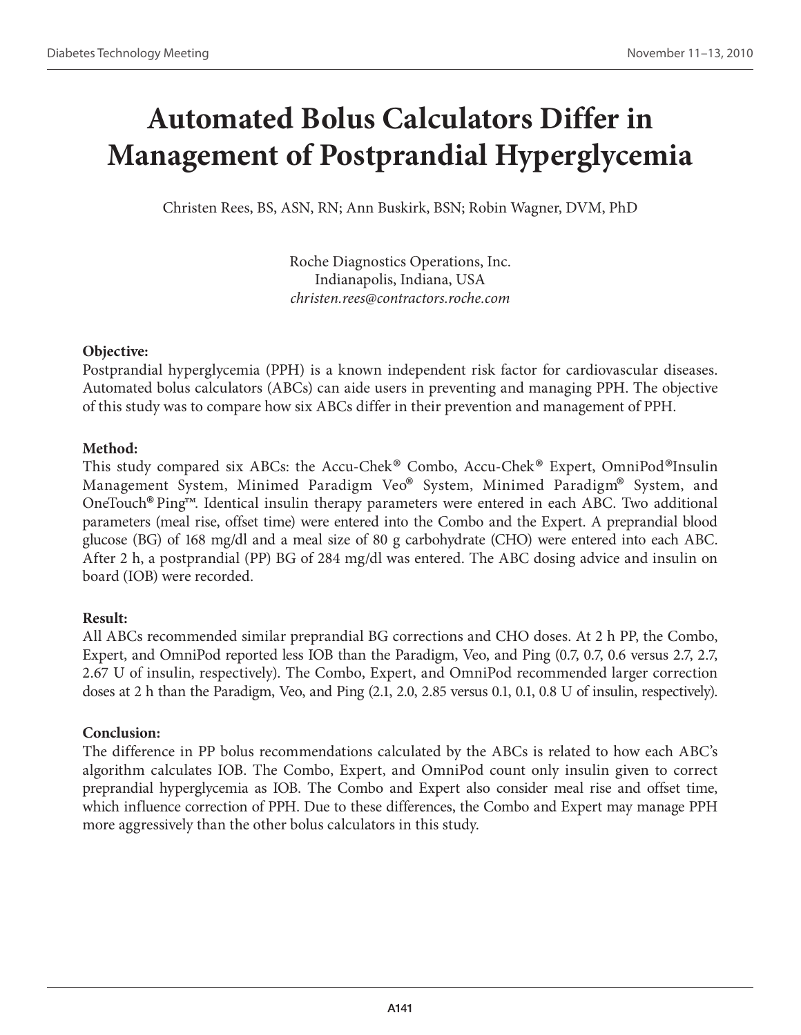# **Automated Bolus Calculators Differ in Management of Postprandial Hyperglycemia**

Christen Rees, BS, ASN, RN; Ann Buskirk, BSN; Robin Wagner, DVM, PhD

Roche Diagnostics Operations, Inc. Indianapolis, Indiana, USA *christen.rees@contractors.roche.com* 

## **Objective:**

Postprandial hyperglycemia (PPH) is a known independent risk factor for cardiovascular diseases. Automated bolus calculators (ABCs) can aide users in preventing and managing PPH. The objective of this study was to compare how six ABCs differ in their prevention and management of PPH.

## **Method:**

This study compared six ABCs: the Accu-Chek® Combo, Accu-Chek® Expert, OmniPod®Insulin Management System, Minimed Paradigm Veo® System, Minimed Paradigm® System, and OneTouch®Ping™. Identical insulin therapy parameters were entered in each ABC. Two additional parameters (meal rise, offset time) were entered into the Combo and the Expert. A preprandial blood glucose (BG) of 168 mg/dl and a meal size of 80 g carbohydrate (CHO) were entered into each ABC. After 2 h, a postprandial (PP) BG of 284 mg/dl was entered. The ABC dosing advice and insulin on board (IOB) were recorded.

## **Result:**

All ABCs recommended similar preprandial BG corrections and CHO doses. At 2 h PP, the Combo, Expert, and OmniPod reported less IOB than the Paradigm, Veo, and Ping (0.7, 0.7, 0.6 versus 2.7, 2.7, 2.67 U of insulin, respectively). The Combo, Expert, and OmniPod recommended larger correction doses at 2 h than the Paradigm, Veo, and Ping (2.1, 2.0, 2.85 versus 0.1, 0.1, 0.8 U of insulin, respectively).

## **Conclusion:**

The difference in PP bolus recommendations calculated by the ABCs is related to how each ABC's algorithm calculates IOB. The Combo, Expert, and OmniPod count only insulin given to correct preprandial hyperglycemia as IOB. The Combo and Expert also consider meal rise and offset time, which influence correction of PPH. Due to these differences, the Combo and Expert may manage PPH more aggressively than the other bolus calculators in this study.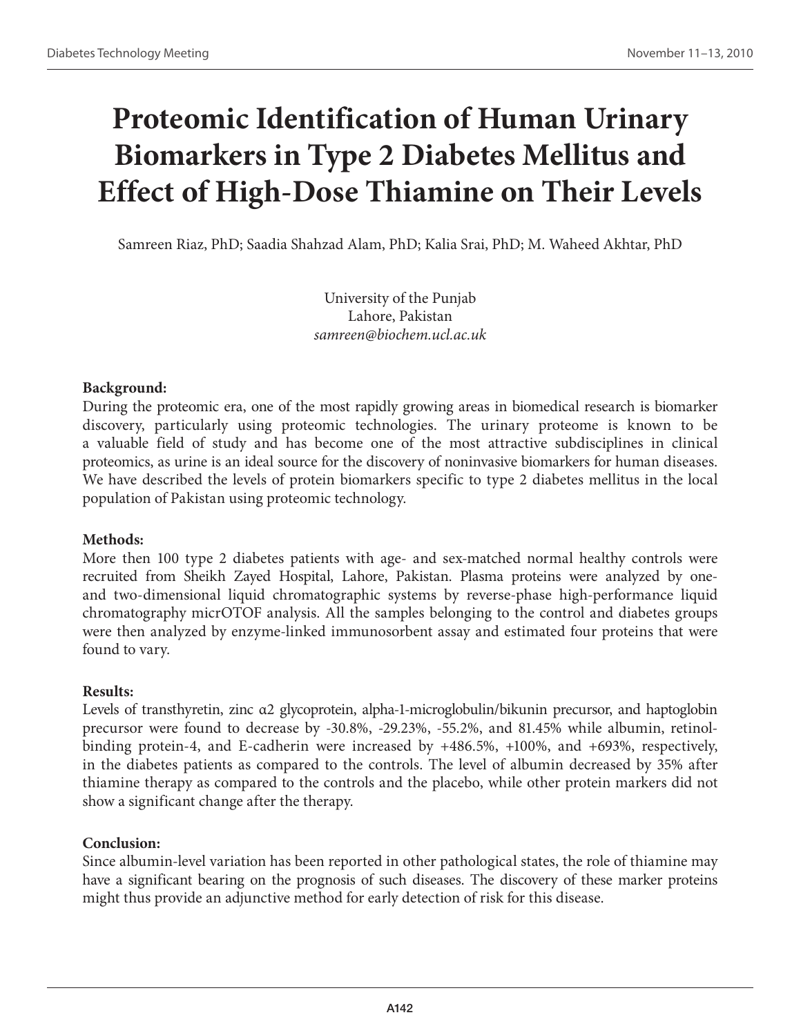# **Proteomic Identification of Human Urinary Biomarkers in Type 2 Diabetes Mellitus and Effect of High-Dose Thiamine on Their Levels**

Samreen Riaz, PhD; Saadia Shahzad Alam, PhD; Kalia Srai, PhD; M. Waheed Akhtar, PhD

University of the Punjab Lahore, Pakistan *samreen@biochem.ucl.ac.uk*

#### **Background:**

During the proteomic era, one of the most rapidly growing areas in biomedical research is biomarker discovery, particularly using proteomic technologies. The urinary proteome is known to be a valuable field of study and has become one of the most attractive subdisciplines in clinical proteomics, as urine is an ideal source for the discovery of noninvasive biomarkers for human diseases. We have described the levels of protein biomarkers specific to type 2 diabetes mellitus in the local population of Pakistan using proteomic technology.

#### **Methods:**

More then 100 type 2 diabetes patients with age- and sex-matched normal healthy controls were recruited from Sheikh Zayed Hospital, Lahore, Pakistan. Plasma proteins were analyzed by oneand two-dimensional liquid chromatographic systems by reverse-phase high-performance liquid chromatography micrOTOF analysis. All the samples belonging to the control and diabetes groups were then analyzed by enzyme-linked immunosorbent assay and estimated four proteins that were found to vary.

#### **Results:**

Levels of transthyretin, zinc α2 glycoprotein, alpha-1-microglobulin/bikunin precursor, and haptoglobin precursor were found to decrease by -30.8%, -29.23%, -55.2%, and 81.45% while albumin, retinolbinding protein-4, and E-cadherin were increased by +486.5%, +100%, and +693%, respectively, in the diabetes patients as compared to the controls. The level of albumin decreased by 35% after thiamine therapy as compared to the controls and the placebo, while other protein markers did not show a significant change after the therapy.

#### **Conclusion:**

Since albumin-level variation has been reported in other pathological states, the role of thiamine may have a significant bearing on the prognosis of such diseases. The discovery of these marker proteins might thus provide an adjunctive method for early detection of risk for this disease.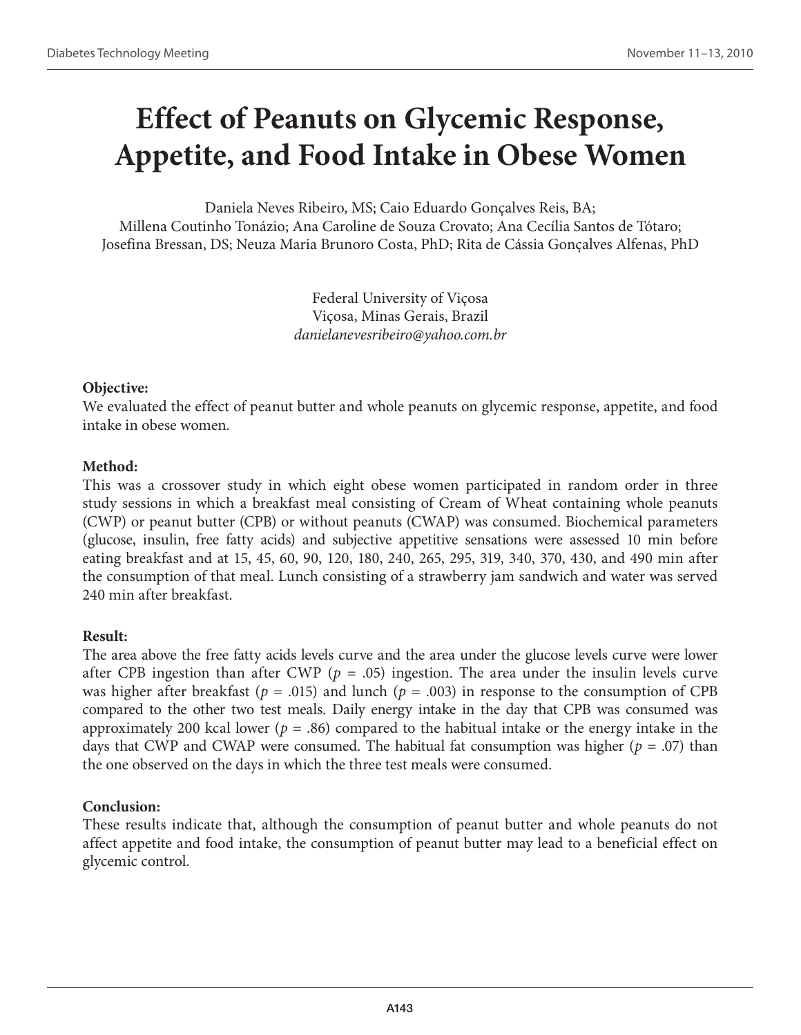# **Effect of Peanuts on Glycemic Response, Appetite, and Food Intake in Obese Women**

Daniela Neves Ribeiro, MS; Caio Eduardo Gonçalves Reis, BA; Millena Coutinho Tonázio; Ana Caroline de Souza Crovato; Ana Cecília Santos de Tótaro; Josefina Bressan, DS; Neuza Maria Brunoro Costa, PhD; Rita de Cássia Gonçalves Alfenas, PhD

> Federal University of Viçosa Viçosa, Minas Gerais, Brazil *danielanevesribeiro@yahoo.com.br*

## **Objective:**

We evaluated the effect of peanut butter and whole peanuts on glycemic response, appetite, and food intake in obese women.

## **Method:**

This was a crossover study in which eight obese women participated in random order in three study sessions in which a breakfast meal consisting of Cream of Wheat containing whole peanuts (CWP) or peanut butter (CPB) or without peanuts (CWAP) was consumed. Biochemical parameters (glucose, insulin, free fatty acids) and subjective appetitive sensations were assessed 10 min before eating breakfast and at 15, 45, 60, 90, 120, 180, 240, 265, 295, 319, 340, 370, 430, and 490 min after the consumption of that meal. Lunch consisting of a strawberry jam sandwich and water was served 240 min after breakfast.

## **Result:**

The area above the free fatty acids levels curve and the area under the glucose levels curve were lower after CPB ingestion than after CWP ( $p = .05$ ) ingestion. The area under the insulin levels curve was higher after breakfast ( $p = .015$ ) and lunch ( $p = .003$ ) in response to the consumption of CPB compared to the other two test meals. Daily energy intake in the day that CPB was consumed was approximately 200 kcal lower ( $p = .86$ ) compared to the habitual intake or the energy intake in the days that CWP and CWAP were consumed. The habitual fat consumption was higher (*p* = .07) than the one observed on the days in which the three test meals were consumed.

## **Conclusion:**

These results indicate that, although the consumption of peanut butter and whole peanuts do not affect appetite and food intake, the consumption of peanut butter may lead to a beneficial effect on glycemic control.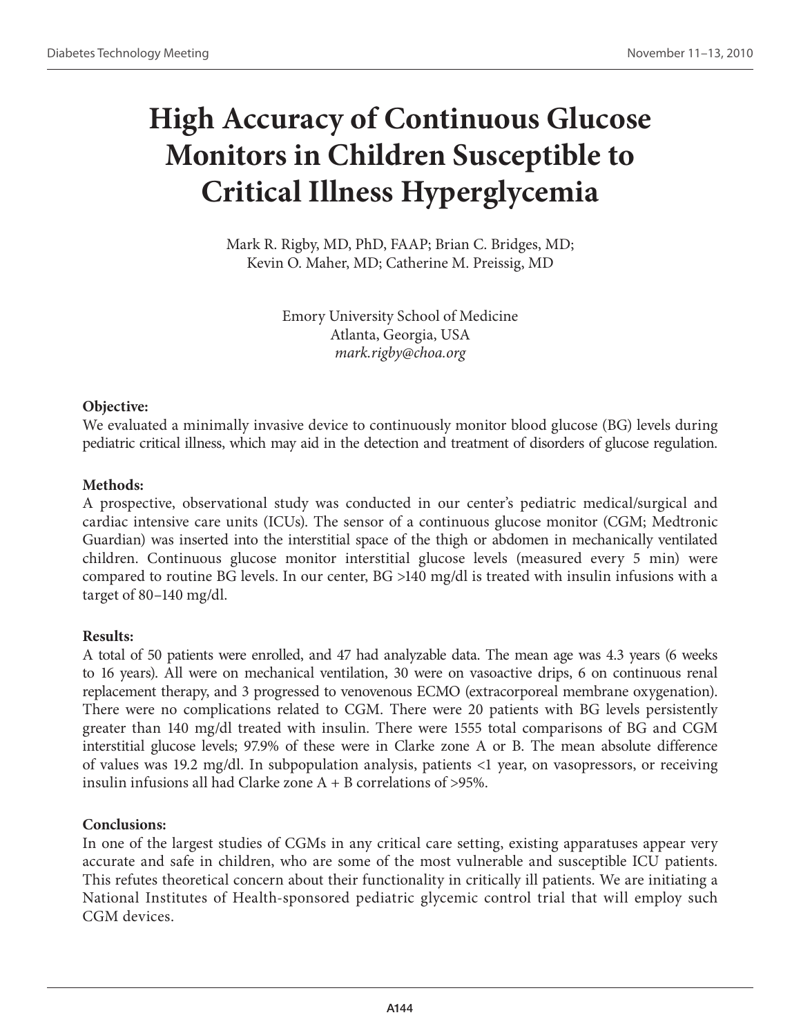# **High Accuracy of Continuous Glucose Monitors in Children Susceptible to Critical Illness Hyperglycemia**

Mark R. Rigby, MD, PhD, FAAP; Brian C. Bridges, MD; Kevin O. Maher, MD; Catherine M. Preissig, MD

> Emory University School of Medicine Atlanta, Georgia, USA *mark.rigby@choa.org*

#### **Objective:**

We evaluated a minimally invasive device to continuously monitor blood glucose (BG) levels during pediatric critical illness, which may aid in the detection and treatment of disorders of glucose regulation.

## **Methods:**

A prospective, observational study was conducted in our center's pediatric medical/surgical and cardiac intensive care units (ICUs). The sensor of a continuous glucose monitor (CGM; Medtronic Guardian) was inserted into the interstitial space of the thigh or abdomen in mechanically ventilated children. Continuous glucose monitor interstitial glucose levels (measured every 5 min) were compared to routine BG levels. In our center, BG >140 mg/dl is treated with insulin infusions with a target of 80–140 mg/dl.

## **Results:**

A total of 50 patients were enrolled, and 47 had analyzable data. The mean age was 4.3 years (6 weeks to 16 years). All were on mechanical ventilation, 30 were on vasoactive drips, 6 on continuous renal replacement therapy, and 3 progressed to venovenous ECMO (extracorporeal membrane oxygenation). There were no complications related to CGM. There were 20 patients with BG levels persistently greater than 140 mg/dl treated with insulin. There were 1555 total comparisons of BG and CGM interstitial glucose levels; 97.9% of these were in Clarke zone A or B. The mean absolute difference of values was 19.2 mg/dl. In subpopulation analysis, patients <1 year, on vasopressors, or receiving insulin infusions all had Clarke zone  $A + B$  correlations of >95%.

## **Conclusions:**

In one of the largest studies of CGMs in any critical care setting, existing apparatuses appear very accurate and safe in children, who are some of the most vulnerable and susceptible ICU patients. This refutes theoretical concern about their functionality in critically ill patients. We are initiating a National Institutes of Health-sponsored pediatric glycemic control trial that will employ such CGM devices.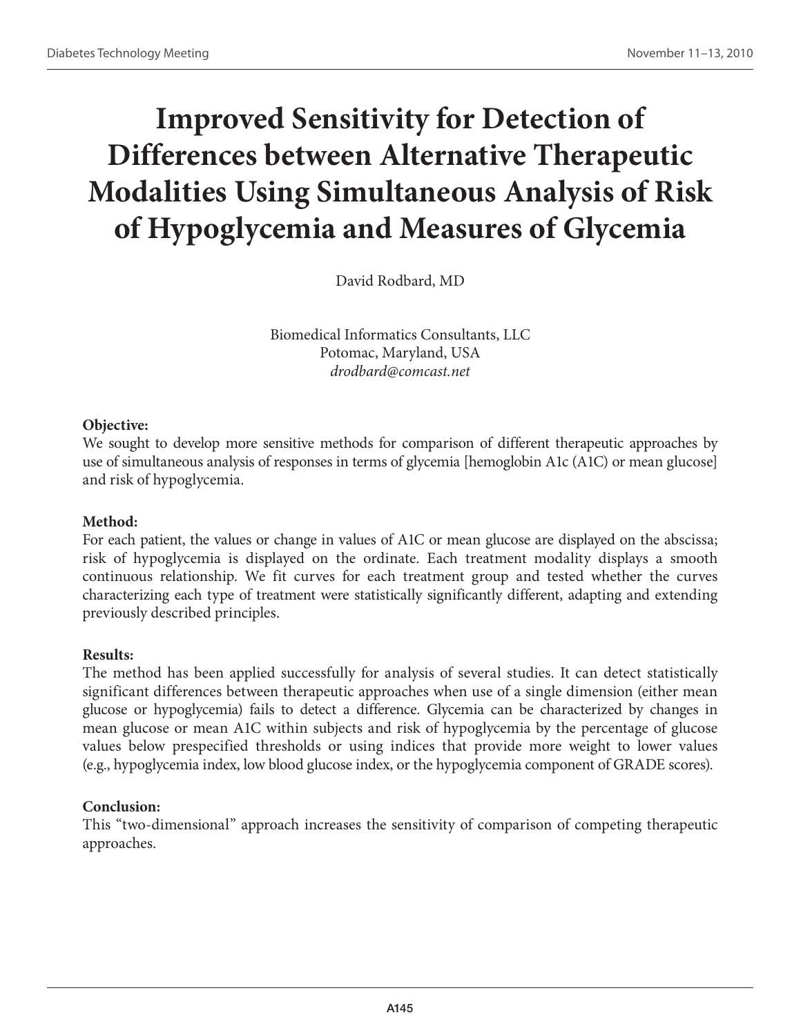# **Improved Sensitivity for Detection of Differences between Alternative Therapeutic Modalities Using Simultaneous Analysis of Risk of Hypoglycemia and Measures of Glycemia**

David Rodbard, MD

Biomedical Informatics Consultants, LLC Potomac, Maryland, USA *drodbard@comcast.net*

## **Objective:**

We sought to develop more sensitive methods for comparison of different therapeutic approaches by use of simultaneous analysis of responses in terms of glycemia [hemoglobin A1c (A1C) or mean glucose] and risk of hypoglycemia.

## **Method:**

For each patient, the values or change in values of A1C or mean glucose are displayed on the abscissa; risk of hypoglycemia is displayed on the ordinate. Each treatment modality displays a smooth continuous relationship. We fit curves for each treatment group and tested whether the curves characterizing each type of treatment were statistically significantly different, adapting and extending previously described principles.

## **Results:**

The method has been applied successfully for analysis of several studies. It can detect statistically significant differences between therapeutic approaches when use of a single dimension (either mean glucose or hypoglycemia) fails to detect a difference. Glycemia can be characterized by changes in mean glucose or mean A1C within subjects and risk of hypoglycemia by the percentage of glucose values below prespecified thresholds or using indices that provide more weight to lower values (e.g., hypoglycemia index, low blood glucose index, or the hypoglycemia component of GRADE scores).

## **Conclusion:**

This "two-dimensional" approach increases the sensitivity of comparison of competing therapeutic approaches.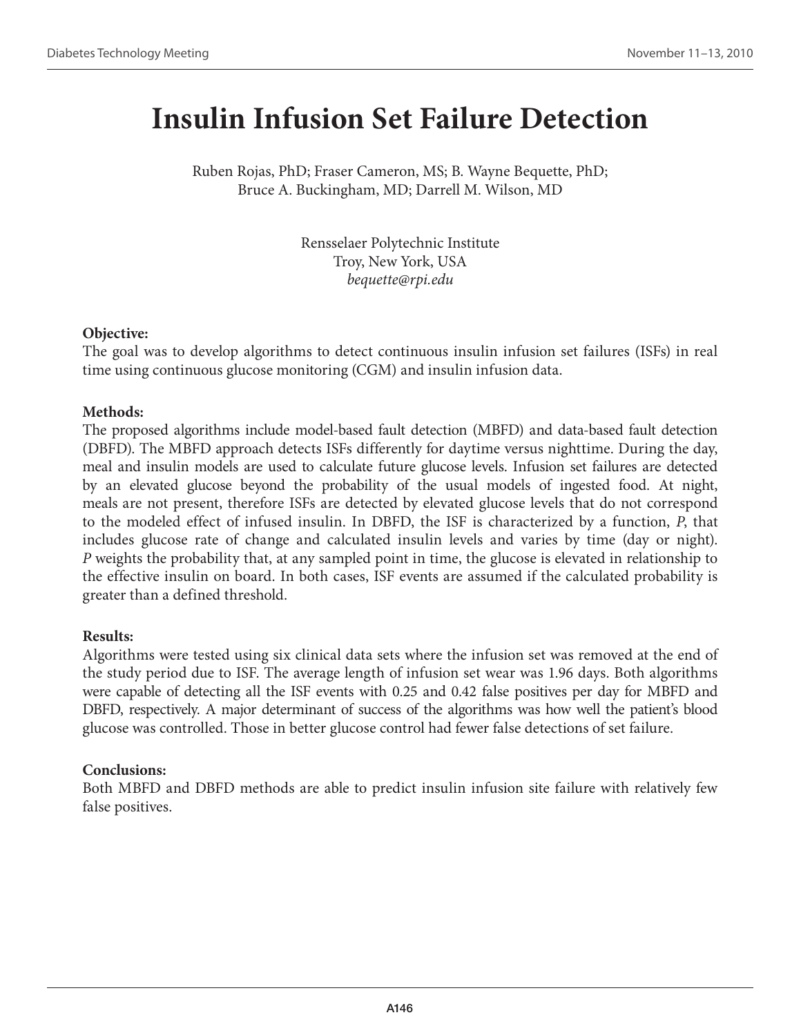## **Insulin Infusion Set Failure Detection**

Ruben Rojas, PhD; Fraser Cameron, MS; B. Wayne Bequette, PhD; Bruce A. Buckingham, MD; Darrell M. Wilson, MD

> Rensselaer Polytechnic Institute Troy, New York, USA *bequette@rpi.edu*

## **Objective:**

The goal was to develop algorithms to detect continuous insulin infusion set failures (ISFs) in real time using continuous glucose monitoring (CGM) and insulin infusion data.

## **Methods:**

The proposed algorithms include model-based fault detection (MBFD) and data-based fault detection (DBFD). The MBFD approach detects ISFs differently for daytime versus nighttime. During the day, meal and insulin models are used to calculate future glucose levels. Infusion set failures are detected by an elevated glucose beyond the probability of the usual models of ingested food. At night, meals are not present, therefore ISFs are detected by elevated glucose levels that do not correspond to the modeled effect of infused insulin. In DBFD, the ISF is characterized by a function, *P*, that includes glucose rate of change and calculated insulin levels and varies by time (day or night). *P* weights the probability that, at any sampled point in time, the glucose is elevated in relationship to the effective insulin on board. In both cases, ISF events are assumed if the calculated probability is greater than a defined threshold.

## **Results:**

Algorithms were tested using six clinical data sets where the infusion set was removed at the end of the study period due to ISF. The average length of infusion set wear was 1.96 days. Both algorithms were capable of detecting all the ISF events with 0.25 and 0.42 false positives per day for MBFD and DBFD, respectively. A major determinant of success of the algorithms was how well the patient's blood glucose was controlled. Those in better glucose control had fewer false detections of set failure.

## **Conclusions:**

Both MBFD and DBFD methods are able to predict insulin infusion site failure with relatively few false positives.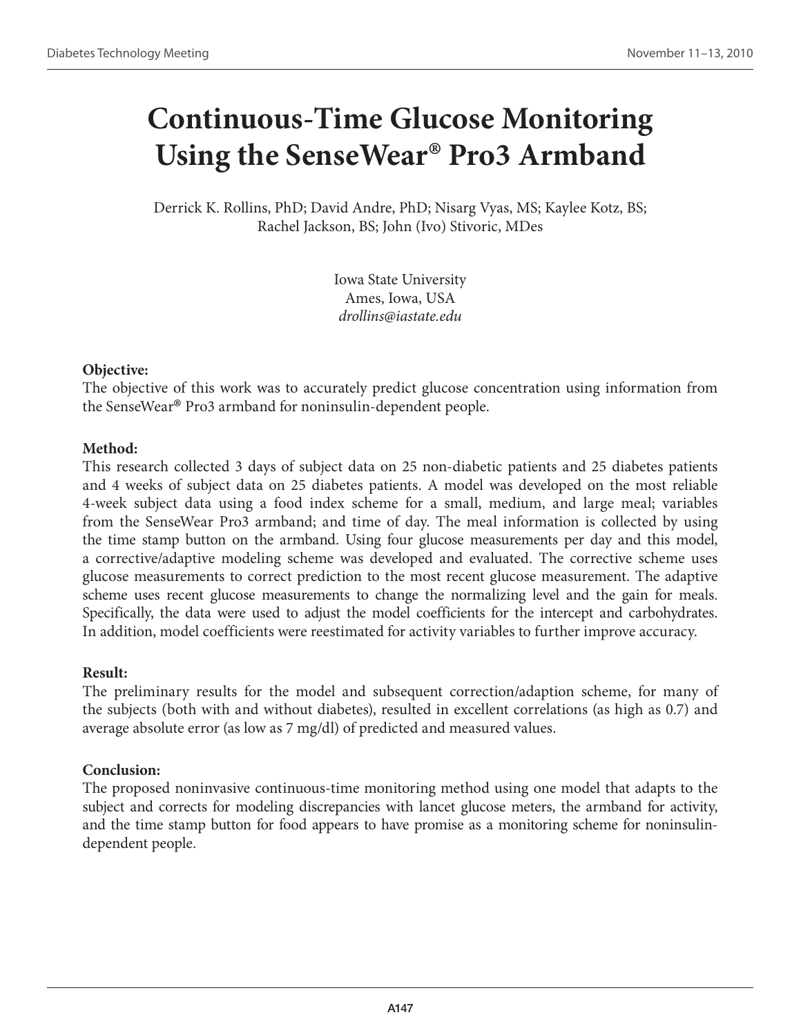# **Continuous-Time Glucose Monitoring Using the SenseWear® Pro3 Armband**

Derrick K. Rollins, PhD; David Andre, PhD; Nisarg Vyas, MS; Kaylee Kotz, BS; Rachel Jackson, BS; John (Ivo) Stivoric, MDes

> Iowa State University Ames, Iowa, USA *drollins@iastate.edu*

#### **Objective:**

The objective of this work was to accurately predict glucose concentration using information from the SenseWear® Pro3 armband for noninsulin-dependent people.

## **Method:**

This research collected 3 days of subject data on 25 non-diabetic patients and 25 diabetes patients and 4 weeks of subject data on 25 diabetes patients. A model was developed on the most reliable 4-week subject data using a food index scheme for a small, medium, and large meal; variables from the SenseWear Pro3 armband; and time of day. The meal information is collected by using the time stamp button on the armband. Using four glucose measurements per day and this model, a corrective/adaptive modeling scheme was developed and evaluated. The corrective scheme uses glucose measurements to correct prediction to the most recent glucose measurement. The adaptive scheme uses recent glucose measurements to change the normalizing level and the gain for meals. Specifically, the data were used to adjust the model coefficients for the intercept and carbohydrates. In addition, model coefficients were reestimated for activity variables to further improve accuracy.

## **Result:**

The preliminary results for the model and subsequent correction/adaption scheme, for many of the subjects (both with and without diabetes), resulted in excellent correlations (as high as 0.7) and average absolute error (as low as 7 mg/dl) of predicted and measured values.

## **Conclusion:**

The proposed noninvasive continuous-time monitoring method using one model that adapts to the subject and corrects for modeling discrepancies with lancet glucose meters, the armband for activity, and the time stamp button for food appears to have promise as a monitoring scheme for noninsulindependent people.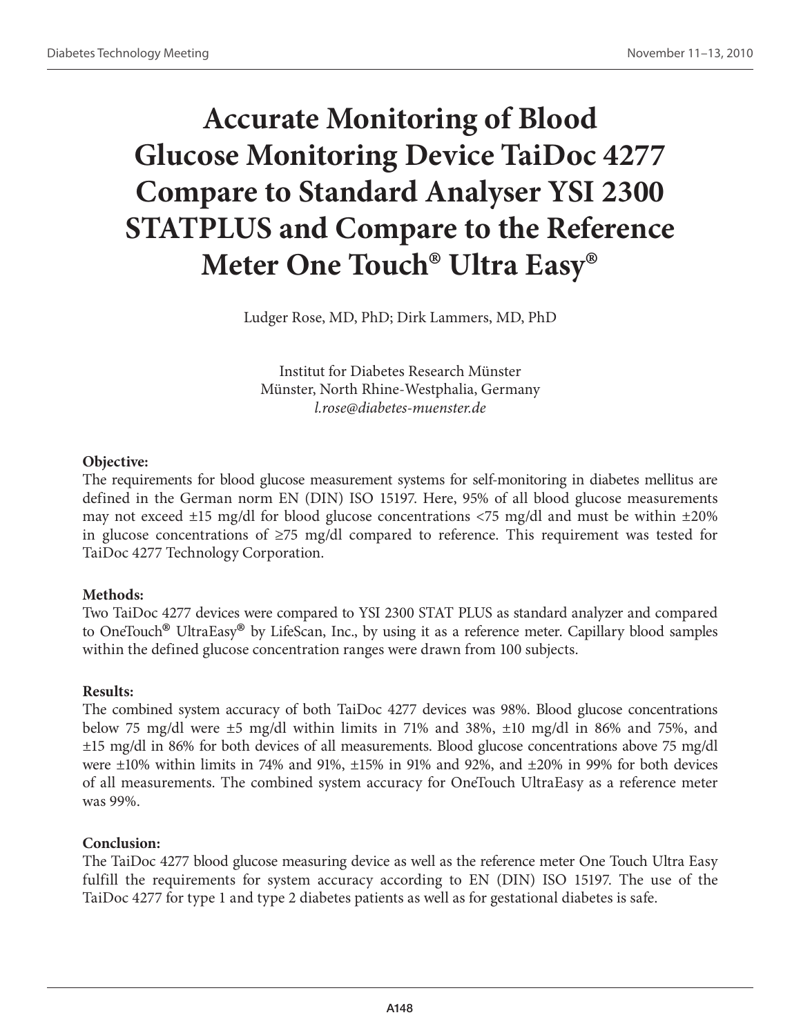# **Accurate Monitoring of Blood Glucose Monitoring Device TaiDoc 4277 Compare to Standard Analyser YSI 2300 STATPLUS and Compare to the Reference Meter One Touch® Ultra Easy®**

Ludger Rose, MD, PhD; Dirk Lammers, MD, PhD

Institut for Diabetes Research Münster Münster, North Rhine-Westphalia, Germany *l.rose@diabetes-muenster.de*

#### **Objective:**

The requirements for blood glucose measurement systems for self-monitoring in diabetes mellitus are defined in the German norm EN (DIN) ISO 15197. Here, 95% of all blood glucose measurements may not exceed  $\pm 15$  mg/dl for blood glucose concentrations <75 mg/dl and must be within  $\pm 20\%$ in glucose concentrations of ≥75 mg/dl compared to reference. This requirement was tested for TaiDoc 4277 Technology Corporation.

## **Methods:**

Two TaiDoc 4277 devices were compared to YSI 2300 STAT PLUS as standard analyzer and compared to OneTouch® UltraEasy® by LifeScan, Inc., by using it as a reference meter. Capillary blood samples within the defined glucose concentration ranges were drawn from 100 subjects.

## **Results:**

The combined system accuracy of both TaiDoc 4277 devices was 98%. Blood glucose concentrations below 75 mg/dl were ±5 mg/dl within limits in 71% and 38%, ±10 mg/dl in 86% and 75%, and ±15 mg/dl in 86% for both devices of all measurements. Blood glucose concentrations above 75 mg/dl were  $\pm 10\%$  within limits in 74% and 91%,  $\pm 15\%$  in 91% and 92%, and  $\pm 20\%$  in 99% for both devices of all measurements. The combined system accuracy for OneTouch UltraEasy as a reference meter was 99%.

## **Conclusion:**

The TaiDoc 4277 blood glucose measuring device as well as the reference meter One Touch Ultra Easy fulfill the requirements for system accuracy according to EN (DIN) ISO 15197. The use of the TaiDoc 4277 for type 1 and type 2 diabetes patients as well as for gestational diabetes is safe.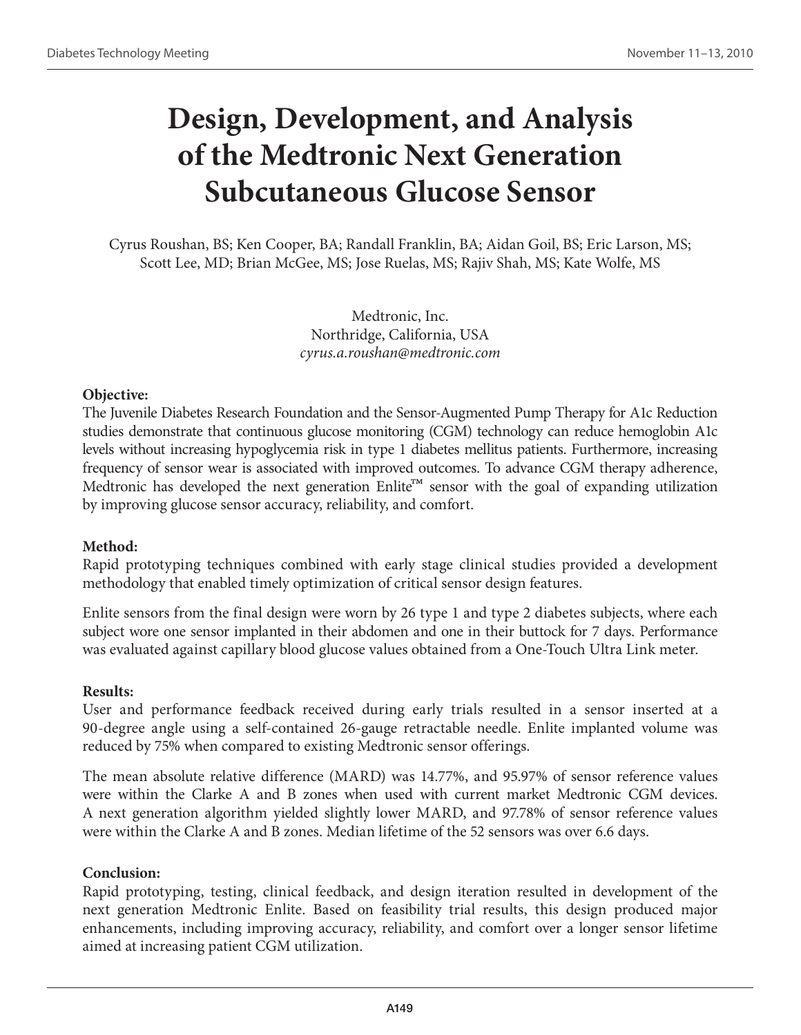## **Design, Development, and Analysis of the Medtronic Next Generation Subcutaneous Glucose Sensor**

Cyrus Roushan, BS; Ken Cooper, BA; Randall Franklin, BA; Aidan Goil, BS; Eric Larson, MS; Scott Lee, MD; Brian McGee, MS; Jose Ruelas, MS; Rajiv Shah, MS; Kate Wolfe, MS

> Medtronic, Inc. Northridge, California, USA *cyrus.a.roushan@medtronic.com*

#### **Objective:**

The Juvenile Diabetes Research Foundation and the Sensor-Augmented Pump Therapy for A1c Reduction studies demonstrate that continuous glucose monitoring (CGM) technology can reduce hemoglobin A1c levels without increasing hypoglycemia risk in type 1 diabetes mellitus patients. Furthermore, increasing frequency of sensor wear is associated with improved outcomes. To advance CGM therapy adherence, Medtronic has developed the next generation Enlite<sup>™</sup> sensor with the goal of expanding utilization by improving glucose sensor accuracy, reliability, and comfort.

#### **Method:**

Rapid prototyping techniques combined with early stage clinical studies provided a development methodology that enabled timely optimization of critical sensor design features.

Enlite sensors from the final design were worn by 26 type 1 and type 2 diabetes subjects, where each subject wore one sensor implanted in their abdomen and one in their buttock for 7 days. Performance was evaluated against capillary blood glucose values obtained from a One-Touch Ultra Link meter.

#### **Results:**

User and performance feedback received during early trials resulted in a sensor inserted at a 90-degree angle using a self-contained 26-gauge retractable needle. Enlite implanted volume was reduced by 75% when compared to existing Medtronic sensor offerings.

The mean absolute relative difference (MARD) was 14.77%, and 95.97% of sensor reference values were within the Clarke A and B zones when used with current market Medtronic CGM devices. A next generation algorithm yielded slightly lower MARD, and 97.78% of sensor reference values were within the Clarke A and B zones. Median lifetime of the 52 sensors was over 6.6 days.

#### **Conclusion:**

Rapid prototyping, testing, clinical feedback, and design iteration resulted in development of the next generation Medtronic Enlite. Based on feasibility trial results, this design produced major enhancements, including improving accuracy, reliability, and comfort over a longer sensor lifetime aimed at increasing patient CGM utilization.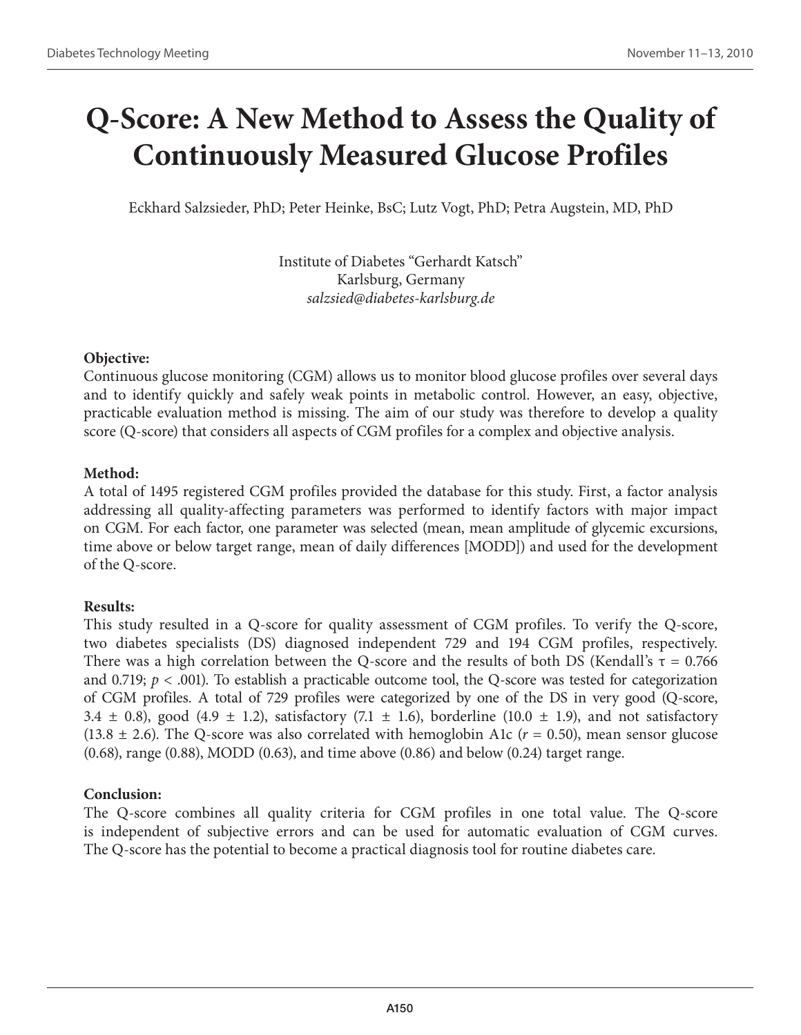## **Q-Score: A New Method to Assess the Quality of Continuously Measured Glucose Profiles**

Eckhard Salzsieder, PhD; Peter Heinke, BsC; Lutz Vogt, PhD; Petra Augstein, MD, PhD

Institute of Diabetes "Gerhardt Katsch" Karlsburg, Germany *salzsied@diabetes-karlsburg.de*

#### **Objective:**

Continuous glucose monitoring (CGM) allows us to monitor blood glucose profiles over several days and to identify quickly and safely weak points in metabolic control. However, an easy, objective, practicable evaluation method is missing. The aim of our study was therefore to develop a quality score (Q-score) that considers all aspects of CGM profiles for a complex and objective analysis.

#### **Method:**

A total of 1495 registered CGM profiles provided the database for this study. First, a factor analysis addressing all quality-affecting parameters was performed to identify factors with major impact on CGM. For each factor, one parameter was selected (mean, mean amplitude of glycemic excursions, time above or below target range, mean of daily differences [MODD]) and used for the development of the Q-score.

#### **Results:**

This study resulted in a Q-score for quality assessment of CGM profiles. To verify the Q-score, two diabetes specialists (DS) diagnosed independent 729 and 194 CGM profiles, respectively. There was a high correlation between the Q-score and the results of both DS (Kendall's  $\tau = 0.766$ ) and 0.719;  $p < .001$ ). To establish a practicable outcome tool, the Q-score was tested for categorization of CGM profiles. A total of 729 profiles were categorized by one of the DS in very good (Q-score, 3.4  $\pm$  0.8), good (4.9  $\pm$  1.2), satisfactory (7.1  $\pm$  1.6), borderline (10.0  $\pm$  1.9), and not satisfactory  $(13.8 \pm 2.6)$ . The Q-score was also correlated with hemoglobin A1c  $(r = 0.50)$ , mean sensor glucose (0.68), range (0.88), MODD (0.63), and time above (0.86) and below (0.24) target range.

#### **Conclusion:**

The Q-score combines all quality criteria for CGM profiles in one total value. The Q-score is independent of subjective errors and can be used for automatic evaluation of CGM curves. The Q-score has the potential to become a practical diagnosis tool for routine diabetes care.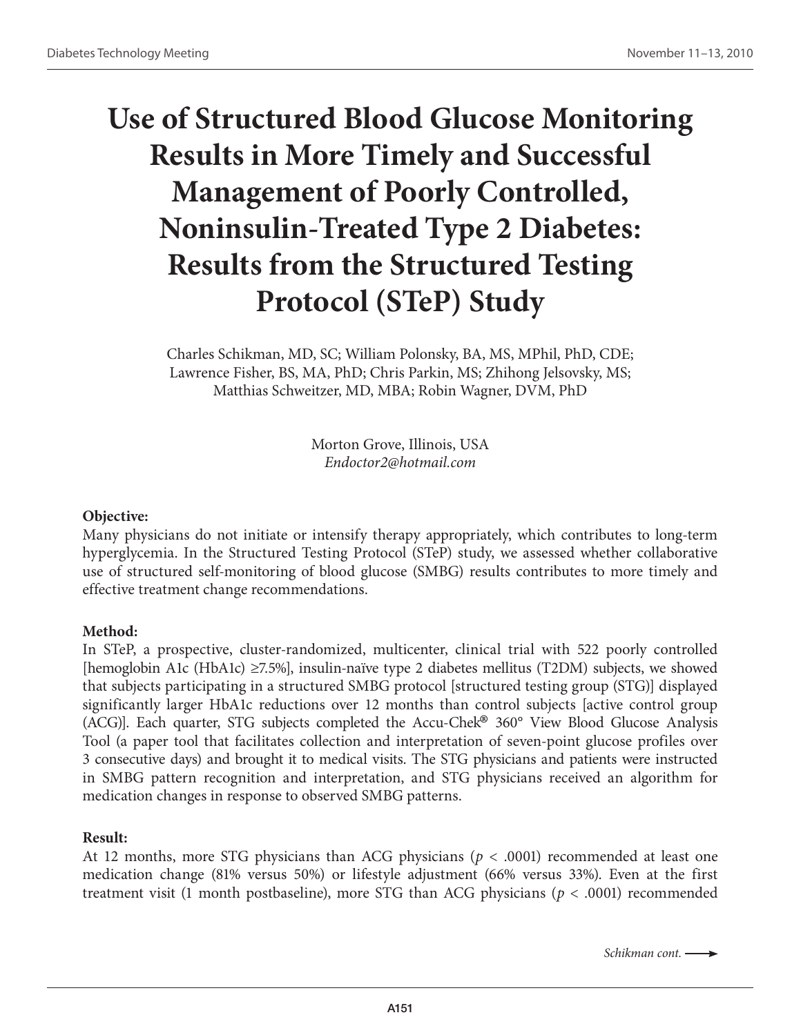# **Use of Structured Blood Glucose Monitoring Results in More Timely and Successful Management of Poorly Controlled, Noninsulin-Treated Type 2 Diabetes: Results from the Structured Testing Protocol (STeP) Study**

Charles Schikman, MD, SC; William Polonsky, BA, MS, MPhil, PhD, CDE; Lawrence Fisher, BS, MA, PhD; Chris Parkin, MS; Zhihong Jelsovsky, MS; Matthias Schweitzer, MD, MBA; Robin Wagner, DVM, PhD

> Morton Grove, Illinois, USA *Endoctor2@hotmail.com*

#### **Objective:**

Many physicians do not initiate or intensify therapy appropriately, which contributes to long-term hyperglycemia. In the Structured Testing Protocol (STeP) study, we assessed whether collaborative use of structured self-monitoring of blood glucose (SMBG) results contributes to more timely and effective treatment change recommendations.

#### **Method:**

In STeP, a prospective, cluster-randomized, multicenter, clinical trial with 522 poorly controlled [hemoglobin A1c (HbA1c) ≥7.5%], insulin-naïve type 2 diabetes mellitus (T2DM) subjects, we showed that subjects participating in a structured SMBG protocol [structured testing group (STG)] displayed significantly larger HbA1c reductions over 12 months than control subjects [active control group (ACG)]. Each quarter, STG subjects completed the Accu-Chek® 360° View Blood Glucose Analysis Tool (a paper tool that facilitates collection and interpretation of seven-point glucose profiles over 3 consecutive days) and brought it to medical visits. The STG physicians and patients were instructed in SMBG pattern recognition and interpretation, and STG physicians received an algorithm for medication changes in response to observed SMBG patterns.

#### **Result:**

At 12 months, more STG physicians than ACG physicians (*p* < .0001) recommended at least one medication change (81% versus 50%) or lifestyle adjustment (66% versus 33%). Even at the first treatment visit (1 month postbaseline), more STG than ACG physicians (*p* < .0001) recommended

*Schikman cont.*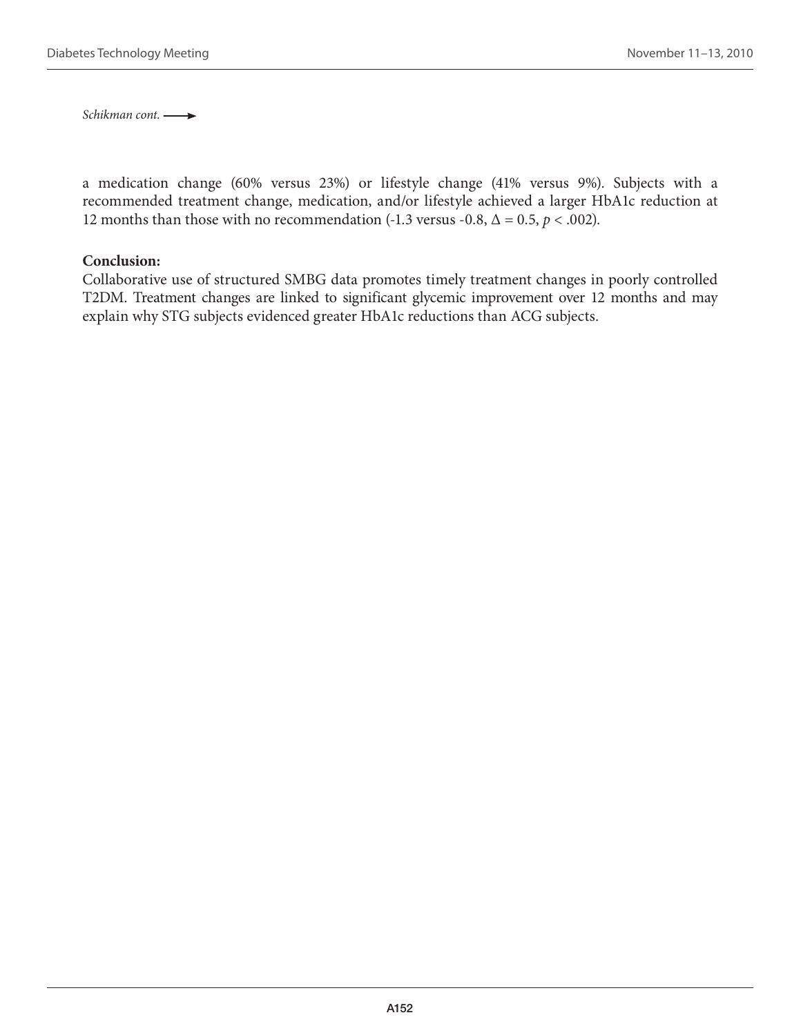*Schikman cont.* 

a medication change (60% versus 23%) or lifestyle change (41% versus 9%). Subjects with a recommended treatment change, medication, and/or lifestyle achieved a larger HbA1c reduction at 12 months than those with no recommendation (-1.3 versus -0.8,  $\Delta = 0.5$ ,  $p < .002$ ).

#### **Conclusion:**

Collaborative use of structured SMBG data promotes timely treatment changes in poorly controlled T2DM. Treatment changes are linked to significant glycemic improvement over 12 months and may explain why STG subjects evidenced greater HbA1c reductions than ACG subjects.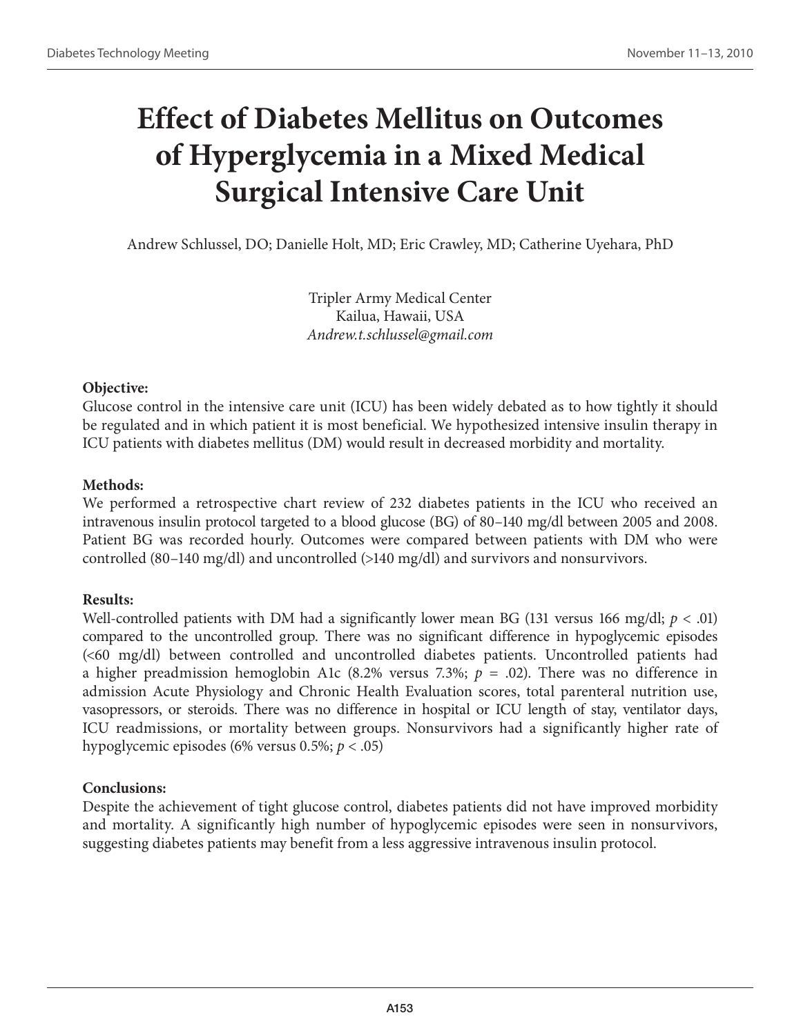# **Effect of Diabetes Mellitus on Outcomes of Hyperglycemia in a Mixed Medical Surgical Intensive Care Unit**

Andrew Schlussel, DO; Danielle Holt, MD; Eric Crawley, MD; Catherine Uyehara, PhD

Tripler Army Medical Center Kailua, Hawaii, USA *Andrew.t.schlussel@gmail.com*

## **Objective:**

Glucose control in the intensive care unit (ICU) has been widely debated as to how tightly it should be regulated and in which patient it is most beneficial. We hypothesized intensive insulin therapy in ICU patients with diabetes mellitus (DM) would result in decreased morbidity and mortality.

## **Methods:**

We performed a retrospective chart review of 232 diabetes patients in the ICU who received an intravenous insulin protocol targeted to a blood glucose (BG) of 80–140 mg/dl between 2005 and 2008. Patient BG was recorded hourly. Outcomes were compared between patients with DM who were controlled (80–140 mg/dl) and uncontrolled (>140 mg/dl) and survivors and nonsurvivors.

## **Results:**

Well-controlled patients with DM had a significantly lower mean BG (131 versus 166 mg/dl;  $p < .01$ ) compared to the uncontrolled group. There was no significant difference in hypoglycemic episodes (<60 mg/dl) between controlled and uncontrolled diabetes patients. Uncontrolled patients had a higher preadmission hemoglobin A1c (8.2% versus 7.3%;  $p = .02$ ). There was no difference in admission Acute Physiology and Chronic Health Evaluation scores, total parenteral nutrition use, vasopressors, or steroids. There was no difference in hospital or ICU length of stay, ventilator days, ICU readmissions, or mortality between groups. Nonsurvivors had a significantly higher rate of hypoglycemic episodes (6% versus 0.5%; *p* < .05)

## **Conclusions:**

Despite the achievement of tight glucose control, diabetes patients did not have improved morbidity and mortality. A significantly high number of hypoglycemic episodes were seen in nonsurvivors, suggesting diabetes patients may benefit from a less aggressive intravenous insulin protocol.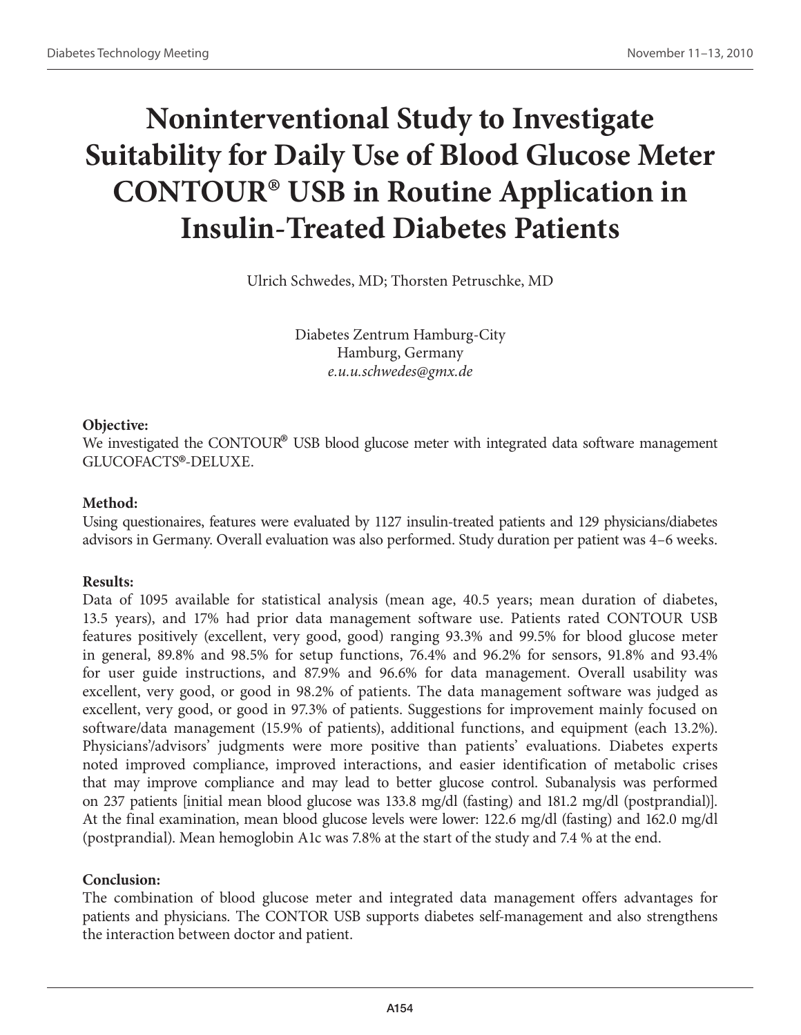# **Noninterventional Study to Investigate Suitability for Daily Use of Blood Glucose Meter CONTOUR® USB in Routine Application in Insulin-Treated Diabetes Patients**

Ulrich Schwedes, MD; Thorsten Petruschke, MD

Diabetes Zentrum Hamburg-City Hamburg, Germany *e.u.u.schwedes@gmx.de*

#### **Objective:**

We investigated the CONTOUR<sup>®</sup> USB blood glucose meter with integrated data software management GLUCOFACTS®-DELUXE.

#### **Method:**

Using questionaires, features were evaluated by 1127 insulin-treated patients and 129 physicians/diabetes advisors in Germany. Overall evaluation was also performed. Study duration per patient was 4–6 weeks.

#### **Results:**

Data of 1095 available for statistical analysis (mean age, 40.5 years; mean duration of diabetes, 13.5 years), and 17% had prior data management software use. Patients rated CONTOUR USB features positively (excellent, very good, good) ranging 93.3% and 99.5% for blood glucose meter in general, 89.8% and 98.5% for setup functions, 76.4% and 96.2% for sensors, 91.8% and 93.4% for user guide instructions, and 87.9% and 96.6% for data management. Overall usability was excellent, very good, or good in 98.2% of patients. The data management software was judged as excellent, very good, or good in 97.3% of patients. Suggestions for improvement mainly focused on software/data management (15.9% of patients), additional functions, and equipment (each 13.2%). Physicians'/advisors' judgments were more positive than patients' evaluations. Diabetes experts noted improved compliance, improved interactions, and easier identification of metabolic crises that may improve compliance and may lead to better glucose control. Subanalysis was performed on 237 patients [initial mean blood glucose was 133.8 mg/dl (fasting) and 181.2 mg/dl (postprandial)]. At the final examination, mean blood glucose levels were lower: 122.6 mg/dl (fasting) and 162.0 mg/dl (postprandial). Mean hemoglobin A1c was 7.8% at the start of the study and 7.4 % at the end.

#### **Conclusion:**

The combination of blood glucose meter and integrated data management offers advantages for patients and physicians. The CONTOR USB supports diabetes self-management and also strengthens the interaction between doctor and patient.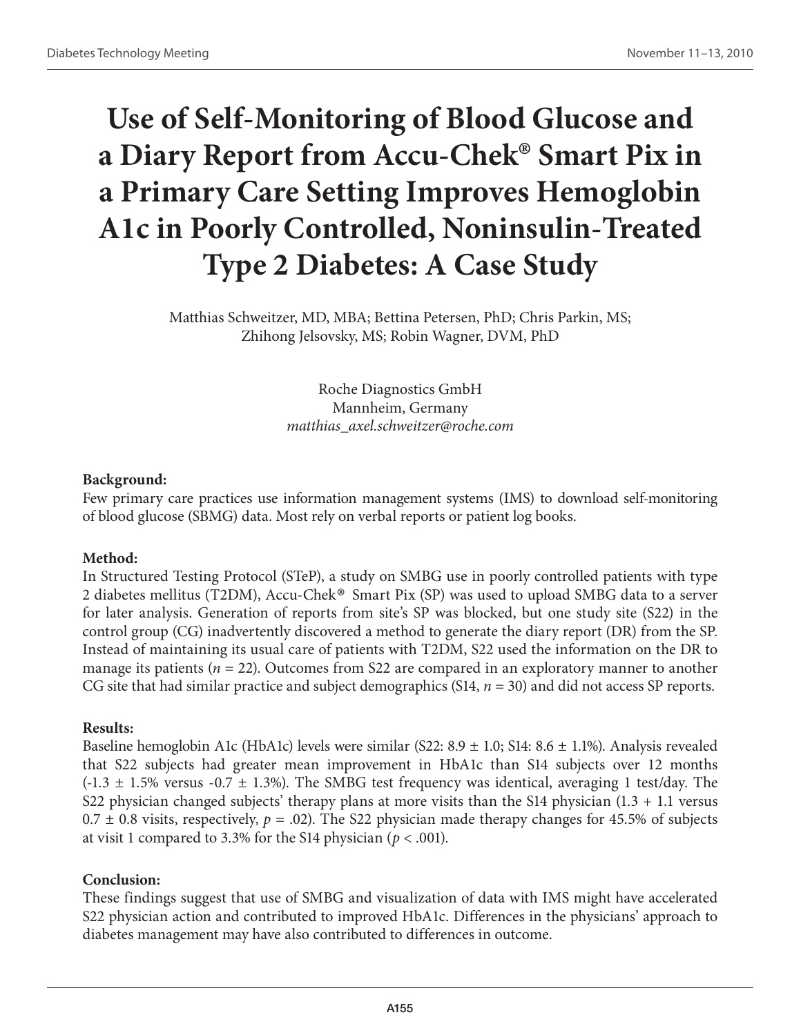# **Use of Self-Monitoring of Blood Glucose and a Diary Report from Accu-Chek® Smart Pix in a Primary Care Setting Improves Hemoglobin A1c in Poorly Controlled, Noninsulin-Treated Type 2 Diabetes: A Case Study**

Matthias Schweitzer, MD, MBA; Bettina Petersen, PhD; Chris Parkin, MS; Zhihong Jelsovsky, MS; Robin Wagner, DVM, PhD

> Roche Diagnostics GmbH Mannheim, Germany *matthias\_axel.schweitzer@roche.com*

#### **Background:**

Few primary care practices use information management systems (IMS) to download self-monitoring of blood glucose (SBMG) data. Most rely on verbal reports or patient log books.

## **Method:**

In Structured Testing Protocol (STeP), a study on SMBG use in poorly controlled patients with type 2 diabetes mellitus (T2DM), Accu-Chek® Smart Pix (SP) was used to upload SMBG data to a server for later analysis. Generation of reports from site's SP was blocked, but one study site (S22) in the control group (CG) inadvertently discovered a method to generate the diary report (DR) from the SP. Instead of maintaining its usual care of patients with T2DM, S22 used the information on the DR to manage its patients (*n* = 22). Outcomes from S22 are compared in an exploratory manner to another CG site that had similar practice and subject demographics (S14, *n* = 30) and did not access SP reports.

## **Results:**

Baseline hemoglobin A1c (HbA1c) levels were similar (S22: 8.9 ± 1.0; S14: 8.6 ± 1.1%). Analysis revealed that S22 subjects had greater mean improvement in HbA1c than S14 subjects over 12 months  $(-1.3 \pm 1.5\%$  versus  $-0.7 \pm 1.3\%$ ). The SMBG test frequency was identical, averaging 1 test/day. The S22 physician changed subjects' therapy plans at more visits than the S14 physician  $(1.3 + 1.1)$  versus  $0.7 \pm 0.8$  visits, respectively,  $p = .02$ ). The S22 physician made therapy changes for 45.5% of subjects at visit 1 compared to 3.3% for the S14 physician ( $p < .001$ ).

## **Conclusion:**

These findings suggest that use of SMBG and visualization of data with IMS might have accelerated S22 physician action and contributed to improved HbA1c. Differences in the physicians' approach to diabetes management may have also contributed to differences in outcome.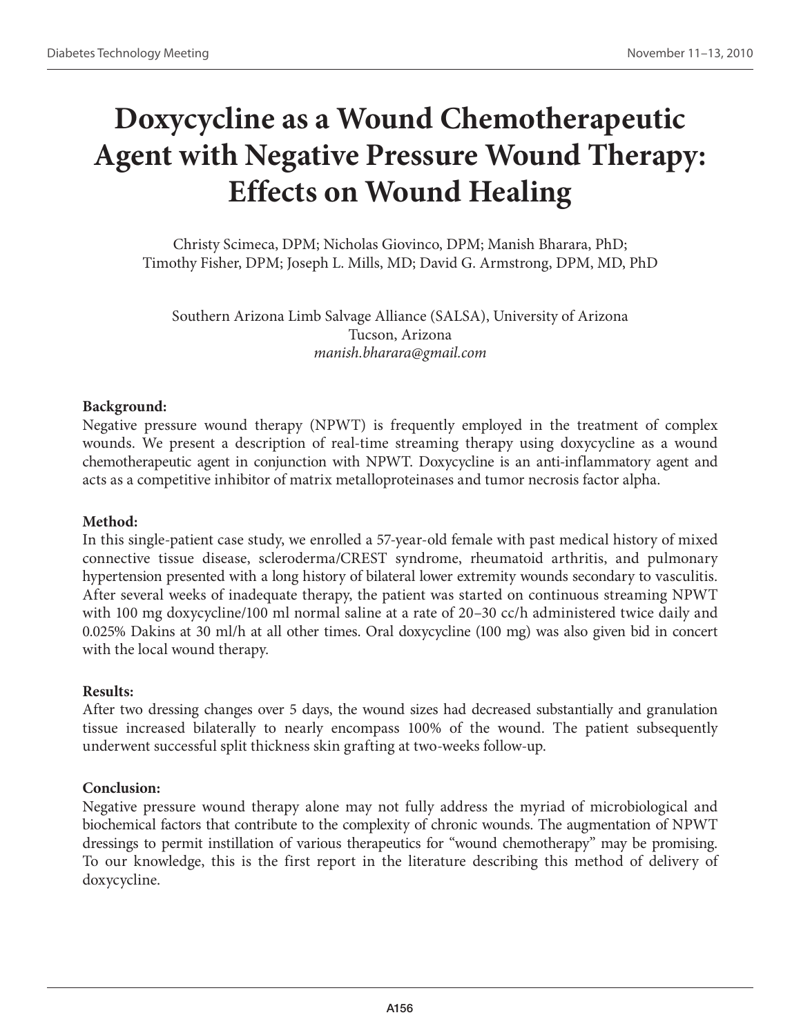# **Doxycycline as a Wound Chemotherapeutic Agent with Negative Pressure Wound Therapy: Effects on Wound Healing**

Christy Scimeca, DPM; Nicholas Giovinco, DPM; Manish Bharara, PhD; Timothy Fisher, DPM; Joseph L. Mills, MD; David G. Armstrong, DPM, MD, PhD

Southern Arizona Limb Salvage Alliance (SALSA), University of Arizona Tucson, Arizona *manish.bharara@gmail.com* 

#### **Background:**

Negative pressure wound therapy (NPWT) is frequently employed in the treatment of complex wounds. We present a description of real-time streaming therapy using doxycycline as a wound chemotherapeutic agent in conjunction with NPWT. Doxycycline is an anti-inflammatory agent and acts as a competitive inhibitor of matrix metalloproteinases and tumor necrosis factor alpha.

#### **Method:**

In this single-patient case study, we enrolled a 57-year-old female with past medical history of mixed connective tissue disease, scleroderma/CREST syndrome, rheumatoid arthritis, and pulmonary hypertension presented with a long history of bilateral lower extremity wounds secondary to vasculitis. After several weeks of inadequate therapy, the patient was started on continuous streaming NPWT with 100 mg doxycycline/100 ml normal saline at a rate of 20–30 cc/h administered twice daily and 0.025% Dakins at 30 ml/h at all other times. Oral doxycycline (100 mg) was also given bid in concert with the local wound therapy.

#### **Results:**

After two dressing changes over 5 days, the wound sizes had decreased substantially and granulation tissue increased bilaterally to nearly encompass 100% of the wound. The patient subsequently underwent successful split thickness skin grafting at two-weeks follow-up.

#### **Conclusion:**

Negative pressure wound therapy alone may not fully address the myriad of microbiological and biochemical factors that contribute to the complexity of chronic wounds. The augmentation of NPWT dressings to permit instillation of various therapeutics for "wound chemotherapy" may be promising. To our knowledge, this is the first report in the literature describing this method of delivery of doxycycline.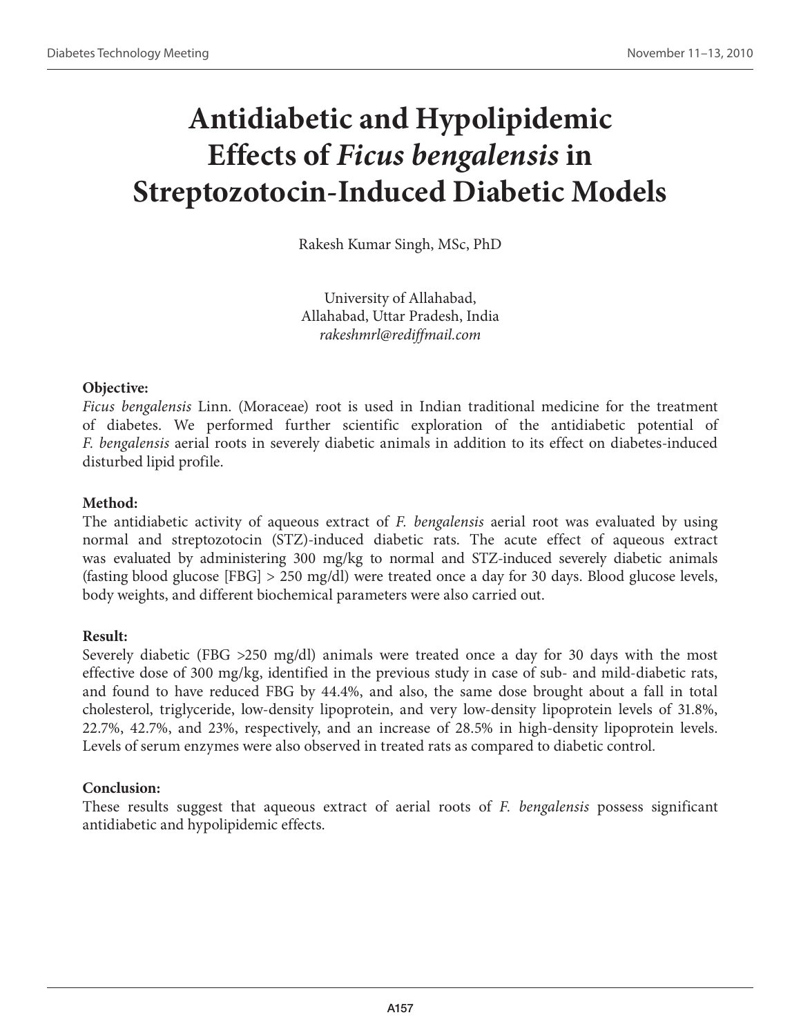# **Antidiabetic and Hypolipidemic Effects of** *Ficus bengalensis* **in Streptozotocin-Induced Diabetic Models**

Rakesh Kumar Singh, MSc, PhD

University of Allahabad, Allahabad, Uttar Pradesh, India *rakeshmrl@rediffmail.com*

## **Objective:**

*Ficus bengalensis* Linn. (Moraceae) root is used in Indian traditional medicine for the treatment of diabetes. We performed further scientific exploration of the antidiabetic potential of *F. bengalensis* aerial roots in severely diabetic animals in addition to its effect on diabetes-induced disturbed lipid profile.

## **Method:**

The antidiabetic activity of aqueous extract of *F. bengalensis* aerial root was evaluated by using normal and streptozotocin (STZ)-induced diabetic rats. The acute effect of aqueous extract was evaluated by administering 300 mg/kg to normal and STZ-induced severely diabetic animals (fasting blood glucose [FBG] > 250 mg/dl) were treated once a day for 30 days. Blood glucose levels, body weights, and different biochemical parameters were also carried out.

## **Result:**

Severely diabetic (FBG >250 mg/dl) animals were treated once a day for 30 days with the most effective dose of 300 mg/kg, identified in the previous study in case of sub- and mild-diabetic rats, and found to have reduced FBG by 44.4%, and also, the same dose brought about a fall in total cholesterol, triglyceride, low-density lipoprotein, and very low-density lipoprotein levels of 31.8%, 22.7%, 42.7%, and 23%, respectively, and an increase of 28.5% in high-density lipoprotein levels. Levels of serum enzymes were also observed in treated rats as compared to diabetic control.

## **Conclusion:**

These results suggest that aqueous extract of aerial roots of *F. bengalensis* possess significant antidiabetic and hypolipidemic effects.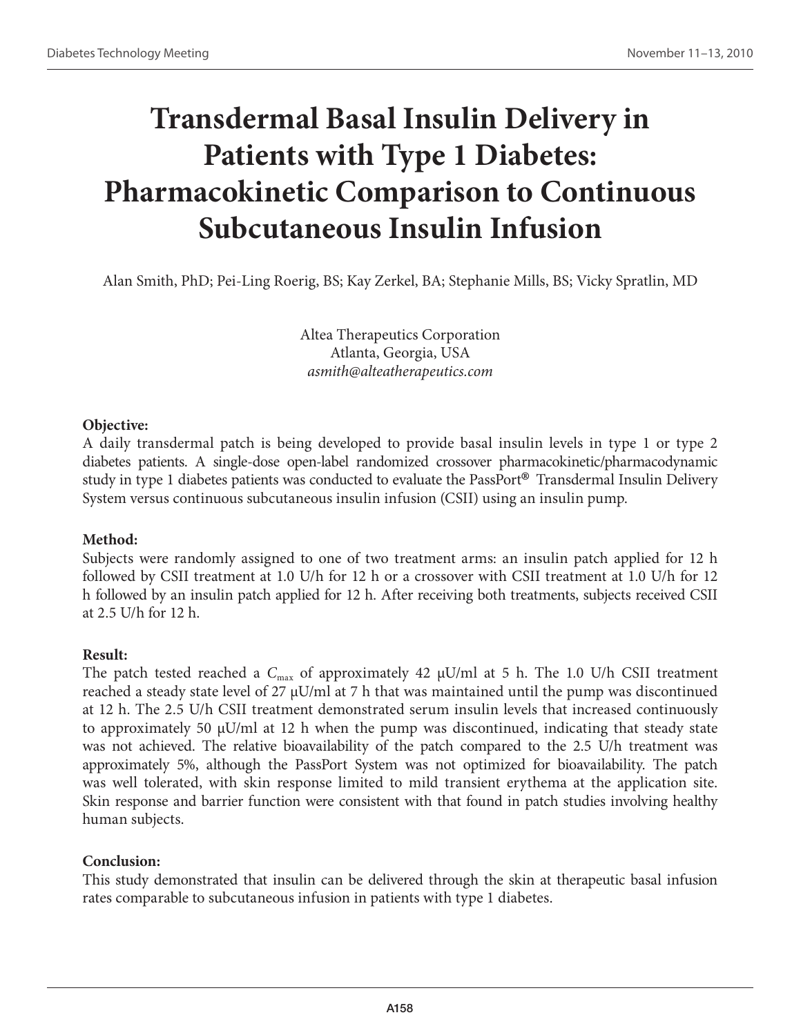# **Transdermal Basal Insulin Delivery in Patients with Type 1 Diabetes: Pharmacokinetic Comparison to Continuous Subcutaneous Insulin Infusion**

Alan Smith, PhD; Pei-Ling Roerig, BS; Kay Zerkel, BA; Stephanie Mills, BS; Vicky Spratlin, MD

Altea Therapeutics Corporation Atlanta, Georgia, USA *asmith@alteatherapeutics.com*

## **Objective:**

A daily transdermal patch is being developed to provide basal insulin levels in type 1 or type 2 diabetes patients. A single-dose open-label randomized crossover pharmacokinetic/pharmacodynamic study in type 1 diabetes patients was conducted to evaluate the PassPort® Transdermal Insulin Delivery System versus continuous subcutaneous insulin infusion (CSII) using an insulin pump.

## **Method:**

Subjects were randomly assigned to one of two treatment arms: an insulin patch applied for 12 h followed by CSII treatment at 1.0 U/h for 12 h or a crossover with CSII treatment at 1.0 U/h for 12 h followed by an insulin patch applied for 12 h. After receiving both treatments, subjects received CSII at 2.5 U/h for 12 h.

## **Result:**

The patch tested reached a  $C_{\text{max}}$  of approximately 42  $\mu$ U/ml at 5 h. The 1.0 U/h CSII treatment reached a steady state level of 27  $\mu$ U/ml at 7 h that was maintained until the pump was discontinued at 12 h. The 2.5 U/h CSII treatment demonstrated serum insulin levels that increased continuously to approximately 50  $\mu$ U/ml at 12 h when the pump was discontinued, indicating that steady state was not achieved. The relative bioavailability of the patch compared to the 2.5 U/h treatment was approximately 5%, although the PassPort System was not optimized for bioavailability. The patch was well tolerated, with skin response limited to mild transient erythema at the application site. Skin response and barrier function were consistent with that found in patch studies involving healthy human subjects.

## **Conclusion:**

This study demonstrated that insulin can be delivered through the skin at therapeutic basal infusion rates comparable to subcutaneous infusion in patients with type 1 diabetes.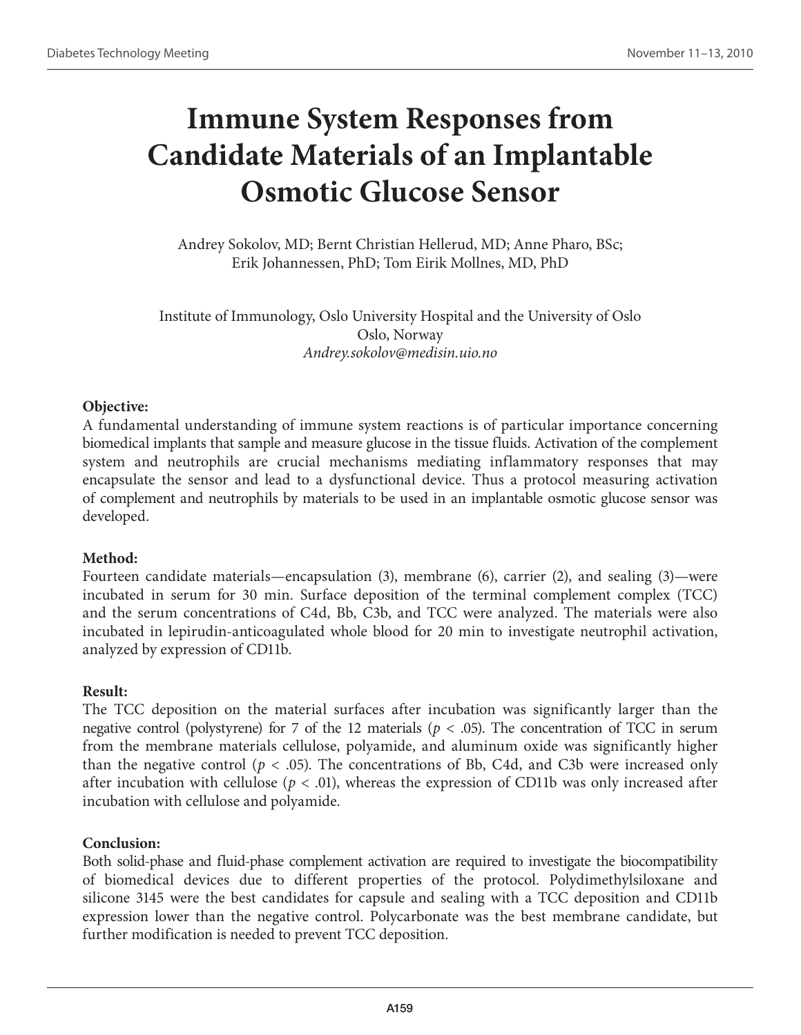# **Immune System Responses from Candidate Materials of an Implantable Osmotic Glucose Sensor**

Andrey Sokolov, MD; Bernt Christian Hellerud, MD; Anne Pharo, BSc; Erik Johannessen, PhD; Tom Eirik Mollnes, MD, PhD

Institute of Immunology, Oslo University Hospital and the University of Oslo Oslo, Norway *Andrey.sokolov@medisin.uio.no*

## **Objective:**

A fundamental understanding of immune system reactions is of particular importance concerning biomedical implants that sample and measure glucose in the tissue fluids. Activation of the complement system and neutrophils are crucial mechanisms mediating inflammatory responses that may encapsulate the sensor and lead to a dysfunctional device. Thus a protocol measuring activation of complement and neutrophils by materials to be used in an implantable osmotic glucose sensor was developed.

## **Method:**

Fourteen candidate materials—encapsulation (3), membrane (6), carrier (2), and sealing (3)—were incubated in serum for 30 min. Surface deposition of the terminal complement complex (TCC) and the serum concentrations of C4d, Bb, C3b, and TCC were analyzed. The materials were also incubated in lepirudin-anticoagulated whole blood for 20 min to investigate neutrophil activation, analyzed by expression of CD11b.

## **Result:**

The TCC deposition on the material surfaces after incubation was significantly larger than the negative control (polystyrene) for 7 of the 12 materials ( $p < .05$ ). The concentration of TCC in serum from the membrane materials cellulose, polyamide, and aluminum oxide was significantly higher than the negative control ( $p < .05$ ). The concentrations of Bb, C4d, and C3b were increased only after incubation with cellulose ( $p < .01$ ), whereas the expression of CD11b was only increased after incubation with cellulose and polyamide.

## **Conclusion:**

Both solid-phase and fluid-phase complement activation are required to investigate the biocompatibility of biomedical devices due to different properties of the protocol. Polydimethylsiloxane and silicone 3145 were the best candidates for capsule and sealing with a TCC deposition and CD11b expression lower than the negative control. Polycarbonate was the best membrane candidate, but further modification is needed to prevent TCC deposition.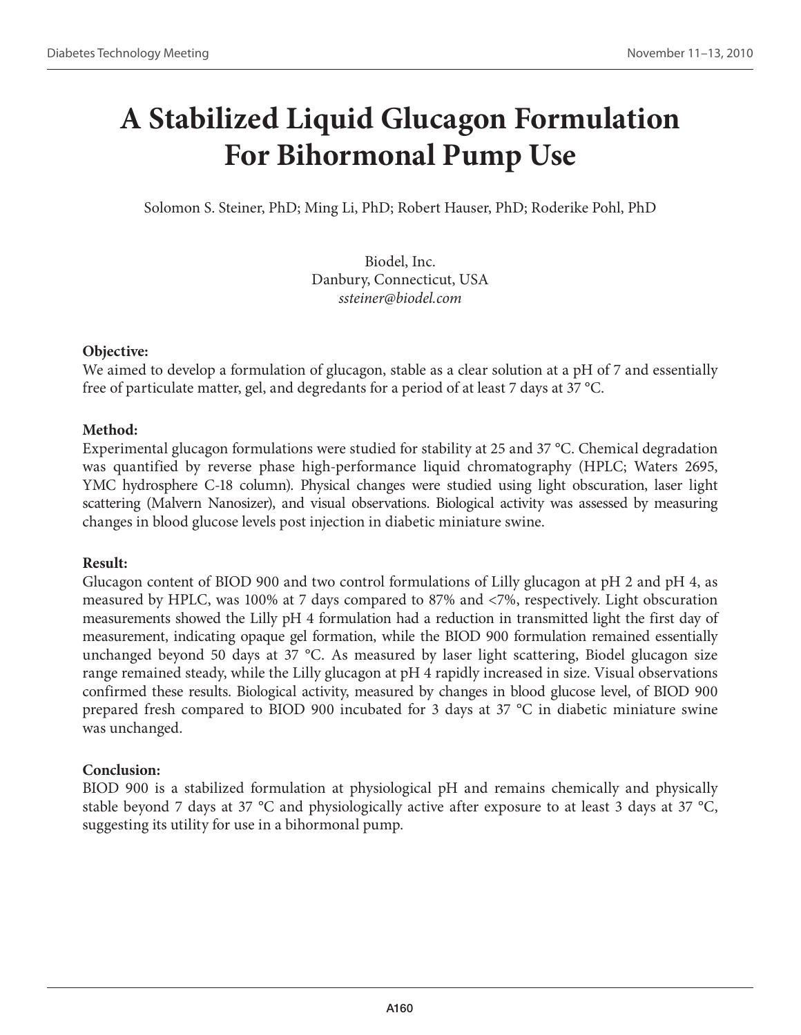# **A Stabilized Liquid Glucagon Formulation For Bihormonal Pump Use**

Solomon S. Steiner, PhD; Ming Li, PhD; Robert Hauser, PhD; Roderike Pohl, PhD

Biodel, Inc. Danbury, Connecticut, USA *ssteiner@biodel.com* 

## **Objective:**

We aimed to develop a formulation of glucagon, stable as a clear solution at a pH of 7 and essentially free of particulate matter, gel, and degredants for a period of at least 7 days at 37 °C.

## **Method:**

Experimental glucagon formulations were studied for stability at 25 and 37 °C. Chemical degradation was quantified by reverse phase high-performance liquid chromatography (HPLC; Waters 2695, YMC hydrosphere C-18 column). Physical changes were studied using light obscuration, laser light scattering (Malvern Nanosizer), and visual observations. Biological activity was assessed by measuring changes in blood glucose levels post injection in diabetic miniature swine.

## **Result:**

Glucagon content of BIOD 900 and two control formulations of Lilly glucagon at pH 2 and pH 4, as measured by HPLC, was 100% at 7 days compared to 87% and <7%, respectively. Light obscuration measurements showed the Lilly pH 4 formulation had a reduction in transmitted light the first day of measurement, indicating opaque gel formation, while the BIOD 900 formulation remained essentially unchanged beyond 50 days at 37 °C. As measured by laser light scattering, Biodel glucagon size range remained steady, while the Lilly glucagon at pH 4 rapidly increased in size. Visual observations confirmed these results. Biological activity, measured by changes in blood glucose level, of BIOD 900 prepared fresh compared to BIOD 900 incubated for 3 days at 37 °C in diabetic miniature swine was unchanged.

## **Conclusion:**

BIOD 900 is a stabilized formulation at physiological pH and remains chemically and physically stable beyond 7 days at 37 °C and physiologically active after exposure to at least 3 days at 37 °C, suggesting its utility for use in a bihormonal pump.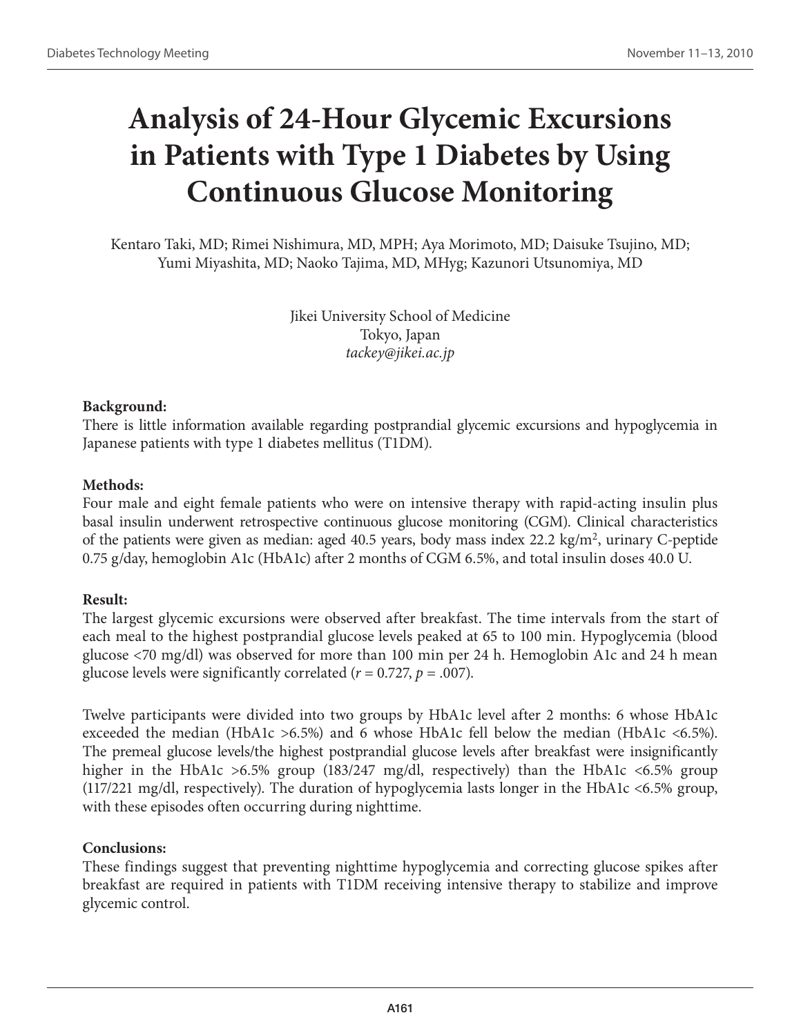# **Analysis of 24-Hour Glycemic Excursions in Patients with Type 1 Diabetes by Using Continuous Glucose Monitoring**

Kentaro Taki, MD; Rimei Nishimura, MD, MPH; Aya Morimoto, MD; Daisuke Tsujino, MD; Yumi Miyashita, MD; Naoko Tajima, MD, MHyg; Kazunori Utsunomiya, MD

> Jikei University School of Medicine Tokyo, Japan *tackey@jikei.ac.jp*

#### **Background:**

There is little information available regarding postprandial glycemic excursions and hypoglycemia in Japanese patients with type 1 diabetes mellitus (T1DM).

#### **Methods:**

Four male and eight female patients who were on intensive therapy with rapid-acting insulin plus basal insulin underwent retrospective continuous glucose monitoring (CGM). Clinical characteristics of the patients were given as median: aged 40.5 years, body mass index 22.2 kg/m<sup>2</sup>, urinary C-peptide 0.75 g/day, hemoglobin A1c (HbA1c) after 2 months of CGM 6.5%, and total insulin doses 40.0 U.

## **Result:**

The largest glycemic excursions were observed after breakfast. The time intervals from the start of each meal to the highest postprandial glucose levels peaked at 65 to 100 min. Hypoglycemia (blood glucose <70 mg/dl) was observed for more than 100 min per 24 h. Hemoglobin A1c and 24 h mean glucose levels were significantly correlated ( $r = 0.727$ ,  $p = .007$ ).

Twelve participants were divided into two groups by HbA1c level after 2 months: 6 whose HbA1c exceeded the median (HbA1c >6.5%) and 6 whose HbA1c fell below the median (HbA1c <6.5%). The premeal glucose levels/the highest postprandial glucose levels after breakfast were insignificantly higher in the HbA1c >6.5% group (183/247 mg/dl, respectively) than the HbA1c <6.5% group (117/221 mg/dl, respectively). The duration of hypoglycemia lasts longer in the HbA1c <6.5% group, with these episodes often occurring during nighttime.

## **Conclusions:**

These findings suggest that preventing nighttime hypoglycemia and correcting glucose spikes after breakfast are required in patients with T1DM receiving intensive therapy to stabilize and improve glycemic control.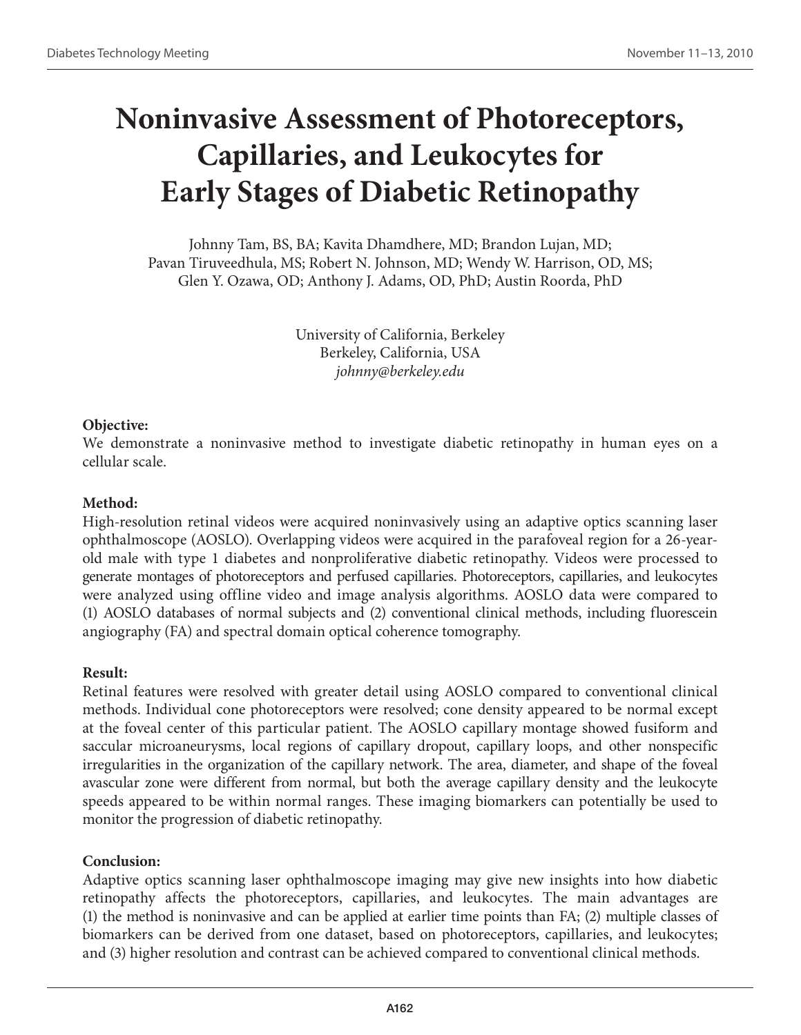# **Noninvasive Assessment of Photoreceptors, Capillaries, and Leukocytes for Early Stages of Diabetic Retinopathy**

Johnny Tam, BS, BA; Kavita Dhamdhere, MD; Brandon Lujan, MD; Pavan Tiruveedhula, MS; Robert N. Johnson, MD; Wendy W. Harrison, OD, MS; Glen Y. Ozawa, OD; Anthony J. Adams, OD, PhD; Austin Roorda, PhD

> University of California, Berkeley Berkeley, California, USA *johnny@berkeley.edu*

## **Objective:**

We demonstrate a noninvasive method to investigate diabetic retinopathy in human eyes on a cellular scale.

## **Method:**

High-resolution retinal videos were acquired noninvasively using an adaptive optics scanning laser ophthalmoscope (AOSLO). Overlapping videos were acquired in the parafoveal region for a 26-yearold male with type 1 diabetes and nonproliferative diabetic retinopathy. Videos were processed to generate montages of photoreceptors and perfused capillaries. Photoreceptors, capillaries, and leukocytes were analyzed using offline video and image analysis algorithms. AOSLO data were compared to (1) AOSLO databases of normal subjects and (2) conventional clinical methods, including fluorescein angiography (FA) and spectral domain optical coherence tomography.

## **Result:**

Retinal features were resolved with greater detail using AOSLO compared to conventional clinical methods. Individual cone photoreceptors were resolved; cone density appeared to be normal except at the foveal center of this particular patient. The AOSLO capillary montage showed fusiform and saccular microaneurysms, local regions of capillary dropout, capillary loops, and other nonspecific irregularities in the organization of the capillary network. The area, diameter, and shape of the foveal avascular zone were different from normal, but both the average capillary density and the leukocyte speeds appeared to be within normal ranges. These imaging biomarkers can potentially be used to monitor the progression of diabetic retinopathy.

## **Conclusion:**

Adaptive optics scanning laser ophthalmoscope imaging may give new insights into how diabetic retinopathy affects the photoreceptors, capillaries, and leukocytes. The main advantages are (1) the method is noninvasive and can be applied at earlier time points than FA; (2) multiple classes of biomarkers can be derived from one dataset, based on photoreceptors, capillaries, and leukocytes; and (3) higher resolution and contrast can be achieved compared to conventional clinical methods.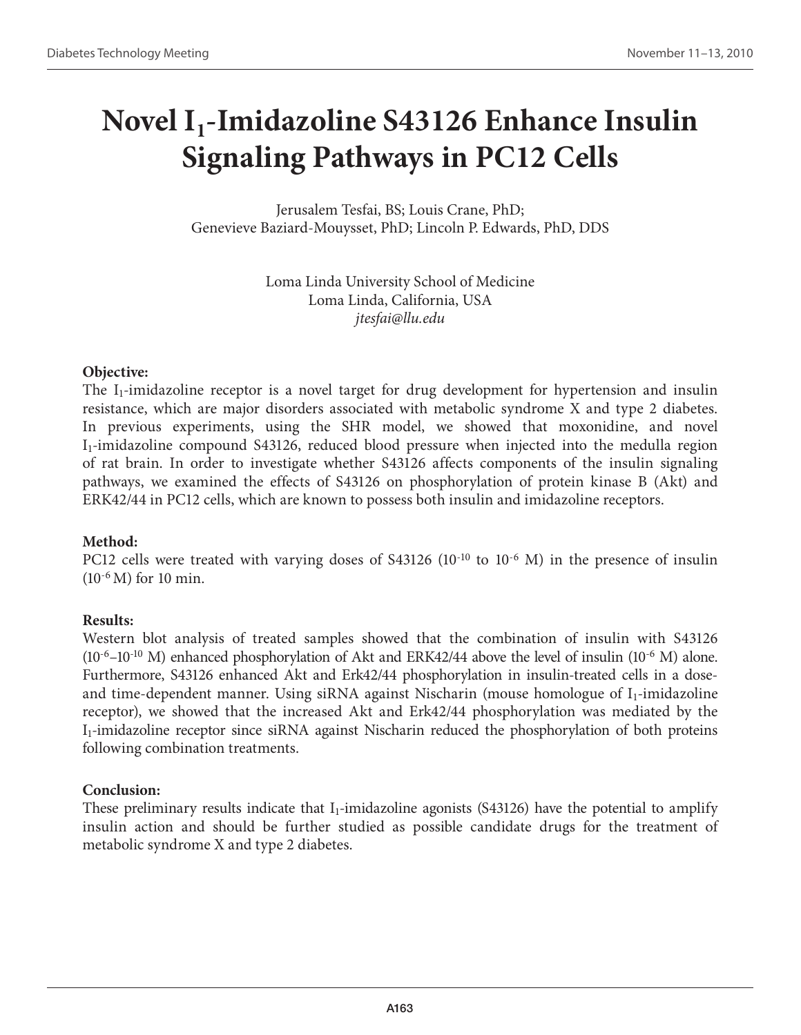# **Novel I1-Imidazoline S43126 Enhance Insulin Signaling Pathways in PC12 Cells**

Jerusalem Tesfai, BS; Louis Crane, PhD; Genevieve Baziard-Mouysset, PhD; Lincoln P. Edwards, PhD, DDS

> Loma Linda University School of Medicine Loma Linda, California, USA *jtesfai@llu.edu*

#### **Objective:**

The  $I_1$ -imidazoline receptor is a novel target for drug development for hypertension and insulin resistance, which are major disorders associated with metabolic syndrome X and type 2 diabetes. In previous experiments, using the SHR model, we showed that moxonidine, and novel I<sub>1</sub>-imidazoline compound S43126, reduced blood pressure when injected into the medulla region of rat brain. In order to investigate whether S43126 affects components of the insulin signaling pathways, we examined the effects of S43126 on phosphorylation of protein kinase B (Akt) and ERK42/44 in PC12 cells, which are known to possess both insulin and imidazoline receptors.

## **Method:**

PC12 cells were treated with varying doses of S43126 (10<sup>-10</sup> to 10<sup>-6</sup> M) in the presence of insulin (10-6 M) for 10 min.

## **Results:**

Western blot analysis of treated samples showed that the combination of insulin with S43126  $(10^{-6}-10^{-10}$  M) enhanced phosphorylation of Akt and ERK42/44 above the level of insulin  $(10^{-6}$  M) alone. Furthermore, S43126 enhanced Akt and Erk42/44 phosphorylation in insulin-treated cells in a doseand time-dependent manner. Using siRNA against Nischarin (mouse homologue of  $I_1$ -imidazoline receptor), we showed that the increased Akt and Erk42/44 phosphorylation was mediated by the I1-imidazoline receptor since siRNA against Nischarin reduced the phosphorylation of both proteins following combination treatments.

## **Conclusion:**

These preliminary results indicate that  $I_1$ -imidazoline agonists (S43126) have the potential to amplify insulin action and should be further studied as possible candidate drugs for the treatment of metabolic syndrome X and type 2 diabetes.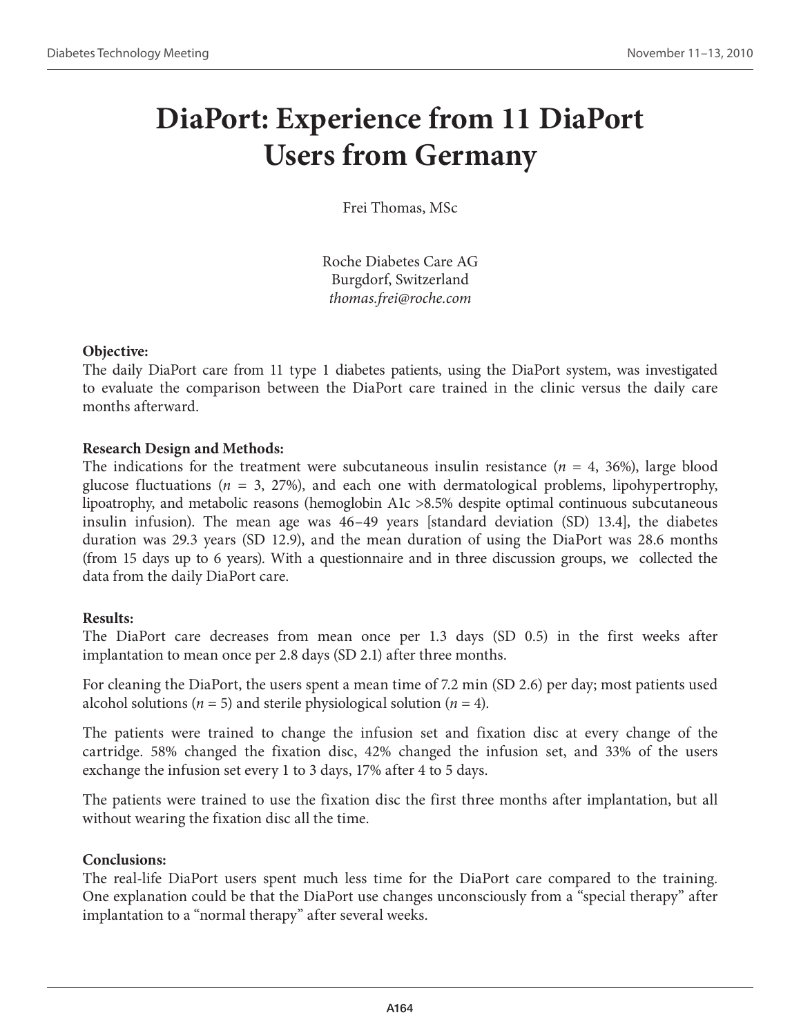## **DiaPort: Experience from 11 DiaPort Users from Germany**

Frei Thomas, MSc

Roche Diabetes Care AG Burgdorf, Switzerland *thomas.frei@roche.com*

## **Objective:**

The daily DiaPort care from 11 type 1 diabetes patients, using the DiaPort system, was investigated to evaluate the comparison between the DiaPort care trained in the clinic versus the daily care months afterward.

## **Research Design and Methods:**

The indications for the treatment were subcutaneous insulin resistance  $(n = 4, 36%)$ , large blood glucose fluctuations (*n* = 3, 27%), and each one with dermatological problems, lipohypertrophy, lipoatrophy, and metabolic reasons (hemoglobin A1c >8.5% despite optimal continuous subcutaneous insulin infusion). The mean age was 46–49 years [standard deviation (SD) 13.4], the diabetes duration was 29.3 years (SD 12.9), and the mean duration of using the DiaPort was 28.6 months (from 15 days up to 6 years). With a questionnaire and in three discussion groups, we collected the data from the daily DiaPort care.

## **Results:**

The DiaPort care decreases from mean once per 1.3 days (SD 0.5) in the first weeks after implantation to mean once per 2.8 days (SD 2.1) after three months.

For cleaning the DiaPort, the users spent a mean time of 7.2 min (SD 2.6) per day; most patients used alcohol solutions ( $n = 5$ ) and sterile physiological solution ( $n = 4$ ).

The patients were trained to change the infusion set and fixation disc at every change of the cartridge. 58% changed the fixation disc, 42% changed the infusion set, and 33% of the users exchange the infusion set every 1 to 3 days, 17% after 4 to 5 days.

The patients were trained to use the fixation disc the first three months after implantation, but all without wearing the fixation disc all the time.

## **Conclusions:**

The real-life DiaPort users spent much less time for the DiaPort care compared to the training. One explanation could be that the DiaPort use changes unconsciously from a "special therapy" after implantation to a "normal therapy" after several weeks.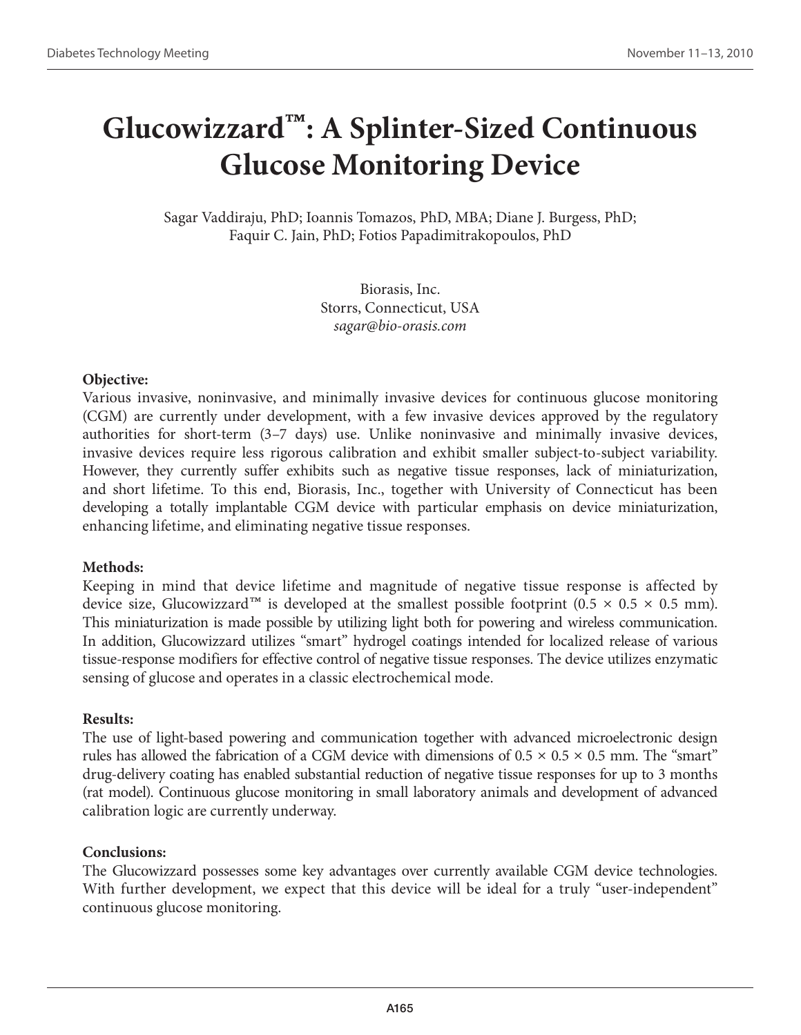## **Glucowizzard™: A Splinter-Sized Continuous Glucose Monitoring Device**

Sagar Vaddiraju, PhD; Ioannis Tomazos, PhD, MBA; Diane J. Burgess, PhD; Faquir C. Jain, PhD; Fotios Papadimitrakopoulos, PhD

> Biorasis, Inc. Storrs, Connecticut, USA *sagar@bio-orasis.com*

#### **Objective:**

Various invasive, noninvasive, and minimally invasive devices for continuous glucose monitoring (CGM) are currently under development, with a few invasive devices approved by the regulatory authorities for short-term (3–7 days) use. Unlike noninvasive and minimally invasive devices, invasive devices require less rigorous calibration and exhibit smaller subject-to-subject variability. However, they currently suffer exhibits such as negative tissue responses, lack of miniaturization, and short lifetime. To this end, Biorasis, Inc., together with University of Connecticut has been developing a totally implantable CGM device with particular emphasis on device miniaturization, enhancing lifetime, and eliminating negative tissue responses.

#### **Methods:**

Keeping in mind that device lifetime and magnitude of negative tissue response is affected by device size, Glucowizzard<sup>™</sup> is developed at the smallest possible footprint (0.5 × 0.5 × 0.5 mm). This miniaturization is made possible by utilizing light both for powering and wireless communication. In addition, Glucowizzard utilizes "smart" hydrogel coatings intended for localized release of various tissue-response modifiers for effective control of negative tissue responses. The device utilizes enzymatic sensing of glucose and operates in a classic electrochemical mode.

#### **Results:**

The use of light-based powering and communication together with advanced microelectronic design rules has allowed the fabrication of a CGM device with dimensions of  $0.5 \times 0.5 \times 0.5$  mm. The "smart" drug-delivery coating has enabled substantial reduction of negative tissue responses for up to 3 months (rat model). Continuous glucose monitoring in small laboratory animals and development of advanced calibration logic are currently underway.

#### **Conclusions:**

The Glucowizzard possesses some key advantages over currently available CGM device technologies. With further development, we expect that this device will be ideal for a truly "user-independent" continuous glucose monitoring.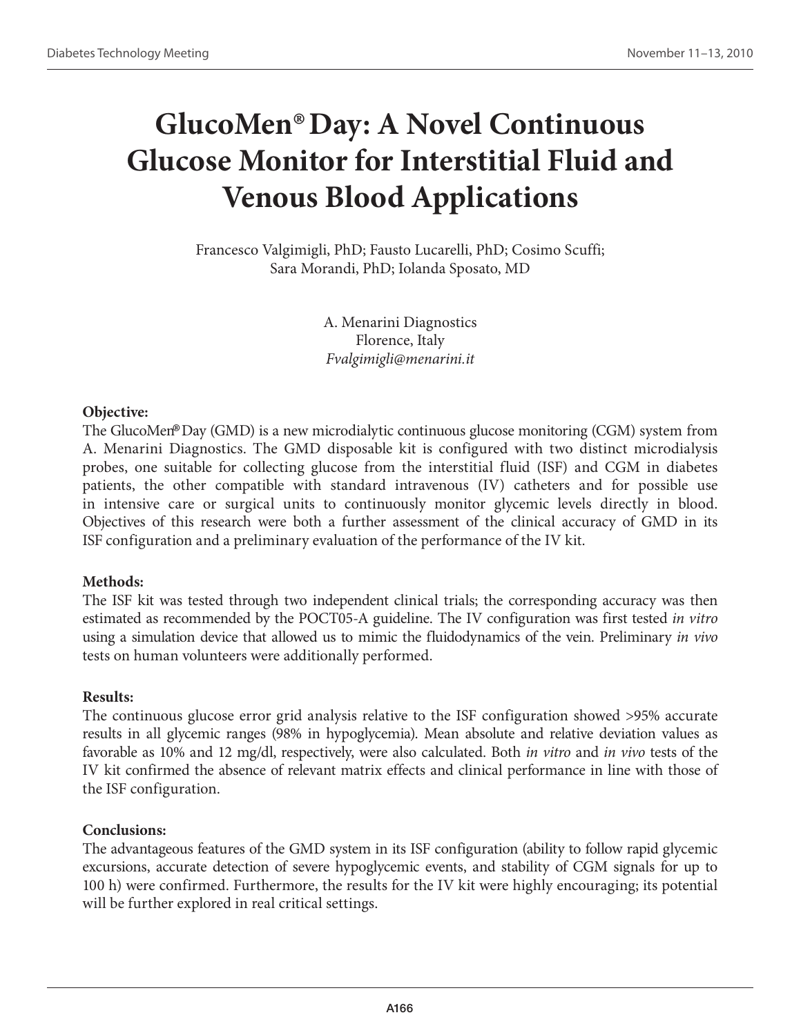# **GlucoMen® Day: A Novel Continuous Glucose Monitor for Interstitial Fluid and Venous Blood Applications**

Francesco Valgimigli, PhD; Fausto Lucarelli, PhD; Cosimo Scuffi; Sara Morandi, PhD; Iolanda Sposato, MD

> A. Menarini Diagnostics Florence, Italy *Fvalgimigli@menarini.it*

#### **Objective:**

The GlucoMen®Day (GMD) is a new microdialytic continuous glucose monitoring (CGM) system from A. Menarini Diagnostics. The GMD disposable kit is configured with two distinct microdialysis probes, one suitable for collecting glucose from the interstitial fluid (ISF) and CGM in diabetes patients, the other compatible with standard intravenous (IV) catheters and for possible use in intensive care or surgical units to continuously monitor glycemic levels directly in blood. Objectives of this research were both a further assessment of the clinical accuracy of GMD in its ISF configuration and a preliminary evaluation of the performance of the IV kit.

## **Methods:**

The ISF kit was tested through two independent clinical trials; the corresponding accuracy was then estimated as recommended by the POCT05-A guideline. The IV configuration was first tested *in vitro* using a simulation device that allowed us to mimic the fluidodynamics of the vein. Preliminary *in vivo* tests on human volunteers were additionally performed.

## **Results:**

The continuous glucose error grid analysis relative to the ISF configuration showed >95% accurate results in all glycemic ranges (98% in hypoglycemia). Mean absolute and relative deviation values as favorable as 10% and 12 mg/dl, respectively, were also calculated. Both *in vitro* and *in vivo* tests of the IV kit confirmed the absence of relevant matrix effects and clinical performance in line with those of the ISF configuration.

## **Conclusions:**

The advantageous features of the GMD system in its ISF configuration (ability to follow rapid glycemic excursions, accurate detection of severe hypoglycemic events, and stability of CGM signals for up to 100 h) were confirmed. Furthermore, the results for the IV kit were highly encouraging; its potential will be further explored in real critical settings.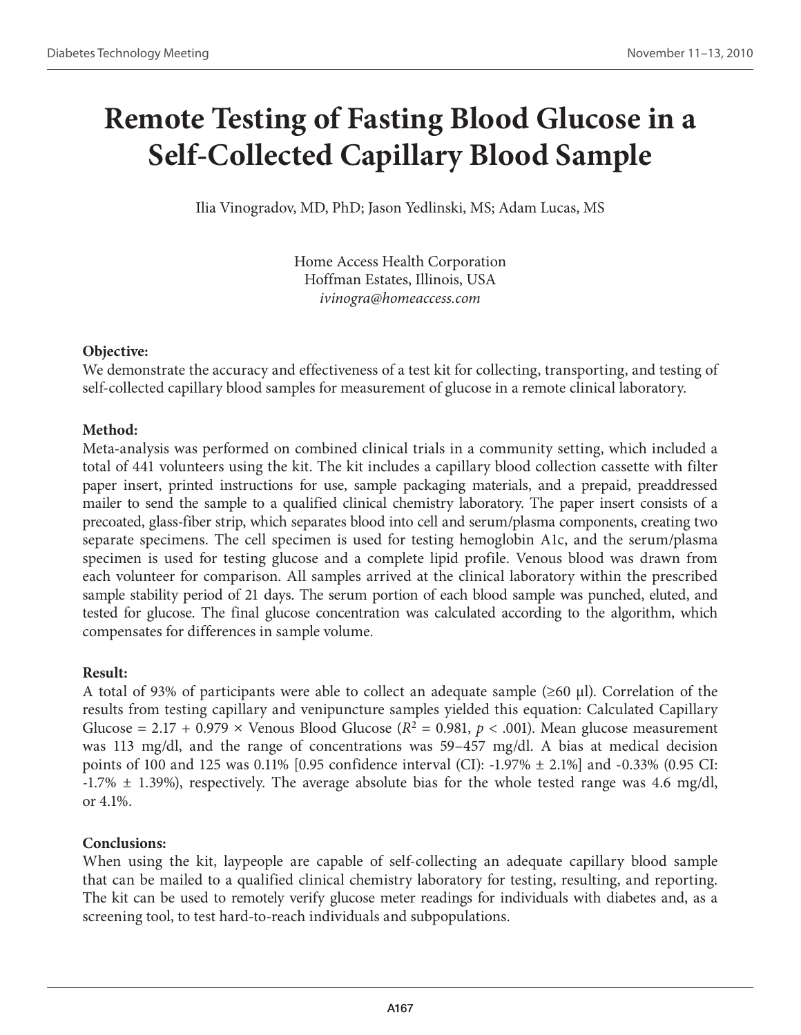# **Remote Testing of Fasting Blood Glucose in a Self-Collected Capillary Blood Sample**

Ilia Vinogradov, MD, PhD; Jason Yedlinski, MS; Adam Lucas, MS

Home Access Health Corporation Hoffman Estates, Illinois, USA *ivinogra@homeaccess.com*

## **Objective:**

We demonstrate the accuracy and effectiveness of a test kit for collecting, transporting, and testing of self-collected capillary blood samples for measurement of glucose in a remote clinical laboratory.

## **Method:**

Meta-analysis was performed on combined clinical trials in a community setting, which included a total of 441 volunteers using the kit. The kit includes a capillary blood collection cassette with filter paper insert, printed instructions for use, sample packaging materials, and a prepaid, preaddressed mailer to send the sample to a qualified clinical chemistry laboratory. The paper insert consists of a precoated, glass-fiber strip, which separates blood into cell and serum/plasma components, creating two separate specimens. The cell specimen is used for testing hemoglobin A1c, and the serum/plasma specimen is used for testing glucose and a complete lipid profile. Venous blood was drawn from each volunteer for comparison. All samples arrived at the clinical laboratory within the prescribed sample stability period of 21 days. The serum portion of each blood sample was punched, eluted, and tested for glucose. The final glucose concentration was calculated according to the algorithm, which compensates for differences in sample volume.

## **Result:**

A total of 93% of participants were able to collect an adequate sample (≥60 μl). Correlation of the results from testing capillary and venipuncture samples yielded this equation: Calculated Capillary Glucose = 2.17 + 0.979  $\times$  Venous Blood Glucose ( $R^2$  = 0.981,  $p < .001$ ). Mean glucose measurement was 113 mg/dl, and the range of concentrations was 59–457 mg/dl. A bias at medical decision points of 100 and 125 was 0.11% [0.95 confidence interval (CI): -1.97% ± 2.1%] and -0.33% (0.95 CI:  $-1.7\% \pm 1.39\%$ ), respectively. The average absolute bias for the whole tested range was 4.6 mg/dl, or 4.1%.

## **Conclusions:**

When using the kit, laypeople are capable of self-collecting an adequate capillary blood sample that can be mailed to a qualified clinical chemistry laboratory for testing, resulting, and reporting. The kit can be used to remotely verify glucose meter readings for individuals with diabetes and, as a screening tool, to test hard-to-reach individuals and subpopulations.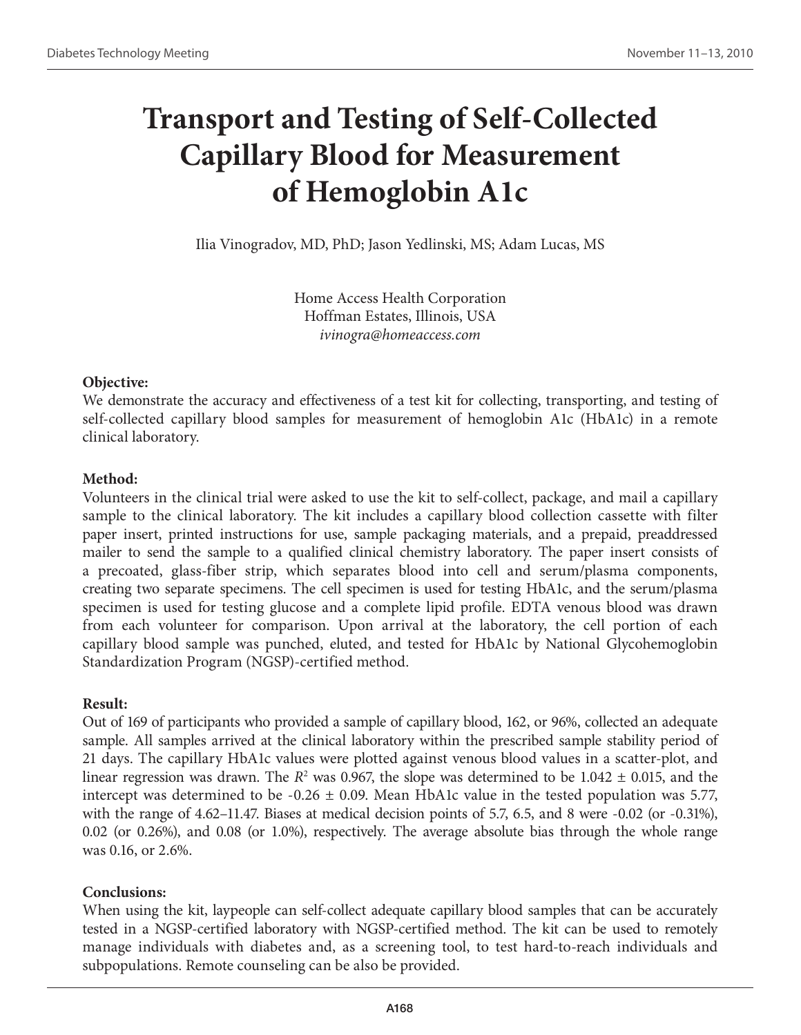# **Transport and Testing of Self-Collected Capillary Blood for Measurement of Hemoglobin A1c**

Ilia Vinogradov, MD, PhD; Jason Yedlinski, MS; Adam Lucas, MS

Home Access Health Corporation Hoffman Estates, Illinois, USA *ivinogra@homeaccess.com*

## **Objective:**

We demonstrate the accuracy and effectiveness of a test kit for collecting, transporting, and testing of self-collected capillary blood samples for measurement of hemoglobin A1c (HbA1c) in a remote clinical laboratory.

## **Method:**

Volunteers in the clinical trial were asked to use the kit to self-collect, package, and mail a capillary sample to the clinical laboratory. The kit includes a capillary blood collection cassette with filter paper insert, printed instructions for use, sample packaging materials, and a prepaid, preaddressed mailer to send the sample to a qualified clinical chemistry laboratory. The paper insert consists of a precoated, glass-fiber strip, which separates blood into cell and serum/plasma components, creating two separate specimens. The cell specimen is used for testing HbA1c, and the serum/plasma specimen is used for testing glucose and a complete lipid profile. EDTA venous blood was drawn from each volunteer for comparison. Upon arrival at the laboratory, the cell portion of each capillary blood sample was punched, eluted, and tested for HbA1c by National Glycohemoglobin Standardization Program (NGSP)-certified method.

## **Result:**

Out of 169 of participants who provided a sample of capillary blood, 162, or 96%, collected an adequate sample. All samples arrived at the clinical laboratory within the prescribed sample stability period of 21 days. The capillary HbA1c values were plotted against venous blood values in a scatter-plot, and linear regression was drawn. The  $R^2$  was 0.967, the slope was determined to be 1.042  $\pm$  0.015, and the intercept was determined to be  $-0.26 \pm 0.09$ . Mean HbA1c value in the tested population was 5.77, with the range of 4.62–11.47. Biases at medical decision points of 5.7, 6.5, and 8 were -0.02 (or -0.31%), 0.02 (or 0.26%), and 0.08 (or 1.0%), respectively. The average absolute bias through the whole range was 0.16, or 2.6%.

## **Conclusions:**

When using the kit, laypeople can self-collect adequate capillary blood samples that can be accurately tested in a NGSP-certified laboratory with NGSP-certified method. The kit can be used to remotely manage individuals with diabetes and, as a screening tool, to test hard-to-reach individuals and subpopulations. Remote counseling can be also be provided.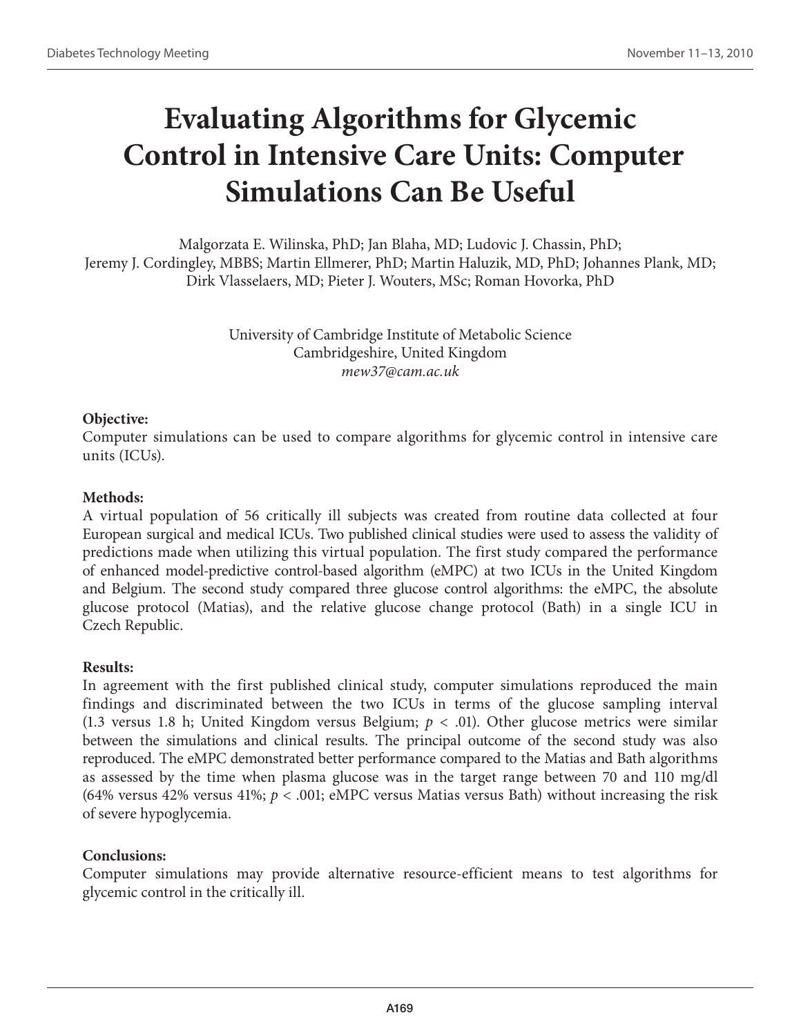# **Evaluating Algorithms for Glycemic Control in Intensive Care Units: Computer Simulations Can Be Useful**

Malgorzata E. Wilinska, PhD; Jan Blaha, MD; Ludovic J. Chassin, PhD; Jeremy J. Cordingley, MBBS; Martin Ellmerer, PhD; Martin Haluzik, MD, PhD; Johannes Plank, MD; Dirk Vlasselaers, MD; Pieter J. Wouters, MSc; Roman Hovorka, PhD

> University of Cambridge Institute of Metabolic Science Cambridgeshire, United Kingdom *mew37@cam.ac.uk*

#### **Objective:**

Computer simulations can be used to compare algorithms for glycemic control in intensive care units (ICUs).

#### **Methods:**

A virtual population of 56 critically ill subjects was created from routine data collected at four European surgical and medical ICUs. Two published clinical studies were used to assess the validity of predictions made when utilizing this virtual population. The first study compared the performance of enhanced model-predictive control-based algorithm (eMPC) at two ICUs in the United Kingdom and Belgium. The second study compared three glucose control algorithms: the eMPC, the absolute glucose protocol (Matias), and the relative glucose change protocol (Bath) in a single ICU in Czech Republic.

## **Results:**

In agreement with the first published clinical study, computer simulations reproduced the main findings and discriminated between the two ICUs in terms of the glucose sampling interval (1.3 versus 1.8 h; United Kingdom versus Belgium;  $p < .01$ ). Other glucose metrics were similar between the simulations and clinical results. The principal outcome of the second study was also reproduced. The eMPC demonstrated better performance compared to the Matias and Bath algorithms as assessed by the time when plasma glucose was in the target range between 70 and 110 mg/dl (64% versus 42% versus 41%;  $p < .001$ ; eMPC versus Matias versus Bath) without increasing the risk of severe hypoglycemia.

## **Conclusions:**

Computer simulations may provide alternative resource-efficient means to test algorithms for glycemic control in the critically ill.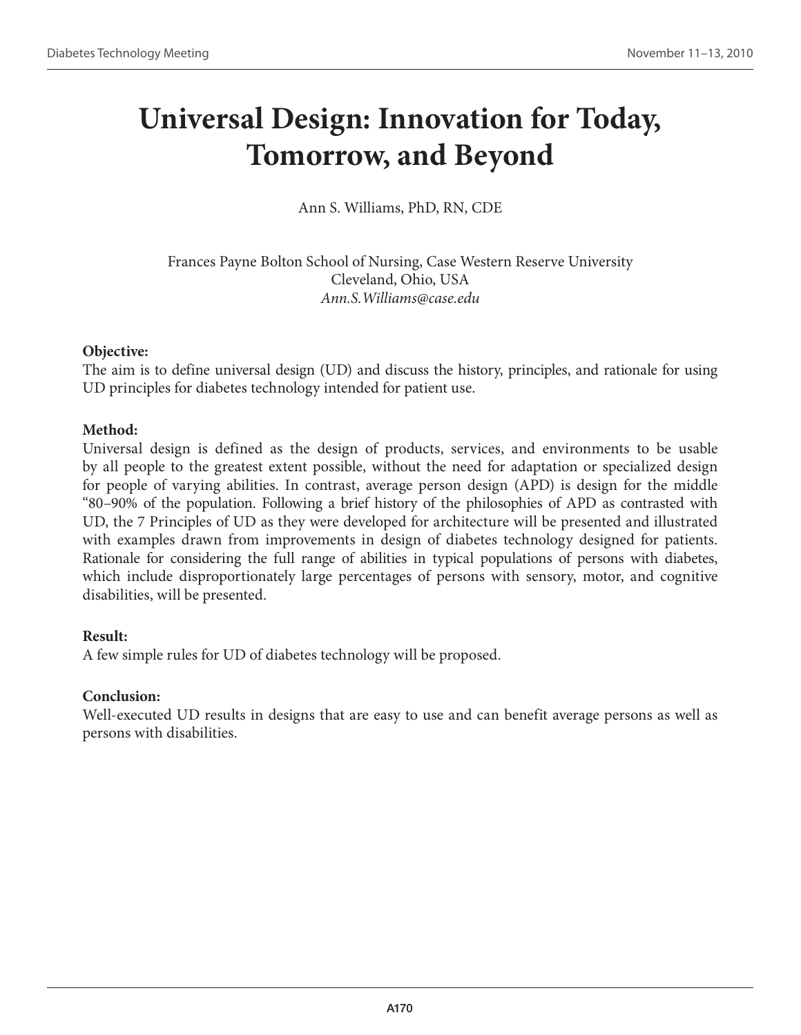## **Universal Design: Innovation for Today, Tomorrow, and Beyond**

Ann S. Williams, PhD, RN, CDE

Frances Payne Bolton School of Nursing, Case Western Reserve University Cleveland, Ohio, USA *Ann.S.Williams@case.edu*

## **Objective:**

The aim is to define universal design (UD) and discuss the history, principles, and rationale for using UD principles for diabetes technology intended for patient use.

## **Method:**

Universal design is defined as the design of products, services, and environments to be usable by all people to the greatest extent possible, without the need for adaptation or specialized design for people of varying abilities. In contrast, average person design (APD) is design for the middle "80–90% of the population. Following a brief history of the philosophies of APD as contrasted with UD, the 7 Principles of UD as they were developed for architecture will be presented and illustrated with examples drawn from improvements in design of diabetes technology designed for patients. Rationale for considering the full range of abilities in typical populations of persons with diabetes, which include disproportionately large percentages of persons with sensory, motor, and cognitive disabilities, will be presented.

## **Result:**

A few simple rules for UD of diabetes technology will be proposed.

## **Conclusion:**

Well-executed UD results in designs that are easy to use and can benefit average persons as well as persons with disabilities.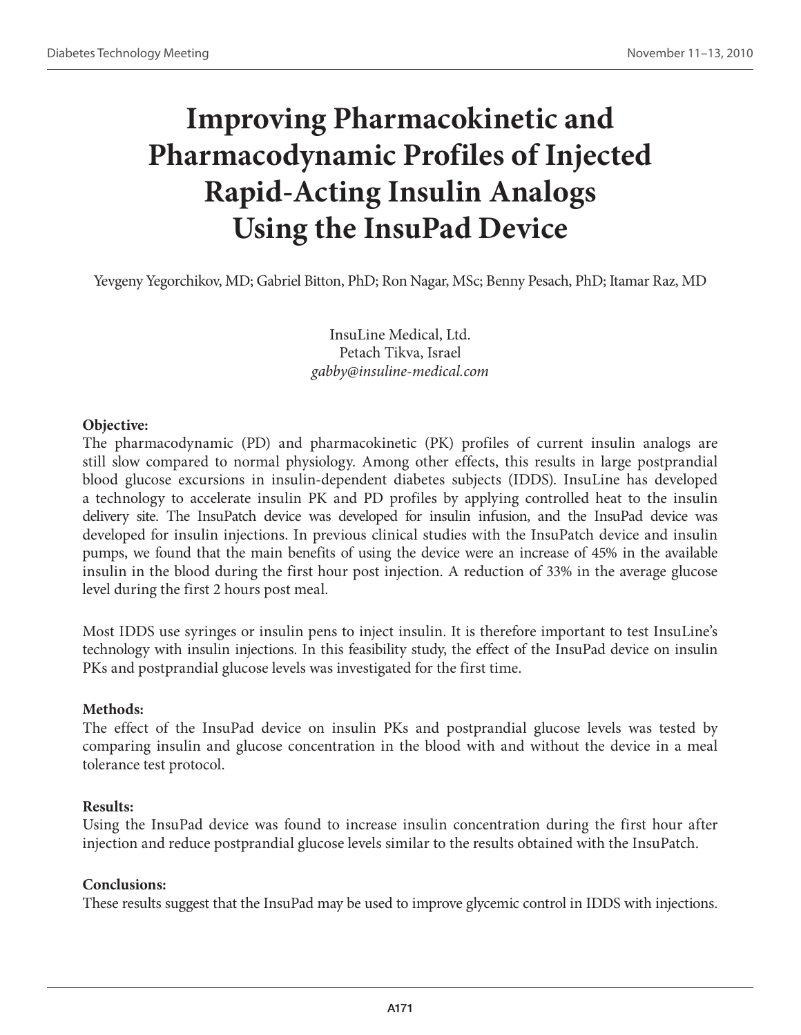# **Improving Pharmacokinetic and Pharmacodynamic Profiles of Injected Rapid-Acting Insulin Analogs Using the InsuPad Device**

Yevgeny Yegorchikov, MD; Gabriel Bitton, PhD; Ron Nagar, MSc; Benny Pesach, PhD; Itamar Raz, MD

InsuLine Medical, Ltd. Petach Tikva, Israel *gabby@insuline-medical.com*

#### **Objective:**

The pharmacodynamic (PD) and pharmacokinetic (PK) profiles of current insulin analogs are still slow compared to normal physiology. Among other effects, this results in large postprandial blood glucose excursions in insulin-dependent diabetes subjects (IDDS). InsuLine has developed a technology to accelerate insulin PK and PD profiles by applying controlled heat to the insulin delivery site. The InsuPatch device was developed for insulin infusion, and the InsuPad device was developed for insulin injections. In previous clinical studies with the InsuPatch device and insulin pumps, we found that the main benefits of using the device were an increase of 45% in the available insulin in the blood during the first hour post injection. A reduction of 33% in the average glucose level during the first 2 hours post meal.

Most IDDS use syringes or insulin pens to inject insulin. It is therefore important to test InsuLine's technology with insulin injections. In this feasibility study, the effect of the InsuPad device on insulin PKs and postprandial glucose levels was investigated for the first time.

## **Methods:**

The effect of the InsuPad device on insulin PKs and postprandial glucose levels was tested by comparing insulin and glucose concentration in the blood with and without the device in a meal tolerance test protocol.

## **Results:**

Using the InsuPad device was found to increase insulin concentration during the first hour after injection and reduce postprandial glucose levels similar to the results obtained with the InsuPatch.

## **Conclusions:**

These results suggest that the InsuPad may be used to improve glycemic control in IDDS with injections.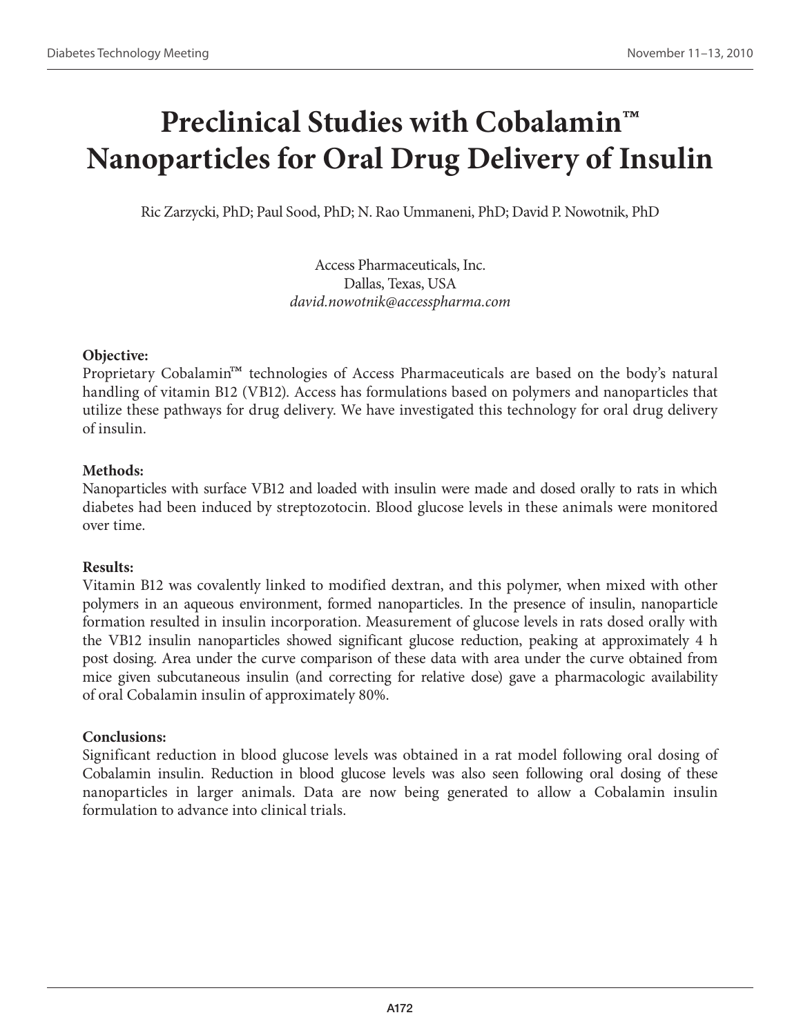## **Preclinical Studies with Cobalamin™ Nanoparticles for Oral Drug Delivery of Insulin**

Ric Zarzycki, PhD; Paul Sood, PhD; N. Rao Ummaneni, PhD; David P. Nowotnik, PhD

Access Pharmaceuticals, Inc. Dallas, Texas, USA *david.nowotnik@accesspharma.com*

## **Objective:**

Proprietary Cobalamin™ technologies of Access Pharmaceuticals are based on the body's natural handling of vitamin B12 (VB12). Access has formulations based on polymers and nanoparticles that utilize these pathways for drug delivery. We have investigated this technology for oral drug delivery of insulin.

## **Methods:**

Nanoparticles with surface VB12 and loaded with insulin were made and dosed orally to rats in which diabetes had been induced by streptozotocin. Blood glucose levels in these animals were monitored over time.

## **Results:**

Vitamin B12 was covalently linked to modified dextran, and this polymer, when mixed with other polymers in an aqueous environment, formed nanoparticles. In the presence of insulin, nanoparticle formation resulted in insulin incorporation. Measurement of glucose levels in rats dosed orally with the VB12 insulin nanoparticles showed significant glucose reduction, peaking at approximately 4 h post dosing. Area under the curve comparison of these data with area under the curve obtained from mice given subcutaneous insulin (and correcting for relative dose) gave a pharmacologic availability of oral Cobalamin insulin of approximately 80%.

## **Conclusions:**

Significant reduction in blood glucose levels was obtained in a rat model following oral dosing of Cobalamin insulin. Reduction in blood glucose levels was also seen following oral dosing of these nanoparticles in larger animals. Data are now being generated to allow a Cobalamin insulin formulation to advance into clinical trials.